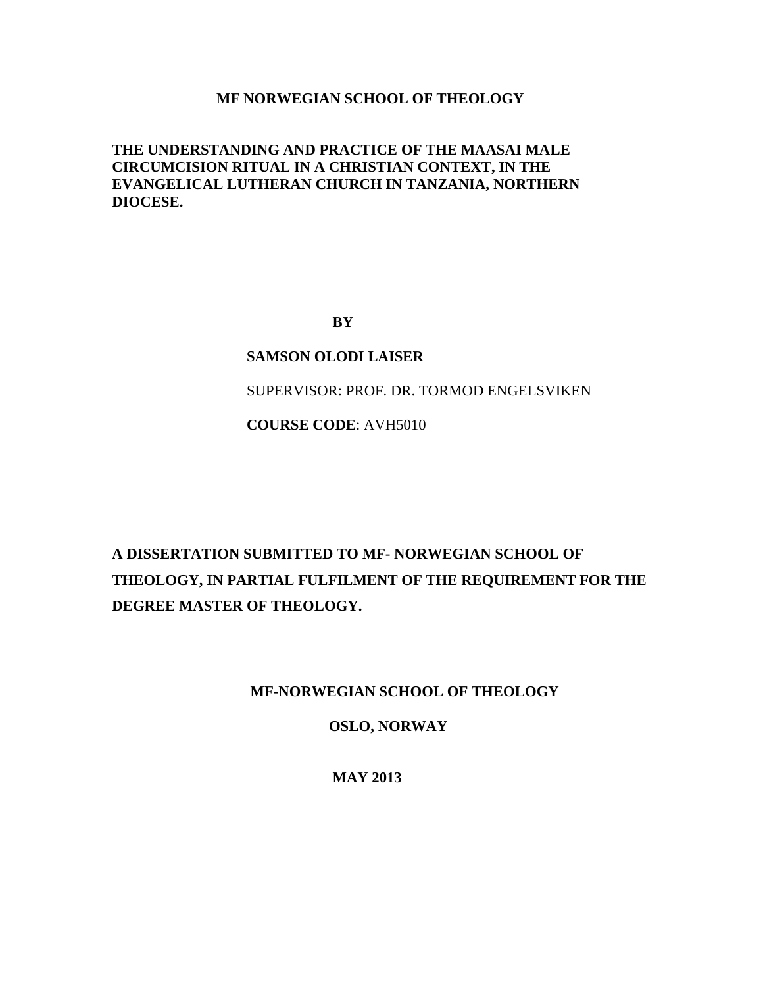# **MF NORWEGIAN SCHOOL OF THEOLOGY**

# **THE UNDERSTANDING AND PRACTICE OF THE MAASAI MALE CIRCUMCISION RITUAL IN A CHRISTIAN CONTEXT, IN THE EVANGELICAL LUTHERAN CHURCH IN TANZANIA, NORTHERN DIOCESE.**

**BY**

# **SAMSON OLODI LAISER**

SUPERVISOR: PROF. DR. TORMOD ENGELSVIKEN

**COURSE CODE**: AVH5010

# **A DISSERTATION SUBMITTED TO MF- NORWEGIAN SCHOOL OF THEOLOGY, IN PARTIAL FULFILMENT OF THE REQUIREMENT FOR THE DEGREE MASTER OF THEOLOGY.**

# **MF-NORWEGIAN SCHOOL OF THEOLOGY**

**OSLO, NORWAY**

 **MAY 2013**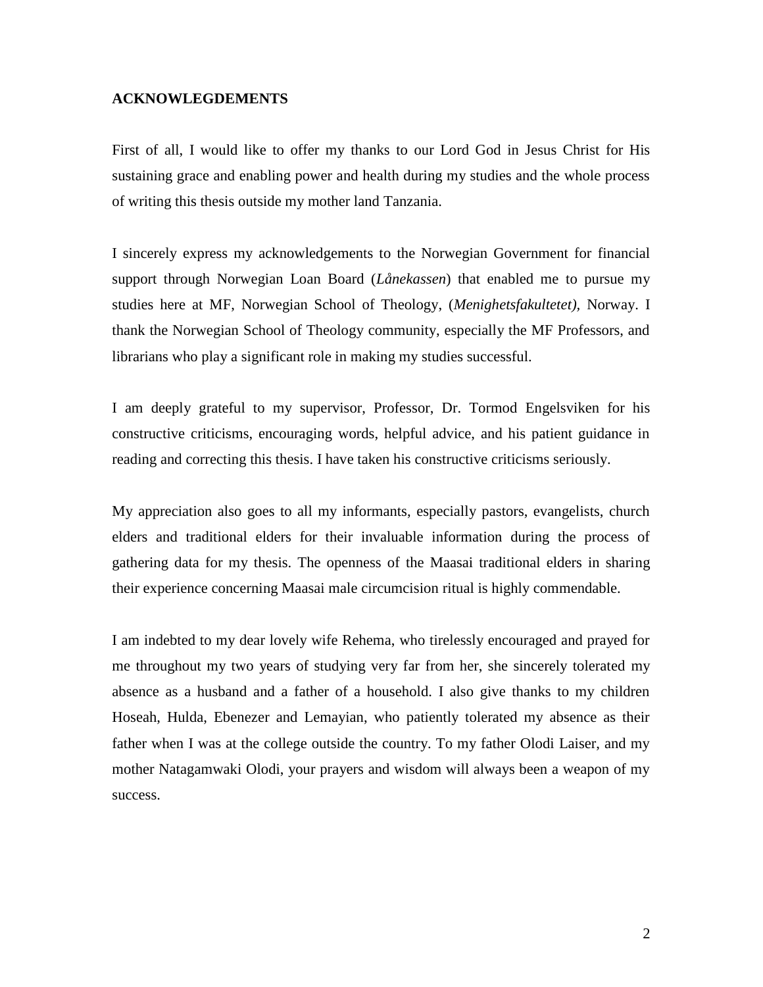# **ACKNOWLEGDEMENTS**

First of all, I would like to offer my thanks to our Lord God in Jesus Christ for His sustaining grace and enabling power and health during my studies and the whole process of writing this thesis outside my mother land Tanzania.

I sincerely express my acknowledgements to the Norwegian Government for financial support through Norwegian Loan Board (*Lånekassen*) that enabled me to pursue my studies here at MF, Norwegian School of Theology, (*Menighetsfakultetet),* Norway. I thank the Norwegian School of Theology community, especially the MF Professors, and librarians who play a significant role in making my studies successful.

I am deeply grateful to my supervisor, Professor, Dr. Tormod Engelsviken for his constructive criticisms, encouraging words, helpful advice, and his patient guidance in reading and correcting this thesis. I have taken his constructive criticisms seriously.

My appreciation also goes to all my informants, especially pastors, evangelists, church elders and traditional elders for their invaluable information during the process of gathering data for my thesis. The openness of the Maasai traditional elders in sharing their experience concerning Maasai male circumcision ritual is highly commendable.

I am indebted to my dear lovely wife Rehema, who tirelessly encouraged and prayed for me throughout my two years of studying very far from her, she sincerely tolerated my absence as a husband and a father of a household. I also give thanks to my children Hoseah, Hulda, Ebenezer and Lemayian, who patiently tolerated my absence as their father when I was at the college outside the country. To my father Olodi Laiser, and my mother Natagamwaki Olodi, your prayers and wisdom will always been a weapon of my success.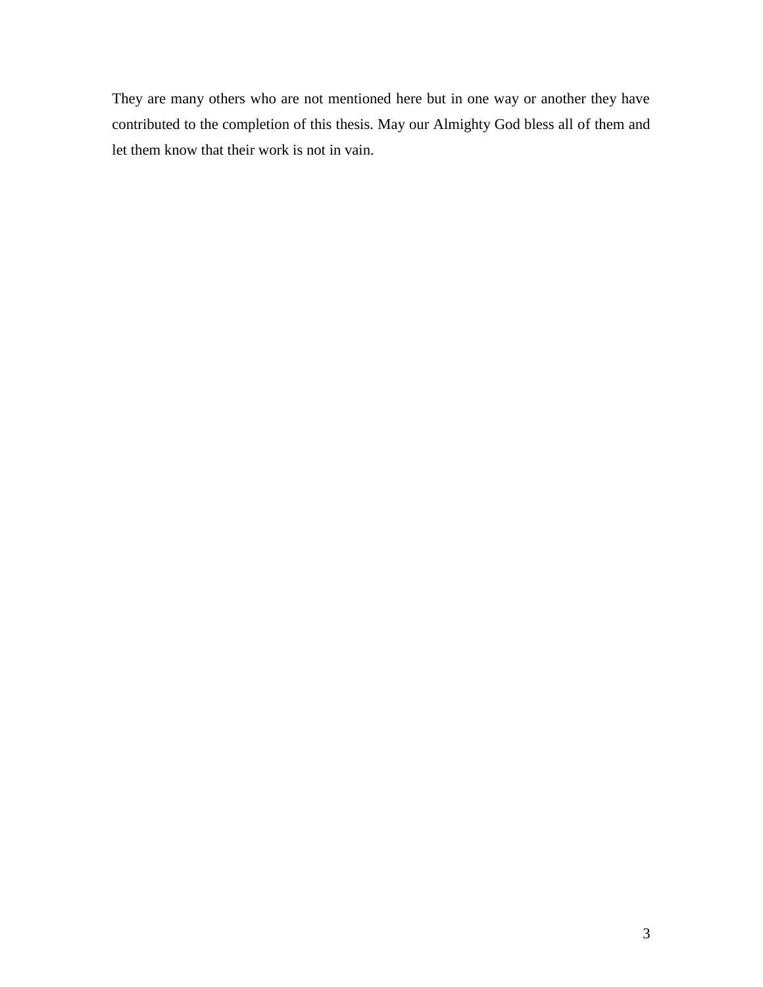They are many others who are not mentioned here but in one way or another they have contributed to the completion of this thesis. May our Almighty God bless all of them and let them know that their work is not in vain.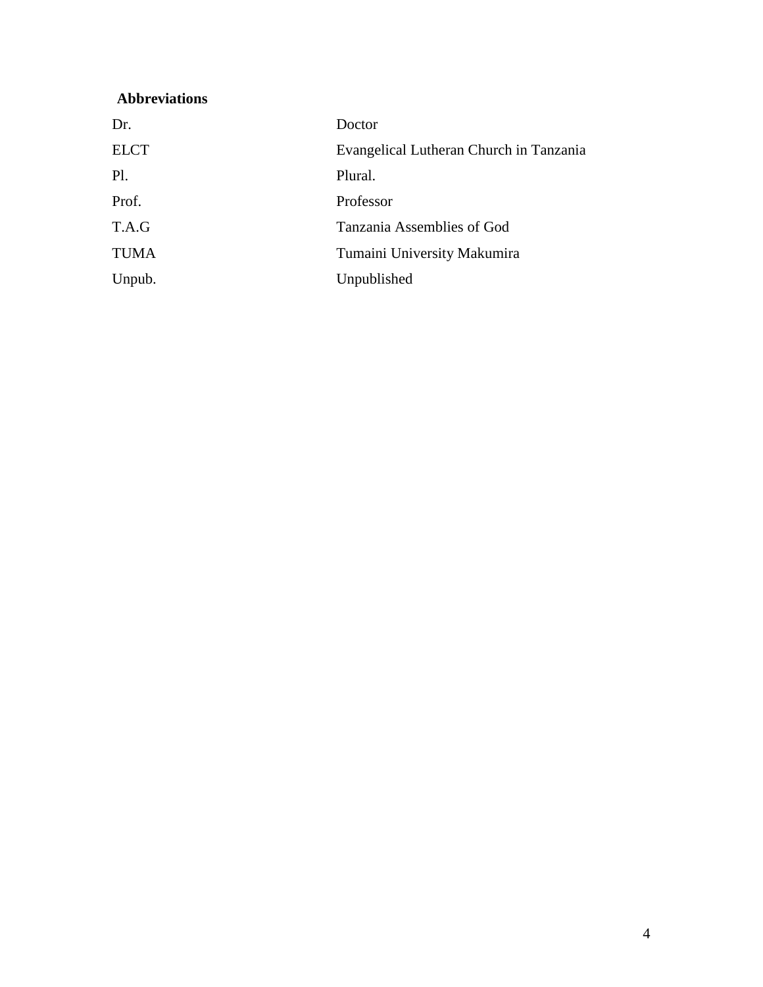# **Abbreviations**

| Dr.         | Doctor                                  |
|-------------|-----------------------------------------|
| <b>ELCT</b> | Evangelical Lutheran Church in Tanzania |
| Pl.         | Plural.                                 |
| Prof.       | Professor                               |
| T.A.G       | Tanzania Assemblies of God              |
| <b>TUMA</b> | Tumaini University Makumira             |
| Unpub.      | Unpublished                             |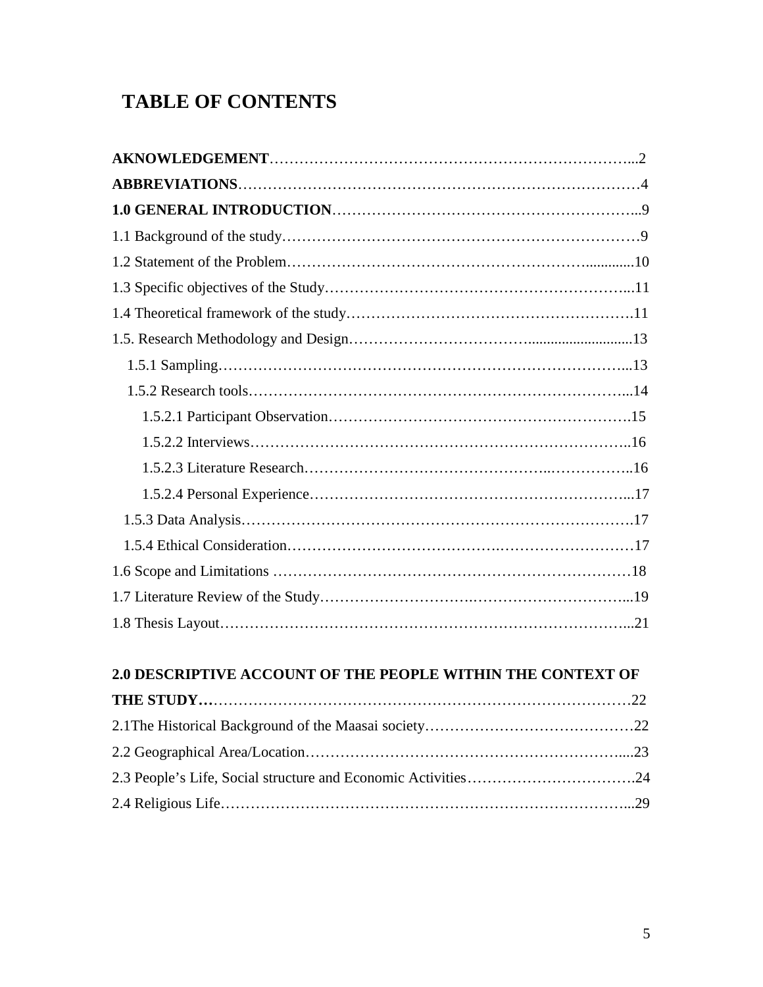# **TABLE OF CONTENTS**

# **2.0 DESCRIPTIVE ACCOUNT OF THE PEOPLE WITHIN THE CONTEXT OF**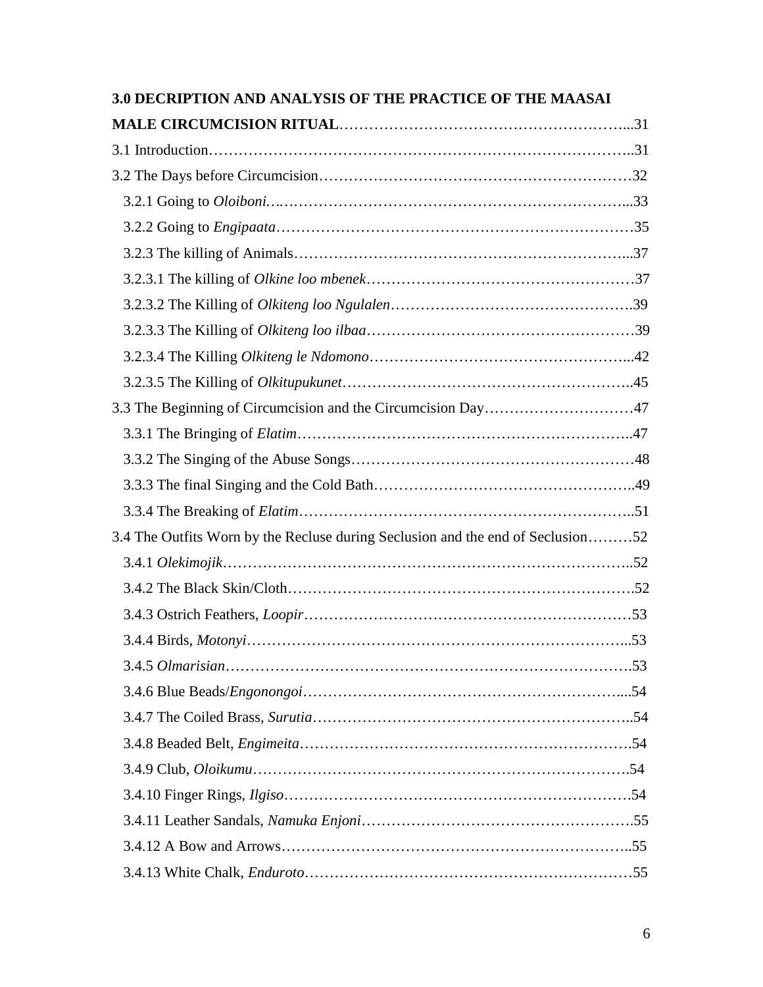| <b>3.0 DECRIPTION AND ANALYSIS OF THE PRACTICE OF THE MAASAI</b>                |  |
|---------------------------------------------------------------------------------|--|
|                                                                                 |  |
|                                                                                 |  |
|                                                                                 |  |
|                                                                                 |  |
|                                                                                 |  |
|                                                                                 |  |
|                                                                                 |  |
|                                                                                 |  |
|                                                                                 |  |
|                                                                                 |  |
|                                                                                 |  |
| 3.3 The Beginning of Circumcision and the Circumcision Day47                    |  |
|                                                                                 |  |
|                                                                                 |  |
|                                                                                 |  |
|                                                                                 |  |
| 3.4 The Outfits Worn by the Recluse during Seclusion and the end of Seclusion52 |  |
|                                                                                 |  |
|                                                                                 |  |
|                                                                                 |  |
|                                                                                 |  |
|                                                                                 |  |
|                                                                                 |  |
|                                                                                 |  |
|                                                                                 |  |
|                                                                                 |  |
|                                                                                 |  |
|                                                                                 |  |
|                                                                                 |  |
|                                                                                 |  |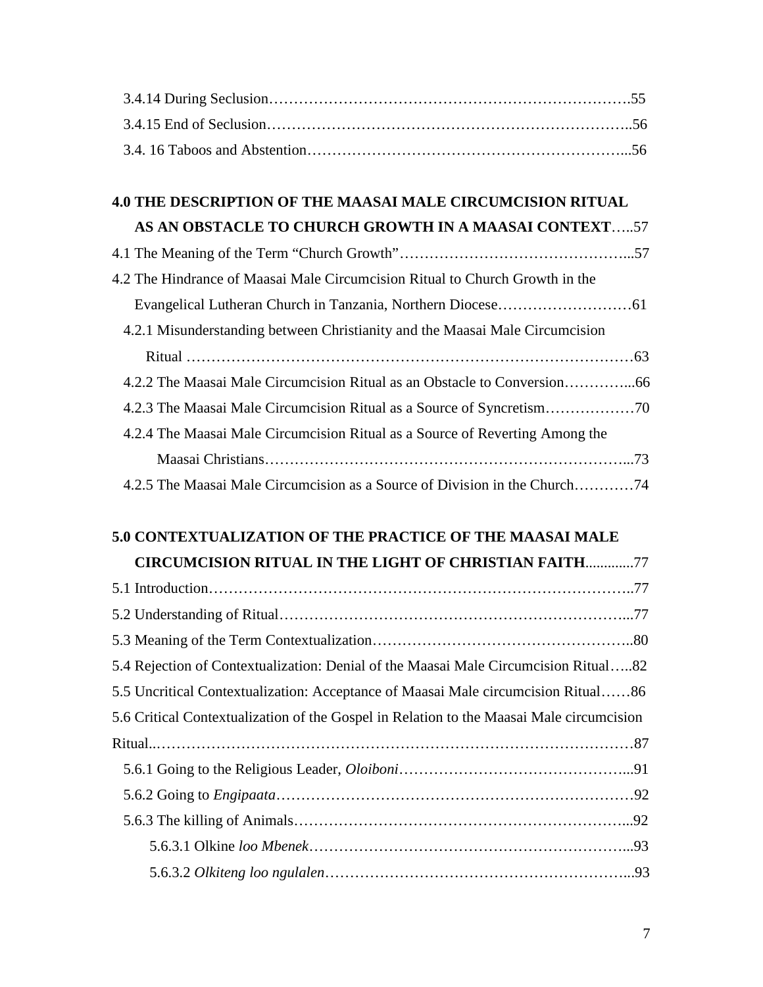| <b>4.0 THE DESCRIPTION OF THE MAASAI MALE CIRCUMCISION RITUAL</b>                        |
|------------------------------------------------------------------------------------------|
| AS AN OBSTACLE TO CHURCH GROWTH IN A MAASAI CONTEXT57                                    |
|                                                                                          |
| 4.2 The Hindrance of Maasai Male Circumcision Ritual to Church Growth in the             |
|                                                                                          |
| 4.2.1 Misunderstanding between Christianity and the Maasai Male Circumcision             |
|                                                                                          |
|                                                                                          |
|                                                                                          |
| 4.2.4 The Maasai Male Circumcision Ritual as a Source of Reverting Among the             |
|                                                                                          |
| 4.2.5 The Maasai Male Circumcision as a Source of Division in the Church74               |
|                                                                                          |
| 5.0 CONTEXTUALIZATION OF THE PRACTICE OF THE MAASAI MALE                                 |
| <b>CIRCUMCISION RITUAL IN THE LIGHT OF CHRISTIAN FAITH77</b>                             |
|                                                                                          |
|                                                                                          |
| 5.3 Meaning of the Term Contextualization<br>80                                          |
| 5.4 Rejection of Contextualization: Denial of the Maasai Male Circumcision Ritual82      |
| 5.5 Uncritical Contextualization: Acceptance of Maasai Male circumcision Ritual86        |
| 5.6 Critical Contextualization of the Gospel in Relation to the Maasai Male circumcision |
|                                                                                          |

5.6.1 Going to the Religious Leader, *Oloiboni*………………………………………...91

5.6.2 Going to *Engipaata*………………………………………………………………92

5.6.3 The killing of Animals…………………………………………………………...92

5.6.3.1 Olkine *loo Mbenek*………………………………………………………...93

5.6.3.2 *Olkiteng loo ngulalen*……………………………………………………...93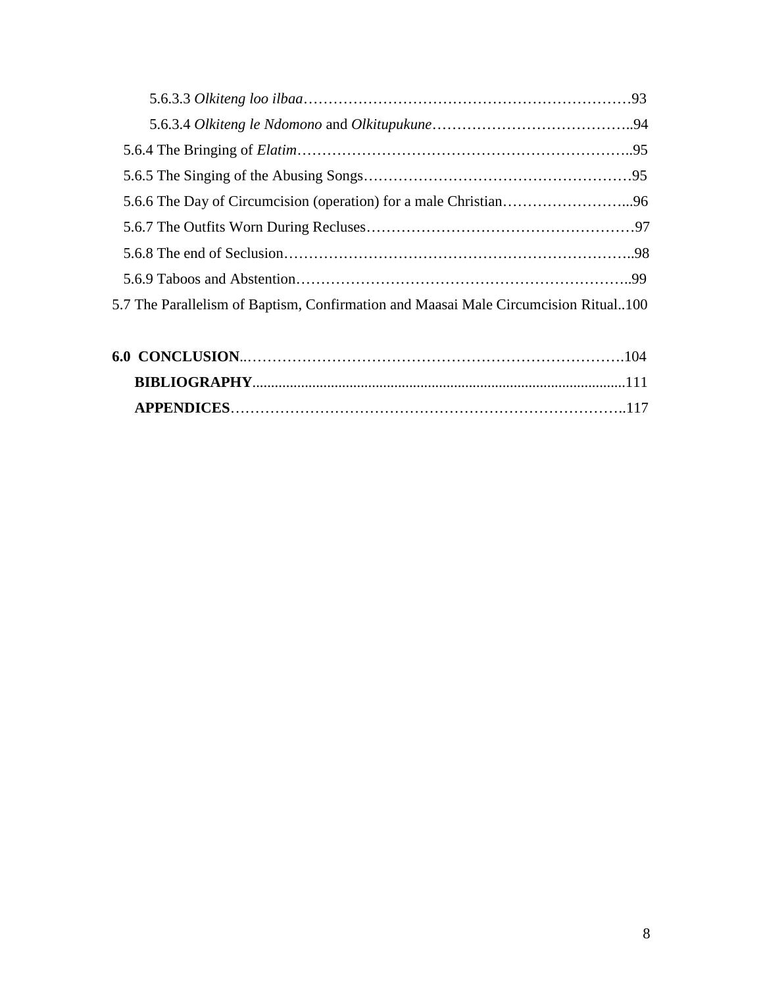| 5.7 The Parallelism of Baptism, Confirmation and Maasai Male Circumcision Ritual100 |  |
|-------------------------------------------------------------------------------------|--|
|                                                                                     |  |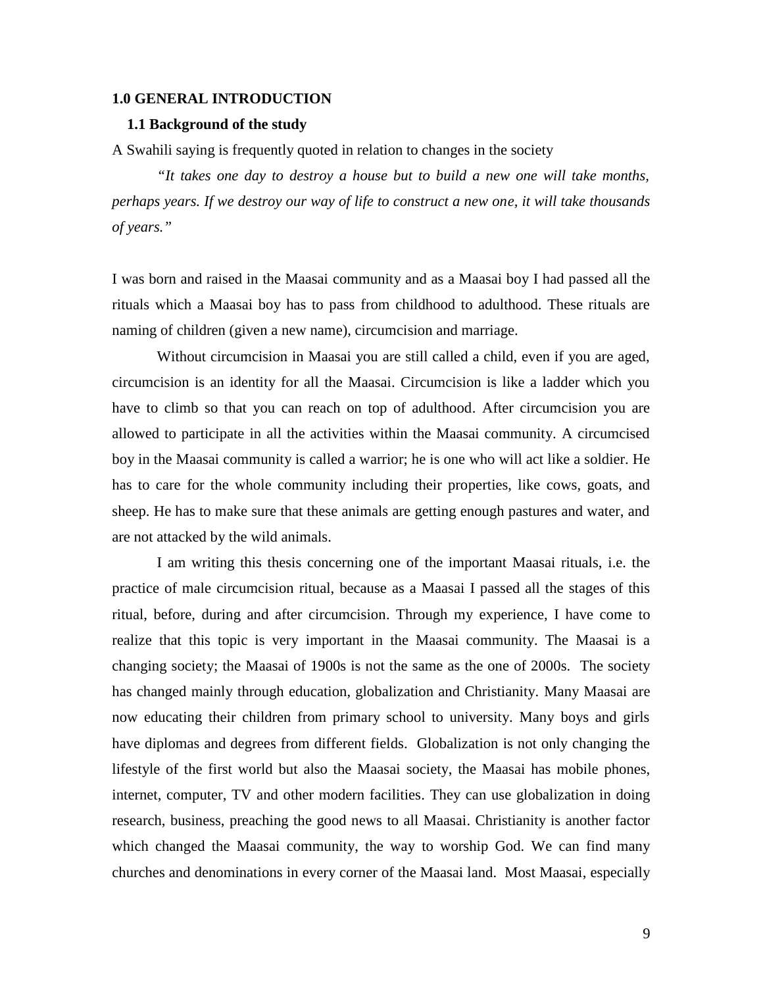#### **1.0 GENERAL INTRODUCTION**

#### **1.1 Background of the study**

A Swahili saying is frequently quoted in relation to changes in the society

*"It takes one day to destroy a house but to build a new one will take months, perhaps years. If we destroy our way of life to construct a new one, it will take thousands of years."*

I was born and raised in the Maasai community and as a Maasai boy I had passed all the rituals which a Maasai boy has to pass from childhood to adulthood. These rituals are naming of children (given a new name), circumcision and marriage.

Without circumcision in Maasai you are still called a child, even if you are aged, circumcision is an identity for all the Maasai. Circumcision is like a ladder which you have to climb so that you can reach on top of adulthood. After circumcision you are allowed to participate in all the activities within the Maasai community. A circumcised boy in the Maasai community is called a warrior; he is one who will act like a soldier. He has to care for the whole community including their properties, like cows, goats, and sheep. He has to make sure that these animals are getting enough pastures and water, and are not attacked by the wild animals.

I am writing this thesis concerning one of the important Maasai rituals, i.e. the practice of male circumcision ritual, because as a Maasai I passed all the stages of this ritual, before, during and after circumcision. Through my experience, I have come to realize that this topic is very important in the Maasai community. The Maasai is a changing society; the Maasai of 1900s is not the same as the one of 2000s. The society has changed mainly through education, globalization and Christianity. Many Maasai are now educating their children from primary school to university. Many boys and girls have diplomas and degrees from different fields. Globalization is not only changing the lifestyle of the first world but also the Maasai society, the Maasai has mobile phones, internet, computer, TV and other modern facilities. They can use globalization in doing research, business, preaching the good news to all Maasai. Christianity is another factor which changed the Maasai community, the way to worship God. We can find many churches and denominations in every corner of the Maasai land. Most Maasai, especially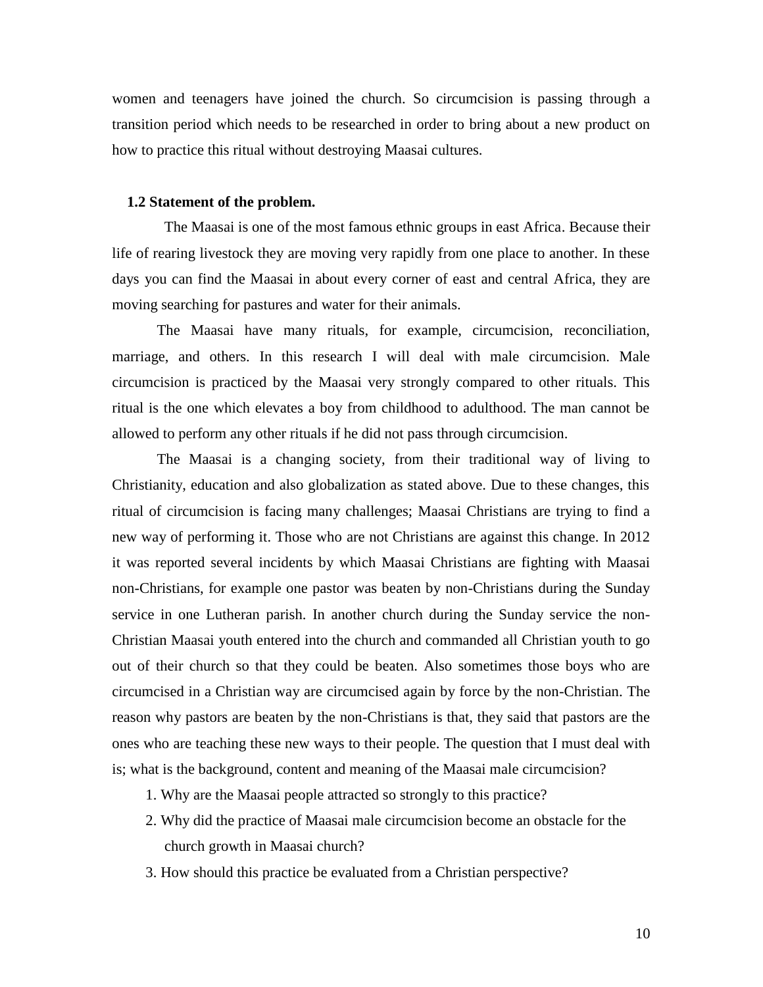women and teenagers have joined the church. So circumcision is passing through a transition period which needs to be researched in order to bring about a new product on how to practice this ritual without destroying Maasai cultures.

#### **1.2 Statement of the problem.**

 The Maasai is one of the most famous ethnic groups in east Africa. Because their life of rearing livestock they are moving very rapidly from one place to another. In these days you can find the Maasai in about every corner of east and central Africa, they are moving searching for pastures and water for their animals.

The Maasai have many rituals, for example, circumcision, reconciliation, marriage, and others. In this research I will deal with male circumcision. Male circumcision is practiced by the Maasai very strongly compared to other rituals. This ritual is the one which elevates a boy from childhood to adulthood. The man cannot be allowed to perform any other rituals if he did not pass through circumcision.

The Maasai is a changing society, from their traditional way of living to Christianity, education and also globalization as stated above. Due to these changes, this ritual of circumcision is facing many challenges; Maasai Christians are trying to find a new way of performing it. Those who are not Christians are against this change. In 2012 it was reported several incidents by which Maasai Christians are fighting with Maasai non-Christians, for example one pastor was beaten by non-Christians during the Sunday service in one Lutheran parish. In another church during the Sunday service the non- Christian Maasai youth entered into the church and commanded all Christian youth to go out of their church so that they could be beaten. Also sometimes those boys who are circumcised in a Christian way are circumcised again by force by the non-Christian. The reason why pastors are beaten by the non-Christians is that, they said that pastors are the ones who are teaching these new ways to their people. The question that I must deal with is; what is the background, content and meaning of the Maasai male circumcision?

- 1. Why are the Maasai people attracted so strongly to this practice?
- 2. Why did the practice of Maasai male circumcision become an obstacle for the church growth in Maasai church?
- 3. How should this practice be evaluated from a Christian perspective?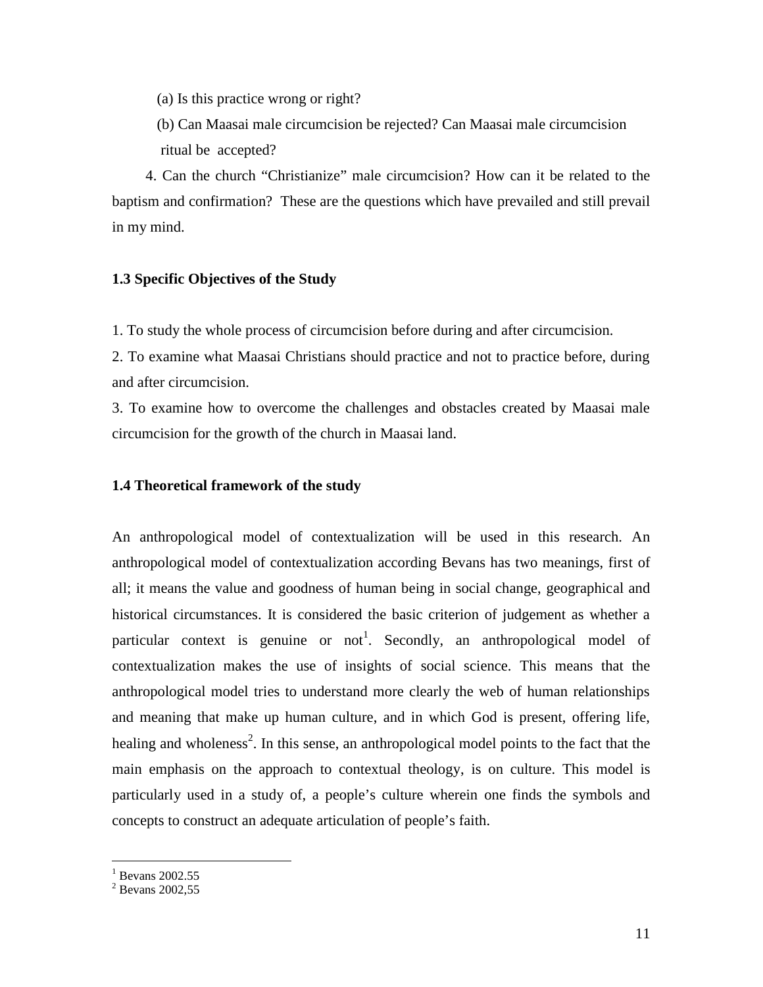- (a) Is this practice wrong or right?
- (b) Can Maasai male circumcision be rejected? Can Maasai male circumcision ritual be accepted?

 4. Can the church "Christianize" male circumcision? How can it be related to the baptism and confirmation? These are the questions which have prevailed and still prevail in my mind.

# **1.3 Specific Objectives of the Study**

1. To study the whole process of circumcision before during and after circumcision.

2. To examine what Maasai Christians should practice and not to practice before, during and after circumcision.

3. To examine how to overcome the challenges and obstacles created by Maasai male circumcision for the growth of the church in Maasai land.

# **1.4 Theoretical framework of the study**

An anthropological model of contextualization will be used in this research. An anthropological model of contextualization according Bevans has two meanings, first of all; it means the value and goodness of human being in social change, geographical and historical circumstances. It is considered the basic criterion of judgement as whether a particular context is genuine or not<sup>1</sup>. Secondly, an anthropological model of contextualization makes the use of insights of social science. This means that the anthropological model tries to understand more clearly the web of human relationships and meaning that make up human culture, and in which God is present, offering life, healing and wholeness<sup>2</sup>. In this sense, an anthropological model points to the fact that the main emphasis on the approach to contextual theology, is on culture. This model is particularly used in a study of, a people's culture wherein one finds the symbols and concepts to construct an adequate articulation of people's faith.

 $<sup>1</sup>$  Bevans 2002.55</sup>

<sup>&</sup>lt;sup>2</sup> Bevans 2002,55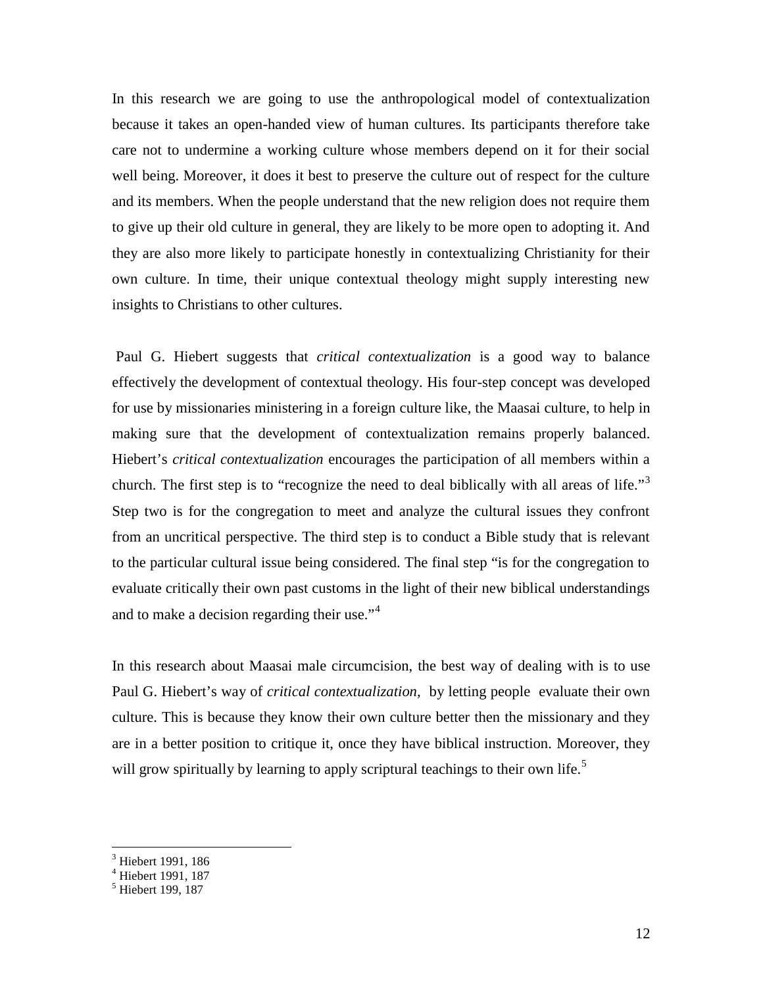In this research we are going to use the anthropological model of contextualization because it takes an open-handed view of human cultures. Its participants therefore take care not to undermine a working culture whose members depend on it for their social well being. Moreover, it does it best to preserve the culture out of respect for the culture and its members. When the people understand that the new religion does not require them to give up their old culture in general, they are likely to be more open to adopting it. And they are also more likely to participate honestly in contextualizing Christianity for their own culture. In time, their unique contextual theology might supply interesting new insights to Christians to other cultures.

Paul G. Hiebert suggests that *critical contextualization* is a good way to balance effectively the development of contextual theology. His four-step concept was developed for use by missionaries ministering in a foreign culture like, the Maasai culture, to help in making sure that the development of contextualization remains properly balanced. Hiebert's *critical contextualization* encourages the participation of all members within a church. The first step is to "recognize the need to deal biblically with all areas of life."<sup>3</sup> Step two is for the congregation to meet and analyze the cultural issues they confront from an uncritical perspective. The third step is to conduct a Bible study that is relevant to the particular cultural issue being considered. The final step "is for the congregation to evaluate critically their own past customs in the light of their new biblical understandings and to make a decision regarding their use."<sup>4</sup>

In this research about Maasai male circumcision, the best way of dealing with is to use Paul G. Hiebert's way of *critical contextualization,* by letting people evaluate their own culture. This is because they know their own culture better then the missionary and they are in a better position to critique it, once they have biblical instruction. Moreover, they will grow spiritually by learning to apply scriptural teachings to their own life.<sup>5</sup>

<sup>&</sup>lt;sup>3</sup> Hiebert 1991, 186

<sup>4</sup> Hiebert 1991, 187

<sup>&</sup>lt;sup>5</sup> Hiebert 199, 187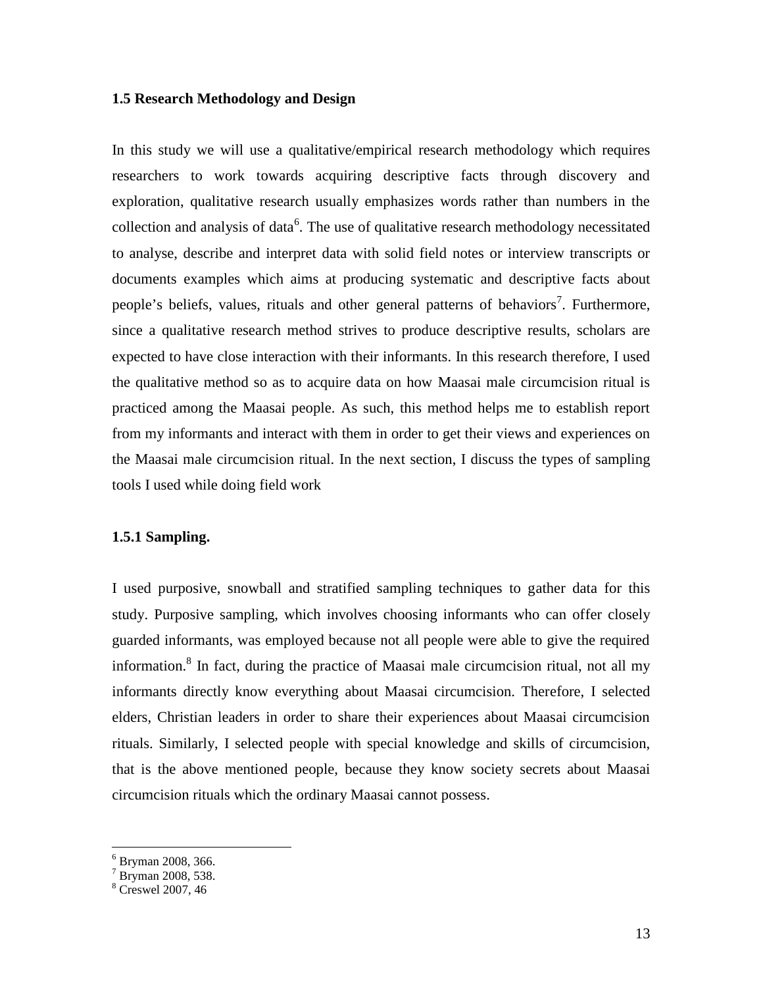# **1.5 Research Methodology and Design**

In this study we will use a qualitative/empirical research methodology which requires researchers to work towards acquiring descriptive facts through discovery and exploration, qualitative research usually emphasizes words rather than numbers in the collection and analysis of data<sup>6</sup>. The use of qualitative research methodology necessitated to analyse, describe and interpret data with solid field notes or interview transcripts or documents examples which aims at producing systematic and descriptive facts about people's beliefs, values, rituals and other general patterns of behaviors<sup>7</sup>. Furthermore, since a qualitative research method strives to produce descriptive results, scholars are expected to have close interaction with their informants. In this research therefore, I used the qualitative method so as to acquire data on how Maasai male circumcision ritual is practiced among the Maasai people. As such, this method helps me to establish report from my informants and interact with them in order to get their views and experiences on the Maasai male circumcision ritual. In the next section, I discuss the types of sampling tools I used while doing field work

# **1.5.1 Sampling.**

I used purposive, snowball and stratified sampling techniques to gather data for this study. Purposive sampling, which involves choosing informants who can offer closely guarded informants, was employed because not all people were able to give the required information.<sup>8</sup> In fact, during the practice of Maasai male circumcision ritual, not all my informants directly know everything about Maasai circumcision. Therefore, I selected elders, Christian leaders in order to share their experiences about Maasai circumcision rituals. Similarly, I selected people with special knowledge and skills of circumcision, that is the above mentioned people, because they know society secrets about Maasai circumcision rituals which the ordinary Maasai cannot possess.

 $\frac{6}{7}$  Bryman 2008, 366.<br>  $\frac{7}{8}$  Bryman 2008, 538.<br>  $\frac{8}{8}$  Creswel 2007, 46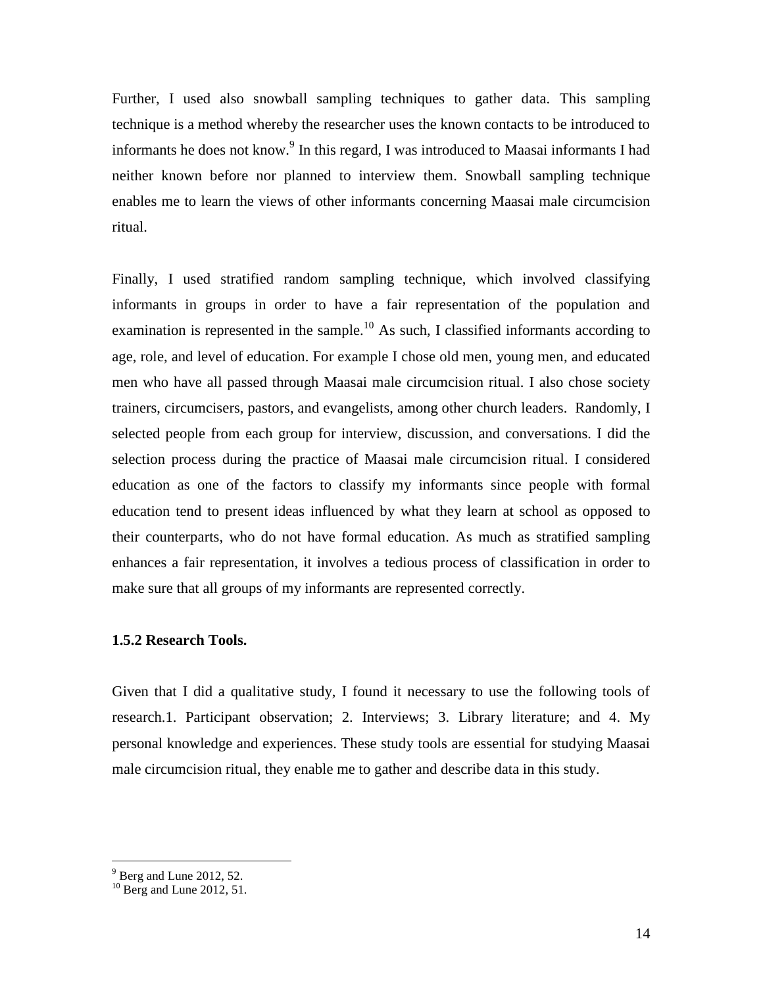Further, I used also snowball sampling techniques to gather data. This sampling technique is a method whereby the researcher uses the known contacts to be introduced to informants he does not know.<sup>9</sup> In this regard, I was introduced to Maasai informants I had neither known before nor planned to interview them. Snowball sampling technique enables me to learn the views of other informants concerning Maasai male circumcision ritual.

Finally, I used stratified random sampling technique, which involved classifying informants in groups in order to have a fair representation of the population and examination is represented in the sample.<sup>10</sup> As such, I classified informants according to age, role, and level of education. For example I chose old men, young men, and educated men who have all passed through Maasai male circumcision ritual. I also chose society trainers, circumcisers, pastors, and evangelists, among other church leaders. Randomly, I selected people from each group for interview, discussion, and conversations. I did the selection process during the practice of Maasai male circumcision ritual. I considered education as one of the factors to classify my informants since people with formal education tend to present ideas influenced by what they learn at school as opposed to their counterparts, who do not have formal education. As much as stratified sampling enhances a fair representation, it involves a tedious process of classification in order to make sure that all groups of my informants are represented correctly.

# **1.5.2 Research Tools.**

Given that I did a qualitative study, I found it necessary to use the following tools of research.1. Participant observation; 2. Interviews; 3. Library literature; and 4. My personal knowledge and experiences. These study tools are essential for studying Maasai male circumcision ritual, they enable me to gather and describe data in this study.

 $9^9$  Berg and Lune 2012, 52.

 $^{10}$  Berg and Lune 2012, 51.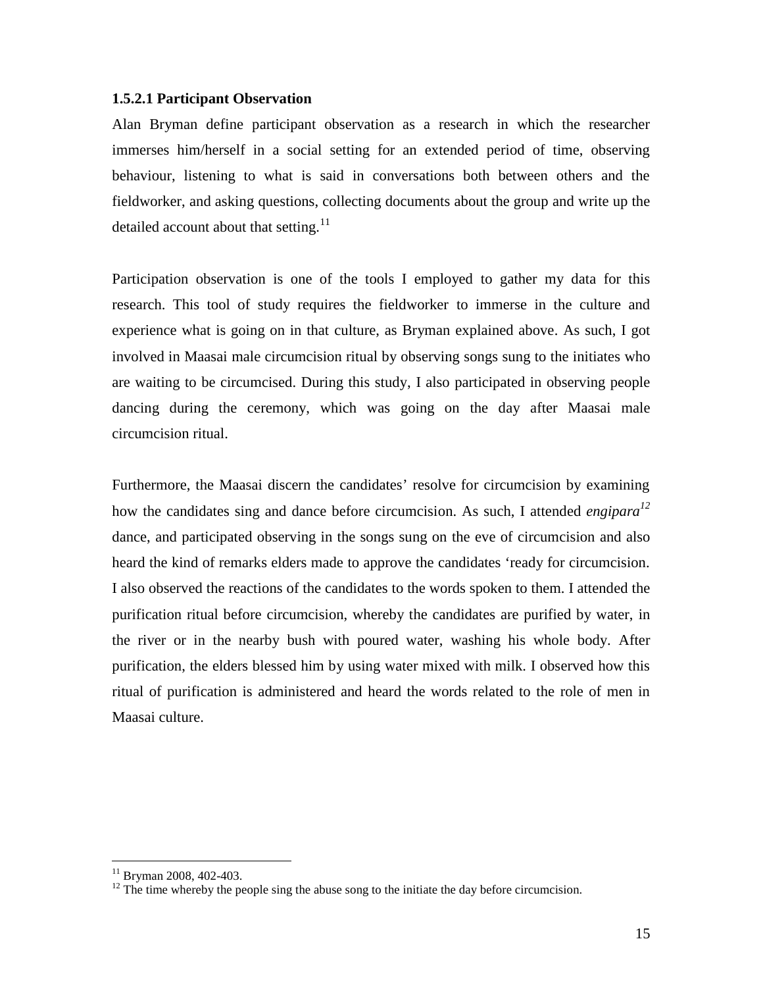# **1.5.2.1 Participant Observation**

Alan Bryman define participant observation as a research in which the researcher immerses him/herself in a social setting for an extended period of time, observing behaviour, listening to what is said in conversations both between others and the fieldworker, and asking questions, collecting documents about the group and write up the detailed account about that setting. $^{11}$ 

Participation observation is one of the tools I employed to gather my data for this research. This tool of study requires the fieldworker to immerse in the culture and experience what is going on in that culture, as Bryman explained above. As such, I got involved in Maasai male circumcision ritual by observing songs sung to the initiates who are waiting to be circumcised. During this study, I also participated in observing people dancing during the ceremony, which was going on the day after Maasai male circumcision ritual.

Furthermore, the Maasai discern the candidates' resolve for circumcision by examining how the candidates sing and dance before circumcision. As such, I attended *engipara<sup>12</sup>* dance, and participated observing in the songs sung on the eve of circumcision and also heard the kind of remarks elders made to approve the candidates 'ready for circumcision. I also observed the reactions of the candidates to the words spoken to them. I attended the purification ritual before circumcision, whereby the candidates are purified by water, in the river or in the nearby bush with poured water, washing his whole body. After purification, the elders blessed him by using water mixed with milk. I observed how this ritual of purification is administered and heard the words related to the role of men in Maasai culture.

<sup>&</sup>lt;sup>11</sup> Bryman 2008, 402-403. <sup>12</sup> The time whereby the people sing the abuse song to the initiate the day before circumcision.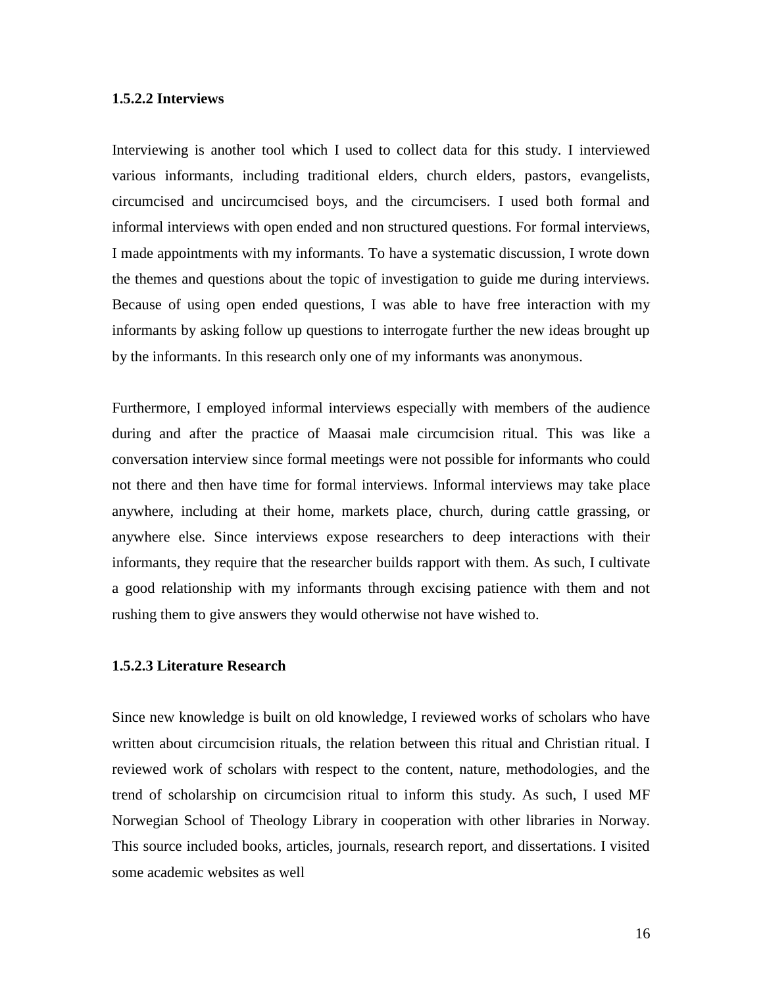# **1.5.2.2 Interviews**

Interviewing is another tool which I used to collect data for this study. I interviewed various informants, including traditional elders, church elders, pastors, evangelists, circumcised and uncircumcised boys, and the circumcisers. I used both formal and informal interviews with open ended and non structured questions. For formal interviews, I made appointments with my informants. To have a systematic discussion, I wrote down the themes and questions about the topic of investigation to guide me during interviews. Because of using open ended questions, I was able to have free interaction with my informants by asking follow up questions to interrogate further the new ideas brought up by the informants. In this research only one of my informants was anonymous.

Furthermore, I employed informal interviews especially with members of the audience during and after the practice of Maasai male circumcision ritual. This was like a conversation interview since formal meetings were not possible for informants who could not there and then have time for formal interviews. Informal interviews may take place anywhere, including at their home, markets place, church, during cattle grassing, or anywhere else. Since interviews expose researchers to deep interactions with their informants, they require that the researcher builds rapport with them. As such, I cultivate a good relationship with my informants through excising patience with them and not rushing them to give answers they would otherwise not have wished to.

# **1.5.2.3 Literature Research**

Since new knowledge is built on old knowledge, I reviewed works of scholars who have written about circumcision rituals, the relation between this ritual and Christian ritual. I reviewed work of scholars with respect to the content, nature, methodologies, and the trend of scholarship on circumcision ritual to inform this study. As such, I used MF Norwegian School of Theology Library in cooperation with other libraries in Norway. This source included books, articles, journals, research report, and dissertations. I visited some academic websites as well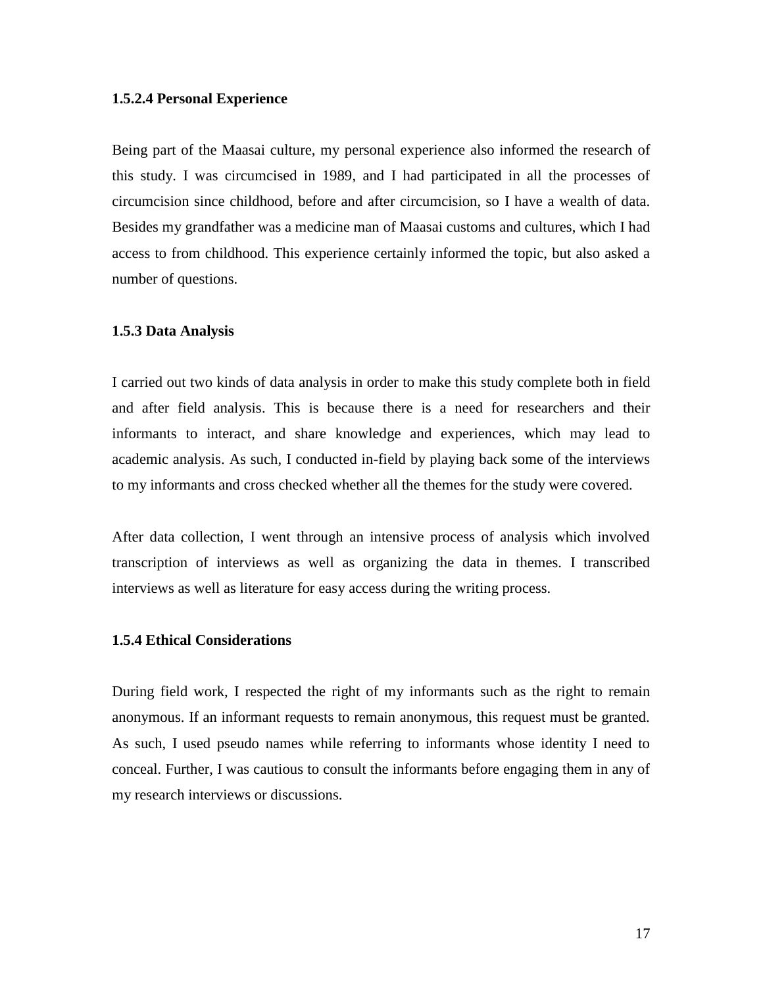# **1.5.2.4 Personal Experience**

Being part of the Maasai culture, my personal experience also informed the research of this study. I was circumcised in 1989, and I had participated in all the processes of circumcision since childhood, before and after circumcision, so I have a wealth of data. Besides my grandfather was a medicine man of Maasai customs and cultures, which I had access to from childhood. This experience certainly informed the topic, but also asked a number of questions.

#### **1.5.3 Data Analysis**

I carried out two kinds of data analysis in order to make this study complete both in field and after field analysis. This is because there is a need for researchers and their informants to interact, and share knowledge and experiences, which may lead to academic analysis. As such, I conducted in-field by playing back some of the interviews to my informants and cross checked whether all the themes for the study were covered.

After data collection, I went through an intensive process of analysis which involved transcription of interviews as well as organizing the data in themes. I transcribed interviews as well as literature for easy access during the writing process.

# **1.5.4 Ethical Considerations**

During field work, I respected the right of my informants such as the right to remain anonymous. If an informant requests to remain anonymous, this request must be granted. As such, I used pseudo names while referring to informants whose identity I need to conceal. Further, I was cautious to consult the informants before engaging them in any of my research interviews or discussions.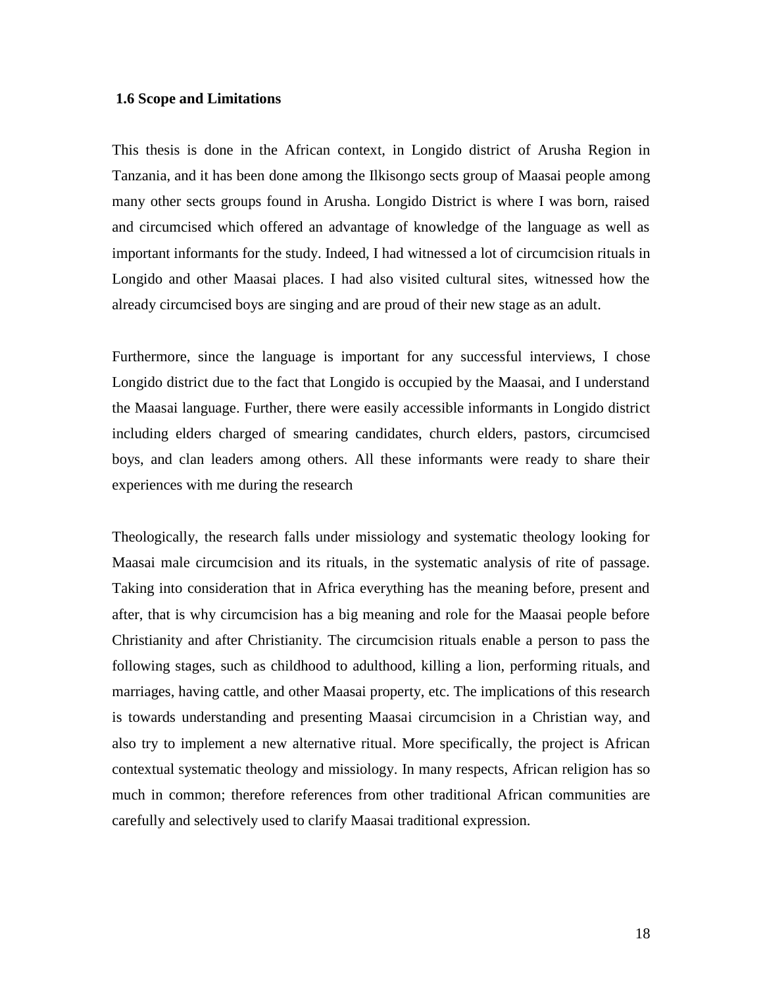# **1.6 Scope and Limitations**

This thesis is done in the African context, in Longido district of Arusha Region in Tanzania, and it has been done among the Ilkisongo sects group of Maasai people among many other sects groups found in Arusha. Longido District is where I was born, raised and circumcised which offered an advantage of knowledge of the language as well as important informants for the study. Indeed, I had witnessed a lot of circumcision rituals in Longido and other Maasai places. I had also visited cultural sites, witnessed how the already circumcised boys are singing and are proud of their new stage as an adult.

Furthermore, since the language is important for any successful interviews, I chose Longido district due to the fact that Longido is occupied by the Maasai, and I understand the Maasai language. Further, there were easily accessible informants in Longido district including elders charged of smearing candidates, church elders, pastors, circumcised boys, and clan leaders among others. All these informants were ready to share their experiences with me during the research

Theologically, the research falls under missiology and systematic theology looking for Maasai male circumcision and its rituals, in the systematic analysis of rite of passage. Taking into consideration that in Africa everything has the meaning before, present and after, that is why circumcision has a big meaning and role for the Maasai people before Christianity and after Christianity. The circumcision rituals enable a person to pass the following stages, such as childhood to adulthood, killing a lion, performing rituals, and marriages, having cattle, and other Maasai property, etc. The implications of this research is towards understanding and presenting Maasai circumcision in a Christian way, and also try to implement a new alternative ritual. More specifically, the project is African contextual systematic theology and missiology. In many respects, African religion has so much in common; therefore references from other traditional African communities are carefully and selectively used to clarify Maasai traditional expression.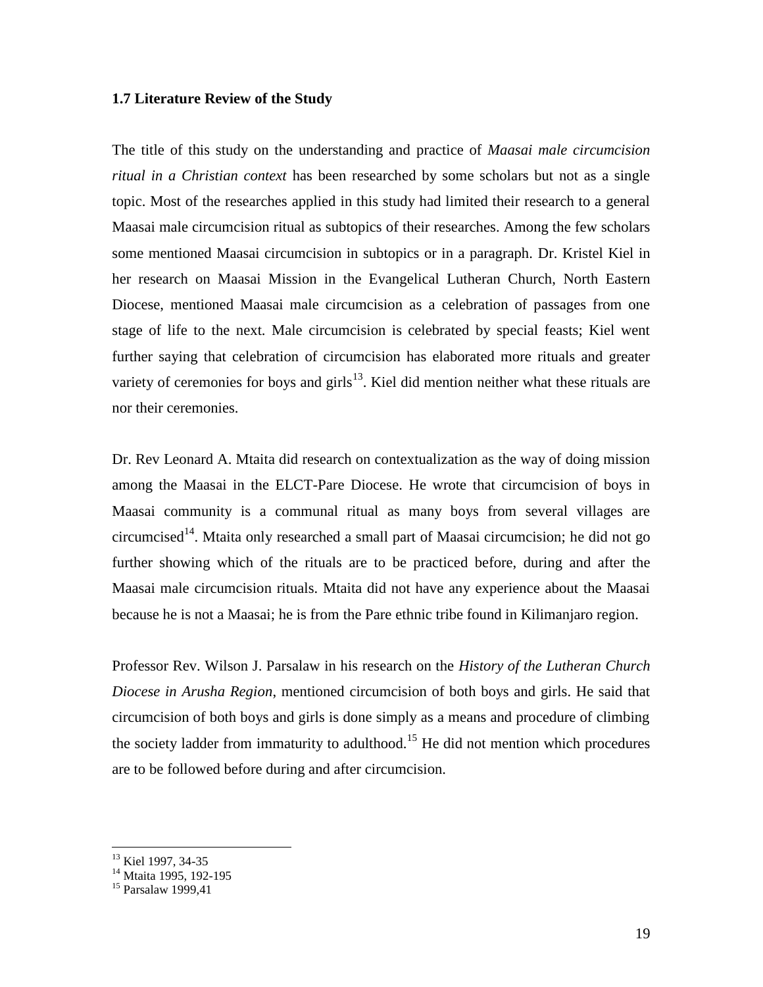#### **1.7 Literature Review of the Study**

The title of this study on the understanding and practice of *Maasai male circumcision ritual in a Christian context* has been researched by some scholars but not as a single topic. Most of the researches applied in this study had limited their research to a general Maasai male circumcision ritual as subtopics of their researches. Among the few scholars some mentioned Maasai circumcision in subtopics or in a paragraph. Dr. Kristel Kiel in her research on Maasai Mission in the Evangelical Lutheran Church, North Eastern Diocese, mentioned Maasai male circumcision as a celebration of passages from one stage of life to the next. Male circumcision is celebrated by special feasts; Kiel went further saying that celebration of circumcision has elaborated more rituals and greater variety of ceremonies for boys and girls<sup>13</sup>. Kiel did mention neither what these rituals are nor their ceremonies.

Dr. Rev Leonard A. Mtaita did research on contextualization as the way of doing mission among the Maasai in the ELCT-Pare Diocese. He wrote that circumcision of boys in Maasai community is a communal ritual as many boys from several villages are circumcised<sup>14</sup>. Mtaita only researched a small part of Maasai circumcision; he did not go further showing which of the rituals are to be practiced before, during and after the Maasai male circumcision rituals. Mtaita did not have any experience about the Maasai because he is not a Maasai; he is from the Pare ethnic tribe found in Kilimanjaro region.

Professor Rev. Wilson J. Parsalaw in his research on the *History of the Lutheran Church Diocese in Arusha Region*, mentioned circumcision of both boys and girls. He said that circumcision of both boys and girls is done simply as a means and procedure of climbing the society ladder from immaturity to adulthood.<sup>15</sup> He did not mention which procedures are to be followed before during and after circumcision.

<sup>&</sup>lt;sup>13</sup> Kiel 1997, 34-35

<sup>&</sup>lt;sup>14</sup> Mtaita 1995, 192-195

<sup>15</sup> Parsalaw 1999,41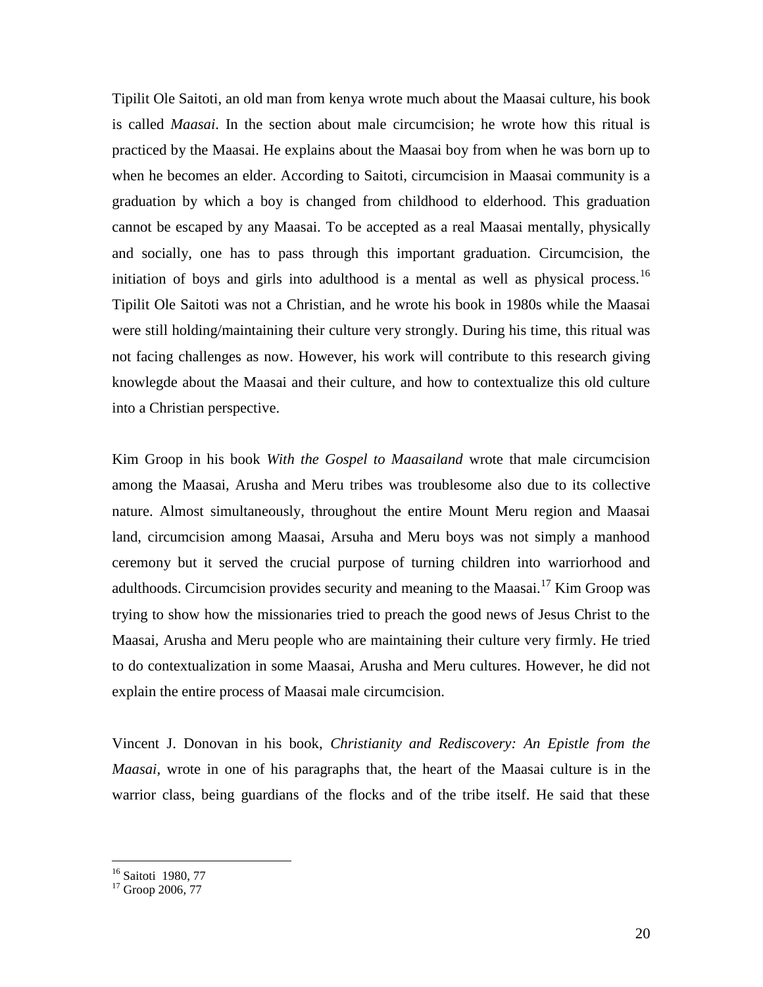Tipilit Ole Saitoti, an old man from kenya wrote much about the Maasai culture, his book is called *Maasai*. In the section about male circumcision; he wrote how this ritual is practiced by the Maasai. He explains about the Maasai boy from when he was born up to when he becomes an elder. According to Saitoti, circumcision in Maasai community is a graduation by which a boy is changed from childhood to elderhood. This graduation cannot be escaped by any Maasai. To be accepted as a real Maasai mentally, physically and socially, one has to pass through this important graduation. Circumcision, the initiation of boys and girls into adulthood is a mental as well as physical process.<sup>16</sup> Tipilit Ole Saitoti was not a Christian, and he wrote his book in 1980s while the Maasai were still holding/maintaining their culture very strongly. During his time, this ritual was not facing challenges as now. However, his work will contribute to this research giving knowlegde about the Maasai and their culture, and how to contextualize this old culture into a Christian perspective.

Kim Groop in his book *With the Gospel to Maasailand* wrote that male circumcision among the Maasai, Arusha and Meru tribes was troublesome also due to its collective nature. Almost simultaneously, throughout the entire Mount Meru region and Maasai land, circumcision among Maasai, Arsuha and Meru boys was not simply a manhood ceremony but it served the crucial purpose of turning children into warriorhood and adulthoods. Circumcision provides security and meaning to the Maasai.<sup>17</sup> Kim Groop was trying to show how the missionaries tried to preach the good news of Jesus Christ to the Maasai, Arusha and Meru people who are maintaining their culture very firmly. He tried to do contextualization in some Maasai, Arusha and Meru cultures. However, he did not explain the entire process of Maasai male circumcision.

Vincent J. Donovan in his book, *Christianity and Rediscovery: An Epistle from the Maasai,* wrote in one of his paragraphs that, the heart of the Maasai culture is in the warrior class, being guardians of the flocks and of the tribe itself. He said that these

<sup>&</sup>lt;sup>16</sup> Saitoti 1980, 77

<sup>&</sup>lt;sup>17</sup> Groop 2006, 77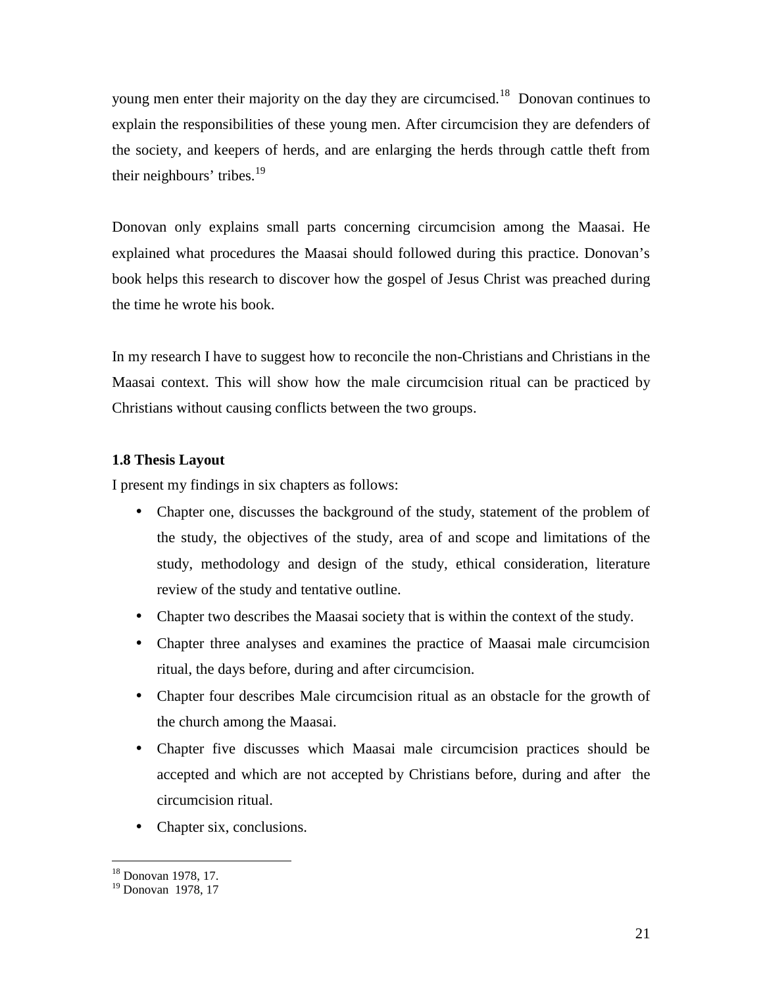young men enter their majority on the day they are circumcised.<sup>18</sup> Donovan continues to explain the responsibilities of these young men. After circumcision they are defenders of the society, and keepers of herds, and are enlarging the herds through cattle theft from their neighbours' tribes. $19$ 

Donovan only explains small parts concerning circumcision among the Maasai. He explained what procedures the Maasai should followed during this practice. Donovan's book helps this research to discover how the gospel of Jesus Christ was preached during the time he wrote his book.

In my research I have to suggest how to reconcile the non-Christians and Christians in the Maasai context. This will show how the male circumcision ritual can be practiced by Christians without causing conflicts between the two groups.

# **1.8 Thesis Layout**

I present my findings in six chapters as follows:

- Chapter one, discusses the background of the study, statement of the problem of the study, the objectives of the study, area of and scope and limitations of the study, methodology and design of the study, ethical consideration, literature review of the study and tentative outline.
- Chapter two describes the Maasai society that is within the context of the study.
- Chapter three analyses and examines the practice of Maasai male circumcision ritual, the days before, during and after circumcision.
- Chapter four describes Male circumcision ritual as an obstacle for the growth of the church among the Maasai.
- Chapter five discusses which Maasai male circumcision practices should be accepted and which are not accepted by Christians before, during and after the circumcision ritual.
- Chapter six, conclusions.

<sup>18</sup> Donovan 1978, 17.

<sup>&</sup>lt;sup>19</sup> Donovan 1978, 17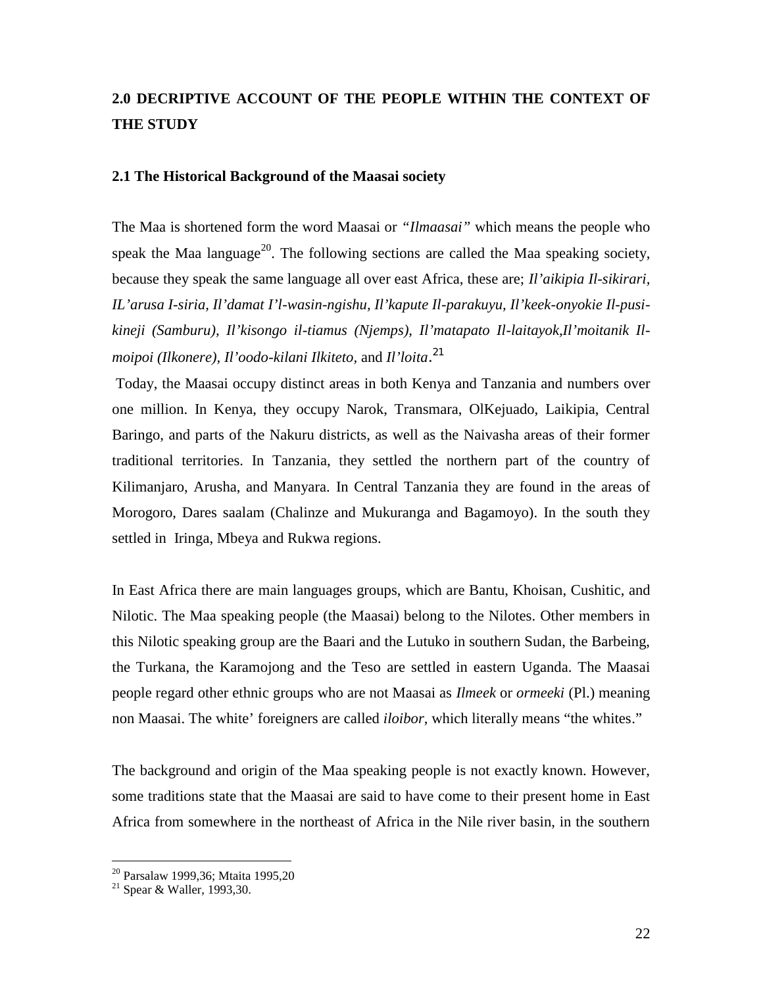# **2.0 DECRIPTIVE ACCOUNT OF THE PEOPLE WITHIN THE CONTEXT OF THE STUDY**

# **2.1 The Historical Background of the Maasai society**

The Maa is shortened form the word Maasai or *"Ilmaasai"* which means the people who speak the Maa language<sup>20</sup>. The following sections are called the Maa speaking society, because they speak the same language all over east Africa, these are; *Il'aikipia Il-sikirari, IL'arusa I-siria, Il'damat I'l-wasin-ngishu, Il'kapute Il-parakuyu, Il'keek-onyokie Il-pusi kineji (Samburu), Il'kisongo il-tiamus (Njemps), Il'matapato Il-laitayok,Il'moitanik Il moipoi (Ilkonere), Il'oodo-kilani Ilkiteto,* and *Il'loita*.<sup>21</sup>

 Today, the Maasai occupy distinct areas in both Kenya and Tanzania and numbers over one million. In Kenya, they occupy Narok, Transmara, OlKejuado, Laikipia, Central Baringo, and parts of the Nakuru districts, as well as the Naivasha areas of their former traditional territories. In Tanzania, they settled the northern part of the country of Kilimanjaro, Arusha, and Manyara. In Central Tanzania they are found in the areas of Morogoro, Dares saalam (Chalinze and Mukuranga and Bagamoyo). In the south they settled in Iringa, Mbeya and Rukwa regions.

In East Africa there are main languages groups, which are Bantu, Khoisan, Cushitic, and Nilotic. The Maa speaking people (the Maasai) belong to the Nilotes. Other members in this Nilotic speaking group are the Baari and the Lutuko in southern Sudan, the Barbeing, the Turkana, the Karamojong and the Teso are settled in eastern Uganda. The Maasai people regard other ethnic groups who are not Maasai as *Ilmeek* or *ormeeki* (Pl.) meaning non Maasai. The white' foreigners are called *iloibor*, which literally means "the whites."

The background and origin of the Maa speaking people is not exactly known. However, some traditions state that the Maasai are said to have come to their present home in East Africa from somewhere in the northeast of Africa in the Nile river basin, in the southern

<sup>20</sup> Parsalaw 1999,36; Mtaita 1995,20

<sup>21</sup> Spear & Waller, 1993,30.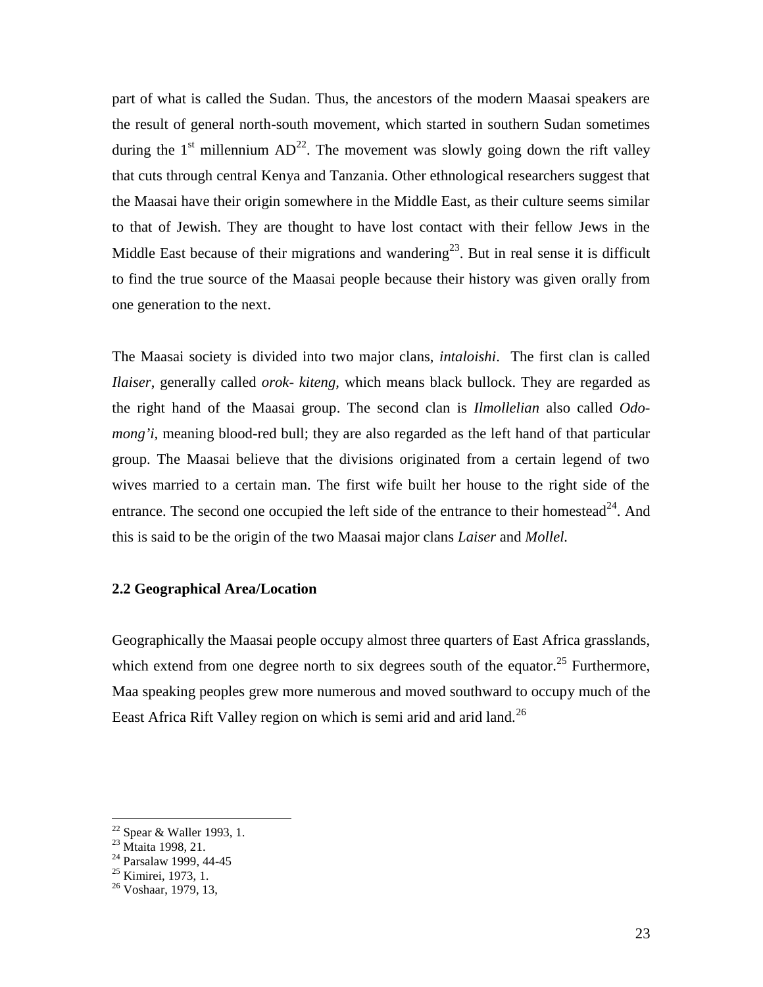part of what is called the Sudan. Thus, the ancestors of the modern Maasai speakers are the result of general north-south movement, which started in southern Sudan sometimes during the  $1<sup>st</sup>$  millennium  $AD<sup>22</sup>$ . The movement was slowly going down the rift valley that cuts through central Kenya and Tanzania. Other ethnological researchers suggest that the Maasai have their origin somewhere in the Middle East, as their culture seems similar to that of Jewish. They are thought to have lost contact with their fellow Jews in the Middle East because of their migrations and wandering<sup>23</sup>. But in real sense it is difficult to find the true source of the Maasai people because their history was given orally from one generation to the next.

The Maasai society is divided into two major clans, *intaloishi*. The first clan is called *Ilaiser*, generally called *orok- kiteng,* which means black bullock. They are regarded as the right hand of the Maasai group. The second clan is *Ilmollelian* also called *Odo mong'i,* meaning blood-red bull; they are also regarded as the left hand of that particular group. The Maasai believe that the divisions originated from a certain legend of two wives married to a certain man. The first wife built her house to the right side of the entrance. The second one occupied the left side of the entrance to their homestead<sup>24</sup>. And this is said to be the origin of the two Maasai major clans *Laiser* and *Mollel.*

# **2.2 Geographical Area/Location**

Geographically the Maasai people occupy almost three quarters of East Africa grasslands, which extend from one degree north to six degrees south of the equator.<sup>25</sup> Furthermore, Maa speaking peoples grew more numerous and moved southward to occupy much of the Eeast Africa Rift Valley region on which is semi arid and arid land.<sup>26</sup>

<sup>&</sup>lt;sup>22</sup> Spear & Waller 1993, 1.<br><sup>23</sup> Mtaita 1998, 21.<br><sup>24</sup> Parsalaw 1999, 44-45<br><sup>25</sup> Kimirei, 1973, 1.

 $26$  Voshaar, 1979, 13,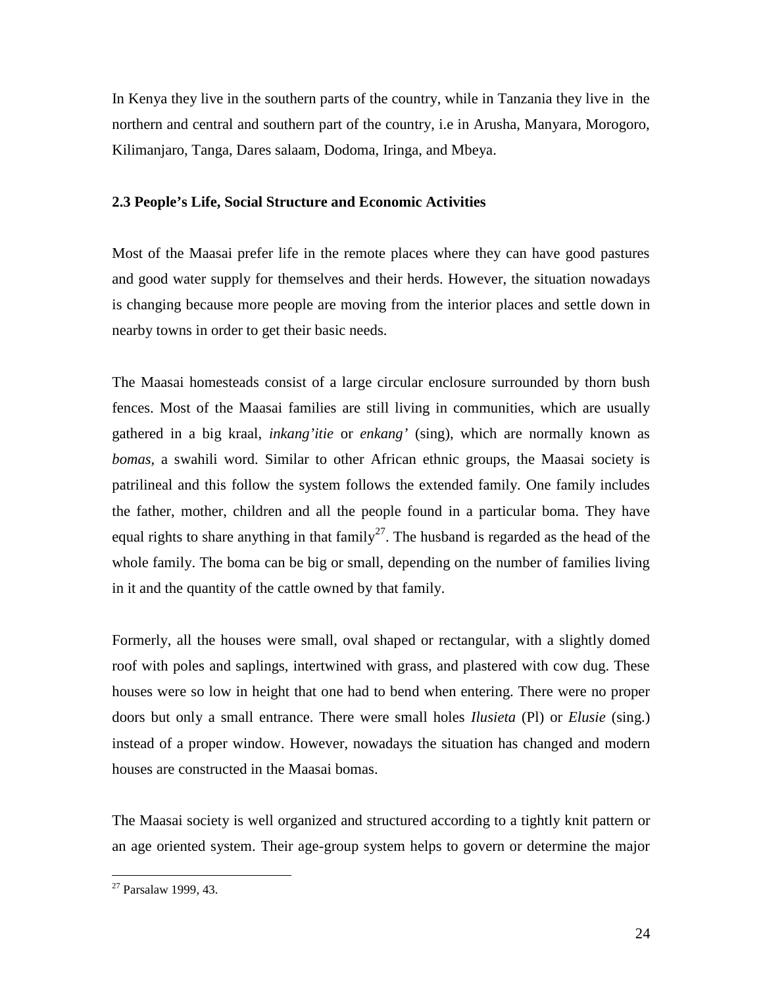In Kenya they live in the southern parts of the country, while in Tanzania they live in the northern and central and southern part of the country, i.e in Arusha, Manyara, Morogoro, Kilimanjaro, Tanga, Dares salaam, Dodoma, Iringa, and Mbeya.

# **2.3 People's Life, Social Structure and Economic Activities**

Most of the Maasai prefer life in the remote places where they can have good pastures and good water supply for themselves and their herds. However, the situation nowadays is changing because more people are moving from the interior places and settle down in nearby towns in order to get their basic needs.

The Maasai homesteads consist of a large circular enclosure surrounded by thorn bush fences. Most of the Maasai families are still living in communities, which are usually gathered in a big kraal, *inkang'itie* or *enkang'* (sing), which are normally known as *bomas,* a swahili word. Similar to other African ethnic groups, the Maasai society is patrilineal and this follow the system follows the extended family. One family includes the father, mother, children and all the people found in a particular boma. They have equal rights to share anything in that family<sup>27</sup>. The husband is regarded as the head of the whole family. The boma can be big or small, depending on the number of families living in it and the quantity of the cattle owned by that family.

Formerly, all the houses were small, oval shaped or rectangular, with a slightly domed roof with poles and saplings, intertwined with grass, and plastered with cow dug. These houses were so low in height that one had to bend when entering. There were no proper doors but only a small entrance. There were small holes *Ilusieta* (Pl) or *Elusie* (sing.) instead of a proper window. However, nowadays the situation has changed and modern houses are constructed in the Maasai bomas.

The Maasai society is well organized and structured according to a tightly knit pattern or an age oriented system. Their age-group system helps to govern or determine the major

<sup>27</sup> Parsalaw 1999, 43.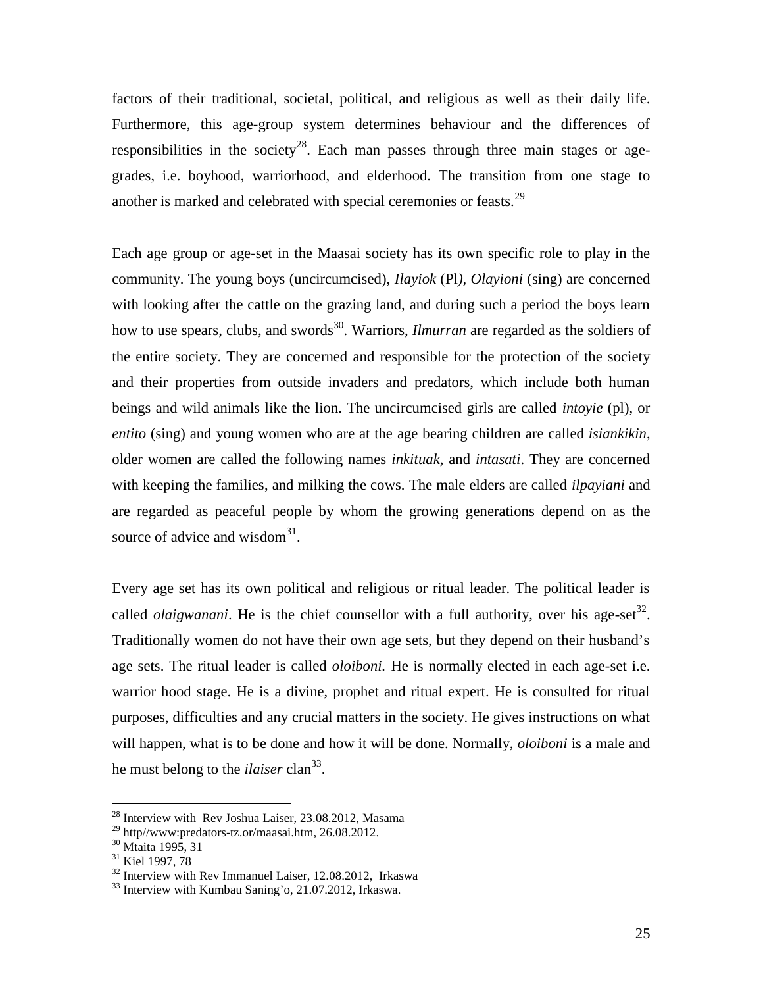factors of their traditional, societal, political, and religious as well as their daily life. Furthermore, this age-group system determines behaviour and the differences of responsibilities in the society<sup>28</sup>. Each man passes through three main stages or agegrades, i.e. boyhood, warriorhood, and elderhood. The transition from one stage to another is marked and celebrated with special ceremonies or feasts.<sup>29</sup>

Each age group or age-set in the Maasai society has its own specific role to play in the community. The young boys (uncircumcised), *Ilayiok* (Pl*), Olayioni* (sing) are concerned with looking after the cattle on the grazing land, and during such a period the boys learn how to use spears, clubs, and swords<sup>30</sup>. Warriors, *Ilmurran* are regarded as the soldiers of the entire society. They are concerned and responsible for the protection of the society and their properties from outside invaders and predators, which include both human beings and wild animals like the lion. The uncircumcised girls are called *intoyie* (pl), or *entito* (sing) and young women who are at the age bearing children are called *isiankikin*, older women are called the following names *inkituak,* and *intasati*. They are concerned with keeping the families, and milking the cows. The male elders are called *ilpayiani* and are regarded as peaceful people by whom the growing generations depend on as the source of advice and wisdom $31$ .

Every age set has its own political and religious or ritual leader. The political leader is called *olaigwanani*. He is the chief counsellor with a full authority, over his age-set<sup>32</sup>. Traditionally women do not have their own age sets, but they depend on their husband's age sets. The ritual leader is called *oloiboni.* He is normally elected in each age-set i.e. warrior hood stage. He is a divine, prophet and ritual expert. He is consulted for ritual purposes, difficulties and any crucial matters in the society. He gives instructions on what will happen, what is to be done and how it will be done. Normally, *oloiboni* is a male and he must belong to the *ilaiser* clan<sup>33</sup>.

<sup>28</sup> Interview with Rev Joshua Laiser, 23.08.2012, Masama

<sup>&</sup>lt;sup>29</sup> http//www:predators-tz.or/maasai.htm, 26.08.2012.<br><sup>30</sup> Mtaita 1995, 31

<sup>&</sup>lt;sup>31</sup> Kiel 1997, 78

 $32$  Interview with Rev Immanuel Laiser, 12,08,2012, Irkaswa

<sup>&</sup>lt;sup>33</sup> Interview with Kumbau Saning'o, 21.07.2012, Irkaswa.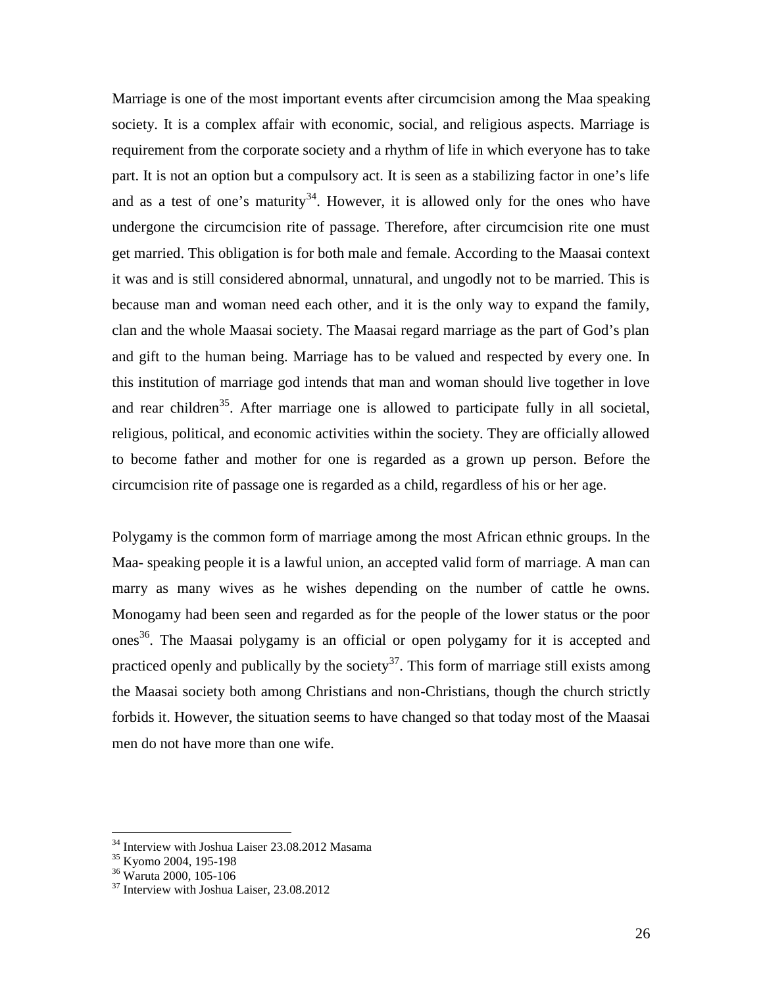Marriage is one of the most important events after circumcision among the Maa speaking society. It is a complex affair with economic, social, and religious aspects. Marriage is requirement from the corporate society and a rhythm of life in which everyone has to take part. It is not an option but a compulsory act. It is seen as a stabilizing factor in one's life and as a test of one's maturity<sup>34</sup>. However, it is allowed only for the ones who have undergone the circumcision rite of passage. Therefore, after circumcision rite one must get married. This obligation is for both male and female. According to the Maasai context it was and is still considered abnormal, unnatural, and ungodly not to be married. This is because man and woman need each other, and it is the only way to expand the family, clan and the whole Maasai society. The Maasai regard marriage as the part of God's plan and gift to the human being. Marriage has to be valued and respected by every one. In this institution of marriage god intends that man and woman should live together in love and rear children<sup>35</sup>. After marriage one is allowed to participate fully in all societal, religious, political, and economic activities within the society. They are officially allowed to become father and mother for one is regarded as a grown up person. Before the circumcision rite of passage one is regarded as a child, regardless of his or her age.

Polygamy is the common form of marriage among the most African ethnic groups. In the Maa- speaking people it is a lawful union, an accepted valid form of marriage. A man can marry as many wives as he wishes depending on the number of cattle he owns. Monogamy had been seen and regarded as for the people of the lower status or the poor ones <sup>36</sup>. The Maasai polygamy is an official or open polygamy for it is accepted and practiced openly and publically by the society<sup>37</sup>. This form of marriage still exists among the Maasai society both among Christians and non-Christians, though the church strictly forbids it. However, the situation seems to have changed so that today most of the Maasai men do not have more than one wife.

<sup>&</sup>lt;sup>34</sup> Interview with Joshua Laiser 23.08.2012 Masama

<sup>&</sup>lt;sup>35</sup> Kyomo 2004, 195-198

<sup>36</sup> Waruta 2000, 105-106

<sup>&</sup>lt;sup>37</sup> Interview with Joshua Laiser, 23.08.2012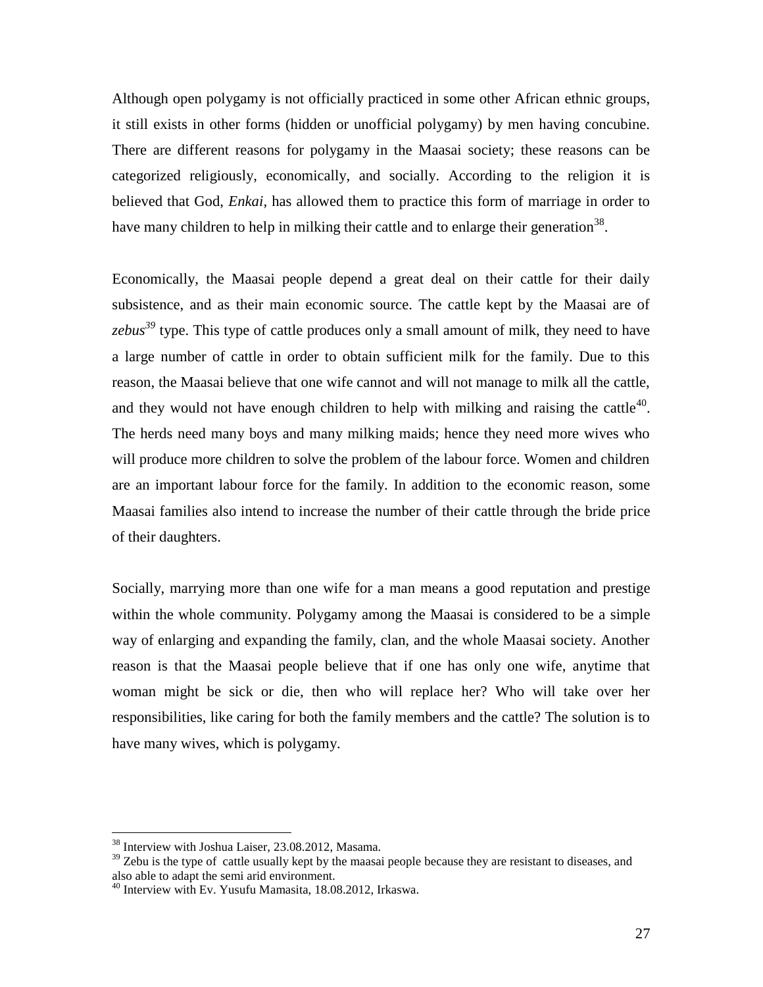Although open polygamy is not officially practiced in some other African ethnic groups, it still exists in other forms (hidden or unofficial polygamy) by men having concubine. There are different reasons for polygamy in the Maasai society; these reasons can be categorized religiously, economically, and socially. According to the religion it is believed that God, *Enkai,* has allowed them to practice this form of marriage in order to have many children to help in milking their cattle and to enlarge their generation<sup>38</sup>.

Economically, the Maasai people depend a great deal on their cattle for their daily subsistence, and as their main economic source. The cattle kept by the Maasai are of *zebus<sup>39</sup>* type. This type of cattle produces only a small amount of milk, they need to have a large number of cattle in order to obtain sufficient milk for the family. Due to this reason, the Maasai believe that one wife cannot and will not manage to milk all the cattle, and they would not have enough children to help with milking and raising the cattle<sup>40</sup>. The herds need many boys and many milking maids; hence they need more wives who will produce more children to solve the problem of the labour force. Women and children are an important labour force for the family. In addition to the economic reason, some Maasai families also intend to increase the number of their cattle through the bride price of their daughters.

Socially, marrying more than one wife for a man means a good reputation and prestige within the whole community. Polygamy among the Maasai is considered to be a simple way of enlarging and expanding the family, clan, and the whole Maasai society. Another reason is that the Maasai people believe that if one has only one wife, anytime that woman might be sick or die, then who will replace her? Who will take over her responsibilities, like caring for both the family members and the cattle? The solution is to have many wives, which is polygamy.

<sup>38</sup> Interview with Joshua Laiser, 23.08.2012, Masama.

 $39$  Zebu is the type of cattle usually kept by the maasai people because they are resistant to diseases, and also able to adapt the semi arid environment.

 $40$  Interview with Ev. Yusufu Mamasita, 18.08.2012, Irkaswa.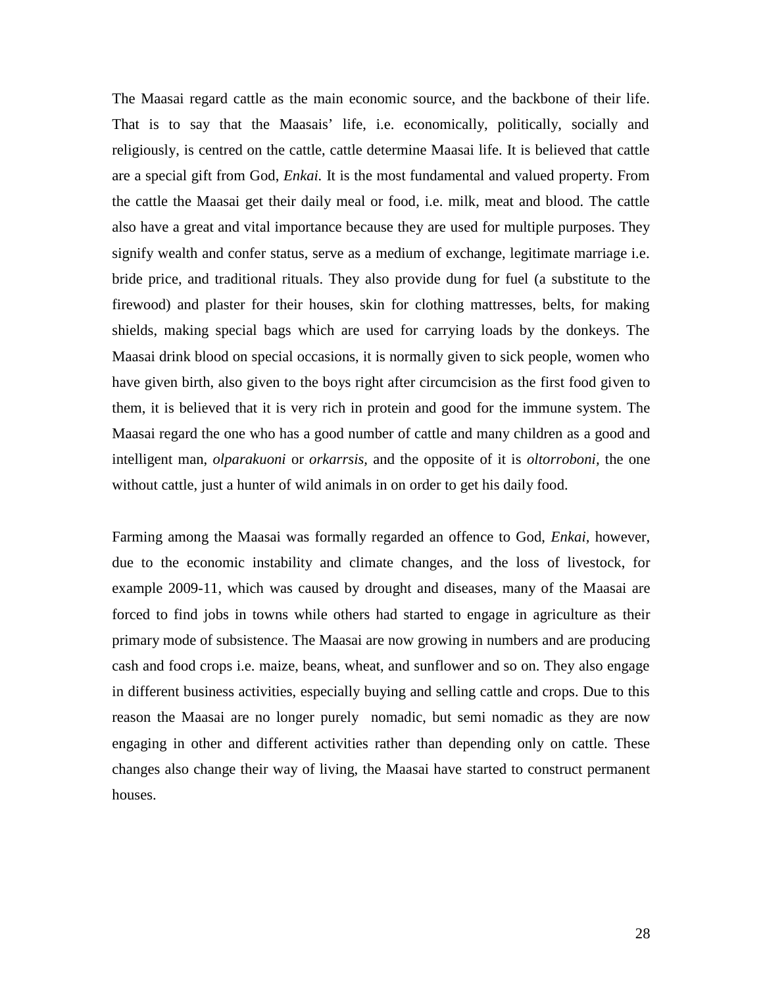The Maasai regard cattle as the main economic source, and the backbone of their life. That is to say that the Maasais' life, i.e. economically, politically, socially and religiously, is centred on the cattle, cattle determine Maasai life. It is believed that cattle are a special gift from God, *Enkai.* It is the most fundamental and valued property. From the cattle the Maasai get their daily meal or food, i.e. milk, meat and blood. The cattle also have a great and vital importance because they are used for multiple purposes. They signify wealth and confer status, serve as a medium of exchange, legitimate marriage i.e. bride price, and traditional rituals. They also provide dung for fuel (a substitute to the firewood) and plaster for their houses, skin for clothing mattresses, belts, for making shields, making special bags which are used for carrying loads by the donkeys. The Maasai drink blood on special occasions, it is normally given to sick people, women who have given birth, also given to the boys right after circumcision as the first food given to them, it is believed that it is very rich in protein and good for the immune system. The Maasai regard the one who has a good number of cattle and many children as a good and intelligent man, *olparakuoni* or *orkarrsis,* and the opposite of it is *oltorroboni,* the one without cattle, just a hunter of wild animals in on order to get his daily food*.*

Farming among the Maasai was formally regarded an offence to God, *Enkai,* however, due to the economic instability and climate changes, and the loss of livestock, for example 2009-11, which was caused by drought and diseases, many of the Maasai are forced to find jobs in towns while others had started to engage in agriculture as their primary mode of subsistence. The Maasai are now growing in numbers and are producing cash and food crops i.e. maize, beans, wheat, and sunflower and so on. They also engage in different business activities, especially buying and selling cattle and crops. Due to this reason the Maasai are no longer purely nomadic, but semi nomadic as they are now engaging in other and different activities rather than depending only on cattle. These changes also change their way of living, the Maasai have started to construct permanent houses.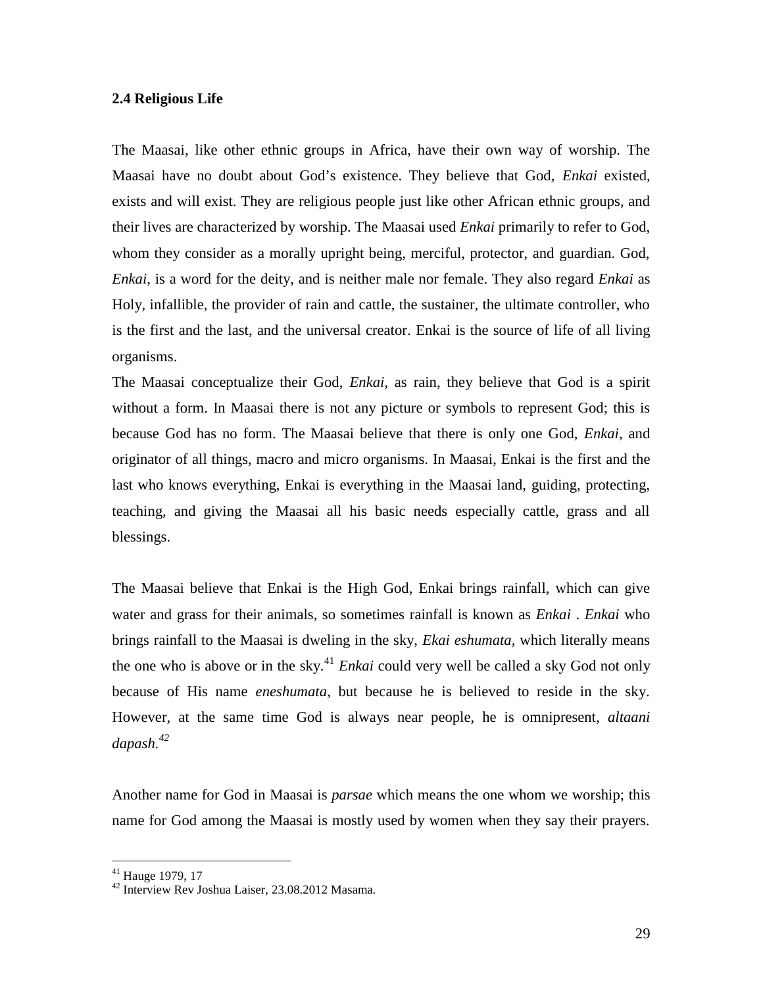# **2.4 Religious Life**

The Maasai, like other ethnic groups in Africa, have their own way of worship. The Maasai have no doubt about God's existence. They believe that God, *Enkai* existed, exists and will exist. They are religious people just like other African ethnic groups, and their lives are characterized by worship. The Maasai used *Enkai* primarily to refer to God, whom they consider as a morally upright being, merciful, protector, and guardian. God, *Enkai*, is a word for the deity, and is neither male nor female. They also regard *Enkai* as Holy, infallible, the provider of rain and cattle, the sustainer, the ultimate controller, who is the first and the last, and the universal creator. Enkai is the source of life of all living organisms.

The Maasai conceptualize their God, *Enkai,* as rain, they believe that God is a spirit without a form. In Maasai there is not any picture or symbols to represent God; this is because God has no form. The Maasai believe that there is only one God, *Enkai*, and originator of all things, macro and micro organisms. In Maasai, Enkai is the first and the last who knows everything, Enkai is everything in the Maasai land, guiding, protecting, teaching, and giving the Maasai all his basic needs especially cattle, grass and all blessings.

The Maasai believe that Enkai is the High God, Enkai brings rainfall, which can give water and grass for their animals, so sometimes rainfall is known as *Enkai* . *Enkai* who brings rainfall to the Maasai is dweling in the sky, *Ekai eshumata,* which literally means the one who is above or in the sky.<sup>41</sup> *Enkai* could very well be called a sky God not only because of His name *eneshumata*, but because he is believed to reside in the sky. However, at the same time God is always near people, he is omnipresent, *altaani dapash.<sup>42</sup>*

Another name for God in Maasai is *parsae* which means the one whom we worship; this name for God among the Maasai is mostly used by women when they say their prayers.

<sup>41</sup> Hauge 1979, 17

<sup>42</sup> Interview Rev Joshua Laiser, 23.08.2012 Masama.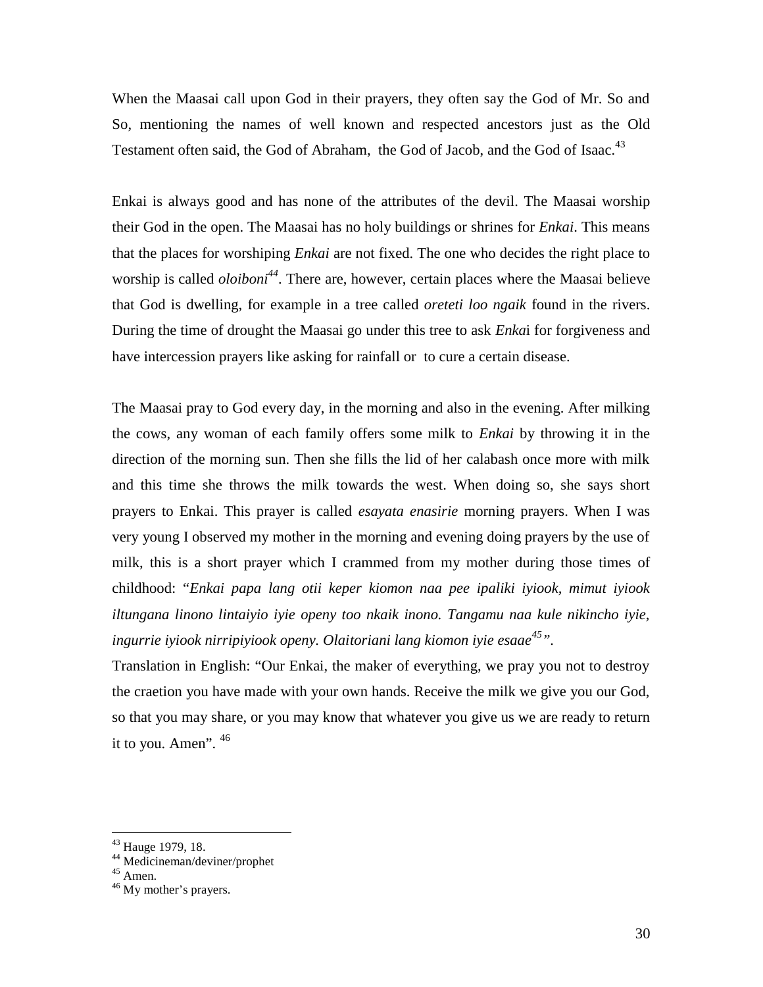When the Maasai call upon God in their prayers, they often say the God of Mr. So and So, mentioning the names of well known and respected ancestors just as the Old Testament often said, the God of Abraham, the God of Jacob, and the God of Isaac.<sup>43</sup>

Enkai is always good and has none of the attributes of the devil. The Maasai worship their God in the open. The Maasai has no holy buildings or shrines for *Enkai*. This means that the places for worshiping *Enkai* are not fixed. The one who decides the right place to worship is called *oloiboni<sup>44</sup>*. There are, however, certain places where the Maasai believe that God is dwelling, for example in a tree called *oreteti loo ngaik* found in the rivers. During the time of drought the Maasai go under this tree to ask *Enka*i for forgiveness and have intercession prayers like asking for rainfall or to cure a certain disease.

The Maasai pray to God every day, in the morning and also in the evening. After milking the cows, any woman of each family offers some milk to *Enkai* by throwing it in the direction of the morning sun. Then she fills the lid of her calabash once more with milk and this time she throws the milk towards the west. When doing so, she says short prayers to Enkai. This prayer is called *esayata enasirie* morning prayers. When I was very young I observed my mother in the morning and evening doing prayers by the use of milk, this is a short prayer which I crammed from my mother during those times of childhood: "*Enkai papa lang otii keper kiomon naa pee ipaliki iyiook, mimut iyiook iltungana linono lintaiyio iyie openy too nkaik inono. Tangamu naa kule nikincho iyie, ingurrie iyiook nirripiyiook openy. Olaitoriani lang kiomon iyie esaae<sup>45</sup>".*

Translation in English: "Our Enkai, the maker of everything, we pray you not to destroy the craetion you have made with your own hands. Receive the milk we give you our God, so that you may share, or you may know that whatever you give us we are ready to return it to you. Amen".  $46$ 

<sup>&</sup>lt;sup>43</sup> Hauge 1979, 18.<br><sup>44</sup> Medicineman/deviner/prophet<br><sup>45</sup> Amen.<br><sup>46</sup> My mother's prayers.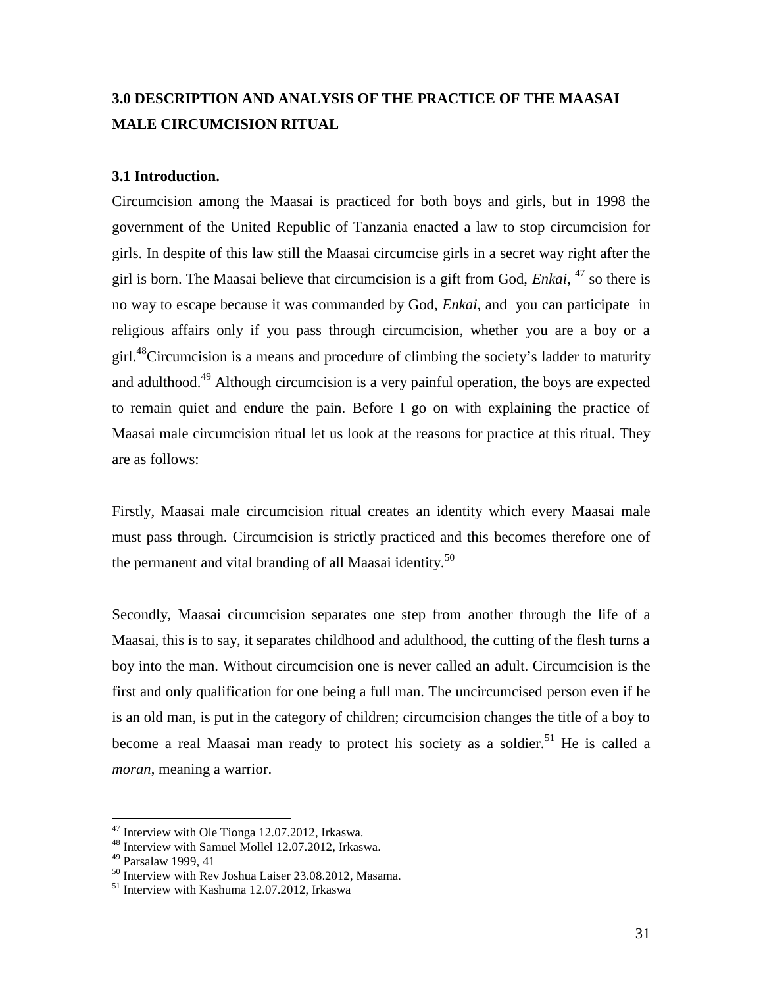# **3.0 DESCRIPTION AND ANALYSIS OF THE PRACTICE OF THE MAASAI MALE CIRCUMCISION RITUAL**

# **3.1 Introduction.**

Circumcision among the Maasai is practiced for both boys and girls, but in 1998 the government of the United Republic of Tanzania enacted a law to stop circumcision for girls. In despite of this law still the Maasai circumcise girls in a secret way right after the girl is born. The Maasai believe that circumcision is a gift from God, *Enkai*, <sup>47</sup> so there is no way to escape because it was commanded by God, *Enkai*, and you can participate in religious affairs only if you pass through circumcision, whether you are a boy or a girl.<sup>48</sup>Circumcision is a means and procedure of climbing the society's ladder to maturity and adulthood.<sup>49</sup> Although circumcision is a very painful operation, the boys are expected to remain quiet and endure the pain. Before I go on with explaining the practice of Maasai male circumcision ritual let us look at the reasons for practice at this ritual. They are as follows:

Firstly, Maasai male circumcision ritual creates an identity which every Maasai male must pass through. Circumcision is strictly practiced and this becomes therefore one of the permanent and vital branding of all Maasai identity.<sup>50</sup>

Secondly, Maasai circumcision separates one step from another through the life of a Maasai, this is to say, it separates childhood and adulthood, the cutting of the flesh turns a boy into the man. Without circumcision one is never called an adult. Circumcision is the first and only qualification for one being a full man. The uncircumcised person even if he is an old man, is put in the category of children; circumcision changes the title of a boy to become a real Maasai man ready to protect his society as a soldier.<sup>51</sup> He is called a *moran*, meaning a warrior.

 $47$  Interview with Ole Tionga 12.07.2012, Irkaswa.<br> $48$  Interview with Samuel Mollel 12.07.2012, Irkaswa.

<sup>49</sup> Parsalaw 1999, 41

 $^{50}$  Interview with Rev Joshua Laiser 23.08.2012, Masama.<br><sup>51</sup> Interview with Kashuma 12.07.2012, Irkaswa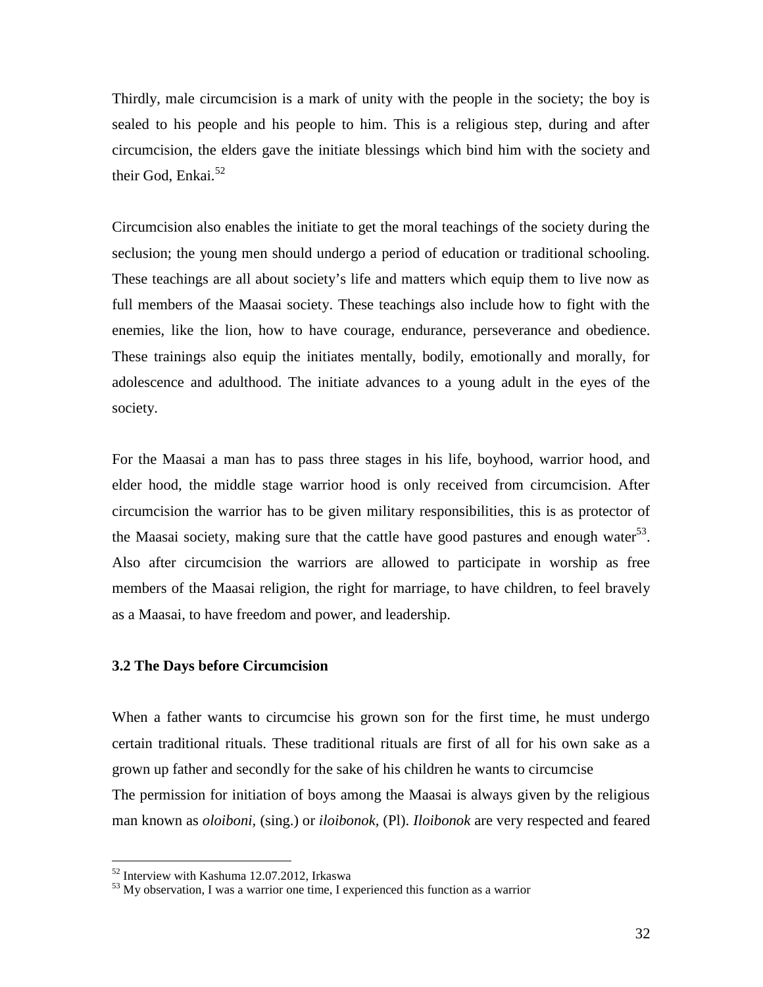Thirdly, male circumcision is a mark of unity with the people in the society; the boy is sealed to his people and his people to him. This is a religious step, during and after circumcision, the elders gave the initiate blessings which bind him with the society and their God, Enkai. $52$ 

Circumcision also enables the initiate to get the moral teachings of the society during the seclusion; the young men should undergo a period of education or traditional schooling. These teachings are all about society's life and matters which equip them to live now as full members of the Maasai society. These teachings also include how to fight with the enemies, like the lion, how to have courage, endurance, perseverance and obedience. These trainings also equip the initiates mentally, bodily, emotionally and morally, for adolescence and adulthood. The initiate advances to a young adult in the eyes of the society.

For the Maasai a man has to pass three stages in his life, boyhood, warrior hood, and elder hood, the middle stage warrior hood is only received from circumcision. After circumcision the warrior has to be given military responsibilities, this is as protector of the Maasai society, making sure that the cattle have good pastures and enough water $^{53}$ . Also after circumcision the warriors are allowed to participate in worship as free members of the Maasai religion, the right for marriage, to have children, to feel bravely as a Maasai, to have freedom and power, and leadership.

### **3.2 The Days before Circumcision**

When a father wants to circumcise his grown son for the first time, he must undergo certain traditional rituals. These traditional rituals are first of all for his own sake as a grown up father and secondly for the sake of his children he wants to circumcise The permission for initiation of boys among the Maasai is always given by the religious man known as *oloiboni,* (sing.) or *iloibonok,* (Pl). *Iloibonok* are very respected and feared

<sup>52</sup> Interview with Kashuma 12.07.2012, Irkaswa

<sup>53</sup> My observation, I was a warrior one time, I experienced this function as a warrior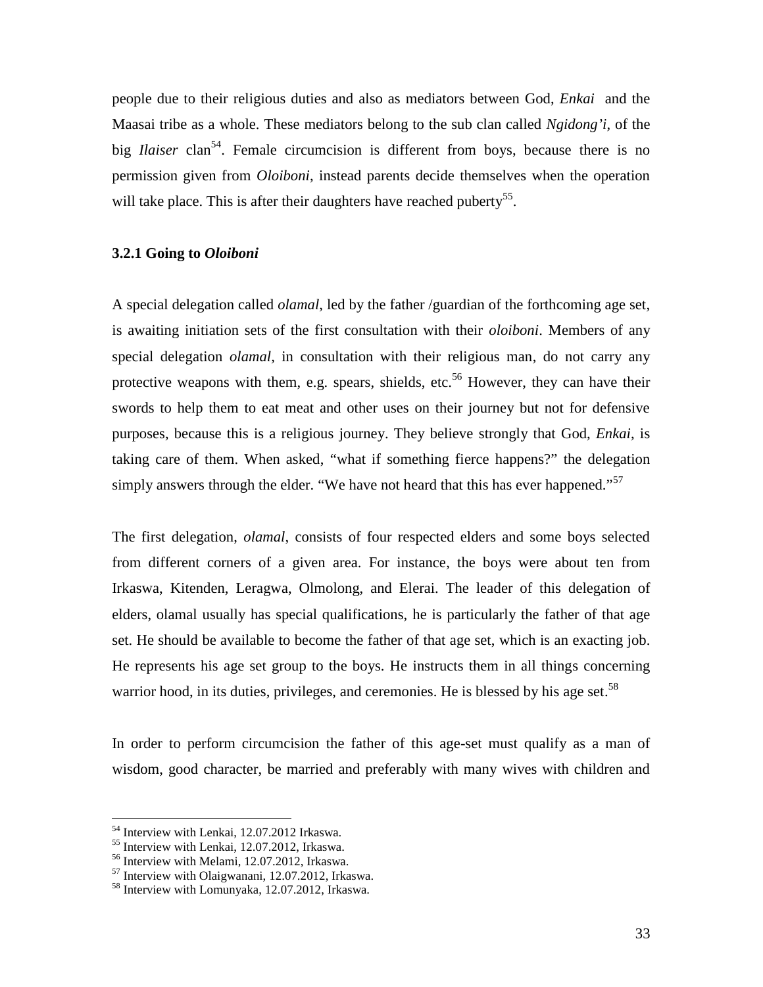people due to their religious duties and also as mediators between God, *Enkai* and the Maasai tribe as a whole. These mediators belong to the sub clan called *Ngidong'i*, of the big *Ilaiser* clan<sup>54</sup>. Female circumcision is different from boys, because there is no permission given from *Oloiboni*, instead parents decide themselves when the operation will take place. This is after their daughters have reached puberty<sup>55</sup>.

# **3.2.1 Going to** *Oloiboni*

A special delegation called *olamal*, led by the father /guardian of the forthcoming age set, is awaiting initiation sets of the first consultation with their *oloiboni*. Members of any special delegation *olamal,* in consultation with their religious man, do not carry any protective weapons with them, e.g. spears, shields, etc.<sup>56</sup> However, they can have their swords to help them to eat meat and other uses on their journey but not for defensive purposes, because this is a religious journey. They believe strongly that God, *Enkai*, is taking care of them. When asked, "what if something fierce happens?" the delegation simply answers through the elder. "We have not heard that this has ever happened."<sup>57</sup>

The first delegation, *olamal*, consists of four respected elders and some boys selected from different corners of a given area. For instance, the boys were about ten from Irkaswa, Kitenden, Leragwa, Olmolong, and Elerai. The leader of this delegation of elders, olamal usually has special qualifications, he is particularly the father of that age set. He should be available to become the father of that age set, which is an exacting job. He represents his age set group to the boys. He instructs them in all things concerning warrior hood, in its duties, privileges, and ceremonies. He is blessed by his age set.<sup>58</sup>

In order to perform circumcision the father of this age-set must qualify as a man of wisdom, good character, be married and preferably with many wives with children and

<sup>&</sup>lt;sup>54</sup> Interview with Lenkai, 12.07.2012 Irkaswa.<br><sup>55</sup> Interview with Lenkai, 12.07.2012, Irkaswa.<br><sup>56</sup> Interview with Melami, 12.07.2012, Irkaswa.<br><sup>57</sup> Interview with Olaigwanani, 12.07.2012, Irkaswa.<br><sup>58</sup> Interview with L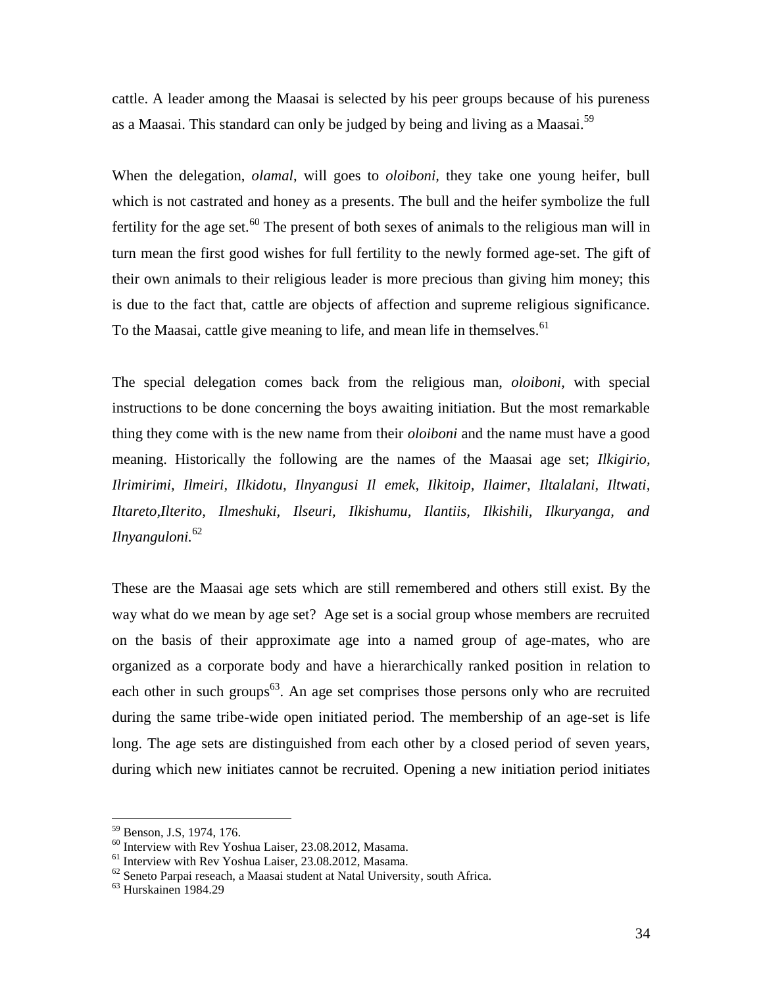cattle. A leader among the Maasai is selected by his peer groups because of his pureness as a Maasai. This standard can only be judged by being and living as a Maasai.<sup>59</sup>

When the delegation, *olamal*, will goes to *oloiboni,* they take one young heifer, bull which is not castrated and honey as a presents. The bull and the heifer symbolize the full fertility for the age set.<sup>60</sup> The present of both sexes of animals to the religious man will in turn mean the first good wishes for full fertility to the newly formed age-set. The gift of their own animals to their religious leader is more precious than giving him money; this is due to the fact that, cattle are objects of affection and supreme religious significance. To the Maasai, cattle give meaning to life, and mean life in themselves.<sup>61</sup>

The special delegation comes back from the religious man, *oloiboni,* with special instructions to be done concerning the boys awaiting initiation. But the most remarkable thing they come with is the new name from their *oloiboni* and the name must have a good meaning. Historically the following are the names of the Maasai age set; *Ilkigirio, Ilrimirimi, Ilmeiri, Ilkidotu, Ilnyangusi Il emek, Ilkitoip, Ilaimer, Iltalalani, Iltwati, Iltareto,Ilterito, Ilmeshuki, Ilseuri, Ilkishumu, Ilantiis, Ilkishili, Ilkuryanga, and Ilnyanguloni.*<sup>62</sup>

These are the Maasai age sets which are still remembered and others still exist. By the way what do we mean by age set? Age set is a social group whose members are recruited on the basis of their approximate age into a named group of age-mates, who are organized as a corporate body and have a hierarchically ranked position in relation to each other in such groups<sup>63</sup>. An age set comprises those persons only who are recruited during the same tribe-wide open initiated period. The membership of an age-set is life long. The age sets are distinguished from each other by a closed period of seven years, during which new initiates cannot be recruited. Opening a new initiation period initiates

<sup>&</sup>lt;sup>59</sup> Benson, J.S, 1974, 176.<br>
<sup>60</sup> Interview with Rev Yoshua Laiser, 23.08.2012, Masama.<br>
<sup>61</sup> Interview with Rev Yoshua Laiser, 23.08.2012, Masama.<br>
<sup>62</sup> Seneto Parpai reseach, a Maasai student at Natal University, south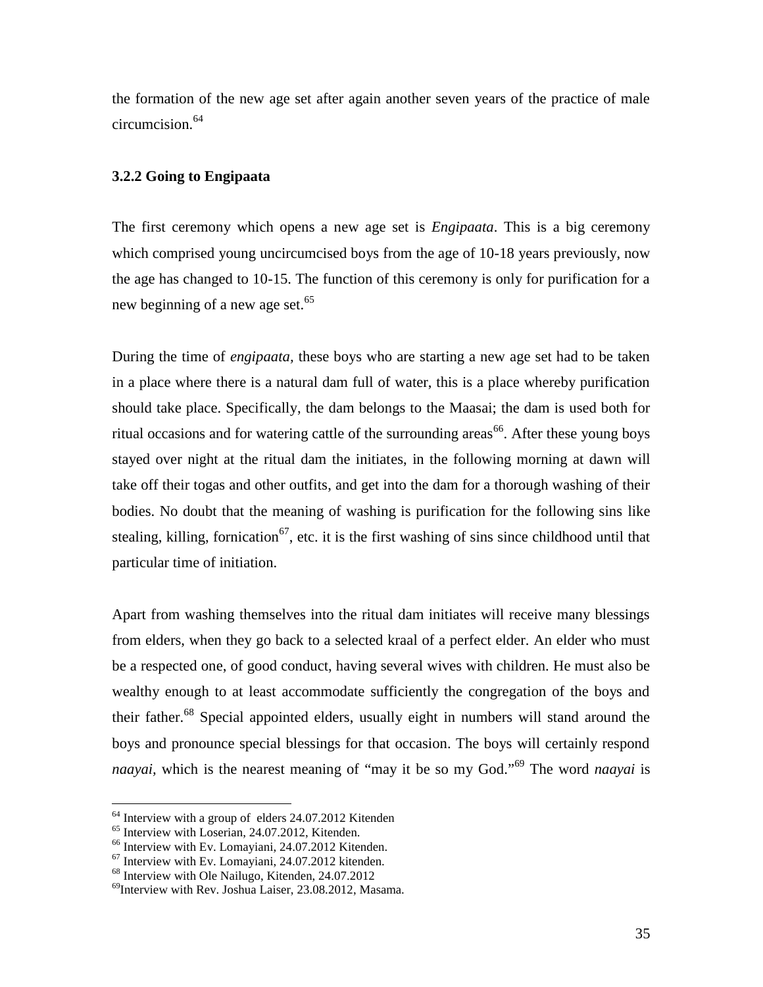the formation of the new age set after again another seven years of the practice of male circumcision.<sup>64</sup>

# **3.2.2 Going to Engipaata**

The first ceremony which opens a new age set is *Engipaata*. This is a big ceremony which comprised young uncircumcised boys from the age of 10-18 years previously, now the age has changed to 10-15. The function of this ceremony is only for purification for a new beginning of a new age set.<sup>65</sup>

During the time of *engipaata,* these boys who are starting a new age set had to be taken in a place where there is a natural dam full of water, this is a place whereby purification should take place. Specifically, the dam belongs to the Maasai; the dam is used both for ritual occasions and for watering cattle of the surrounding areas<sup>66</sup>. After these young boys stayed over night at the ritual dam the initiates, in the following morning at dawn will take off their togas and other outfits, and get into the dam for a thorough washing of their bodies. No doubt that the meaning of washing is purification for the following sins like stealing, killing, fornication<sup>67</sup>, etc. it is the first washing of sins since childhood until that particular time of initiation.

Apart from washing themselves into the ritual dam initiates will receive many blessings from elders, when they go back to a selected kraal of a perfect elder. An elder who must be a respected one, of good conduct, having several wives with children. He must also be wealthy enough to at least accommodate sufficiently the congregation of the boys and their father.<sup>68</sup> Special appointed elders, usually eight in numbers will stand around the boys and pronounce special blessings for that occasion. The boys will certainly respond *naayai,* which is the nearest meaning of "may it be so my God."<sup>69</sup> The word *naayai* is

 $<sup>64</sup>$  Interview with a group of elders 24.07.2012 Kitenden  $<sup>65</sup>$  Interview with Loserian, 24.07.2012, Kitenden.</sup></sup>

<sup>&</sup>lt;sup>66</sup> Interview with Ev. Lomayiani, 24.07.2012 Kitenden.<br><sup>67</sup> Interview with Ev. Lomayiani, 24.07.2012 kitenden. <sup>68</sup> Interview with Ole Nailugo, Kitenden, 24.07.2012

<sup>69</sup>Interview with Rev. Joshua Laiser, 23.08.2012, Masama.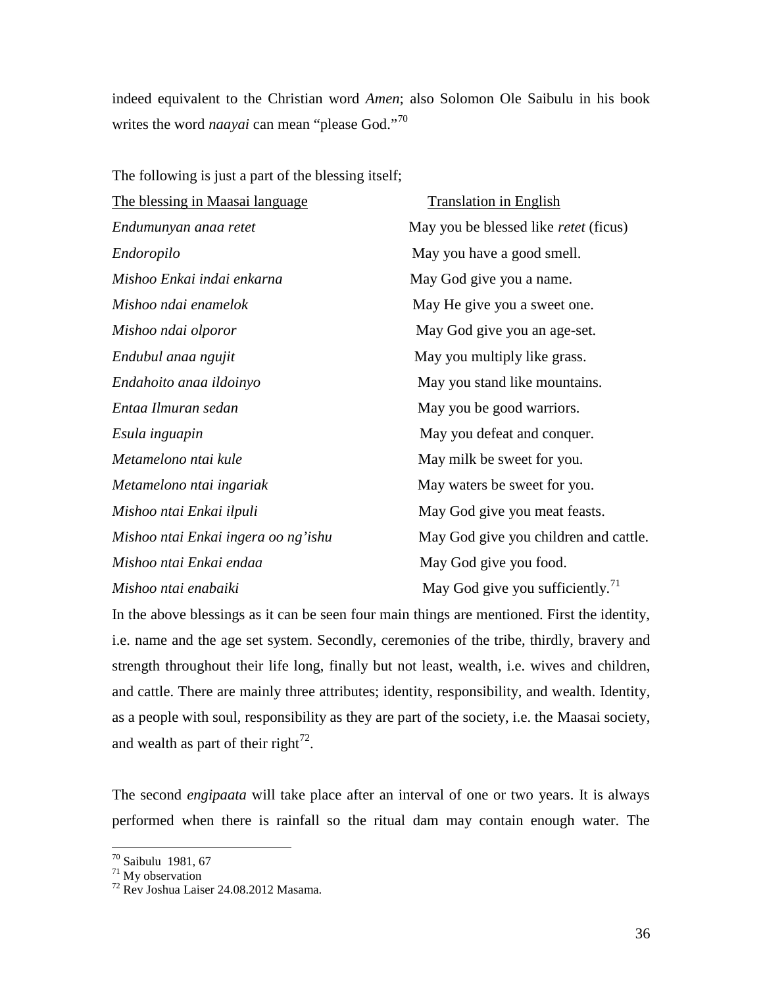indeed equivalent to the Christian word *Amen*; also Solomon Ole Saibulu in his book writes the word *naayai* can mean "please God."<sup>70</sup>

The following is just a part of the blessing itself;

| The blessing in Maasai language     | <b>Translation in English</b>                |
|-------------------------------------|----------------------------------------------|
| Endumunyan anaa retet               | May you be blessed like <i>retet</i> (ficus) |
| Endoropilo                          | May you have a good smell.                   |
| Mishoo Enkai indai enkarna          | May God give you a name.                     |
| Mishoo ndai enamelok                | May He give you a sweet one.                 |
| Mishoo ndai olporor                 | May God give you an age-set.                 |
| Endubul anaa ngujit                 | May you multiply like grass.                 |
| Endahoito anaa ildoinyo             | May you stand like mountains.                |
| Entaa Ilmuran sedan                 | May you be good warriors.                    |
| Esula inguapin                      | May you defeat and conquer.                  |
| Metamelono ntai kule                | May milk be sweet for you.                   |
| Metamelono ntai ingariak            | May waters be sweet for you.                 |
| Mishoo ntai Enkai ilpuli            | May God give you meat feasts.                |
| Mishoo ntai Enkai ingera oo ng'ishu | May God give you children and cattle.        |
| Mishoo ntai Enkai endaa             | May God give you food.                       |
| Mishoo ntai enabaiki                | May God give you sufficiently. <sup>71</sup> |

In the above blessings as it can be seen four main things are mentioned. First the identity, i.e. name and the age set system. Secondly, ceremonies of the tribe, thirdly, bravery and strength throughout their life long, finally but not least, wealth, i.e. wives and children, and cattle. There are mainly three attributes; identity, responsibility, and wealth. Identity, as a people with soul, responsibility as they are part of the society, i.e. the Maasai society, and wealth as part of their right<sup>72</sup>.

The second *engipaata* will take place after an interval of one or two years. It is always performed when there is rainfall so the ritual dam may contain enough water. The

<sup>70</sup> Saibulu 1981, 67

 $71$  My observation

<sup>72</sup> Rev Joshua Laiser 24.08.2012 Masama.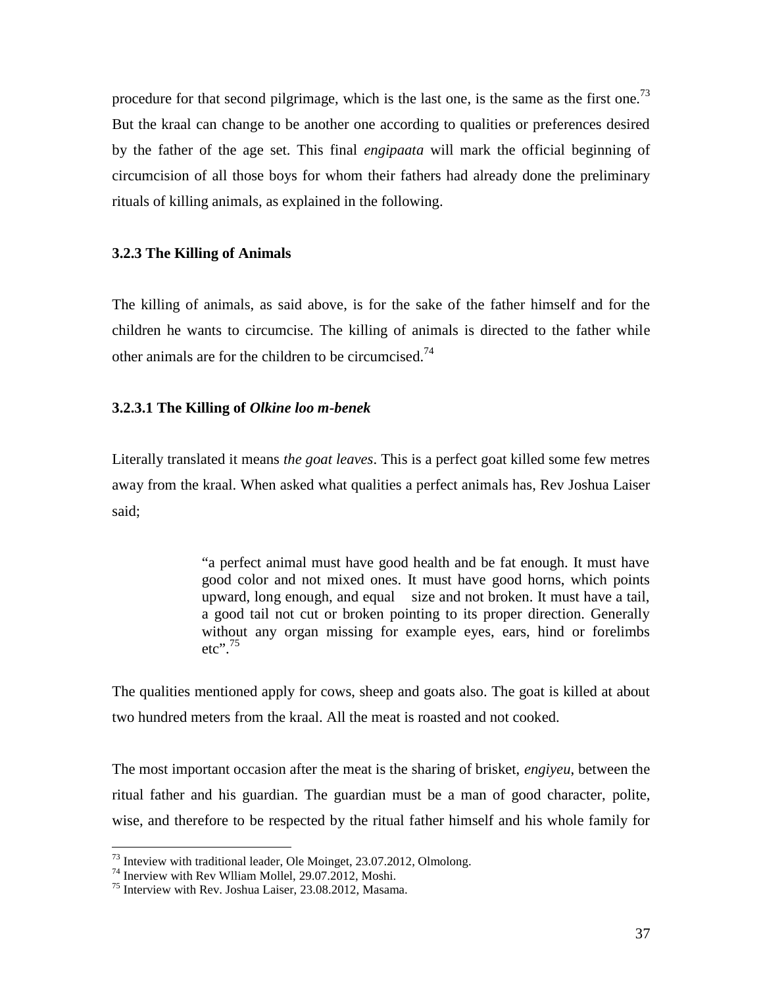procedure for that second pilgrimage, which is the last one, is the same as the first one.<sup>73</sup> But the kraal can change to be another one according to qualities or preferences desired by the father of the age set. This final *engipaata* will mark the official beginning of circumcision of all those boys for whom their fathers had already done the preliminary rituals of killing animals, as explained in the following.

# **3.2.3 The Killing of Animals**

The killing of animals, as said above, is for the sake of the father himself and for the children he wants to circumcise. The killing of animals is directed to the father while other animals are for the children to be circumcised.<sup>74</sup>

# **3.2.3.1 The Killing of** *Olkine loo m-benek*

Literally translated it means *the goat leaves*. This is a perfect goat killed some few metres away from the kraal. When asked what qualities a perfect animals has, Rev Joshua Laiser said;

> "a perfect animal must have good health and be fat enough. It must have good color and not mixed ones. It must have good horns, which points upward, long enough, and equal size and not broken. It must have a tail, a good tail not cut or broken pointing to its proper direction. Generally without any organ missing for example eyes, ears, hind or forelimbs etc". $75$

The qualities mentioned apply for cows, sheep and goats also. The goat is killed at about two hundred meters from the kraal. All the meat is roasted and not cooked.

The most important occasion after the meat is the sharing of brisket, *engiyeu*, between the ritual father and his guardian. The guardian must be a man of good character, polite, wise, and therefore to be respected by the ritual father himself and his whole family for

<sup>&</sup>lt;sup>73</sup> Inteview with traditional leader, Ole Moinget, 23.07.2012, Olmolong.<br><sup>74</sup> Inerview with Rev Wlliam Mollel, 29.07.2012, Moshi.<br><sup>75</sup> Interview with Rev. Joshua Laiser, 23.08.2012, Masama.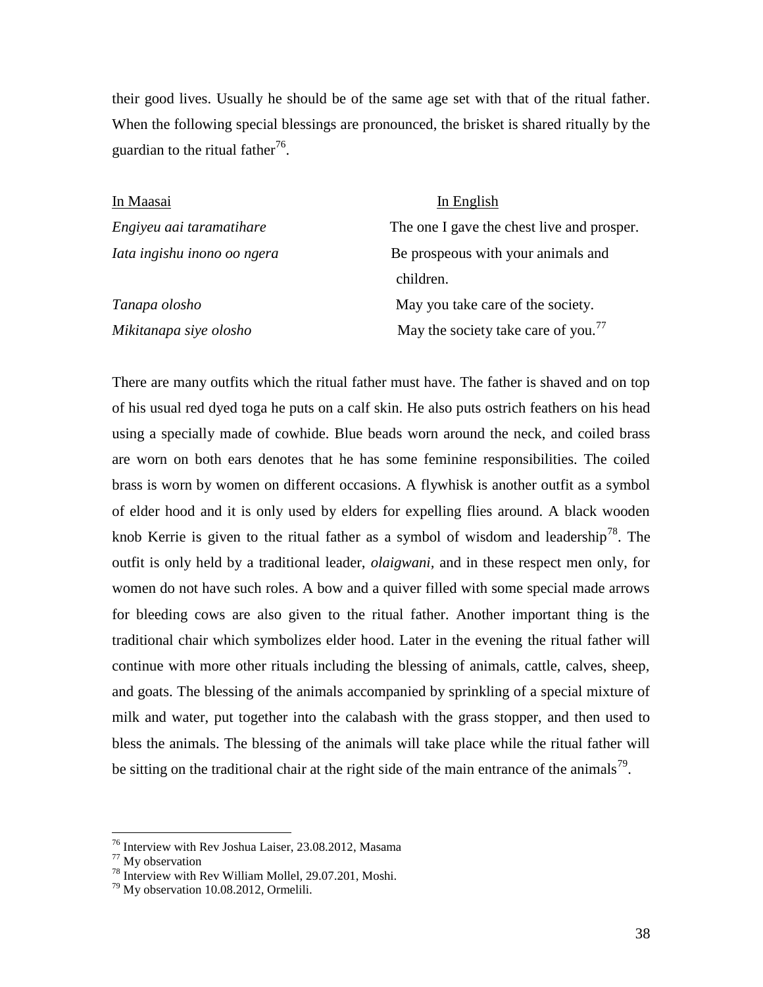their good lives. Usually he should be of the same age set with that of the ritual father. When the following special blessings are pronounced, the brisket is shared ritually by the guardian to the ritual father<sup>76</sup>.

| In Maasai                   | In English                                      |
|-----------------------------|-------------------------------------------------|
| Engiyeu aai taramatihare    | The one I gave the chest live and prosper.      |
| Iata ingishu inono oo ngera | Be prospeous with your animals and              |
|                             | children.                                       |
| Tanapa olosho               | May you take care of the society.               |
| Mikitanapa siye olosho      | May the society take care of you. $\frac{7}{7}$ |

There are many outfits which the ritual father must have. The father is shaved and on top of his usual red dyed toga he puts on a calf skin. He also puts ostrich feathers on his head using a specially made of cowhide. Blue beads worn around the neck, and coiled brass are worn on both ears denotes that he has some feminine responsibilities. The coiled brass is worn by women on different occasions. A flywhisk is another outfit as a symbol of elder hood and it is only used by elders for expelling flies around. A black wooden knob Kerrie is given to the ritual father as a symbol of wisdom and leadership<sup>78</sup>. The outfit is only held by a traditional leader, *olaigwani,* and in these respect men only, for women do not have such roles. A bow and a quiver filled with some special made arrows for bleeding cows are also given to the ritual father. Another important thing is the traditional chair which symbolizes elder hood. Later in the evening the ritual father will continue with more other rituals including the blessing of animals, cattle, calves, sheep, and goats. The blessing of the animals accompanied by sprinkling of a special mixture of milk and water, put together into the calabash with the grass stopper, and then used to bless the animals. The blessing of the animals will take place while the ritual father will be sitting on the traditional chair at the right side of the main entrance of the animals<sup>79</sup>.

<sup>76</sup> Interview with Rev Joshua Laiser, 23.08.2012, Masama

 $77$  My observation

<sup>&</sup>lt;sup>78</sup> Interview with Rev William Mollel, 29.07.201, Moshi.<br><sup>79</sup> My observation 10.08.2012, Ormelili.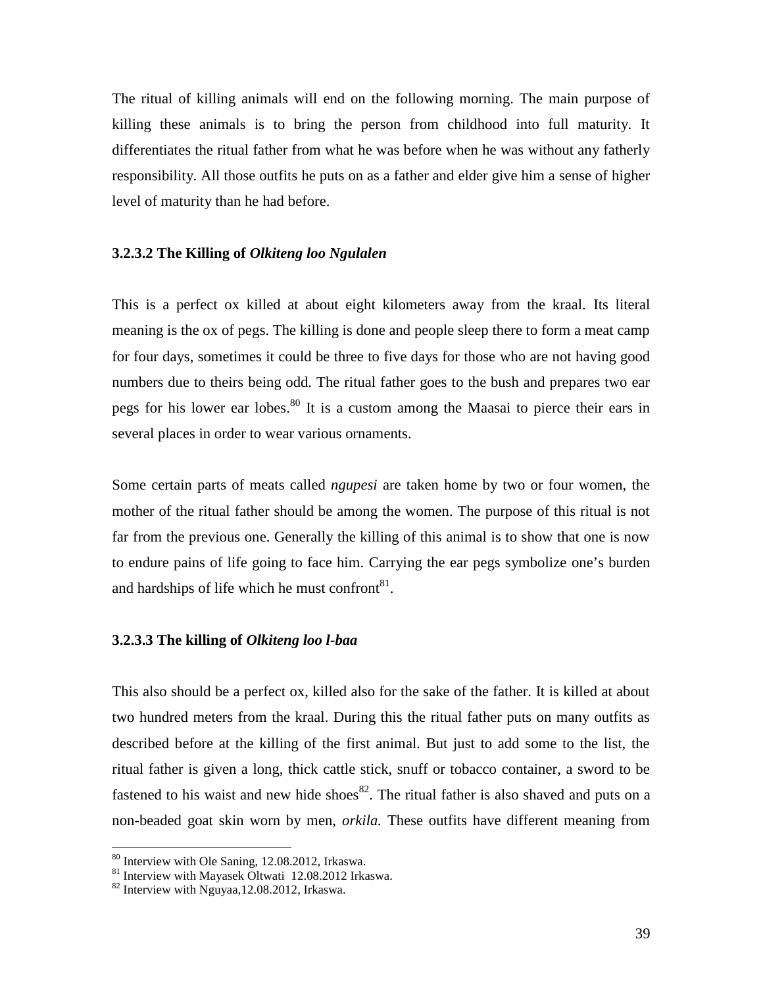The ritual of killing animals will end on the following morning. The main purpose of killing these animals is to bring the person from childhood into full maturity. It differentiates the ritual father from what he was before when he was without any fatherly responsibility. All those outfits he puts on as a father and elder give him a sense of higher level of maturity than he had before.

# **3.2.3.2 The Killing of** *Olkiteng loo Ngulalen*

This is a perfect ox killed at about eight kilometers away from the kraal. Its literal meaning is the ox of pegs. The killing is done and people sleep there to form a meat camp for four days, sometimes it could be three to five days for those who are not having good numbers due to theirs being odd. The ritual father goes to the bush and prepares two ear pegs for his lower ear lobes.<sup>80</sup> It is a custom among the Maasai to pierce their ears in several places in order to wear various ornaments.

Some certain parts of meats called *ngupesi* are taken home by two or four women, the mother of the ritual father should be among the women. The purpose of this ritual is not far from the previous one. Generally the killing of this animal is to show that one is now to endure pains of life going to face him. Carrying the ear pegs symbolize one's burden and hardships of life which he must confront  $81$ .

# **3.2.3.3 The killing of** *Olkiteng loo l-baa*

This also should be a perfect ox, killed also for the sake of the father. It is killed at about two hundred meters from the kraal. During this the ritual father puts on many outfits as described before at the killing of the first animal. But just to add some to the list, the ritual father is given a long, thick cattle stick, snuff or tobacco container, a sword to be fastened to his waist and new hide shoes $82$ . The ritual father is also shaved and puts on a non-beaded goat skin worn by men, *orkila.* These outfits have different meaning from

<sup>&</sup>lt;sup>80</sup> Interview with Ole Saning, 12.08.2012, Irkaswa.<br><sup>81</sup> Interview with Mayasek Oltwati 12.08.2012 Irkaswa.<br><sup>82</sup> Interview with Nguyaa,12.08.2012, Irkaswa.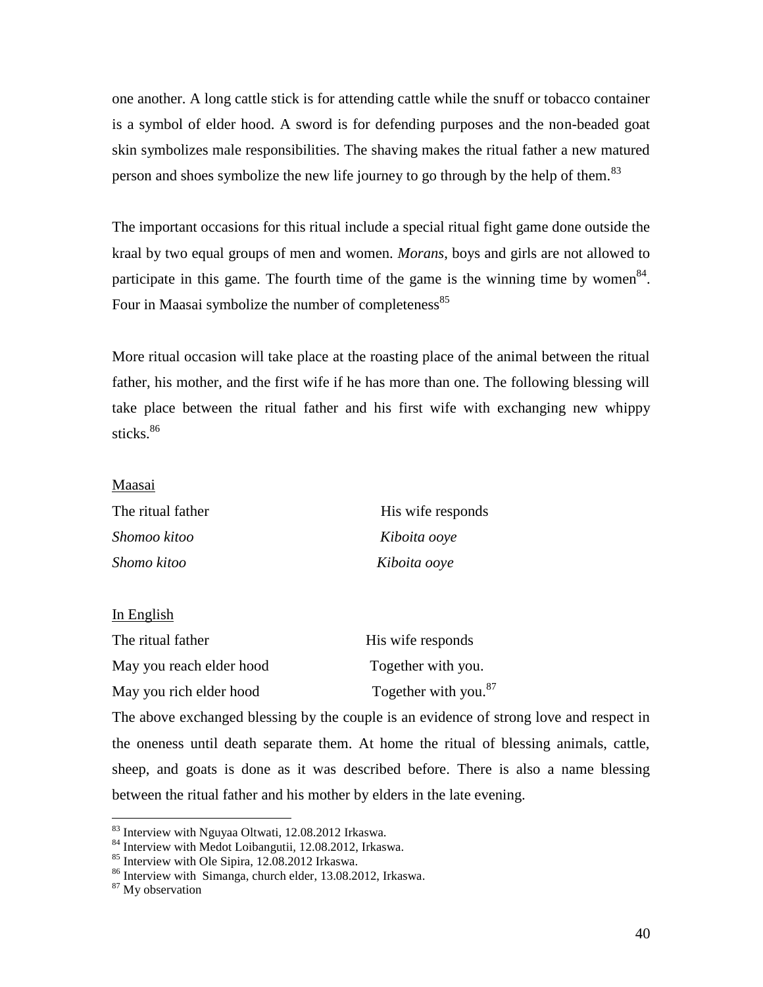one another. A long cattle stick is for attending cattle while the snuff or tobacco container is a symbol of elder hood. A sword is for defending purposes and the non-beaded goat skin symbolizes male responsibilities. The shaving makes the ritual father a new matured person and shoes symbolize the new life journey to go through by the help of them.<sup>83</sup>

The important occasions for this ritual include a special ritual fight game done outside the kraal by two equal groups of men and women. *Morans*, boys and girls are not allowed to participate in this game. The fourth time of the game is the winning time by women  $84$ . Four in Maasai symbolize the number of completeness<sup>85</sup>

More ritual occasion will take place at the roasting place of the animal between the ritual father, his mother, and the first wife if he has more than one. The following blessing will take place between the ritual father and his first wife with exchanging new whippy sticks. $86$ 

#### Maasai

| The ritual father | His wife responds |  |
|-------------------|-------------------|--|
| Shomoo kitoo      | Kiboita ooye      |  |
| Shomo kitoo       | Kiboita ooye      |  |

#### In English

| The ritual father        | His wife responds                |
|--------------------------|----------------------------------|
| May you reach elder hood | Together with you.               |
| May you rich elder hood  | Together with you. <sup>87</sup> |

The above exchanged blessing by the couple is an evidence of strong love and respect in the oneness until death separate them. At home the ritual of blessing animals, cattle, sheep, and goats is done as it was described before. There is also a name blessing between the ritual father and his mother by elders in the late evening.

<sup>&</sup>lt;sup>83</sup> Interview with Nguyaa Oltwati, 12.08.2012 Irkaswa.<br><sup>84</sup> Interview with Medot Loibangutii, 12.08.2012, Irkaswa.<br><sup>85</sup> Interview with Ole Sipira, 12.08.2012 Irkaswa.<br><sup>86</sup> Interview with Simanga, church elder, 13.08.2012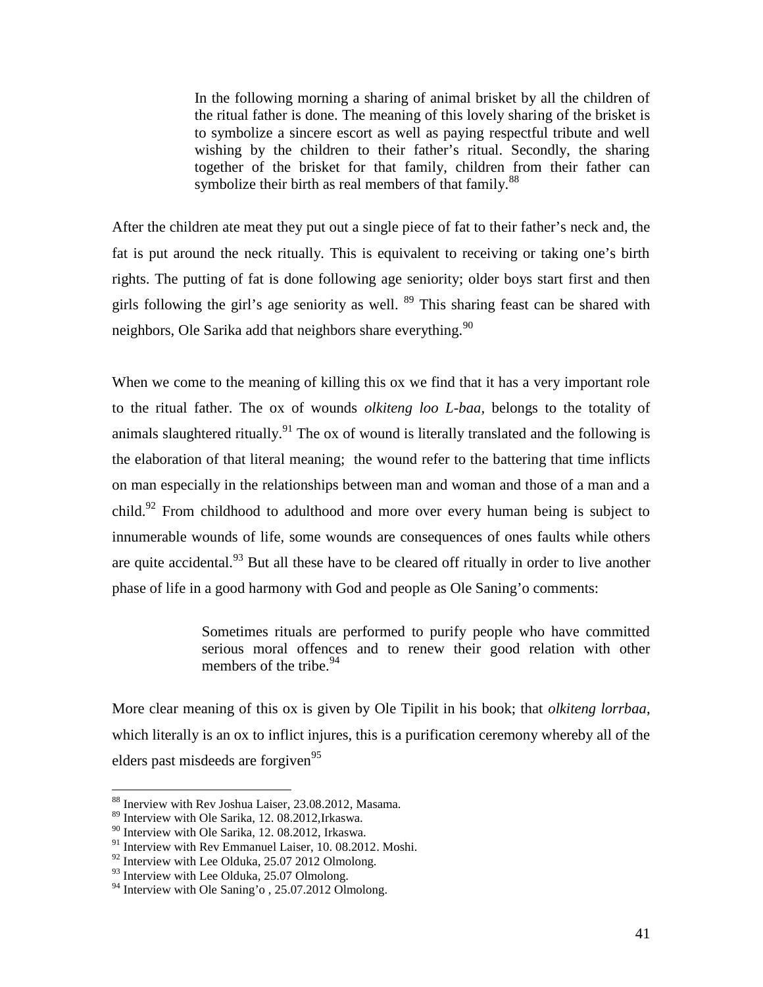In the following morning a sharing of animal brisket by all the children of the ritual father is done. The meaning of this lovely sharing of the brisket is to symbolize a sincere escort as well as paying respectful tribute and well wishing by the children to their father's ritual. Secondly, the sharing together of the brisket for that family, children from their father can symbolize their birth as real members of that family.<sup>88</sup>

After the children ate meat they put out a single piece of fat to their father's neck and, the fat is put around the neck ritually. This is equivalent to receiving or taking one's birth rights. The putting of fat is done following age seniority; older boys start first and then girls following the girl's age seniority as well.  $89$  This sharing feast can be shared with neighbors, Ole Sarika add that neighbors share everything.<sup>90</sup>

When we come to the meaning of killing this ox we find that it has a very important role to the ritual father. The ox of wounds *olkiteng loo L-baa,* belongs to the totality of animals slaughtered ritually.<sup>91</sup> The ox of wound is literally translated and the following is the elaboration of that literal meaning; the wound refer to the battering that time inflicts on man especially in the relationships between man and woman and those of a man and a child.<sup>92</sup> From childhood to adulthood and more over every human being is subject to innumerable wounds of life, some wounds are consequences of ones faults while others are quite accidental.<sup>93</sup> But all these have to be cleared off ritually in order to live another phase of life in a good harmony with God and people as Ole Saning'o comments:

> Sometimes rituals are performed to purify people who have committed serious moral offences and to renew their good relation with other members of the tribe.<sup>94</sup>

More clear meaning of this ox is given by Ole Tipilit in his book; that *olkiteng lorrbaa*, which literally is an ox to inflict injures, this is a purification ceremony whereby all of the elders past misdeeds are forgiven<sup>95</sup>

<sup>88</sup> Inerview with Rev Joshua Laiser, 23.08.2012, Masama.

<sup>89</sup> Interview with Ole Sarika, 12. 08.2012,Irkaswa.

<sup>90</sup> Interview with Ole Sarika, 12. 08.2012, Irkaswa.

<sup>&</sup>lt;sup>91</sup> Interview with Rev Emmanuel Laiser, 10. 08.2012. Moshi.

 $92$  Interview with Lee Olduka, 25.07 2012 Olmolong.

<sup>&</sup>lt;sup>93</sup> Interview with Lee Olduka, 25.07 Olmolong.

<sup>&</sup>lt;sup>94</sup> Interview with Ole Saning'o, 25.07.2012 Olmolong.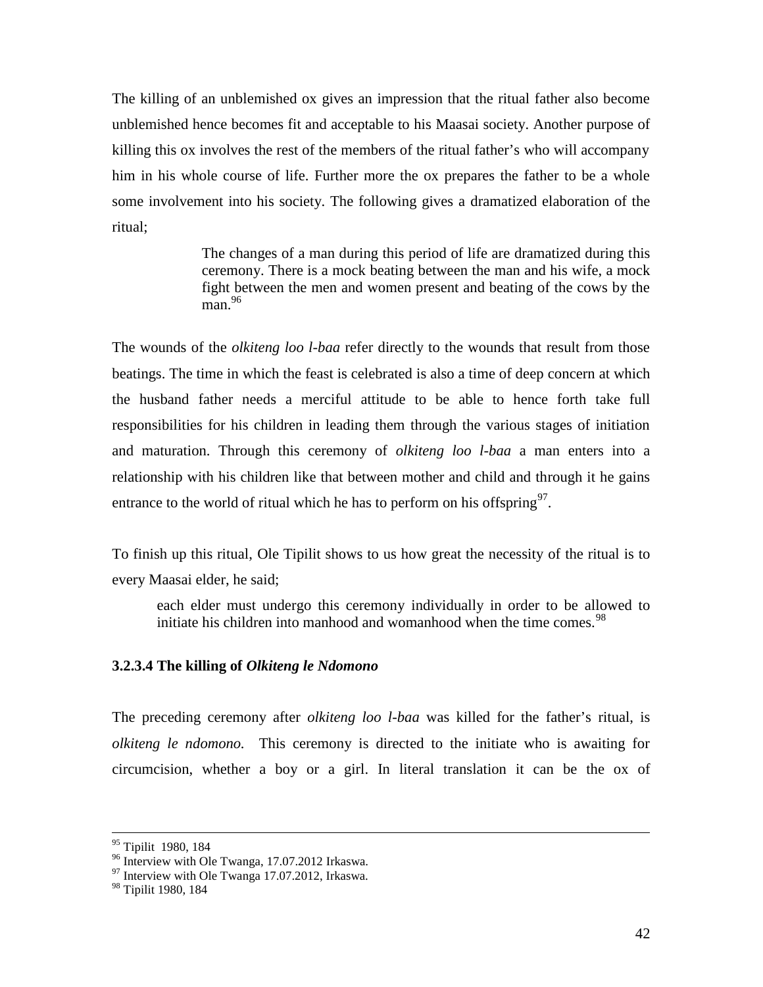The killing of an unblemished ox gives an impression that the ritual father also become unblemished hence becomes fit and acceptable to his Maasai society. Another purpose of killing this ox involves the rest of the members of the ritual father's who will accompany him in his whole course of life. Further more the ox prepares the father to be a whole some involvement into his society. The following gives a dramatized elaboration of the ritual;

> The changes of a man during this period of life are dramatized during this ceremony. There is a mock beating between the man and his wife, a mock fight between the men and women present and beating of the cows by the  $\mathrm{man}$ . 96

The wounds of the *olkiteng loo l-baa* refer directly to the wounds that result from those beatings. The time in which the feast is celebrated is also a time of deep concern at which the husband father needs a merciful attitude to be able to hence forth take full responsibilities for his children in leading them through the various stages of initiation and maturation. Through this ceremony of *olkiteng loo l-baa* a man enters into a relationship with his children like that between mother and child and through it he gains entrance to the world of ritual which he has to perform on his offspring  $97$ .

To finish up this ritual, Ole Tipilit shows to us how great the necessity of the ritual is to every Maasai elder, he said;

each elder must undergo this ceremony individually in order to be allowed to initiate his children into manhood and womanhood when the time comes.<sup>98</sup>

# **3.2.3.4 The killing of** *Olkiteng le Ndomono*

The preceding ceremony after *olkiteng loo l-baa* was killed for the father's ritual, is *olkiteng le ndomono.* This ceremony is directed to the initiate who is awaiting for circumcision, whether a boy or a girl. In literal translation it can be the ox of

<sup>&</sup>lt;sup>95</sup> Tipilit 1980, 184<br><sup>96</sup> Interview with Ole Twanga, 17.07.2012 Irkaswa.

 $\frac{97}{97}$  Interview with Ole Twanga 17.07.2012, Irkaswa.

<sup>&</sup>lt;sup>98</sup> Tipilit 1980, 184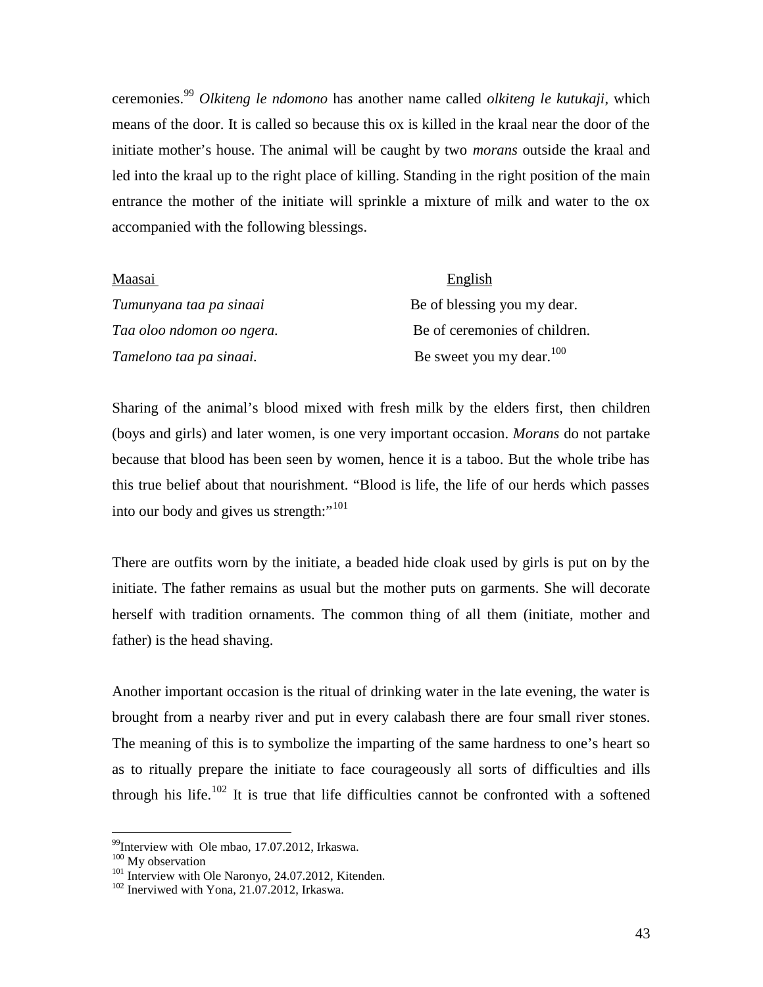ceremonies.<sup>99</sup> *Olkiteng le ndomono* has another name called *olkiteng le kutukaji*, which means of the door. It is called so because this ox is killed in the kraal near the door of the initiate mother's house. The animal will be caught by two *morans* outside the kraal and led into the kraal up to the right place of killing. Standing in the right position of the main entrance the mother of the initiate will sprinkle a mixture of milk and water to the ox accompanied with the following blessings.

| Maasai                    | English                       |
|---------------------------|-------------------------------|
| Tumunyana taa pa sinaai   | Be of blessing you my dear.   |
| Taa oloo ndomon oo ngera. | Be of ceremonies of children. |
| Tamelono taa pa sinaai.   | Be sweet you my dear. $100$   |

Sharing of the animal's blood mixed with fresh milk by the elders first, then children (boys and girls) and later women, is one very important occasion. *Morans* do not partake because that blood has been seen by women, hence it is a taboo. But the whole tribe has this true belief about that nourishment. "Blood is life, the life of our herds which passes into our body and gives us strength:"<sup>101</sup>

There are outfits worn by the initiate, a beaded hide cloak used by girls is put on by the initiate. The father remains as usual but the mother puts on garments. She will decorate herself with tradition ornaments. The common thing of all them (initiate, mother and father) is the head shaving.

Another important occasion is the ritual of drinking water in the late evening, the water is brought from a nearby river and put in every calabash there are four small river stones. The meaning of this is to symbolize the imparting of the same hardness to one's heart so as to ritually prepare the initiate to face courageously all sorts of difficulties and ills through his life.<sup>102</sup> It is true that life difficulties cannot be confronted with a softened

 $^{99}$ Interview with Ole mbao, 17.07.2012, Irkaswa.  $^{100}$  My observation

<sup>&</sup>lt;sup>101</sup> Interview with Ole Naronyo, 24.07.2012, Kitenden.<br><sup>102</sup> Inerviwed with Yona, 21.07.2012, Irkaswa.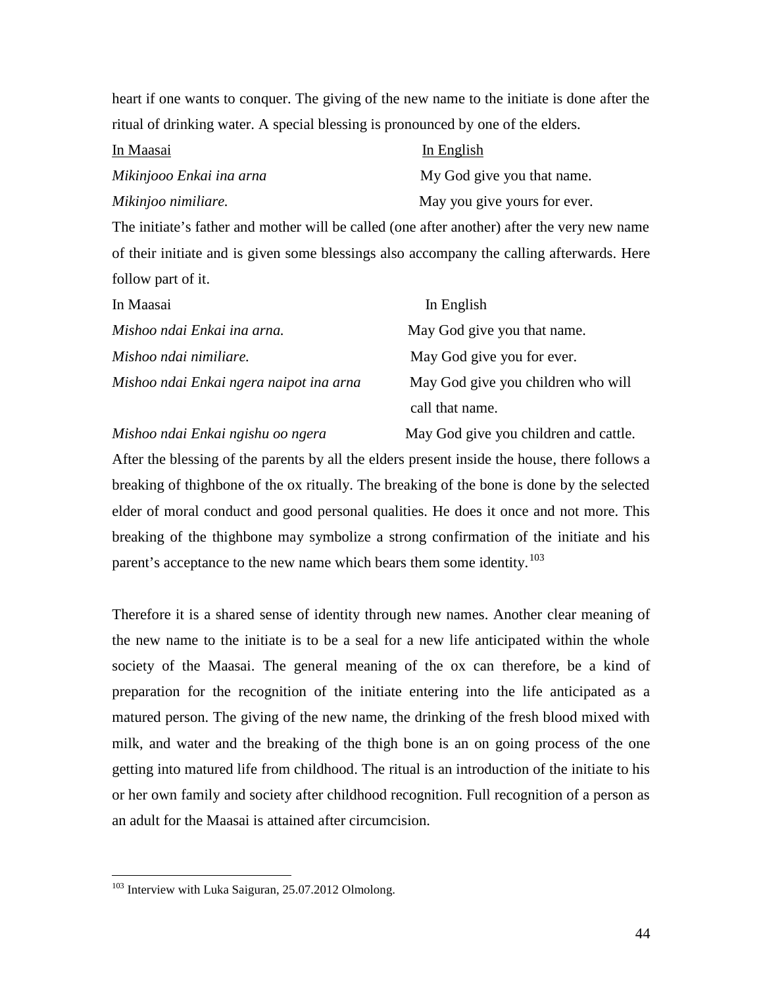heart if one wants to conquer. The giving of the new name to the initiate is done after the ritual of drinking water. A special blessing is pronounced by one of the elders.

| In Maasai                | In English                   |  |
|--------------------------|------------------------------|--|
| Mikinjooo Enkai ina arna | My God give you that name.   |  |
| Mikinjoo nimiliare.      | May you give yours for ever. |  |

The initiate's father and mother will be called (one after another) after the very new name of their initiate and is given some blessings also accompany the calling afterwards. Here follow part of it.

| In Maasai                               | In English                         |
|-----------------------------------------|------------------------------------|
| Mishoo ndai Enkai ina arna.             | May God give you that name.        |
| Mishoo ndai nimiliare.                  | May God give you for ever.         |
| Mishoo ndai Enkai ngera naipot ina arna | May God give you children who will |
|                                         | call that name.                    |

*Mishoo ndai Enkai ngishu oo ngera* May God give you children and cattle.

After the blessing of the parents by all the elders present inside the house, there follows a breaking of thighbone of the ox ritually. The breaking of the bone is done by the selected elder of moral conduct and good personal qualities. He does it once and not more. This breaking of the thighbone may symbolize a strong confirmation of the initiate and his parent's acceptance to the new name which bears them some identity.<sup>103</sup>

Therefore it is a shared sense of identity through new names. Another clear meaning of the new name to the initiate is to be a seal for a new life anticipated within the whole society of the Maasai. The general meaning of the ox can therefore, be a kind of preparation for the recognition of the initiate entering into the life anticipated as a matured person. The giving of the new name, the drinking of the fresh blood mixed with milk, and water and the breaking of the thigh bone is an on going process of the one getting into matured life from childhood. The ritual is an introduction of the initiate to his or her own family and society after childhood recognition. Full recognition of a person as an adult for the Maasai is attained after circumcision.

<sup>&</sup>lt;sup>103</sup> Interview with Luka Saiguran, 25.07.2012 Olmolong.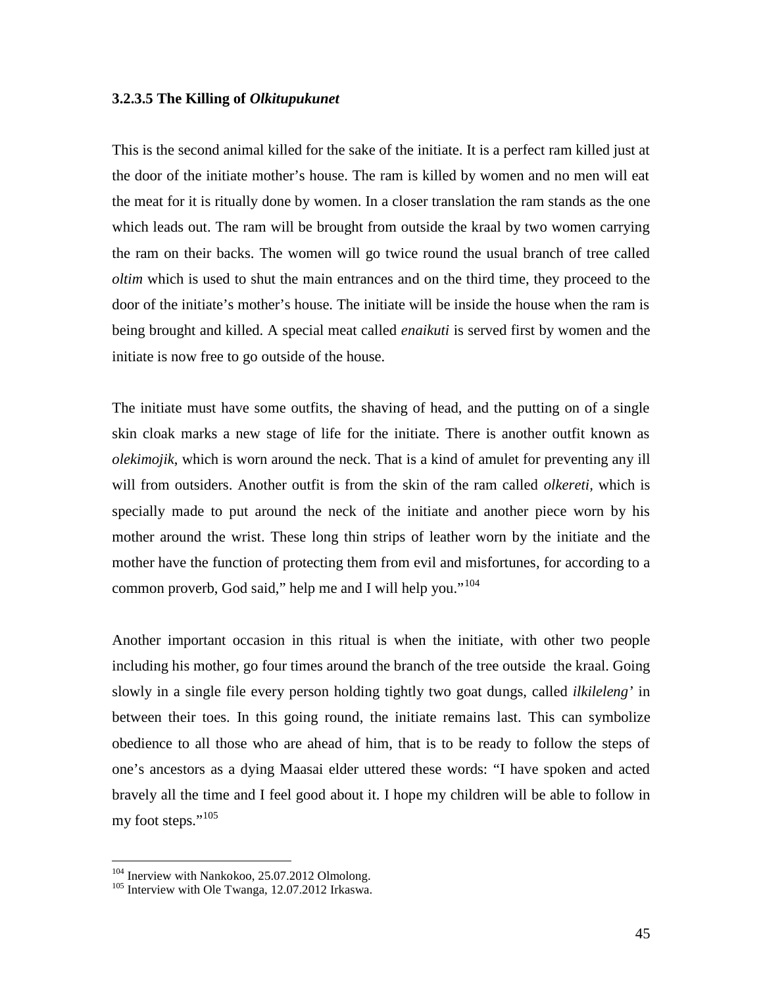## **3.2.3.5 The Killing of** *Olkitupukunet*

This is the second animal killed for the sake of the initiate. It is a perfect ram killed just at the door of the initiate mother's house. The ram is killed by women and no men will eat the meat for it is ritually done by women. In a closer translation the ram stands as the one which leads out. The ram will be brought from outside the kraal by two women carrying the ram on their backs. The women will go twice round the usual branch of tree called *oltim* which is used to shut the main entrances and on the third time, they proceed to the door of the initiate's mother's house. The initiate will be inside the house when the ram is being brought and killed. A special meat called *enaikuti* is served first by women and the initiate is now free to go outside of the house.

The initiate must have some outfits, the shaving of head, and the putting on of a single skin cloak marks a new stage of life for the initiate. There is another outfit known as *olekimojik*, which is worn around the neck. That is a kind of amulet for preventing any ill will from outsiders. Another outfit is from the skin of the ram called *olkereti,* which is specially made to put around the neck of the initiate and another piece worn by his mother around the wrist. These long thin strips of leather worn by the initiate and the mother have the function of protecting them from evil and misfortunes, for according to a common proverb, God said," help me and I will help you."<sup>104</sup>

Another important occasion in this ritual is when the initiate, with other two people including his mother, go four times around the branch of the tree outside the kraal. Going slowly in a single file every person holding tightly two goat dungs, called *ilkileleng'* in between their toes. In this going round, the initiate remains last. This can symbolize obedience to all those who are ahead of him, that is to be ready to follow the steps of one's ancestors as a dying Maasai elder uttered these words: "I have spoken and acted bravely all the time and I feel good about it. I hope my children will be able to follow in my foot steps."<sup>105</sup>

<sup>&</sup>lt;sup>104</sup> Inerview with Nankokoo, 25.07.2012 Olmolong.<br><sup>105</sup> Interview with Ole Twanga, 12.07.2012 Irkaswa.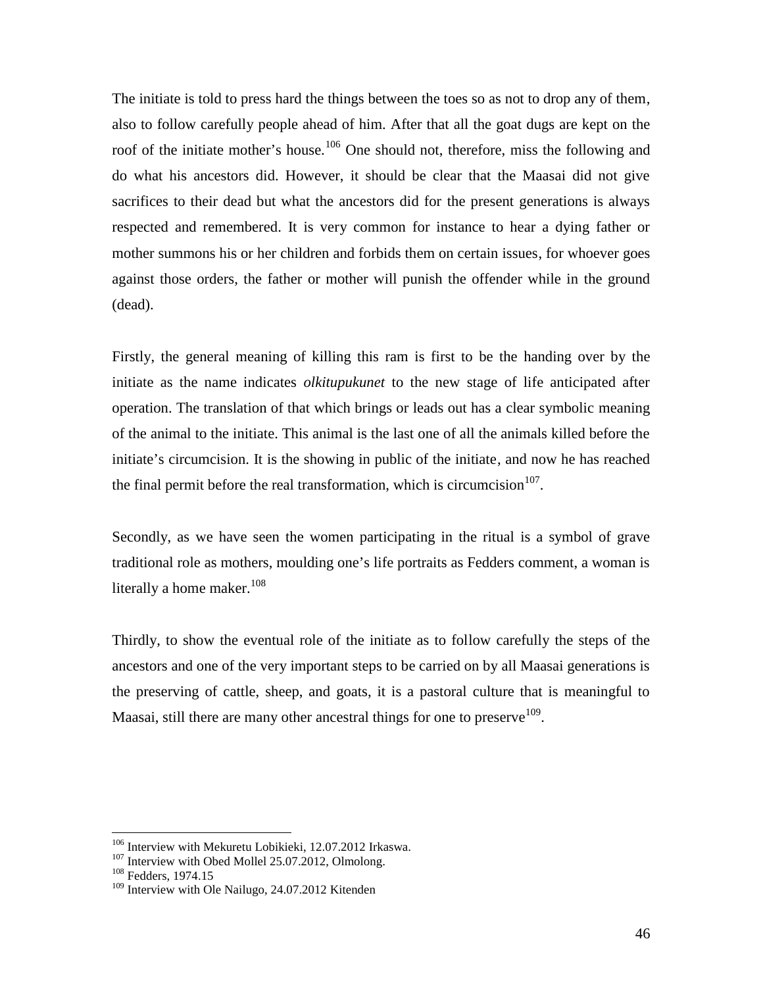The initiate is told to press hard the things between the toes so as not to drop any of them, also to follow carefully people ahead of him. After that all the goat dugs are kept on the roof of the initiate mother's house.<sup>106</sup> One should not, therefore, miss the following and do what his ancestors did. However, it should be clear that the Maasai did not give sacrifices to their dead but what the ancestors did for the present generations is always respected and remembered. It is very common for instance to hear a dying father or mother summons his or her children and forbids them on certain issues, for whoever goes against those orders, the father or mother will punish the offender while in the ground (dead).

Firstly, the general meaning of killing this ram is first to be the handing over by the initiate as the name indicates *olkitupukunet* to the new stage of life anticipated after operation. The translation of that which brings or leads out has a clear symbolic meaning of the animal to the initiate. This animal is the last one of all the animals killed before the initiate's circumcision. It is the showing in public of the initiate, and now he has reached the final permit before the real transformation, which is circumcision  $107$ .

Secondly, as we have seen the women participating in the ritual is a symbol of grave traditional role as mothers, moulding one's life portraits as Fedders comment, a woman is literally a home maker. $108$ 

Thirdly, to show the eventual role of the initiate as to follow carefully the steps of the ancestors and one of the very important steps to be carried on by all Maasai generations is the preserving of cattle, sheep, and goats, it is a pastoral culture that is meaningful to Maasai, still there are many other ancestral things for one to preserve  $109$ .

<sup>&</sup>lt;sup>106</sup> Interview with Mekuretu Lobikieki, 12.07.2012 Irkaswa.<br><sup>107</sup> Interview with Obed Mollel 25.07.2012, Olmolong.<br><sup>108</sup> Fedders. 1974.15

<sup>&</sup>lt;sup>109</sup> Interview with Ole Nailugo, 24.07.2012 Kitenden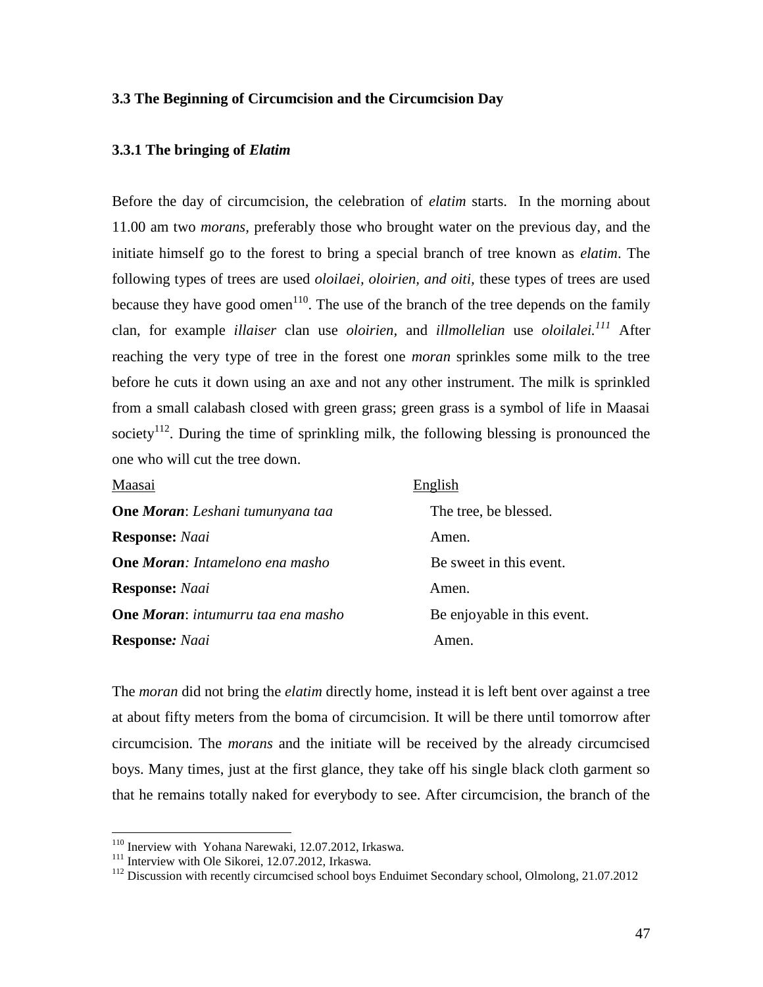# **3.3 The Beginning of Circumcision and the Circumcision Day**

# **3.3.1 The bringing of** *Elatim*

Before the day of circumcision, the celebration of *elatim* starts. In the morning about 11.00 am two *morans,* preferably those who brought water on the previous day, and the initiate himself go to the forest to bring a special branch of tree known as *elatim*. The following types of trees are used *oloilaei, oloirien, and oiti,* these types of trees are used because they have good omen<sup>110</sup>. The use of the branch of the tree depends on the family clan, for example *illaiser* clan use *oloirien,* and *illmollelian* use *oloilalei.<sup>111</sup>* After reaching the very type of tree in the forest one *moran* sprinkles some milk to the tree before he cuts it down using an axe and not any other instrument. The milk is sprinkled from a small calabash closed with green grass; green grass is a symbol of life in Maasai society<sup>112</sup>. During the time of sprinkling milk, the following blessing is pronounced the one who will cut the tree down.

| Maasai                                    | English                     |
|-------------------------------------------|-----------------------------|
| <b>One Moran:</b> Leshani tumunyana taa   | The tree, be blessed.       |
| <b>Response:</b> Naai                     | Amen.                       |
| <b>One Moran:</b> Intamelono ena masho    | Be sweet in this event.     |
| <b>Response: Naai</b>                     | Amen.                       |
| <b>One Moran:</b> intumurru taa ena masho | Be enjoyable in this event. |
| <b>Response:</b> Naai                     | Amen.                       |

The *moran* did not bring the *elatim* directly home, instead it is left bent over against a tree at about fifty meters from the boma of circumcision. It will be there until tomorrow after circumcision. The *morans* and the initiate will be received by the already circumcised boys. Many times, just at the first glance, they take off his single black cloth garment so that he remains totally naked for everybody to see. After circumcision, the branch of the

<sup>&</sup>lt;sup>110</sup> Inerview with Yohana Narewaki, 12.07.2012, Irkaswa.<br><sup>111</sup> Interview with Ole Sikorei, 12.07.2012, Irkaswa.<br><sup>112</sup> Discussion with recently circumcised school boys Enduimet Secondary school, Olmolong, 21.07.2012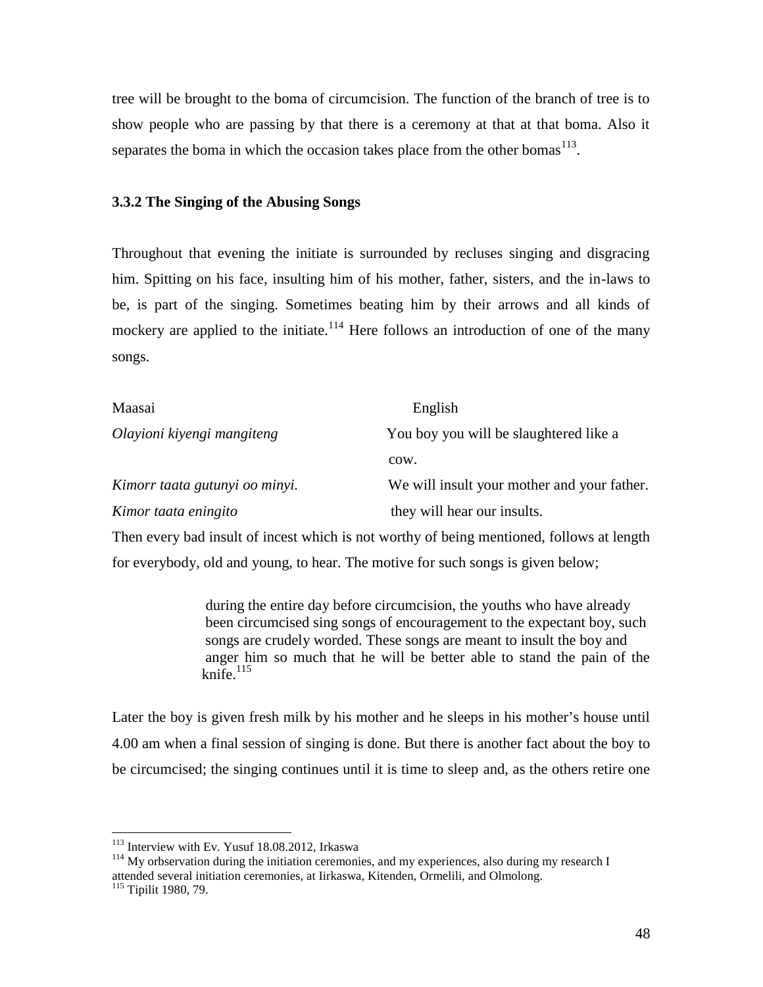tree will be brought to the boma of circumcision. The function of the branch of tree is to show people who are passing by that there is a ceremony at that at that boma. Also it separates the boma in which the occasion takes place from the other bomas $^{113}$ .

# **3.3.2 The Singing of the Abusing Songs**

Throughout that evening the initiate is surrounded by recluses singing and disgracing him. Spitting on his face, insulting him of his mother, father, sisters, and the in-laws to be, is part of the singing. Sometimes beating him by their arrows and all kinds of mockery are applied to the initiate.<sup>114</sup> Here follows an introduction of one of the many songs.

| Maasai                         | English                                     |
|--------------------------------|---------------------------------------------|
| Olayioni kiyengi mangiteng     | You boy you will be slaughtered like a      |
|                                | COW.                                        |
| Kimorr taata gutunyi oo minyi. | We will insult your mother and your father. |
| Kimor taata eningito           | they will hear our insults.                 |

Then every bad insult of incest which is not worthy of being mentioned, follows at length for everybody, old and young, to hear. The motive for such songs is given below;

> during the entire day before circumcision, the youths who have already been circumcised sing songs of encouragement to the expectant boy, such songs are crudely worded. These songs are meant to insult the boy and anger him so much that he will be better able to stand the pain of the knife. $115$

Later the boy is given fresh milk by his mother and he sleeps in his mother's house until 4.00 am when a final session of singing is done. But there is another fact about the boy to be circumcised; the singing continues until it is time to sleep and, as the others retire one

<sup>&</sup>lt;sup>113</sup> Interview with Ev. Yusuf 18.08.2012, Irkaswa

 $114$  My orbservation during the initiation ceremonies, and my experiences, also during my research I attended several initiation ceremonies, at Iirkaswa, Kitenden, Ormelili, and Olmolong. <sup>115</sup> Tipilit 1980, 79.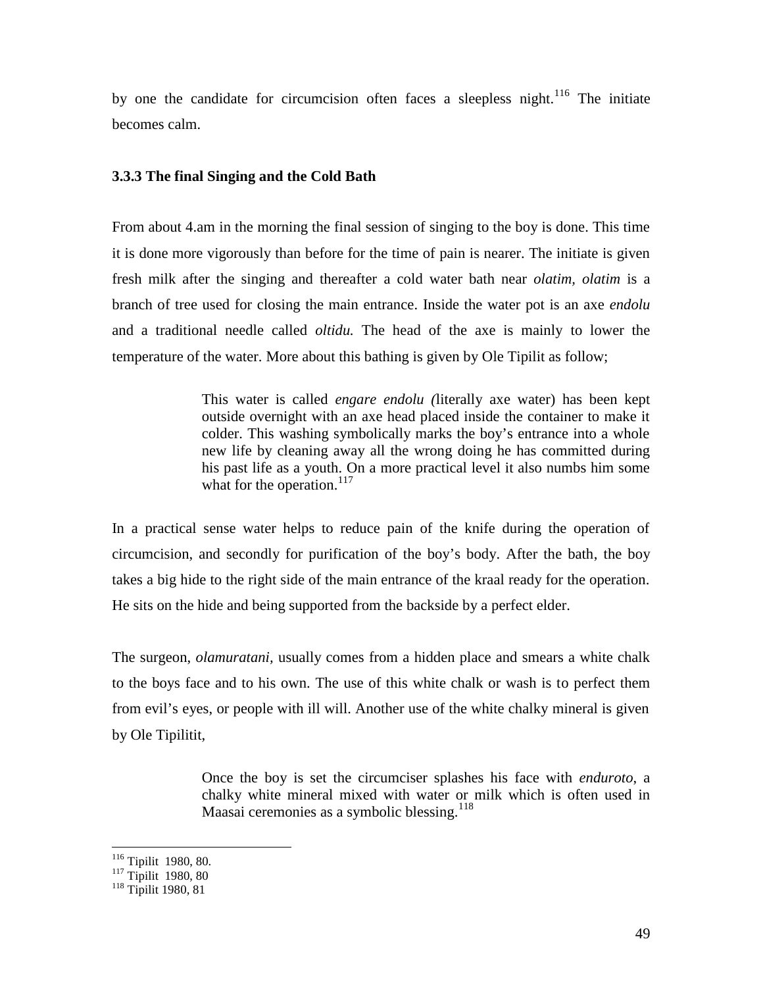by one the candidate for circumcision often faces a sleepless night.<sup>116</sup> The initiate becomes calm.

# **3.3.3 The final Singing and the Cold Bath**

From about 4.am in the morning the final session of singing to the boy is done. This time it is done more vigorously than before for the time of pain is nearer. The initiate is given fresh milk after the singing and thereafter a cold water bath near *olatim, olatim* is a branch of tree used for closing the main entrance. Inside the water pot is an axe *endolu* and a traditional needle called *oltidu.* The head of the axe is mainly to lower the temperature of the water. More about this bathing is given by Ole Tipilit as follow;

> This water is called *engare endolu (*literally axe water) has been kept outside overnight with an axe head placed inside the container to make it colder. This washing symbolically marks the boy's entrance into a whole new life by cleaning away all the wrong doing he has committed during his past life as a youth. On a more practical level it also numbs him some what for the operation. $117$

In a practical sense water helps to reduce pain of the knife during the operation of circumcision, and secondly for purification of the boy's body. After the bath, the boy takes a big hide to the right side of the main entrance of the kraal ready for the operation. He sits on the hide and being supported from the backside by a perfect elder.

The surgeon, *olamuratani,* usually comes from a hidden place and smears a white chalk to the boys face and to his own. The use of this white chalk or wash is to perfect them from evil's eyes, or people with ill will. Another use of the white chalky mineral is given by Ole Tipilitit,

> Once the boy is set the circumciser splashes his face with *enduroto*, a chalky white mineral mixed with water or milk which is often used in Maasai ceremonies as a symbolic blessing.<sup>118</sup>

<sup>&</sup>lt;sup>116</sup> Tipilit 1980, 80.<br><sup>117</sup> Tipilit 1980, 80

<sup>118</sup> Tipilit 1980, 81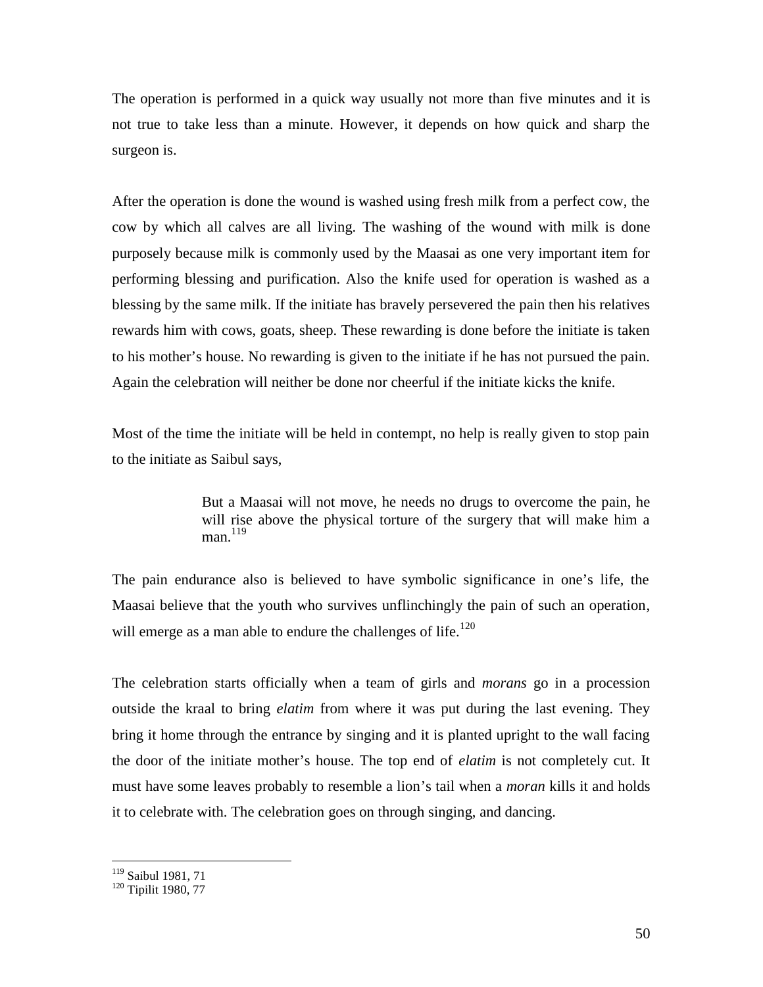The operation is performed in a quick way usually not more than five minutes and it is not true to take less than a minute. However, it depends on how quick and sharp the surgeon is.

After the operation is done the wound is washed using fresh milk from a perfect cow, the cow by which all calves are all living. The washing of the wound with milk is done purposely because milk is commonly used by the Maasai as one very important item for performing blessing and purification. Also the knife used for operation is washed as a blessing by the same milk. If the initiate has bravely persevered the pain then his relatives rewards him with cows, goats, sheep. These rewarding is done before the initiate is taken to his mother's house. No rewarding is given to the initiate if he has not pursued the pain. Again the celebration will neither be done nor cheerful if the initiate kicks the knife.

Most of the time the initiate will be held in contempt, no help is really given to stop pain to the initiate as Saibul says,

> But a Maasai will not move, he needs no drugs to overcome the pain, he will rise above the physical torture of the surgery that will make him a  $man.<sup>119</sup>$

The pain endurance also is believed to have symbolic significance in one's life, the Maasai believe that the youth who survives unflinchingly the pain of such an operation, will emerge as a man able to endure the challenges of life.<sup>120</sup>

The celebration starts officially when a team of girls and *morans* go in a procession outside the kraal to bring *elatim* from where it was put during the last evening. They bring it home through the entrance by singing and it is planted upright to the wall facing the door of the initiate mother's house. The top end of *elatim* is not completely cut. It must have some leaves probably to resemble a lion's tail when a *moran* kills it and holds it to celebrate with. The celebration goes on through singing, and dancing.

<sup>119</sup> Saibul 1981, 71

<sup>120</sup> Tipilit 1980, 77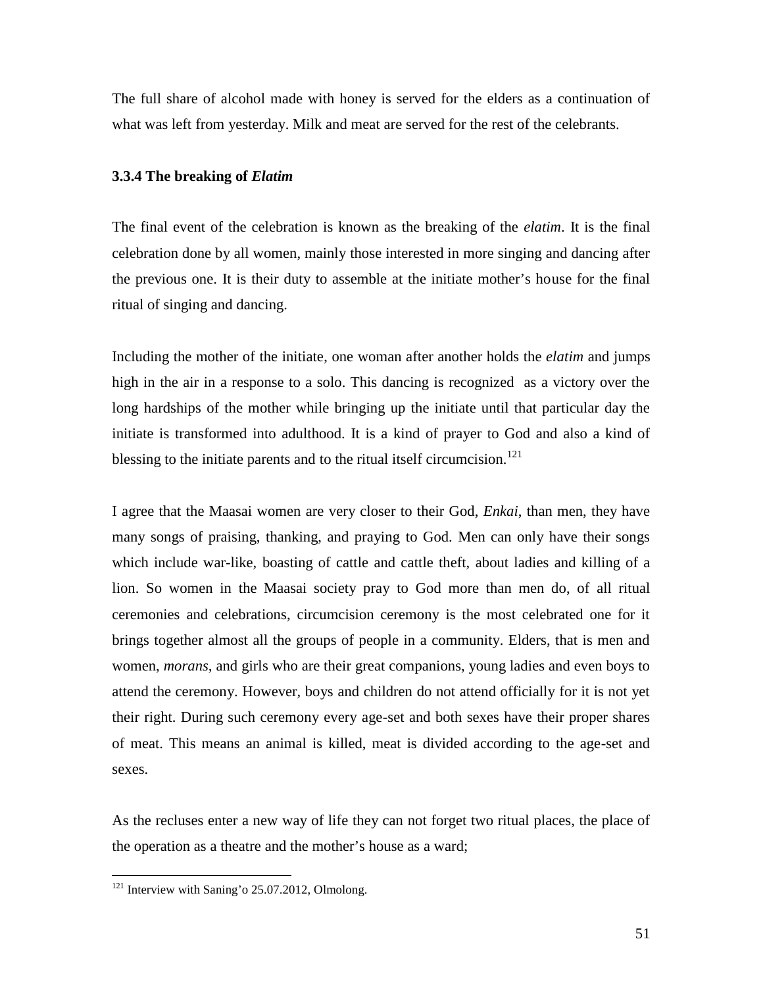The full share of alcohol made with honey is served for the elders as a continuation of what was left from yesterday. Milk and meat are served for the rest of the celebrants.

#### **3.3.4 The breaking of** *Elatim*

The final event of the celebration is known as the breaking of the *elatim*. It is the final celebration done by all women, mainly those interested in more singing and dancing after the previous one. It is their duty to assemble at the initiate mother's house for the final ritual of singing and dancing.

Including the mother of the initiate, one woman after another holds the *elatim* and jumps high in the air in a response to a solo. This dancing is recognized as a victory over the long hardships of the mother while bringing up the initiate until that particular day the initiate is transformed into adulthood. It is a kind of prayer to God and also a kind of blessing to the initiate parents and to the ritual itself circumcision.<sup>121</sup>

I agree that the Maasai women are very closer to their God, *Enkai*, than men, they have many songs of praising, thanking, and praying to God. Men can only have their songs which include war-like, boasting of cattle and cattle theft, about ladies and killing of a lion. So women in the Maasai society pray to God more than men do, of all ritual ceremonies and celebrations, circumcision ceremony is the most celebrated one for it brings together almost all the groups of people in a community. Elders, that is men and women, *morans,* and girls who are their great companions, young ladies and even boys to attend the ceremony. However, boys and children do not attend officially for it is not yet their right. During such ceremony every age-set and both sexes have their proper shares of meat. This means an animal is killed, meat is divided according to the age-set and sexes.

As the recluses enter a new way of life they can not forget two ritual places, the place of the operation as a theatre and the mother's house as a ward;

<sup>&</sup>lt;sup>121</sup> Interview with Saning'o 25.07.2012, Olmolong.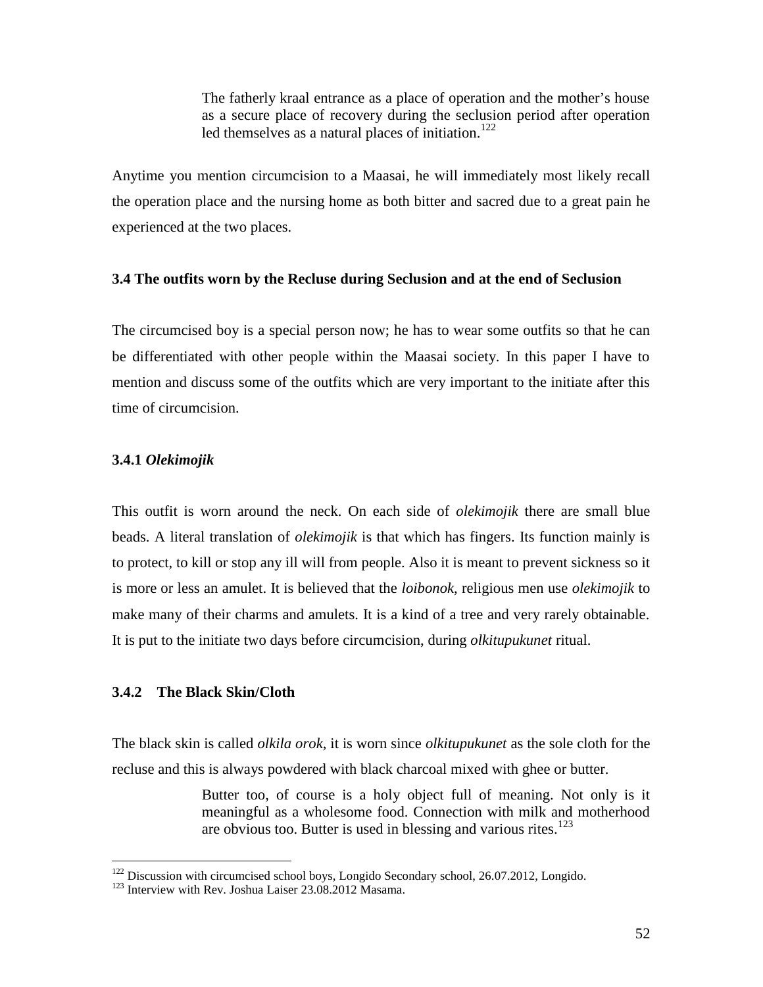The fatherly kraal entrance as a place of operation and the mother's house as a secure place of recovery during the seclusion period after operation led themselves as a natural places of initiation.<sup>122</sup>

Anytime you mention circumcision to a Maasai, he will immediately most likely recall the operation place and the nursing home as both bitter and sacred due to a great pain he experienced at the two places.

# **3.4 The outfits worn by the Recluse during Seclusion and at the end of Seclusion**

The circumcised boy is a special person now; he has to wear some outfits so that he can be differentiated with other people within the Maasai society. In this paper I have to mention and discuss some of the outfits which are very important to the initiate after this time of circumcision.

# **3.4.1** *Olekimojik*

This outfit is worn around the neck. On each side of *olekimojik* there are small blue beads. A literal translation of *olekimojik* is that which has fingers. Its function mainly is to protect, to kill or stop any ill will from people. Also it is meant to prevent sickness so it is more or less an amulet. It is believed that the *loibonok*, religious men use *olekimojik* to make many of their charms and amulets. It is a kind of a tree and very rarely obtainable. It is put to the initiate two days before circumcision, during *olkitupukunet* ritual.

# **3.4.2 The Black Skin/Cloth**

The black skin is called *olkila orok*, it is worn since *olkitupukunet* as the sole cloth for the recluse and this is always powdered with black charcoal mixed with ghee or butter.

> Butter too, of course is a holy object full of meaning. Not only is it meaningful as a wholesome food. Connection with milk and motherhood are obvious too. Butter is used in blessing and various rites.<sup>123</sup>

<sup>&</sup>lt;sup>122</sup> Discussion with circumcised school boys, Longido Secondary school, 26.07.2012, Longido. <sup>123</sup> Interview with Rev. Joshua Laiser 23.08.2012 Masama.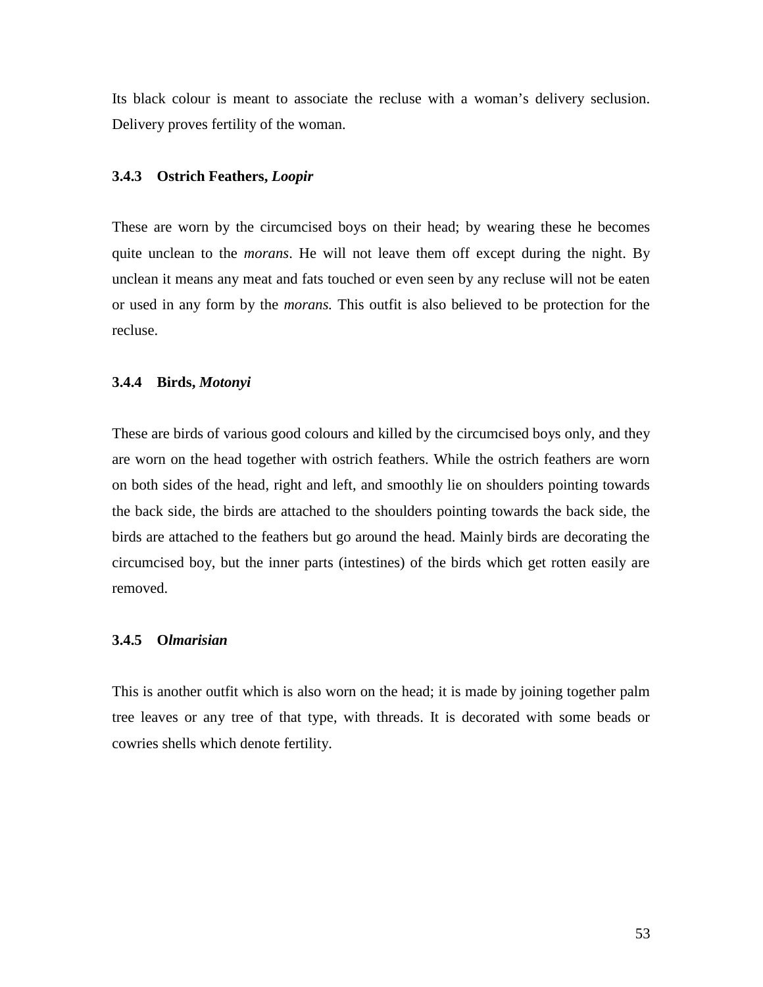Its black colour is meant to associate the recluse with a woman's delivery seclusion. Delivery proves fertility of the woman.

#### **3.4.3 Ostrich Feathers,** *Loopir*

These are worn by the circumcised boys on their head; by wearing these he becomes quite unclean to the *morans*. He will not leave them off except during the night. By unclean it means any meat and fats touched or even seen by any recluse will not be eaten or used in any form by the *morans.* This outfit is also believed to be protection for the recluse.

#### **3.4.4 Birds,** *Motonyi*

These are birds of various good colours and killed by the circumcised boys only, and they are worn on the head together with ostrich feathers. While the ostrich feathers are worn on both sides of the head, right and left, and smoothly lie on shoulders pointing towards the back side, the birds are attached to the shoulders pointing towards the back side, the birds are attached to the feathers but go around the head. Mainly birds are decorating the circumcised boy, but the inner parts (intestines) of the birds which get rotten easily are removed.

# **3.4.5 O***lmarisian*

This is another outfit which is also worn on the head; it is made by joining together palm tree leaves or any tree of that type, with threads. It is decorated with some beads or cowries shells which denote fertility.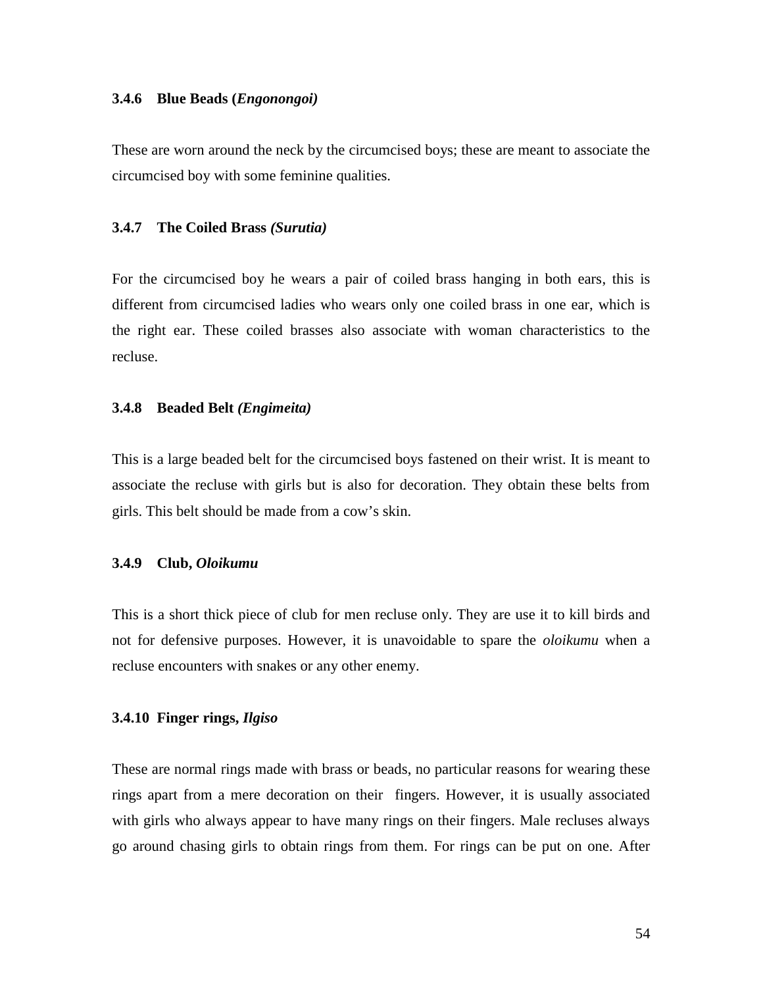### **3.4.6 Blue Beads (***Engonongoi)*

These are worn around the neck by the circumcised boys; these are meant to associate the circumcised boy with some feminine qualities.

### **3.4.7 The Coiled Brass** *(Surutia)*

For the circumcised boy he wears a pair of coiled brass hanging in both ears, this is different from circumcised ladies who wears only one coiled brass in one ear, which is the right ear. These coiled brasses also associate with woman characteristics to the recluse.

#### **3.4.8 Beaded Belt** *(Engimeita)*

This is a large beaded belt for the circumcised boys fastened on their wrist. It is meant to associate the recluse with girls but is also for decoration. They obtain these belts from girls. This belt should be made from a cow's skin.

### **3.4.9 Club,** *Oloikumu*

This is a short thick piece of club for men recluse only. They are use it to kill birds and not for defensive purposes. However, it is unavoidable to spare the *oloikumu* when a recluse encounters with snakes or any other enemy.

#### **3.4.10 Finger rings,** *Ilgiso*

These are normal rings made with brass or beads, no particular reasons for wearing these rings apart from a mere decoration on their fingers. However, it is usually associated with girls who always appear to have many rings on their fingers. Male recluses always go around chasing girls to obtain rings from them. For rings can be put on one. After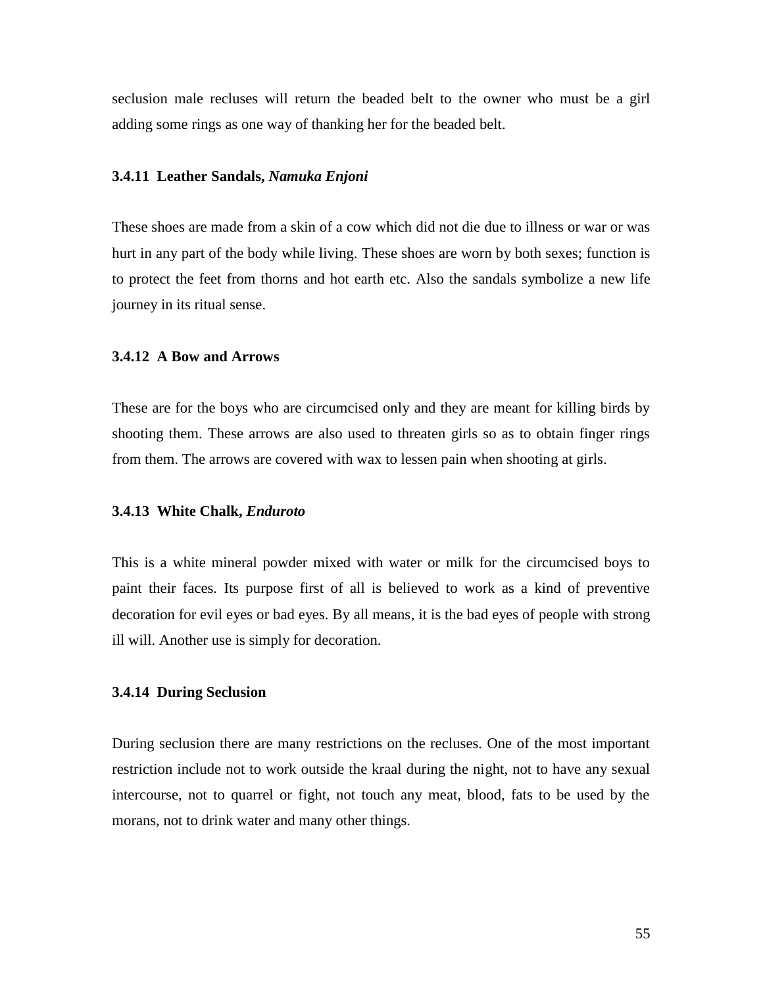seclusion male recluses will return the beaded belt to the owner who must be a girl adding some rings as one way of thanking her for the beaded belt.

#### **3.4.11 Leather Sandals,** *Namuka Enjoni*

These shoes are made from a skin of a cow which did not die due to illness or war or was hurt in any part of the body while living. These shoes are worn by both sexes; function is to protect the feet from thorns and hot earth etc. Also the sandals symbolize a new life journey in its ritual sense.

# **3.4.12 A Bow and Arrows**

These are for the boys who are circumcised only and they are meant for killing birds by shooting them. These arrows are also used to threaten girls so as to obtain finger rings from them. The arrows are covered with wax to lessen pain when shooting at girls.

#### **3.4.13 White Chalk,** *Enduroto*

This is a white mineral powder mixed with water or milk for the circumcised boys to paint their faces. Its purpose first of all is believed to work as a kind of preventive decoration for evil eyes or bad eyes. By all means, it is the bad eyes of people with strong ill will. Another use is simply for decoration.

## **3.4.14 During Seclusion**

During seclusion there are many restrictions on the recluses. One of the most important restriction include not to work outside the kraal during the night, not to have any sexual intercourse, not to quarrel or fight, not touch any meat, blood, fats to be used by the morans, not to drink water and many other things.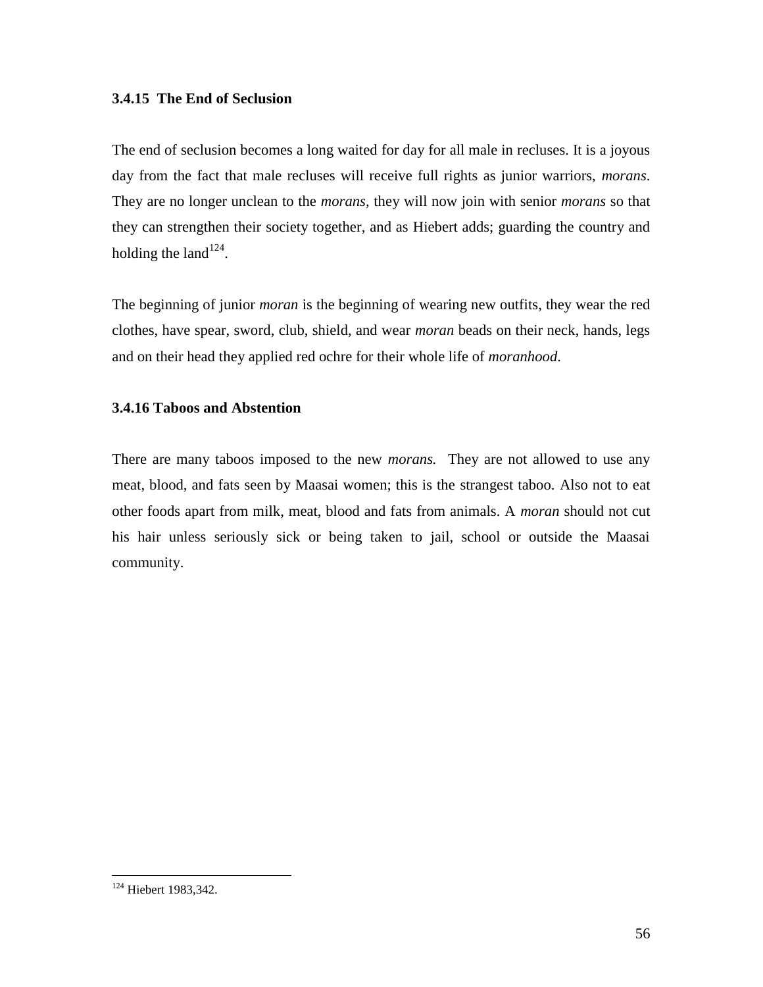# **3.4.15 The End of Seclusion**

The end of seclusion becomes a long waited for day for all male in recluses. It is a joyous day from the fact that male recluses will receive full rights as junior warriors, *morans*. They are no longer unclean to the *morans,* they will now join with senior *morans* so that they can strengthen their society together, and as Hiebert adds; guarding the country and holding the land $124$ .

The beginning of junior *moran* is the beginning of wearing new outfits, they wear the red clothes, have spear, sword, club, shield, and wear *moran* beads on their neck, hands, legs and on their head they applied red ochre for their whole life of *moranhood*.

# **3.4.16 Taboos and Abstention**

There are many taboos imposed to the new *morans.* They are not allowed to use any meat, blood, and fats seen by Maasai women; this is the strangest taboo. Also not to eat other foods apart from milk, meat, blood and fats from animals. A *moran* should not cut his hair unless seriously sick or being taken to jail, school or outside the Maasai community.

<sup>&</sup>lt;sup>124</sup> Hiebert 1983,342.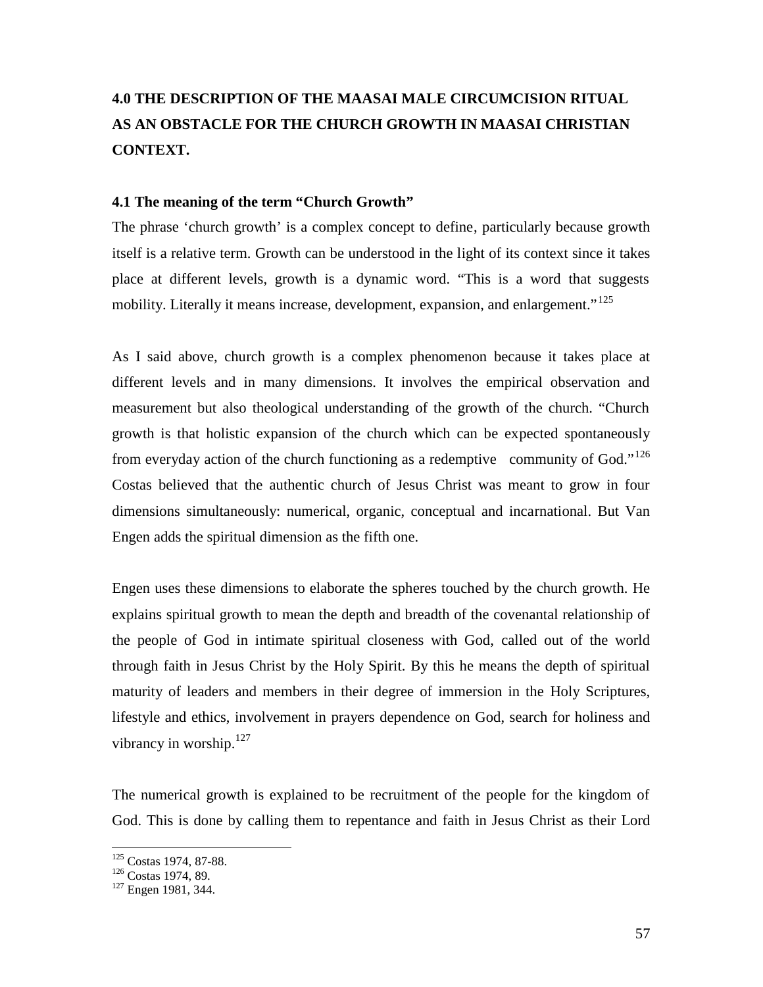# **4.0 THE DESCRIPTION OF THE MAASAI MALE CIRCUMCISION RITUAL AS AN OBSTACLE FOR THE CHURCH GROWTH IN MAASAI CHRISTIAN CONTEXT.**

# **4.1 The meaning of the term "Church Growth"**

The phrase 'church growth' is a complex concept to define, particularly because growth itself is a relative term. Growth can be understood in the light of its context since it takes place at different levels, growth is a dynamic word. "This is a word that suggests mobility. Literally it means increase, development, expansion, and enlargement."<sup>125</sup>

As I said above, church growth is a complex phenomenon because it takes place at different levels and in many dimensions. It involves the empirical observation and measurement but also theological understanding of the growth of the church. "Church growth is that holistic expansion of the church which can be expected spontaneously from everyday action of the church functioning as a redemptive community of God."<sup>126</sup> Costas believed that the authentic church of Jesus Christ was meant to grow in four dimensions simultaneously: numerical, organic, conceptual and incarnational. But Van Engen adds the spiritual dimension as the fifth one.

Engen uses these dimensions to elaborate the spheres touched by the church growth. He explains spiritual growth to mean the depth and breadth of the covenantal relationship of the people of God in intimate spiritual closeness with God, called out of the world through faith in Jesus Christ by the Holy Spirit. By this he means the depth of spiritual maturity of leaders and members in their degree of immersion in the Holy Scriptures, lifestyle and ethics, involvement in prayers dependence on God, search for holiness and vibrancy in worship. $127$ 

The numerical growth is explained to be recruitment of the people for the kingdom of God. This is done by calling them to repentance and faith in Jesus Christ as their Lord

<sup>&</sup>lt;sup>125</sup> Costas 1974, 87-88.<br><sup>126</sup> Costas 1974, 89.<br><sup>127</sup> Engen 1981, 344.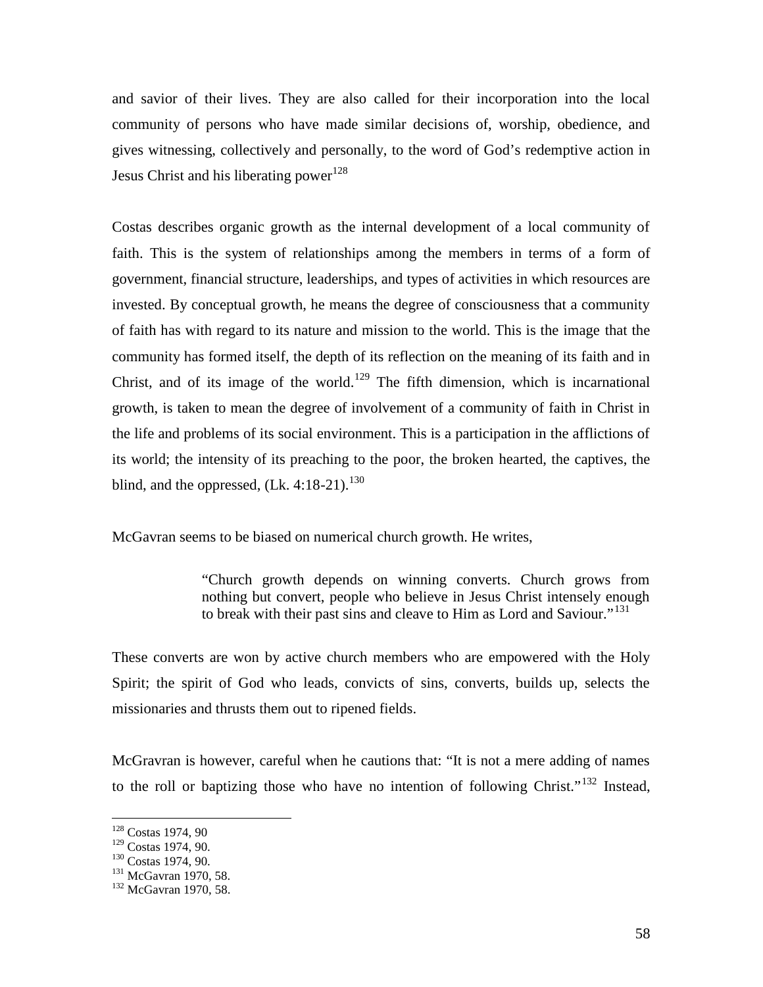and savior of their lives. They are also called for their incorporation into the local community of persons who have made similar decisions of, worship, obedience, and gives witnessing, collectively and personally, to the word of God's redemptive action in Jesus Christ and his liberating power<sup>128</sup>

Costas describes organic growth as the internal development of a local community of faith. This is the system of relationships among the members in terms of a form of government, financial structure, leaderships, and types of activities in which resources are invested. By conceptual growth, he means the degree of consciousness that a community of faith has with regard to its nature and mission to the world. This is the image that the community has formed itself, the depth of its reflection on the meaning of its faith and in Christ, and of its image of the world.<sup>129</sup> The fifth dimension, which is incarnational growth, is taken to mean the degree of involvement of a community of faith in Christ in the life and problems of its social environment. This is a participation in the afflictions of its world; the intensity of its preaching to the poor, the broken hearted, the captives, the blind, and the oppressed,  $(Lk, 4:18-21)$ .<sup>130</sup>

McGavran seems to be biased on numerical church growth. He writes,

"Church growth depends on winning converts. Church grows from nothing but convert, people who believe in Jesus Christ intensely enough to break with their past sins and cleave to Him as Lord and Saviour."<sup>131</sup>

These converts are won by active church members who are empowered with the Holy Spirit; the spirit of God who leads, convicts of sins, converts, builds up, selects the missionaries and thrusts them out to ripened fields.

McGravran is however, careful when he cautions that: "It is not a mere adding of names to the roll or baptizing those who have no intention of following Christ."<sup>132</sup> Instead,

 $\frac{128}{129}$  Costas 1974, 90.

 $130 \text{ Costas } 1974, 90.$ <br>  $131 \text{ McGavran } 1970, 58.$ <br>  $132 \text{ McGavran } 1970, 58.$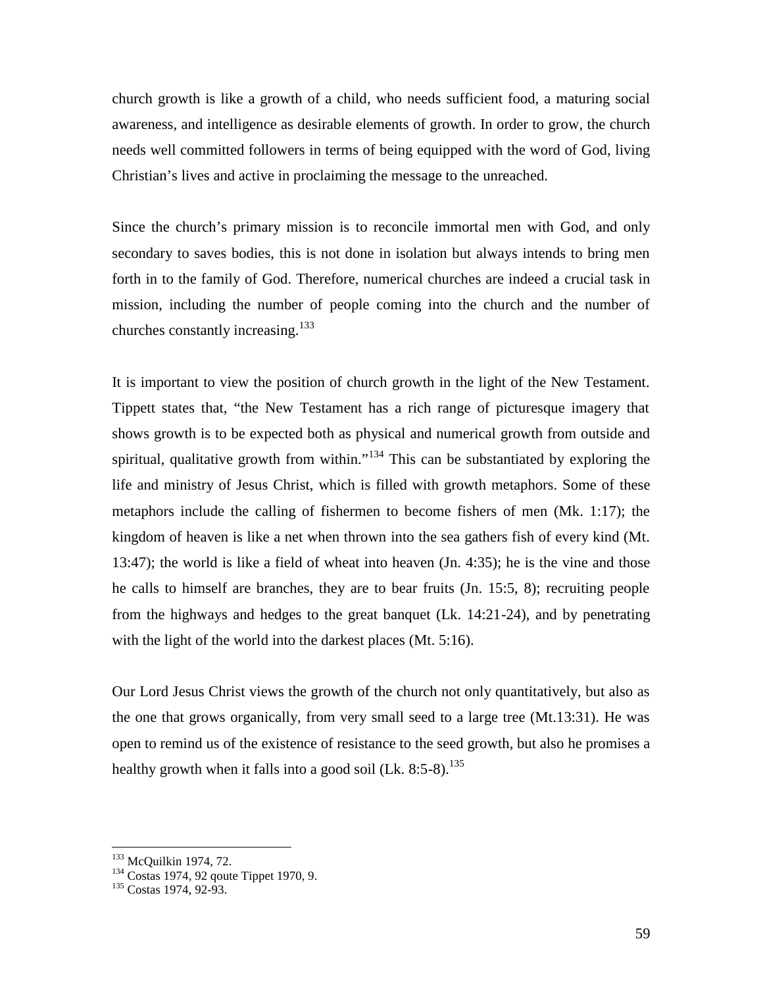church growth is like a growth of a child, who needs sufficient food, a maturing social awareness, and intelligence as desirable elements of growth. In order to grow, the church needs well committed followers in terms of being equipped with the word of God, living Christian's lives and active in proclaiming the message to the unreached.

Since the church's primary mission is to reconcile immortal men with God, and only secondary to saves bodies, this is not done in isolation but always intends to bring men forth in to the family of God. Therefore, numerical churches are indeed a crucial task in mission, including the number of people coming into the church and the number of churches constantly increasing. $^{133}$ 

It is important to view the position of church growth in the light of the New Testament. Tippett states that, "the New Testament has a rich range of picturesque imagery that shows growth is to be expected both as physical and numerical growth from outside and spiritual, qualitative growth from within."<sup>134</sup> This can be substantiated by exploring the life and ministry of Jesus Christ, which is filled with growth metaphors. Some of these metaphors include the calling of fishermen to become fishers of men (Mk. 1:17); the kingdom of heaven is like a net when thrown into the sea gathers fish of every kind (Mt. 13:47); the world is like a field of wheat into heaven (Jn. 4:35); he is the vine and those he calls to himself are branches, they are to bear fruits (Jn. 15:5, 8); recruiting people from the highways and hedges to the great banquet (Lk. 14:21-24), and by penetrating with the light of the world into the darkest places (Mt. 5:16).

Our Lord Jesus Christ views the growth of the church not only quantitatively, but also as the one that grows organically, from very small seed to a large tree (Mt.13:31). He was open to remind us of the existence of resistance to the seed growth, but also he promises a healthy growth when it falls into a good soil (Lk.  $8:5-8$ ).<sup>135</sup>

<sup>&</sup>lt;sup>133</sup> McQuilkin 1974, 72.<br><sup>134</sup> Costas 1974, 92 qoute Tippet 1970, 9.<br><sup>135</sup> Costas 1974, 92-93.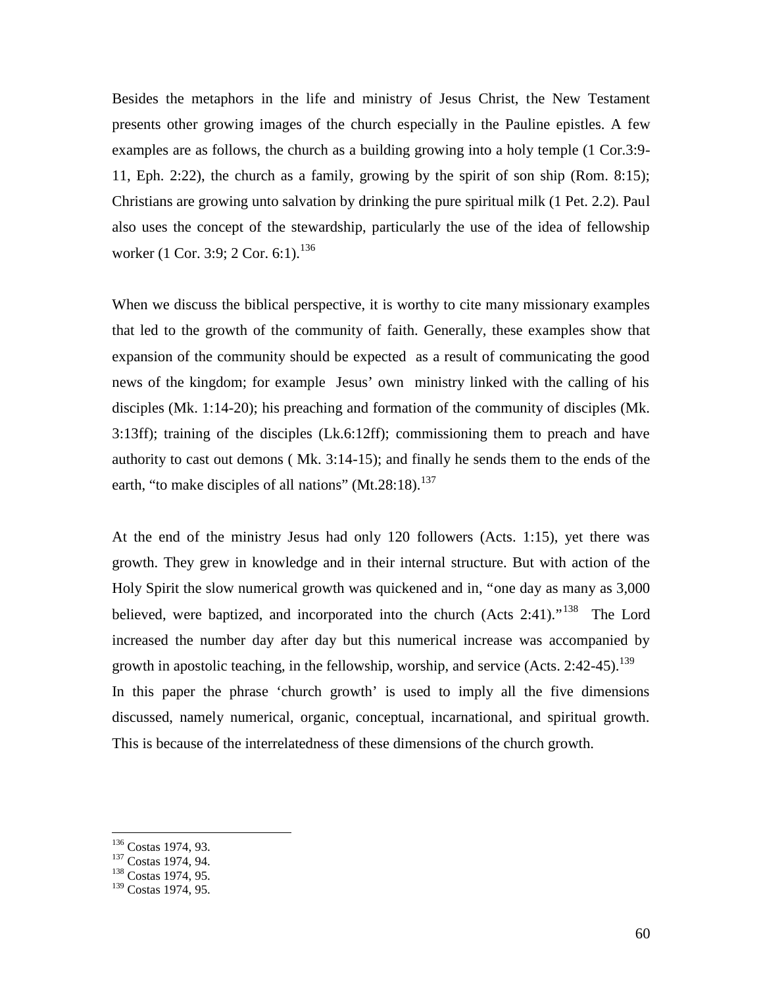Besides the metaphors in the life and ministry of Jesus Christ, the New Testament presents other growing images of the church especially in the Pauline epistles. A few examples are as follows, the church as a building growing into a holy temple (1 Cor.3:9- 11, Eph. 2:22), the church as a family, growing by the spirit of son ship (Rom. 8:15); Christians are growing unto salvation by drinking the pure spiritual milk (1 Pet. 2.2). Paul also uses the concept of the stewardship, particularly the use of the idea of fellowship worker (1 Cor. 3:9; 2 Cor. 6:1).<sup>136</sup>

When we discuss the biblical perspective, it is worthy to cite many missionary examples that led to the growth of the community of faith. Generally, these examples show that expansion of the community should be expected as a result of communicating the good news of the kingdom; for example Jesus' own ministry linked with the calling of his disciples (Mk. 1:14-20); his preaching and formation of the community of disciples (Mk. 3:13ff); training of the disciples (Lk.6:12ff); commissioning them to preach and have authority to cast out demons ( Mk. 3:14-15); and finally he sends them to the ends of the earth, "to make disciples of all nations"  $(Mt.28:18)$ <sup>137</sup>

At the end of the ministry Jesus had only 120 followers (Acts. 1:15), yet there was growth. They grew in knowledge and in their internal structure. But with action of the Holy Spirit the slow numerical growth was quickened and in, "one day as many as 3,000 believed, were baptized, and incorporated into the church (Acts 2:41)."<sup>138</sup> The Lord increased the number day after day but this numerical increase was accompanied by growth in apostolic teaching, in the fellowship, worship, and service  $(Acts. 2:42-45).$ <sup>139</sup> In this paper the phrase 'church growth' is used to imply all the five dimensions discussed, namely numerical, organic, conceptual, incarnational, and spiritual growth. This is because of the interrelatedness of these dimensions of the church growth.

<sup>&</sup>lt;sup>136</sup> Costas 1974, 93.<br><sup>137</sup> Costas 1974, 94.<br><sup>138</sup> Costas 1974, 95.

<sup>&</sup>lt;sup>139</sup> Costas 1974, 95.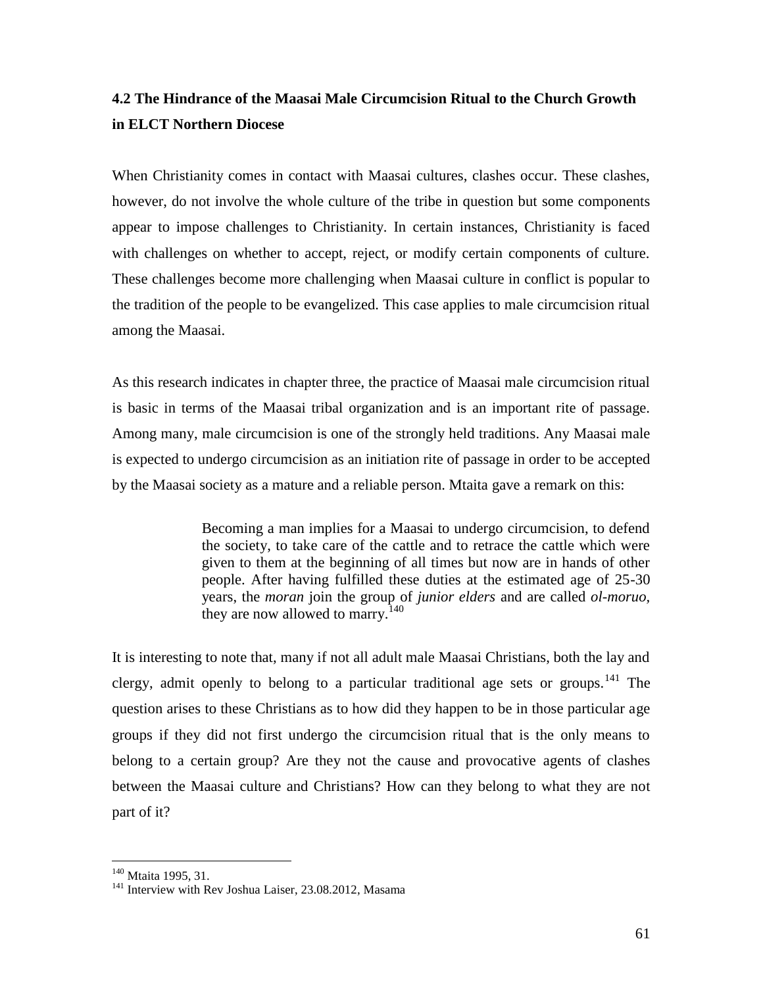# **4.2 The Hindrance of the Maasai Male Circumcision Ritual to the Church Growth in ELCT Northern Diocese**

When Christianity comes in contact with Maasai cultures, clashes occur. These clashes, however, do not involve the whole culture of the tribe in question but some components appear to impose challenges to Christianity. In certain instances, Christianity is faced with challenges on whether to accept, reject, or modify certain components of culture. These challenges become more challenging when Maasai culture in conflict is popular to the tradition of the people to be evangelized. This case applies to male circumcision ritual among the Maasai.

As this research indicates in chapter three, the practice of Maasai male circumcision ritual is basic in terms of the Maasai tribal organization and is an important rite of passage. Among many, male circumcision is one of the strongly held traditions. Any Maasai male is expected to undergo circumcision as an initiation rite of passage in order to be accepted by the Maasai society as a mature and a reliable person. Mtaita gave a remark on this:

> Becoming a man implies for a Maasai to undergo circumcision, to defend the society, to take care of the cattle and to retrace the cattle which were given to them at the beginning of all times but now are in hands of other people. After having fulfilled these duties at the estimated age of 25-30 years, the *moran* join the group of *junior elders* and are called *ol-moruo,* they are now allowed to marry.<sup>140</sup>

It is interesting to note that, many if not all adult male Maasai Christians, both the lay and clergy, admit openly to belong to a particular traditional age sets or groups.<sup>141</sup> The question arises to these Christians as to how did they happen to be in those particular age groups if they did not first undergo the circumcision ritual that is the only means to belong to a certain group? Are they not the cause and provocative agents of clashes between the Maasai culture and Christians? How can they belong to what they are not part of it?

<sup>&</sup>lt;sup>140</sup> Mtaita 1995, 31.<br><sup>141</sup> Interview with Rev Joshua Laiser, 23.08.2012, Masama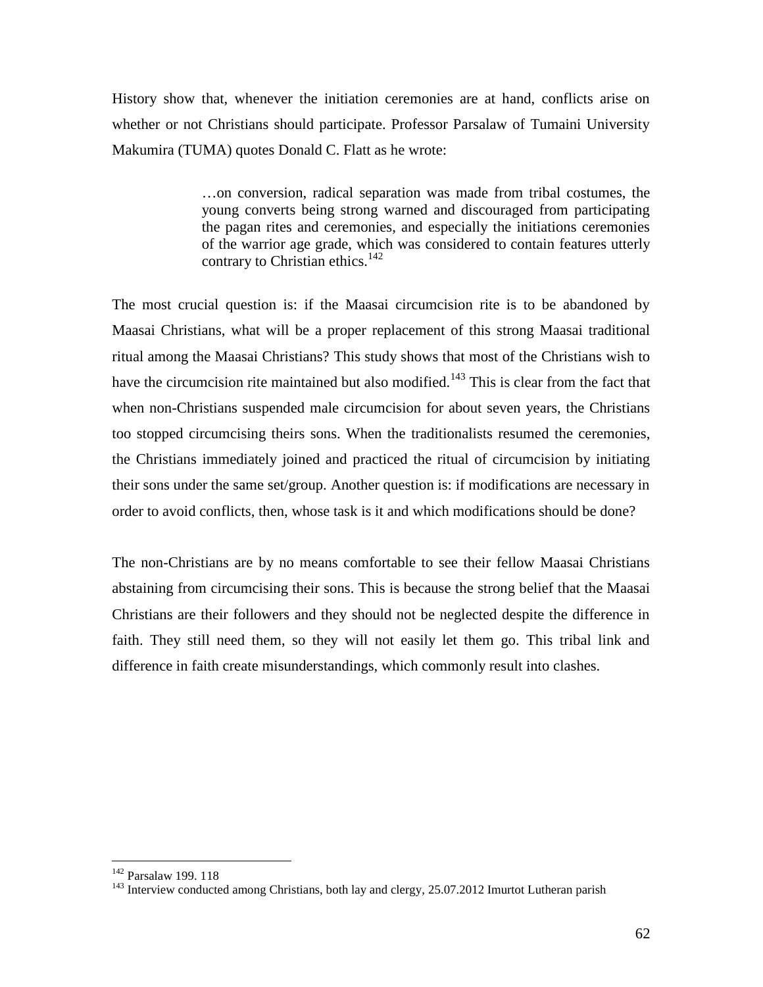History show that, whenever the initiation ceremonies are at hand, conflicts arise on whether or not Christians should participate. Professor Parsalaw of Tumaini University Makumira (TUMA) quotes Donald C. Flatt as he wrote:

> …on conversion, radical separation was made from tribal costumes, the young converts being strong warned and discouraged from participating the pagan rites and ceremonies, and especially the initiations ceremonies of the warrior age grade, which was considered to contain features utterly contrary to Christian ethics. $142$

The most crucial question is: if the Maasai circumcision rite is to be abandoned by Maasai Christians, what will be a proper replacement of this strong Maasai traditional ritual among the Maasai Christians? This study shows that most of the Christians wish to have the circumcision rite maintained but also modified.<sup>143</sup> This is clear from the fact that when non-Christians suspended male circumcision for about seven years, the Christians too stopped circumcising theirs sons. When the traditionalists resumed the ceremonies, the Christians immediately joined and practiced the ritual of circumcision by initiating their sons under the same set/group. Another question is: if modifications are necessary in order to avoid conflicts, then, whose task is it and which modifications should be done?

The non-Christians are by no means comfortable to see their fellow Maasai Christians abstaining from circumcising their sons. This is because the strong belief that the Maasai Christians are their followers and they should not be neglected despite the difference in faith. They still need them, so they will not easily let them go. This tribal link and difference in faith create misunderstandings, which commonly result into clashes.

<sup>142</sup> Parsalaw 199. 118

<sup>&</sup>lt;sup>143</sup> Interview conducted among Christians, both lay and clergy, 25.07.2012 Imurtot Lutheran parish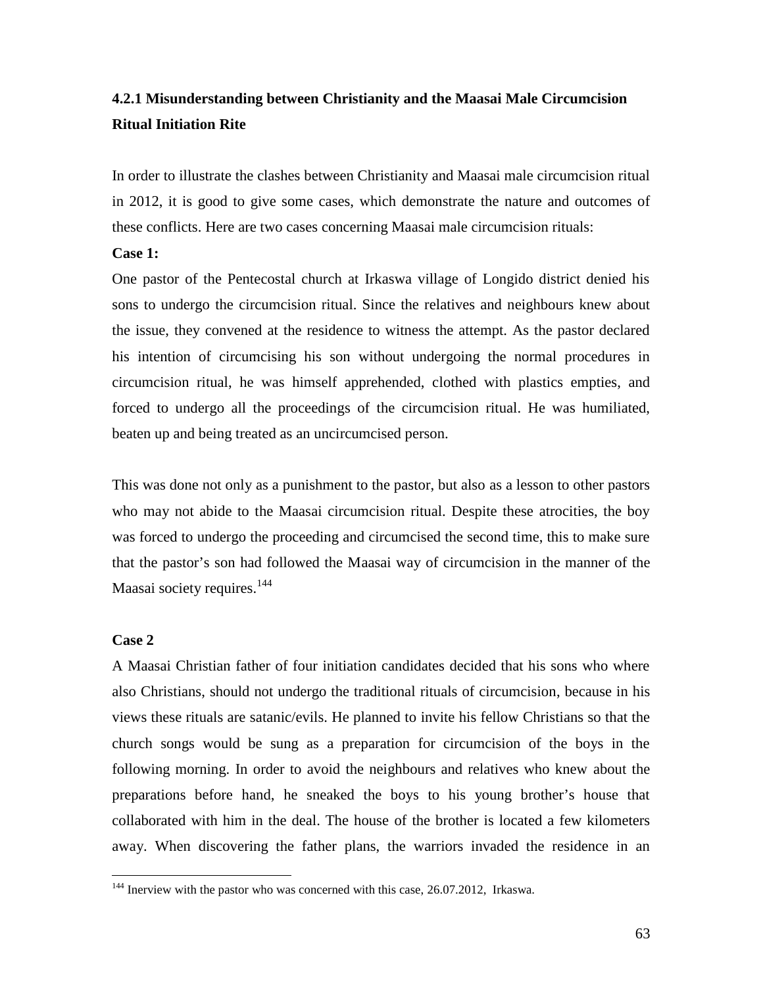# **4.2.1 Misunderstanding between Christianity and the Maasai Male Circumcision Ritual Initiation Rite**

In order to illustrate the clashes between Christianity and Maasai male circumcision ritual in 2012, it is good to give some cases, which demonstrate the nature and outcomes of these conflicts. Here are two cases concerning Maasai male circumcision rituals:

#### **Case 1:**

One pastor of the Pentecostal church at Irkaswa village of Longido district denied his sons to undergo the circumcision ritual. Since the relatives and neighbours knew about the issue, they convened at the residence to witness the attempt. As the pastor declared his intention of circumcising his son without undergoing the normal procedures in circumcision ritual, he was himself apprehended, clothed with plastics empties, and forced to undergo all the proceedings of the circumcision ritual. He was humiliated, beaten up and being treated as an uncircumcised person.

This was done not only as a punishment to the pastor, but also as a lesson to other pastors who may not abide to the Maasai circumcision ritual. Despite these atrocities, the boy was forced to undergo the proceeding and circumcised the second time, this to make sure that the pastor's son had followed the Maasai way of circumcision in the manner of the Maasai society requires.<sup>144</sup>

# **Case 2**

A Maasai Christian father of four initiation candidates decided that his sons who where also Christians, should not undergo the traditional rituals of circumcision, because in his views these rituals are satanic/evils. He planned to invite his fellow Christians so that the church songs would be sung as a preparation for circumcision of the boys in the following morning. In order to avoid the neighbours and relatives who knew about the preparations before hand, he sneaked the boys to his young brother's house that collaborated with him in the deal. The house of the brother is located a few kilometers away. When discovering the father plans, the warriors invaded the residence in an

<sup>&</sup>lt;sup>144</sup> Inerview with the pastor who was concerned with this case, 26.07.2012, Irkaswa.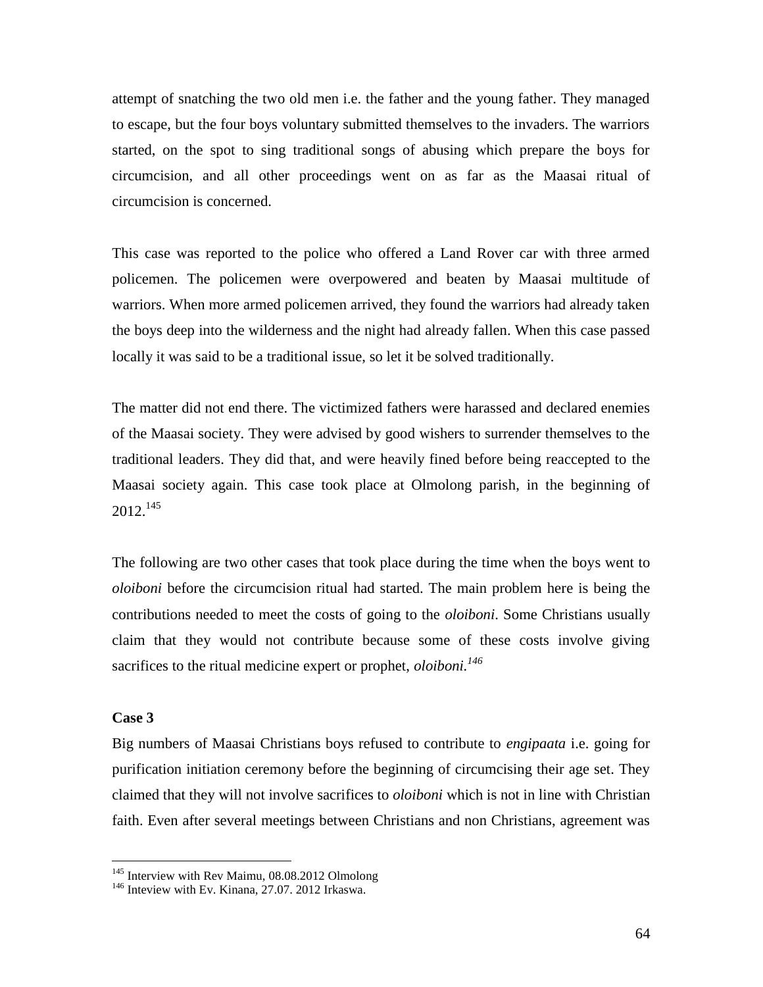attempt of snatching the two old men i.e. the father and the young father. They managed to escape, but the four boys voluntary submitted themselves to the invaders. The warriors started, on the spot to sing traditional songs of abusing which prepare the boys for circumcision, and all other proceedings went on as far as the Maasai ritual of circumcision is concerned.

This case was reported to the police who offered a Land Rover car with three armed policemen. The policemen were overpowered and beaten by Maasai multitude of warriors. When more armed policemen arrived, they found the warriors had already taken the boys deep into the wilderness and the night had already fallen. When this case passed locally it was said to be a traditional issue, so let it be solved traditionally.

The matter did not end there. The victimized fathers were harassed and declared enemies of the Maasai society. They were advised by good wishers to surrender themselves to the traditional leaders. They did that, and were heavily fined before being reaccepted to the Maasai society again. This case took place at Olmolong parish, in the beginning of  $2012.<sup>145</sup>$ 

The following are two other cases that took place during the time when the boys went to *oloiboni* before the circumcision ritual had started. The main problem here is being the contributions needed to meet the costs of going to the *oloiboni*. Some Christians usually claim that they would not contribute because some of these costs involve giving sacrifices to the ritual medicine expert or prophet, *oloiboni.<sup>146</sup>*

# **Case 3**

Big numbers of Maasai Christians boys refused to contribute to *engipaata* i.e. going for purification initiation ceremony before the beginning of circumcising their age set. They claimed that they will not involve sacrifices to *oloiboni* which is not in line with Christian faith. Even after several meetings between Christians and non Christians, agreement was

<sup>&</sup>lt;sup>145</sup> Interview with Rev Maimu, 08.08.2012 Olmolong

<sup>&</sup>lt;sup>146</sup> Inteview with Ev. Kinana, 27.07. 2012 Irkaswa.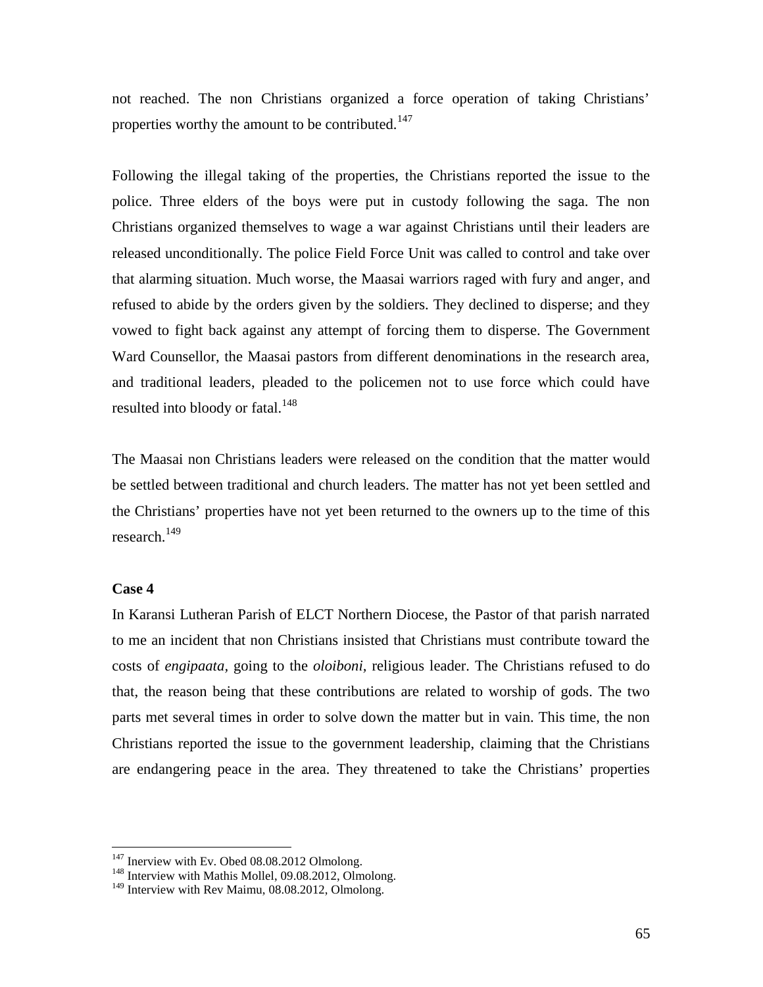not reached. The non Christians organized a force operation of taking Christians' properties worthy the amount to be contributed.<sup>147</sup>

Following the illegal taking of the properties, the Christians reported the issue to the police. Three elders of the boys were put in custody following the saga. The non Christians organized themselves to wage a war against Christians until their leaders are released unconditionally. The police Field Force Unit was called to control and take over that alarming situation. Much worse, the Maasai warriors raged with fury and anger, and refused to abide by the orders given by the soldiers. They declined to disperse; and they vowed to fight back against any attempt of forcing them to disperse. The Government Ward Counsellor, the Maasai pastors from different denominations in the research area, and traditional leaders, pleaded to the policemen not to use force which could have resulted into bloody or fatal.<sup>148</sup>

The Maasai non Christians leaders were released on the condition that the matter would be settled between traditional and church leaders. The matter has not yet been settled and the Christians' properties have not yet been returned to the owners up to the time of this research.<sup>149</sup>

## **Case 4**

In Karansi Lutheran Parish of ELCT Northern Diocese, the Pastor of that parish narrated to me an incident that non Christians insisted that Christians must contribute toward the costs of *engipaata,* going to the *oloiboni,* religious leader. The Christians refused to do that, the reason being that these contributions are related to worship of gods. The two parts met several times in order to solve down the matter but in vain. This time, the non Christians reported the issue to the government leadership, claiming that the Christians are endangering peace in the area. They threatened to take the Christians' properties

 $147$  Inerview with Ev. Obed 08.08.2012 Olmolong.<br> $148$  Interview with Mathis Mollel, 09.08.2012, Olmolong.

<sup>&</sup>lt;sup>149</sup> Interview with Rev Maimu, 08.08.2012, Olmolong.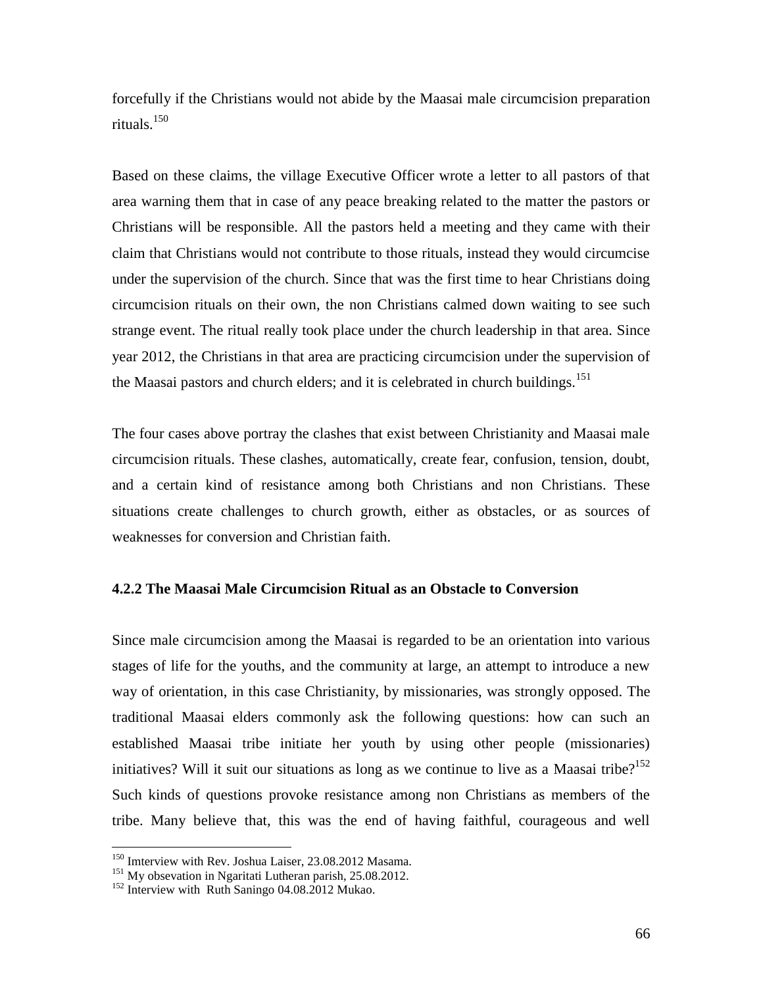forcefully if the Christians would not abide by the Maasai male circumcision preparation rituals.<sup>150</sup>

Based on these claims, the village Executive Officer wrote a letter to all pastors of that area warning them that in case of any peace breaking related to the matter the pastors or Christians will be responsible. All the pastors held a meeting and they came with their claim that Christians would not contribute to those rituals, instead they would circumcise under the supervision of the church. Since that was the first time to hear Christians doing circumcision rituals on their own, the non Christians calmed down waiting to see such strange event. The ritual really took place under the church leadership in that area. Since year 2012, the Christians in that area are practicing circumcision under the supervision of the Maasai pastors and church elders; and it is celebrated in church buildings.<sup>151</sup>

The four cases above portray the clashes that exist between Christianity and Maasai male circumcision rituals. These clashes, automatically, create fear, confusion, tension, doubt, and a certain kind of resistance among both Christians and non Christians. These situations create challenges to church growth, either as obstacles, or as sources of weaknesses for conversion and Christian faith.

# **4.2.2 The Maasai Male Circumcision Ritual as an Obstacle to Conversion**

Since male circumcision among the Maasai is regarded to be an orientation into various stages of life for the youths, and the community at large, an attempt to introduce a new way of orientation, in this case Christianity, by missionaries, was strongly opposed. The traditional Maasai elders commonly ask the following questions: how can such an established Maasai tribe initiate her youth by using other people (missionaries) initiatives? Will it suit our situations as long as we continue to live as a Maasai tribe?<sup>152</sup> Such kinds of questions provoke resistance among non Christians as members of the tribe. Many believe that, this was the end of having faithful, courageous and well

<sup>&</sup>lt;sup>150</sup> Imterview with Rev. Joshua Laiser, 23.08.2012 Masama.<br><sup>151</sup> My obsevation in Ngaritati Lutheran parish, 25.08.2012.<br><sup>152</sup> Interview with Ruth Saningo 04.08.2012 Mukao.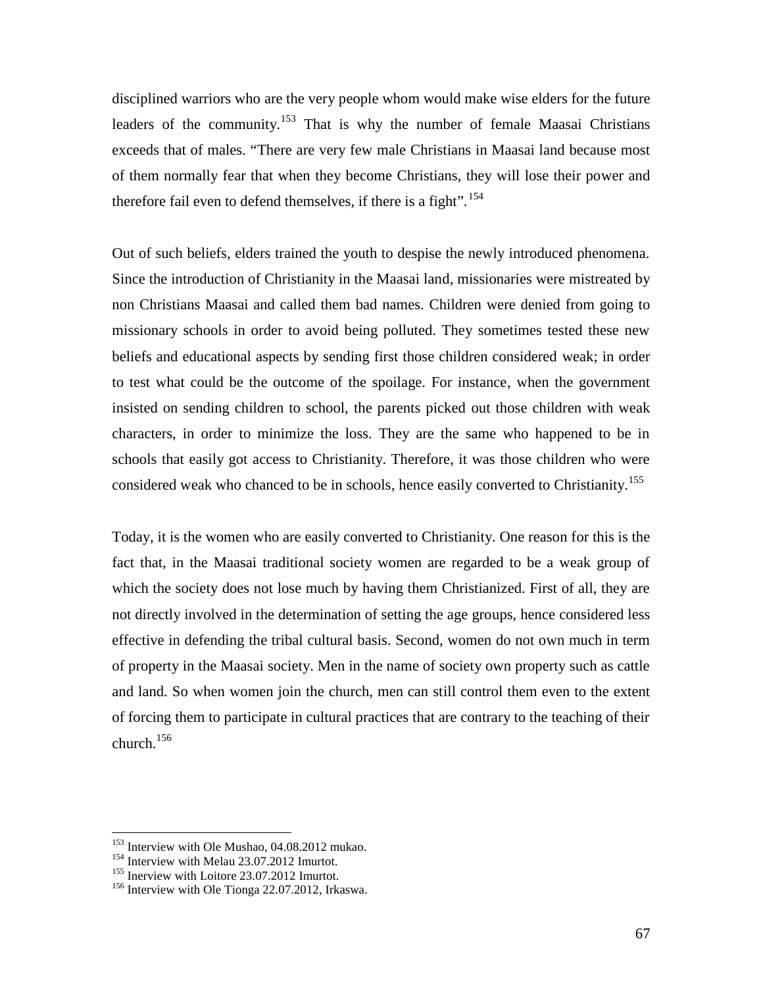disciplined warriors who are the very people whom would make wise elders for the future leaders of the community.<sup>153</sup> That is why the number of female Maasai Christians exceeds that of males. "There are very few male Christians in Maasai land because most of them normally fear that when they become Christians, they will lose their power and therefore fail even to defend themselves, if there is a fight".<sup>154</sup>

Out of such beliefs, elders trained the youth to despise the newly introduced phenomena. Since the introduction of Christianity in the Maasai land, missionaries were mistreated by non Christians Maasai and called them bad names. Children were denied from going to missionary schools in order to avoid being polluted. They sometimes tested these new beliefs and educational aspects by sending first those children considered weak; in order to test what could be the outcome of the spoilage. For instance, when the government insisted on sending children to school, the parents picked out those children with weak characters, in order to minimize the loss. They are the same who happened to be in schools that easily got access to Christianity. Therefore, it was those children who were considered weak who chanced to be in schools, hence easily converted to Christianity.<sup>155</sup>

Today, it is the women who are easily converted to Christianity. One reason for this is the fact that, in the Maasai traditional society women are regarded to be a weak group of which the society does not lose much by having them Christianized. First of all, they are not directly involved in the determination of setting the age groups, hence considered less effective in defending the tribal cultural basis. Second, women do not own much in term of property in the Maasai society. Men in the name of society own property such as cattle and land. So when women join the church, men can still control them even to the extent of forcing them to participate in cultural practices that are contrary to the teaching of their church. $156$ 

<sup>&</sup>lt;sup>153</sup> Interview with Ole Mushao, 04.08.2012 mukao.<br><sup>154</sup> Interview with Melau 23.07.2012 Imurtot.<br><sup>155</sup> Inerview with Loitore 23.07.2012 Imurtot.<br><sup>156</sup> Interview with Ole Tionga 22.07.2012, Irkaswa.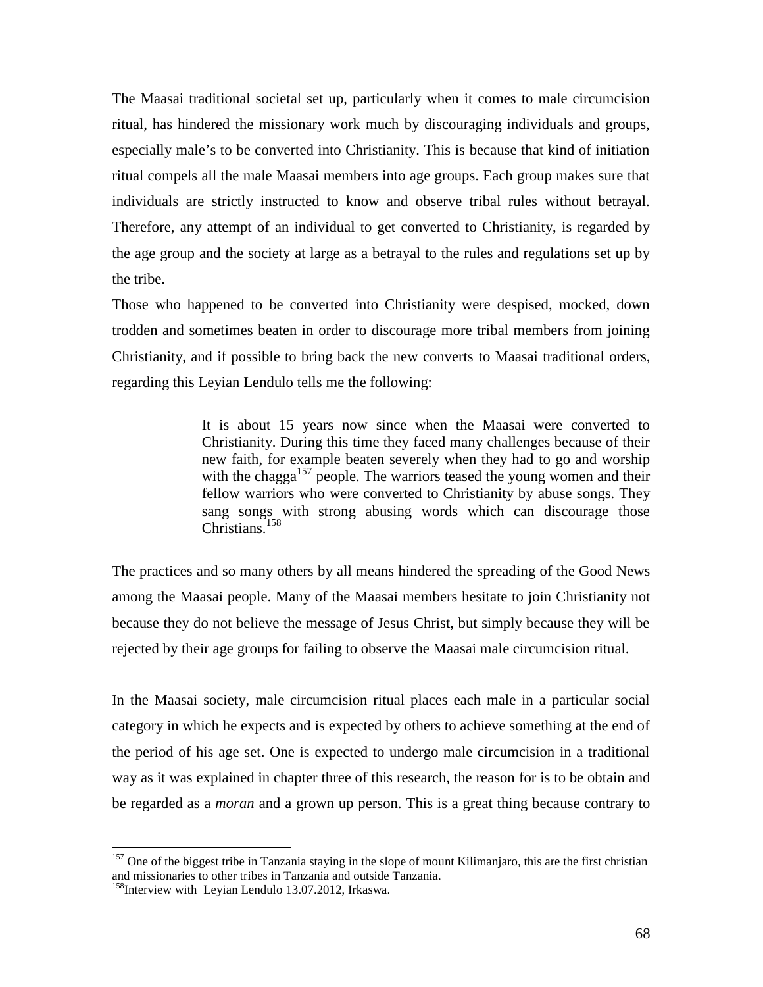The Maasai traditional societal set up, particularly when it comes to male circumcision ritual, has hindered the missionary work much by discouraging individuals and groups, especially male's to be converted into Christianity. This is because that kind of initiation ritual compels all the male Maasai members into age groups. Each group makes sure that individuals are strictly instructed to know and observe tribal rules without betrayal. Therefore, any attempt of an individual to get converted to Christianity, is regarded by the age group and the society at large as a betrayal to the rules and regulations set up by the tribe.

Those who happened to be converted into Christianity were despised, mocked, down trodden and sometimes beaten in order to discourage more tribal members from joining Christianity, and if possible to bring back the new converts to Maasai traditional orders, regarding this Leyian Lendulo tells me the following:

> It is about 15 years now since when the Maasai were converted to Christianity. During this time they faced many challenges because of their new faith, for example beaten severely when they had to go and worship with the chagga<sup>157</sup> people. The warriors teased the young women and their fellow warriors who were converted to Christianity by abuse songs. They sang songs with strong abusing words which can discourage those Christians.<sup>158</sup>

The practices and so many others by all means hindered the spreading of the Good News among the Maasai people. Many of the Maasai members hesitate to join Christianity not because they do not believe the message of Jesus Christ, but simply because they will be rejected by their age groups for failing to observe the Maasai male circumcision ritual.

In the Maasai society, male circumcision ritual places each male in a particular social category in which he expects and is expected by others to achieve something at the end of the period of his age set. One is expected to undergo male circumcision in a traditional way as it was explained in chapter three of this research, the reason for is to be obtain and be regarded as a *moran* and a grown up person. This is a great thing because contrary to

 $157$  One of the biggest tribe in Tanzania staying in the slope of mount Kilimanjaro, this are the first christian and missionaries to other tribes in Tanzania and outside Tanzania.<br><sup>158</sup>Interview with Leyian Lendulo 13.07.2012, Irkaswa.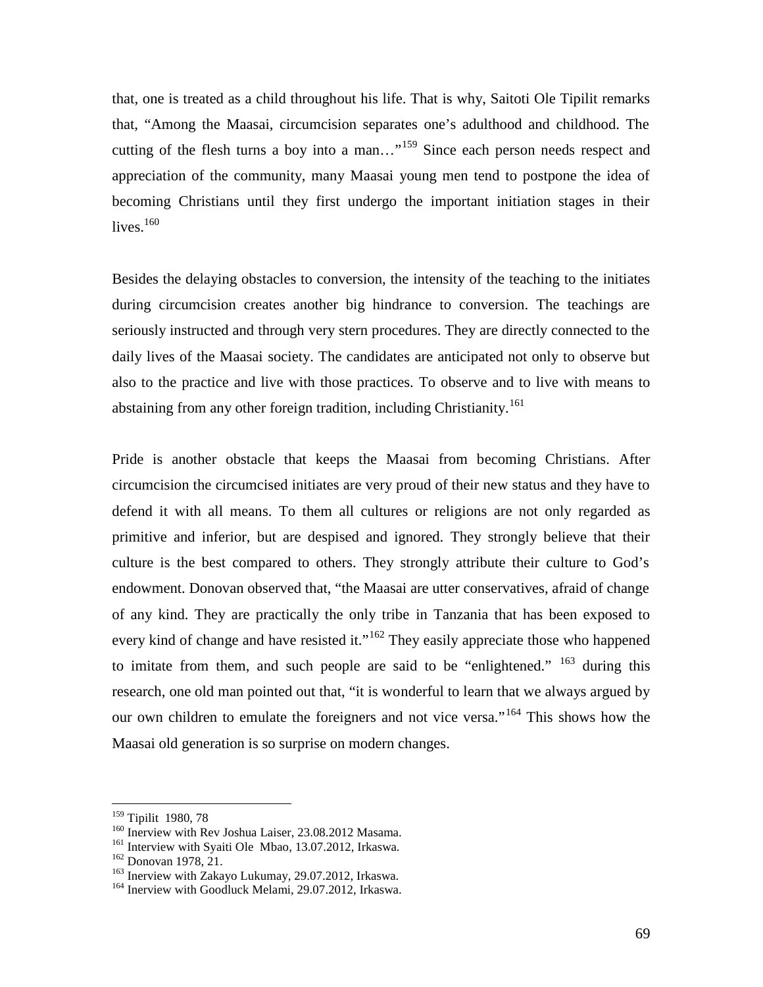that, one is treated as a child throughout his life. That is why, Saitoti Ole Tipilit remarks that, "Among the Maasai, circumcision separates one's adulthood and childhood. The cutting of the flesh turns a boy into a man..."<sup>159</sup> Since each person needs respect and appreciation of the community, many Maasai young men tend to postpone the idea of becoming Christians until they first undergo the important initiation stages in their lives. $160$ 

Besides the delaying obstacles to conversion, the intensity of the teaching to the initiates during circumcision creates another big hindrance to conversion. The teachings are seriously instructed and through very stern procedures. They are directly connected to the daily lives of the Maasai society. The candidates are anticipated not only to observe but also to the practice and live with those practices. To observe and to live with means to abstaining from any other foreign tradition, including Christianity.<sup>161</sup>

Pride is another obstacle that keeps the Maasai from becoming Christians. After circumcision the circumcised initiates are very proud of their new status and they have to defend it with all means. To them all cultures or religions are not only regarded as primitive and inferior, but are despised and ignored. They strongly believe that their culture is the best compared to others. They strongly attribute their culture to God's endowment. Donovan observed that, "the Maasai are utter conservatives, afraid of change of any kind. They are practically the only tribe in Tanzania that has been exposed to every kind of change and have resisted it."<sup>162</sup> They easily appreciate those who happened to imitate from them, and such people are said to be "enlightened." <sup>163</sup> during this research, one old man pointed out that, "it is wonderful to learn that we always argued by our own children to emulate the foreigners and not vice versa."<sup>164</sup> This shows how the Maasai old generation is so surprise on modern changes.

<sup>&</sup>lt;sup>159</sup> Tipilit 1980, 78<br><sup>160</sup> Inerview with Rev Joshua Laiser, 23.08.2012 Masama.

<sup>&</sup>lt;sup>161</sup> Interview with Syaiti Ole Mbao, 13.07.2012, Irkaswa.<br><sup>162</sup> Donovan 1978, 21.<br><sup>163</sup> Inerview with Zakayo Lukumay, 29.07.2012, Irkaswa.<br><sup>164</sup> Inerview with Goodluck Melami, 29.07.2012, Irkaswa.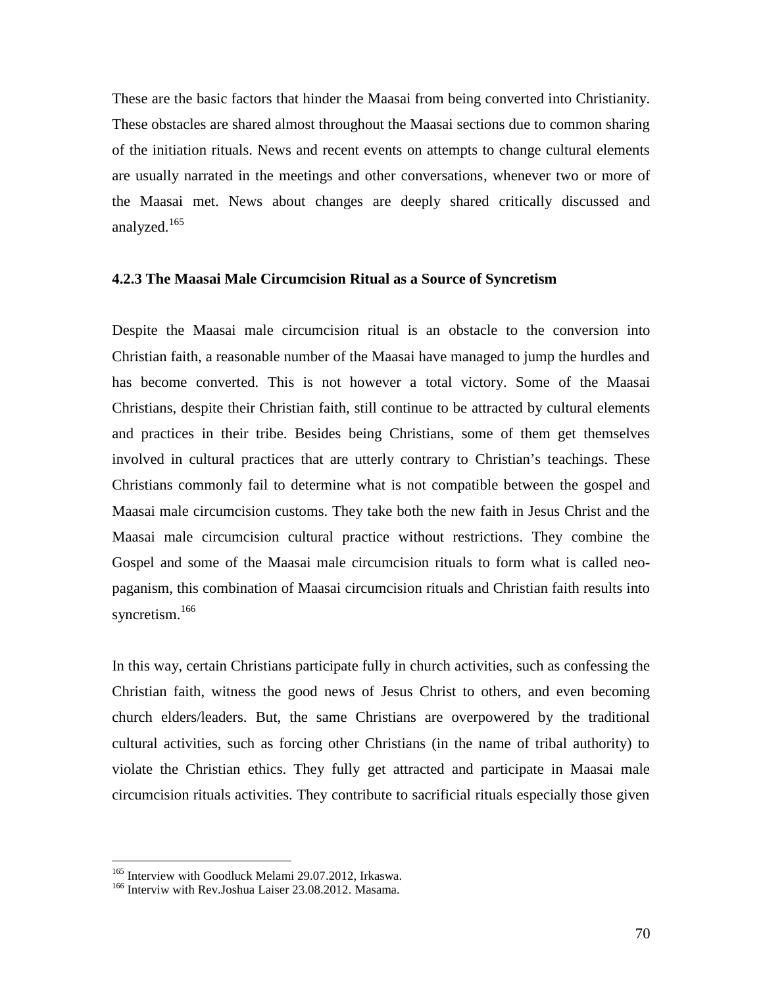These are the basic factors that hinder the Maasai from being converted into Christianity. These obstacles are shared almost throughout the Maasai sections due to common sharing of the initiation rituals. News and recent events on attempts to change cultural elements are usually narrated in the meetings and other conversations, whenever two or more of the Maasai met. News about changes are deeply shared critically discussed and analyzed.<sup>165</sup>

#### **4.2.3 The Maasai Male Circumcision Ritual as a Source of Syncretism**

Despite the Maasai male circumcision ritual is an obstacle to the conversion into Christian faith, a reasonable number of the Maasai have managed to jump the hurdles and has become converted. This is not however a total victory. Some of the Maasai Christians, despite their Christian faith, still continue to be attracted by cultural elements and practices in their tribe. Besides being Christians, some of them get themselves involved in cultural practices that are utterly contrary to Christian's teachings. These Christians commonly fail to determine what is not compatible between the gospel and Maasai male circumcision customs. They take both the new faith in Jesus Christ and the Maasai male circumcision cultural practice without restrictions. They combine the Gospel and some of the Maasai male circumcision rituals to form what is called neo paganism, this combination of Maasai circumcision rituals and Christian faith results into syncretism.<sup>166</sup>

In this way, certain Christians participate fully in church activities, such as confessing the Christian faith, witness the good news of Jesus Christ to others, and even becoming church elders/leaders. But, the same Christians are overpowered by the traditional cultural activities, such as forcing other Christians (in the name of tribal authority) to violate the Christian ethics. They fully get attracted and participate in Maasai male circumcision rituals activities. They contribute to sacrificial rituals especially those given

<sup>&</sup>lt;sup>165</sup> Interview with Goodluck Melami 29.07.2012, Irkaswa.<br><sup>166</sup> Interviw with Rev.Joshua Laiser 23.08.2012. Masama.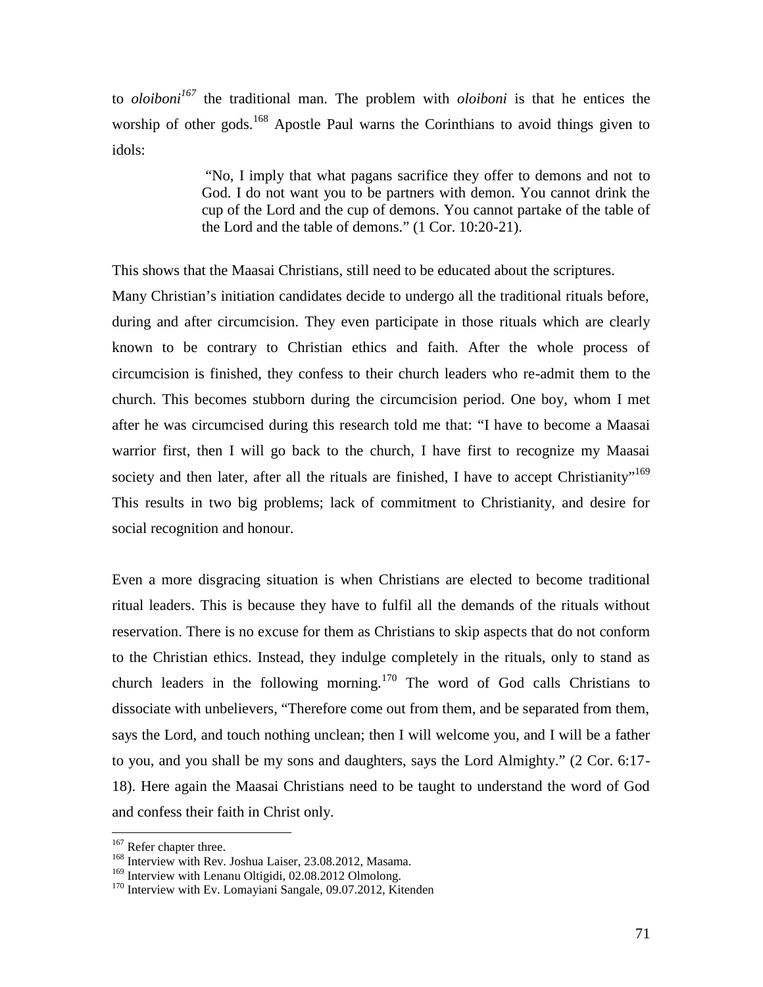to *oloiboni<sup>167</sup>* the traditional man. The problem with *oloiboni* is that he entices the worship of other gods.<sup>168</sup> Apostle Paul warns the Corinthians to avoid things given to idols:

> "No, I imply that what pagans sacrifice they offer to demons and not to God. I do not want you to be partners with demon. You cannot drink the cup of the Lord and the cup of demons. You cannot partake of the table of the Lord and the table of demons." (1 Cor. 10:20-21).

This shows that the Maasai Christians, still need to be educated about the scriptures.

Many Christian's initiation candidates decide to undergo all the traditional rituals before, during and after circumcision. They even participate in those rituals which are clearly known to be contrary to Christian ethics and faith. After the whole process of circumcision is finished, they confess to their church leaders who re-admit them to the church. This becomes stubborn during the circumcision period. One boy, whom I met after he was circumcised during this research told me that: "I have to become a Maasai warrior first, then I will go back to the church, I have first to recognize my Maasai society and then later, after all the rituals are finished, I have to accept Christianity"<sup>169</sup> This results in two big problems; lack of commitment to Christianity, and desire for social recognition and honour.

Even a more disgracing situation is when Christians are elected to become traditional ritual leaders. This is because they have to fulfil all the demands of the rituals without reservation. There is no excuse for them as Christians to skip aspects that do not conform to the Christian ethics. Instead, they indulge completely in the rituals, only to stand as church leaders in the following morning.<sup>170</sup> The word of God calls Christians to dissociate with unbelievers, "Therefore come out from them, and be separated from them, says the Lord, and touch nothing unclean; then I will welcome you, and I will be a father to you, and you shall be my sons and daughters, says the Lord Almighty." (2 Cor. 6:17- 18). Here again the Maasai Christians need to be taught to understand the word of God and confess their faith in Christ only.

<sup>&</sup>lt;sup>167</sup> Refer chapter three.<br><sup>168</sup> Interview with Rev. Joshua Laiser, 23.08.2012, Masama.<br><sup>169</sup> Interview with Lenanu Oltigidi, 02.08.2012 Olmolong.

 $170$  Interview with Ev. Lomayiani Sangale, 09.07.2012, Kitenden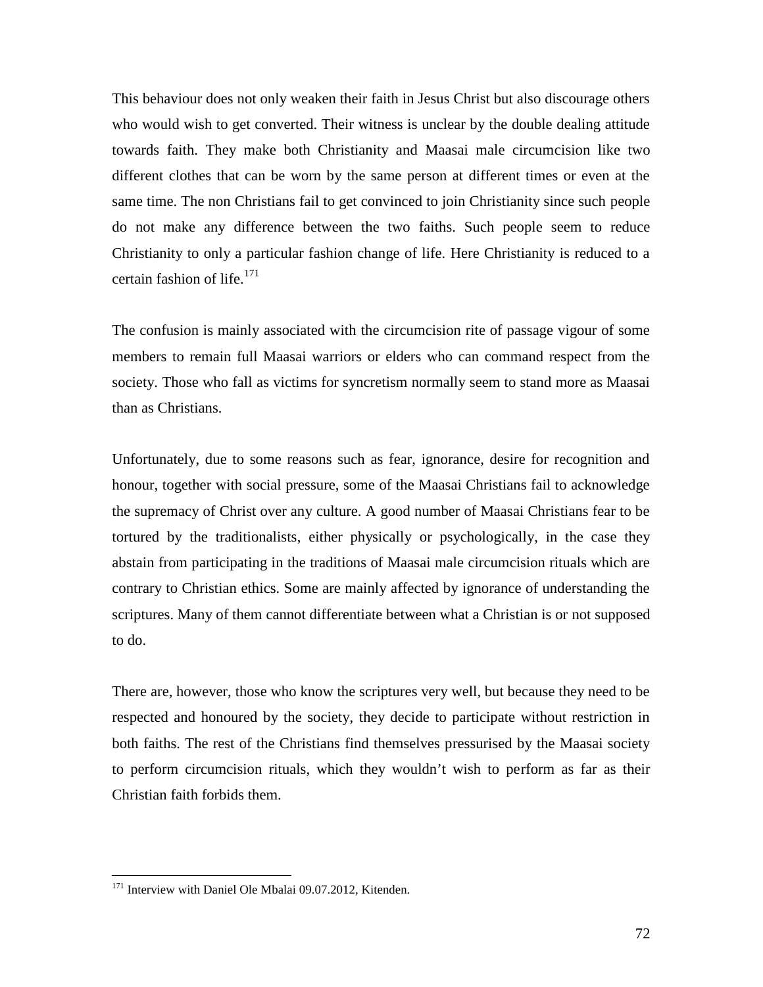This behaviour does not only weaken their faith in Jesus Christ but also discourage others who would wish to get converted. Their witness is unclear by the double dealing attitude towards faith. They make both Christianity and Maasai male circumcision like two different clothes that can be worn by the same person at different times or even at the same time. The non Christians fail to get convinced to join Christianity since such people do not make any difference between the two faiths. Such people seem to reduce Christianity to only a particular fashion change of life. Here Christianity is reduced to a certain fashion of life. $171$ 

The confusion is mainly associated with the circumcision rite of passage vigour of some members to remain full Maasai warriors or elders who can command respect from the society. Those who fall as victims for syncretism normally seem to stand more as Maasai than as Christians.

Unfortunately, due to some reasons such as fear, ignorance, desire for recognition and honour, together with social pressure, some of the Maasai Christians fail to acknowledge the supremacy of Christ over any culture. A good number of Maasai Christians fear to be tortured by the traditionalists, either physically or psychologically, in the case they abstain from participating in the traditions of Maasai male circumcision rituals which are contrary to Christian ethics. Some are mainly affected by ignorance of understanding the scriptures. Many of them cannot differentiate between what a Christian is or not supposed to do.

There are, however, those who know the scriptures very well, but because they need to be respected and honoured by the society, they decide to participate without restriction in both faiths. The rest of the Christians find themselves pressurised by the Maasai society to perform circumcision rituals, which they wouldn't wish to perform as far as their Christian faith forbids them.

<sup>&</sup>lt;sup>171</sup> Interview with Daniel Ole Mbalai 09.07.2012, Kitenden.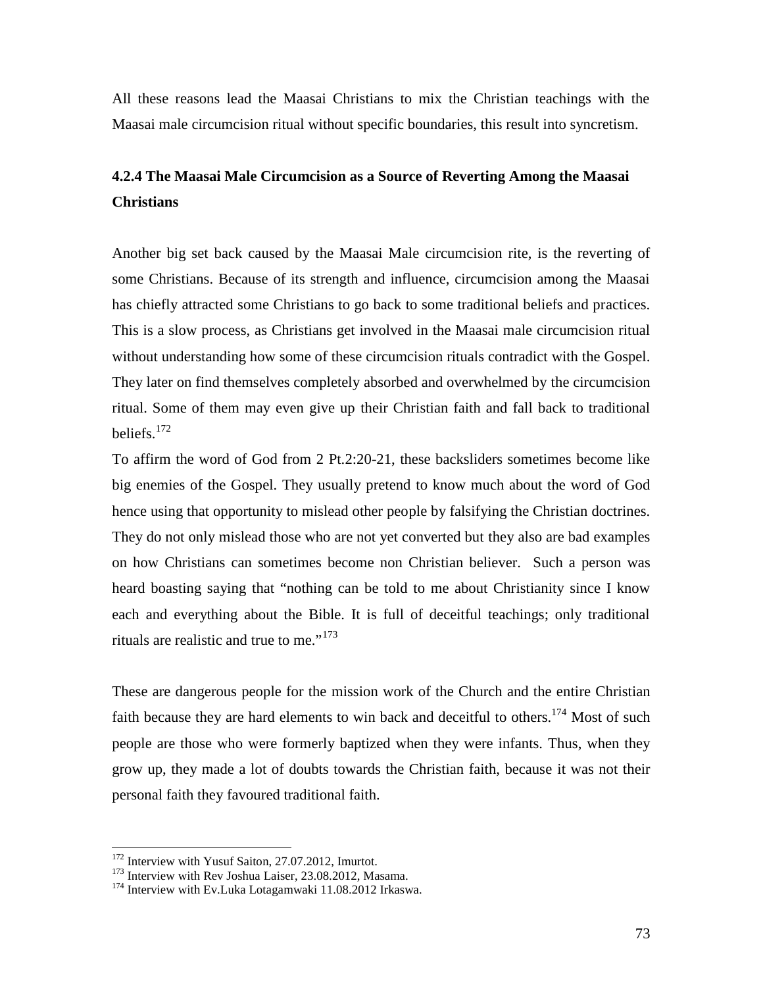All these reasons lead the Maasai Christians to mix the Christian teachings with the Maasai male circumcision ritual without specific boundaries, this result into syncretism.

## **4.2.4 The Maasai Male Circumcision as a Source of Reverting Among the Maasai Christians**

Another big set back caused by the Maasai Male circumcision rite, is the reverting of some Christians. Because of its strength and influence, circumcision among the Maasai has chiefly attracted some Christians to go back to some traditional beliefs and practices. This is a slow process, as Christians get involved in the Maasai male circumcision ritual without understanding how some of these circumcision rituals contradict with the Gospel. They later on find themselves completely absorbed and overwhelmed by the circumcision ritual. Some of them may even give up their Christian faith and fall back to traditional beliefs. $172$ 

To affirm the word of God from 2 Pt.2:20-21, these backsliders sometimes become like big enemies of the Gospel. They usually pretend to know much about the word of God hence using that opportunity to mislead other people by falsifying the Christian doctrines. They do not only mislead those who are not yet converted but they also are bad examples on how Christians can sometimes become non Christian believer. Such a person was heard boasting saying that "nothing can be told to me about Christianity since I know each and everything about the Bible. It is full of deceitful teachings; only traditional rituals are realistic and true to me."<sup>173</sup>

These are dangerous people for the mission work of the Church and the entire Christian faith because they are hard elements to win back and deceitful to others.<sup>174</sup> Most of such people are those who were formerly baptized when they were infants. Thus, when they grow up, they made a lot of doubts towards the Christian faith, because it was not their personal faith they favoured traditional faith.

<sup>&</sup>lt;sup>172</sup> Interview with Yusuf Saiton, 27.07.2012, Imurtot.<br><sup>173</sup> Interview with Rev Joshua Laiser, 23.08.2012, Masama.<br><sup>174</sup> Interview with Ev.Luka Lotagamwaki 11.08.2012 Irkaswa.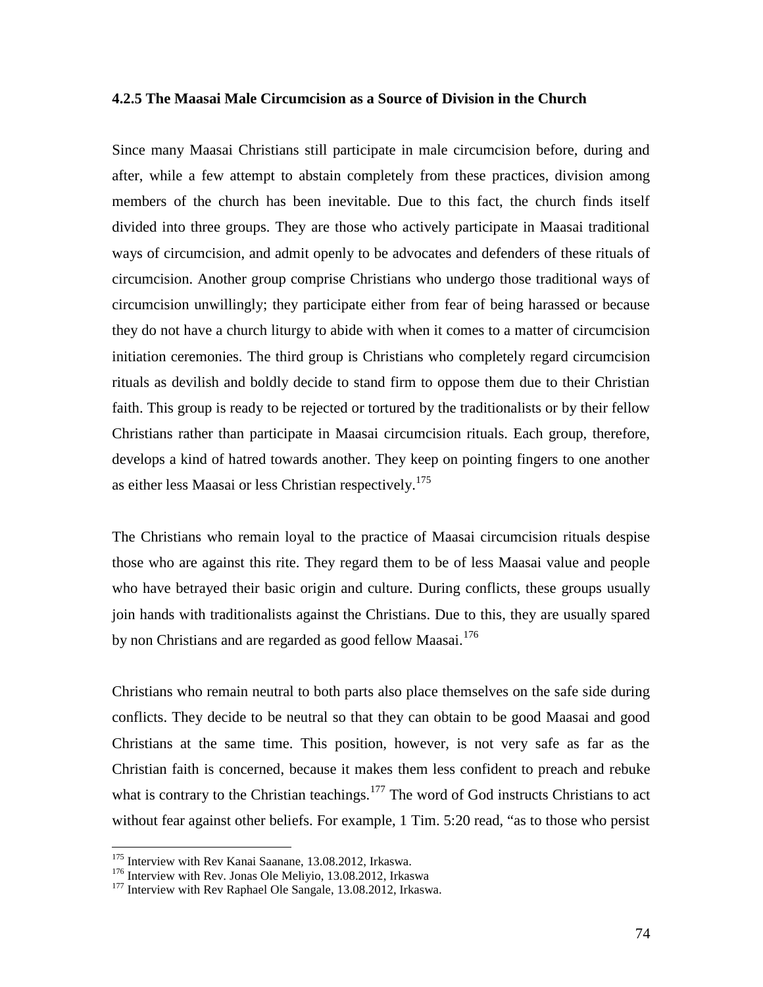#### **4.2.5 The Maasai Male Circumcision as a Source of Division in the Church**

Since many Maasai Christians still participate in male circumcision before, during and after, while a few attempt to abstain completely from these practices, division among members of the church has been inevitable. Due to this fact, the church finds itself divided into three groups. They are those who actively participate in Maasai traditional ways of circumcision, and admit openly to be advocates and defenders of these rituals of circumcision. Another group comprise Christians who undergo those traditional ways of circumcision unwillingly; they participate either from fear of being harassed or because they do not have a church liturgy to abide with when it comes to a matter of circumcision initiation ceremonies. The third group is Christians who completely regard circumcision rituals as devilish and boldly decide to stand firm to oppose them due to their Christian faith. This group is ready to be rejected or tortured by the traditionalists or by their fellow Christians rather than participate in Maasai circumcision rituals. Each group, therefore, develops a kind of hatred towards another. They keep on pointing fingers to one another as either less Maasai or less Christian respectively.<sup>175</sup>

The Christians who remain loyal to the practice of Maasai circumcision rituals despise those who are against this rite. They regard them to be of less Maasai value and people who have betrayed their basic origin and culture. During conflicts, these groups usually join hands with traditionalists against the Christians. Due to this, they are usually spared by non Christians and are regarded as good fellow Maasai.<sup>176</sup>

Christians who remain neutral to both parts also place themselves on the safe side during conflicts. They decide to be neutral so that they can obtain to be good Maasai and good Christians at the same time. This position, however, is not very safe as far as the Christian faith is concerned, because it makes them less confident to preach and rebuke what is contrary to the Christian teachings.<sup>177</sup> The word of God instructs Christians to act without fear against other beliefs. For example, 1 Tim. 5:20 read, "as to those who persist

<sup>&</sup>lt;sup>175</sup> Interview with Rev Kanai Saanane, 13.08.2012, Irkaswa.<br><sup>176</sup> Interview with Rev. Jonas Ole Meliyio, 13.08.2012, Irkaswa

<sup>&</sup>lt;sup>177</sup> Interview with Rev Raphael Ole Sangale, 13.08.2012, Irkaswa.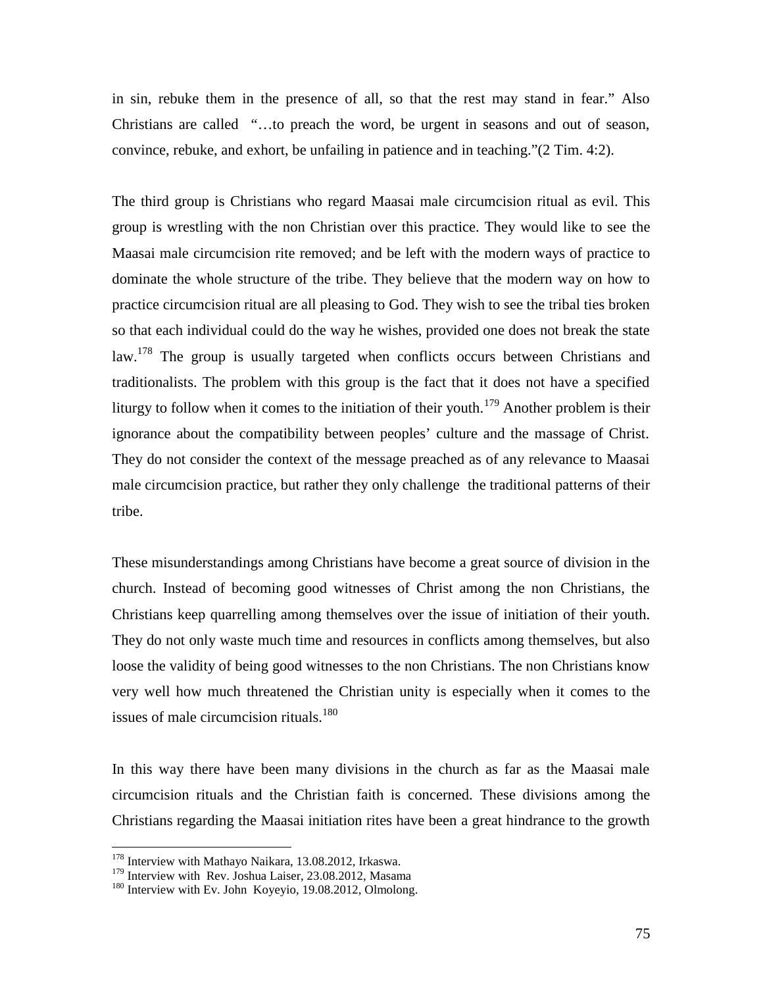in sin, rebuke them in the presence of all, so that the rest may stand in fear." Also Christians are called "…to preach the word, be urgent in seasons and out of season, convince, rebuke, and exhort, be unfailing in patience and in teaching."(2 Tim. 4:2).

The third group is Christians who regard Maasai male circumcision ritual as evil. This group is wrestling with the non Christian over this practice. They would like to see the Maasai male circumcision rite removed; and be left with the modern ways of practice to dominate the whole structure of the tribe. They believe that the modern way on how to practice circumcision ritual are all pleasing to God. They wish to see the tribal ties broken so that each individual could do the way he wishes, provided one does not break the state law.<sup>178</sup> The group is usually targeted when conflicts occurs between Christians and traditionalists. The problem with this group is the fact that it does not have a specified liturgy to follow when it comes to the initiation of their youth.<sup>179</sup> Another problem is their ignorance about the compatibility between peoples' culture and the massage of Christ. They do not consider the context of the message preached as of any relevance to Maasai male circumcision practice, but rather they only challenge the traditional patterns of their tribe.

These misunderstandings among Christians have become a great source of division in the church. Instead of becoming good witnesses of Christ among the non Christians, the Christians keep quarrelling among themselves over the issue of initiation of their youth. They do not only waste much time and resources in conflicts among themselves, but also loose the validity of being good witnesses to the non Christians. The non Christians know very well how much threatened the Christian unity is especially when it comes to the issues of male circumcision rituals. $180$ 

In this way there have been many divisions in the church as far as the Maasai male circumcision rituals and the Christian faith is concerned. These divisions among the Christians regarding the Maasai initiation rites have been a great hindrance to the growth

<sup>178</sup> Interview with Mathayo Naikara, 13.08.2012, Irkaswa.

<sup>&</sup>lt;sup>179</sup> Interview with Rev. Joshua Laiser, 23.08.2012, Masama

<sup>&</sup>lt;sup>180</sup> Interview with Ev. John Koyeyio, 19.08.2012, Olmolong.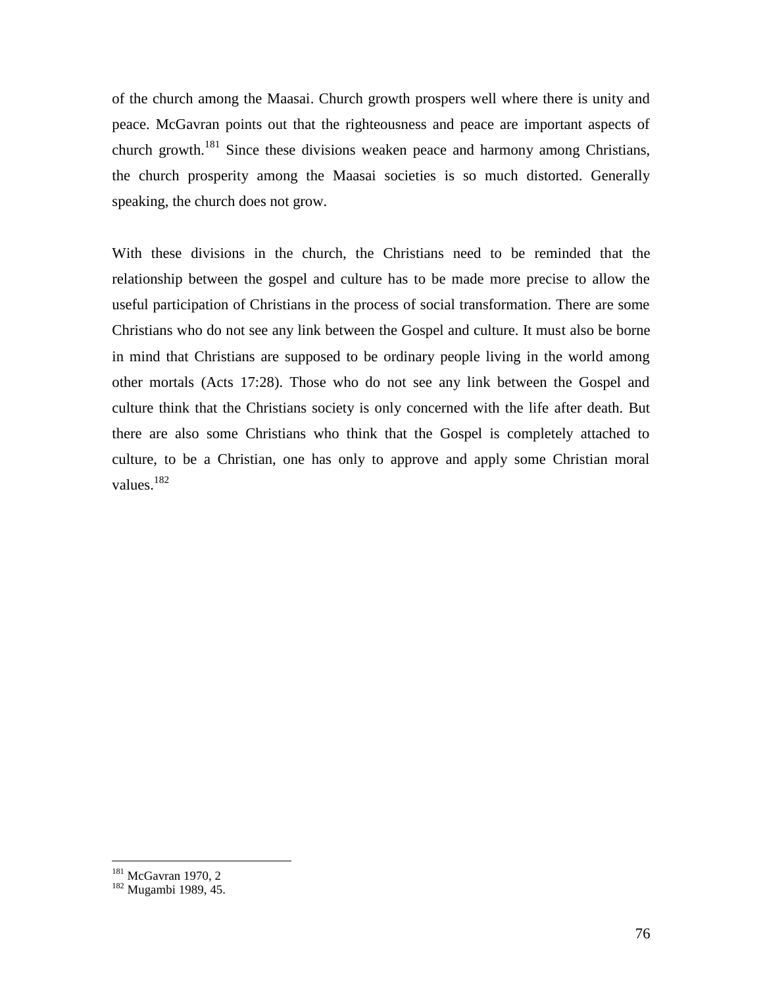of the church among the Maasai. Church growth prospers well where there is unity and peace. McGavran points out that the righteousness and peace are important aspects of church growth.<sup>181</sup> Since these divisions weaken peace and harmony among Christians, the church prosperity among the Maasai societies is so much distorted. Generally speaking, the church does not grow.

With these divisions in the church, the Christians need to be reminded that the relationship between the gospel and culture has to be made more precise to allow the useful participation of Christians in the process of social transformation. There are some Christians who do not see any link between the Gospel and culture. It must also be borne in mind that Christians are supposed to be ordinary people living in the world among other mortals (Acts 17:28). Those who do not see any link between the Gospel and culture think that the Christians society is only concerned with the life after death. But there are also some Christians who think that the Gospel is completely attached to culture, to be a Christian, one has only to approve and apply some Christian moral values.<sup>182</sup>

<sup>&</sup>lt;sup>181</sup> McGavran 1970, 2

<sup>182</sup> Mugambi 1989, 45.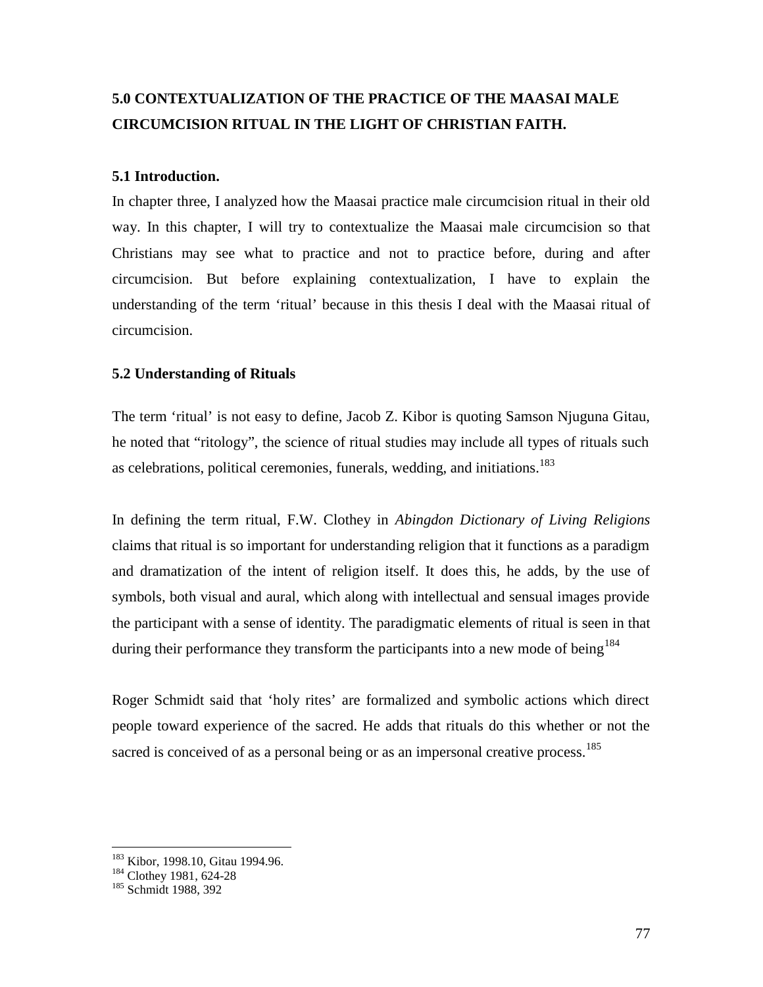# **5.0 CONTEXTUALIZATION OF THE PRACTICE OF THE MAASAI MALE CIRCUMCISION RITUAL IN THE LIGHT OF CHRISTIAN FAITH.**

## **5.1 Introduction.**

In chapter three, I analyzed how the Maasai practice male circumcision ritual in their old way. In this chapter, I will try to contextualize the Maasai male circumcision so that Christians may see what to practice and not to practice before, during and after circumcision. But before explaining contextualization, I have to explain the understanding of the term 'ritual' because in this thesis I deal with the Maasai ritual of circumcision.

## **5.2 Understanding of Rituals**

The term 'ritual' is not easy to define, Jacob Z. Kibor is quoting Samson Njuguna Gitau, he noted that "ritology", the science of ritual studies may include all types of rituals such as celebrations, political ceremonies, funerals, wedding, and initiations.<sup>183</sup>

In defining the term ritual, F.W. Clothey in *Abingdon Dictionary of Living Religions* claims that ritual is so important for understanding religion that it functions as a paradigm and dramatization of the intent of religion itself. It does this, he adds, by the use of symbols, both visual and aural, which along with intellectual and sensual images provide the participant with a sense of identity. The paradigmatic elements of ritual is seen in that during their performance they transform the participants into a new mode of being<sup>184</sup>

Roger Schmidt said that 'holy rites' are formalized and symbolic actions which direct people toward experience of the sacred. He adds that rituals do this whether or not the sacred is conceived of as a personal being or as an impersonal creative process.<sup>185</sup>

<sup>&</sup>lt;sup>183</sup> Kibor, 1998.10, Gitau 1994.96.<br><sup>184</sup> Clothey 1981, 624-28

<sup>185</sup> Schmidt 1988, 392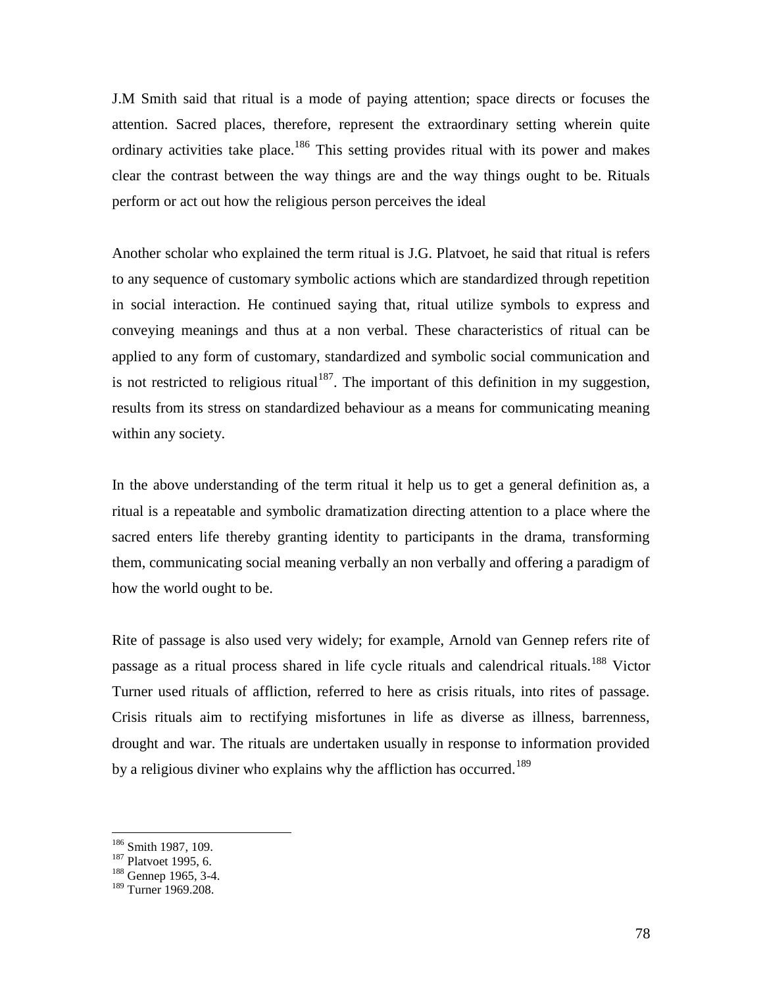J.M Smith said that ritual is a mode of paying attention; space directs or focuses the attention. Sacred places, therefore, represent the extraordinary setting wherein quite ordinary activities take place.<sup>186</sup> This setting provides ritual with its power and makes clear the contrast between the way things are and the way things ought to be. Rituals perform or act out how the religious person perceives the ideal

Another scholar who explained the term ritual is J.G. Platvoet, he said that ritual is refers to any sequence of customary symbolic actions which are standardized through repetition in social interaction. He continued saying that, ritual utilize symbols to express and conveying meanings and thus at a non verbal. These characteristics of ritual can be applied to any form of customary, standardized and symbolic social communication and is not restricted to religious ritual<sup>187</sup>. The important of this definition in my suggestion, results from its stress on standardized behaviour as a means for communicating meaning within any society.

In the above understanding of the term ritual it help us to get a general definition as, a ritual is a repeatable and symbolic dramatization directing attention to a place where the sacred enters life thereby granting identity to participants in the drama, transforming them, communicating social meaning verbally an non verbally and offering a paradigm of how the world ought to be.

Rite of passage is also used very widely; for example, Arnold van Gennep refers rite of passage as a ritual process shared in life cycle rituals and calendrical rituals.<sup>188</sup> Victor Turner used rituals of affliction, referred to here as crisis rituals, into rites of passage. Crisis rituals aim to rectifying misfortunes in life as diverse as illness, barrenness, drought and war. The rituals are undertaken usually in response to information provided by a religious diviner who explains why the affliction has occurred.<sup>189</sup>

<sup>&</sup>lt;sup>186</sup> Smith 1987, 109.<br><sup>187</sup> Platvoet 1995, 6.<br><sup>188</sup> Gennep 1965, 3-4.

<sup>189</sup> Turner 1969.208.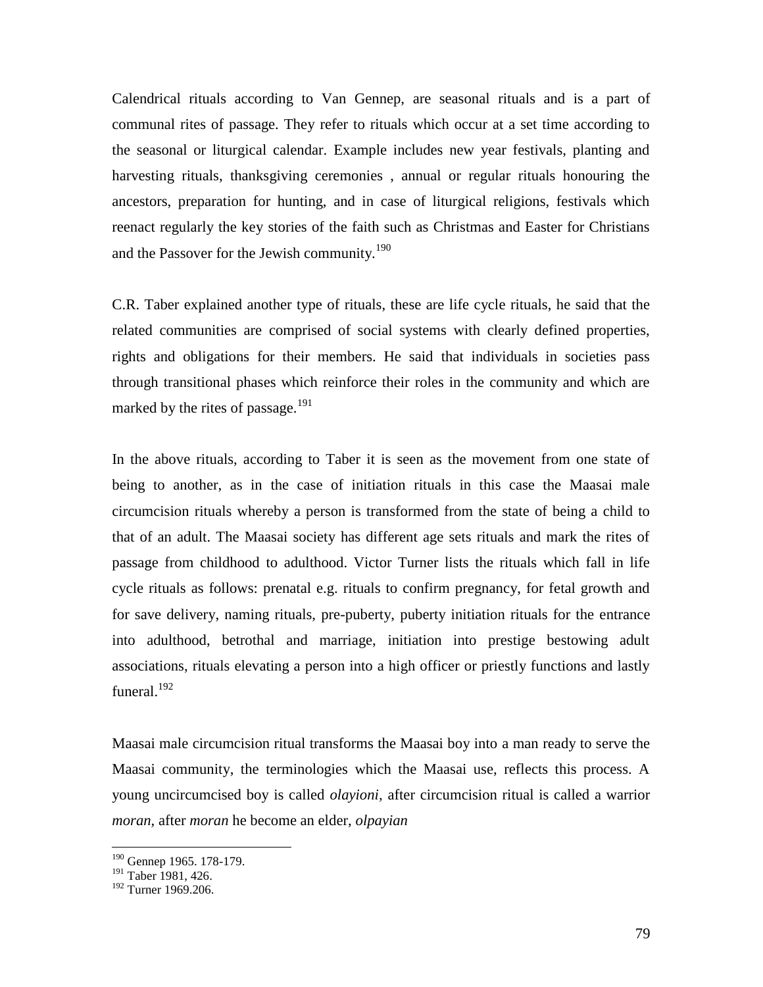Calendrical rituals according to Van Gennep, are seasonal rituals and is a part of communal rites of passage. They refer to rituals which occur at a set time according to the seasonal or liturgical calendar. Example includes new year festivals, planting and harvesting rituals, thanksgiving ceremonies , annual or regular rituals honouring the ancestors, preparation for hunting, and in case of liturgical religions, festivals which reenact regularly the key stories of the faith such as Christmas and Easter for Christians and the Passover for the Jewish community.<sup>190</sup>

C.R. Taber explained another type of rituals, these are life cycle rituals, he said that the related communities are comprised of social systems with clearly defined properties, rights and obligations for their members. He said that individuals in societies pass through transitional phases which reinforce their roles in the community and which are marked by the rites of passage.<sup>191</sup>

In the above rituals, according to Taber it is seen as the movement from one state of being to another, as in the case of initiation rituals in this case the Maasai male circumcision rituals whereby a person is transformed from the state of being a child to that of an adult. The Maasai society has different age sets rituals and mark the rites of passage from childhood to adulthood. Victor Turner lists the rituals which fall in life cycle rituals as follows: prenatal e.g. rituals to confirm pregnancy, for fetal growth and for save delivery, naming rituals, pre-puberty, puberty initiation rituals for the entrance into adulthood, betrothal and marriage, initiation into prestige bestowing adult associations, rituals elevating a person into a high officer or priestly functions and lastly funeral. $192$ 

Maasai male circumcision ritual transforms the Maasai boy into a man ready to serve the Maasai community, the terminologies which the Maasai use, reflects this process. A young uncircumcised boy is called *olayioni,* after circumcision ritual is called a warrior *moran,* after *moran* he become an elder, *olpayian*

<sup>&</sup>lt;sup>190</sup> Gennep 1965. 178-179.

<sup>&</sup>lt;sup>191</sup> Taber 1981, 426.

<sup>&</sup>lt;sup>192</sup> Turner 1969.206.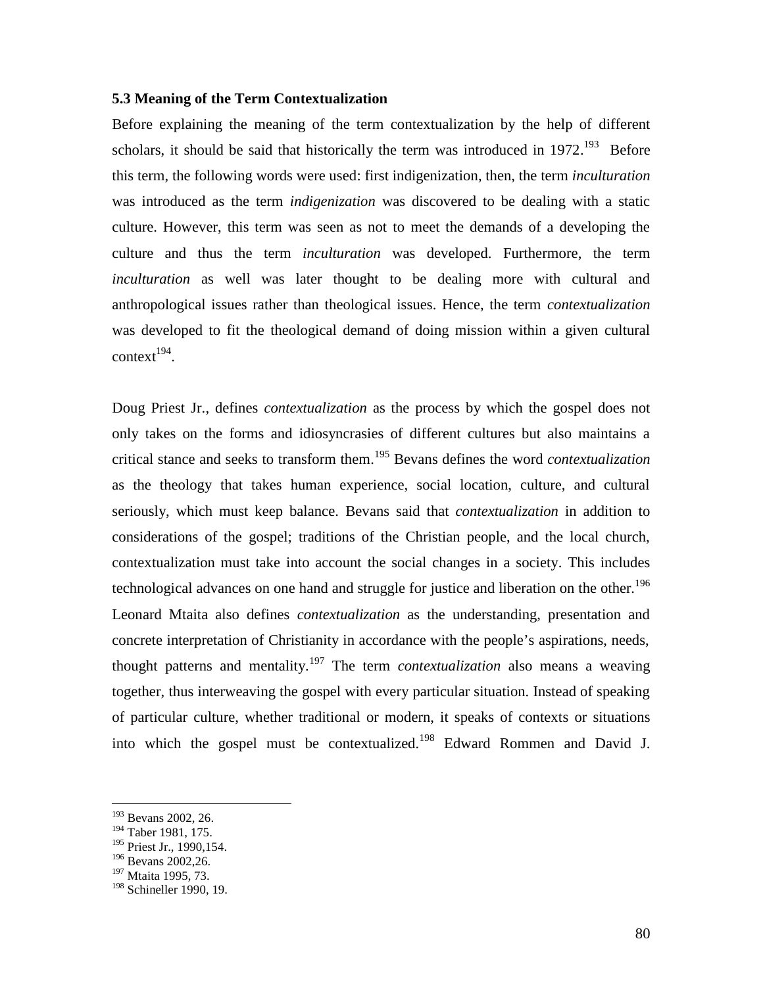#### **5.3 Meaning of the Term Contextualization**

Before explaining the meaning of the term contextualization by the help of different scholars, it should be said that historically the term was introduced in  $1972$ <sup>193</sup> Before this term, the following words were used: first indigenization, then, the term *inculturation* was introduced as the term *indigenization* was discovered to be dealing with a static culture. However, this term was seen as not to meet the demands of a developing the culture and thus the term *inculturation* was developed. Furthermore, the term *inculturation* as well was later thought to be dealing more with cultural and anthropological issues rather than theological issues. Hence, the term *contextualization* was developed to fit the theological demand of doing mission within a given cultural  $context^{194}$ .

Doug Priest Jr., defines *contextualization* as the process by which the gospel does not only takes on the forms and idiosyncrasies of different cultures but also maintains a critical stance and seeks to transform them.<sup>195</sup> Bevans defines the word *contextualization* as the theology that takes human experience, social location, culture, and cultural seriously, which must keep balance. Bevans said that *contextualization* in addition to considerations of the gospel; traditions of the Christian people, and the local church, contextualization must take into account the social changes in a society. This includes technological advances on one hand and struggle for justice and liberation on the other.<sup>196</sup> Leonard Mtaita also defines *contextualization* as the understanding, presentation and concrete interpretation of Christianity in accordance with the people's aspirations, needs, thought patterns and mentality.<sup>197</sup> The term *contextualization* also means a weaving together, thus interweaving the gospel with every particular situation. Instead of speaking of particular culture, whether traditional or modern, it speaks of contexts or situations into which the gospel must be contextualized.<sup>198</sup> Edward Rommen and David J.

<sup>193</sup> Bevans 2002, 26.

<sup>194</sup> Taber 1981, 175.

<sup>&</sup>lt;sup>195</sup> Priest Jr., 1990,154.

<sup>196</sup> Bevans 2002,26.

<sup>&</sup>lt;sup>197</sup> Mtaita 1995, 73.

<sup>&</sup>lt;sup>198</sup> Schineller 1990, 19.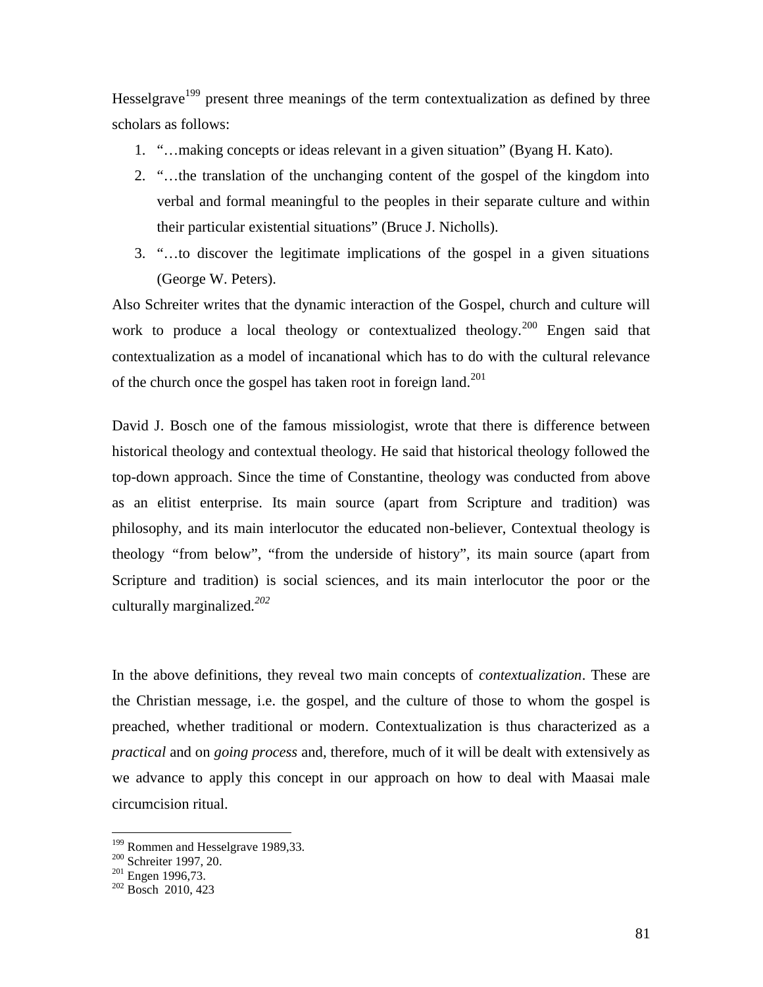Hesselgrave<sup>199</sup> present three meanings of the term contextualization as defined by three scholars as follows:

- 1. "…making concepts or ideas relevant in a given situation" (Byang H. Kato).
- 2. "…the translation of the unchanging content of the gospel of the kingdom into verbal and formal meaningful to the peoples in their separate culture and within their particular existential situations" (Bruce J. Nicholls).
- 3. "…to discover the legitimate implications of the gospel in a given situations (George W. Peters).

Also Schreiter writes that the dynamic interaction of the Gospel, church and culture will work to produce a local theology or contextualized theology.<sup>200</sup> Engen said that contextualization as a model of incanational which has to do with the cultural relevance of the church once the gospel has taken root in foreign land.<sup>201</sup>

David J. Bosch one of the famous missiologist, wrote that there is difference between historical theology and contextual theology. He said that historical theology followed the top-down approach. Since the time of Constantine, theology was conducted from above as an elitist enterprise. Its main source (apart from Scripture and tradition) was philosophy, and its main interlocutor the educated non-believer, Contextual theology is theology *"*from below", "from the underside of history", its main source (apart from Scripture and tradition) is social sciences, and its main interlocutor the poor or the culturally marginalized*.<sup>202</sup>*

In the above definitions, they reveal two main concepts of *contextualization*. These are the Christian message, i.e. the gospel, and the culture of those to whom the gospel is preached, whether traditional or modern. Contextualization is thus characterized as a *practical* and on *going process* and, therefore, much of it will be dealt with extensively as we advance to apply this concept in our approach on how to deal with Maasai male circumcision ritual.

<sup>&</sup>lt;sup>199</sup> Rommen and Hesselgrave 1989,33.<br><sup>200</sup> Schreiter 1997, 20.<br><sup>201</sup> Engen 1996,73.<br><sup>202</sup> Bosch 2010, 423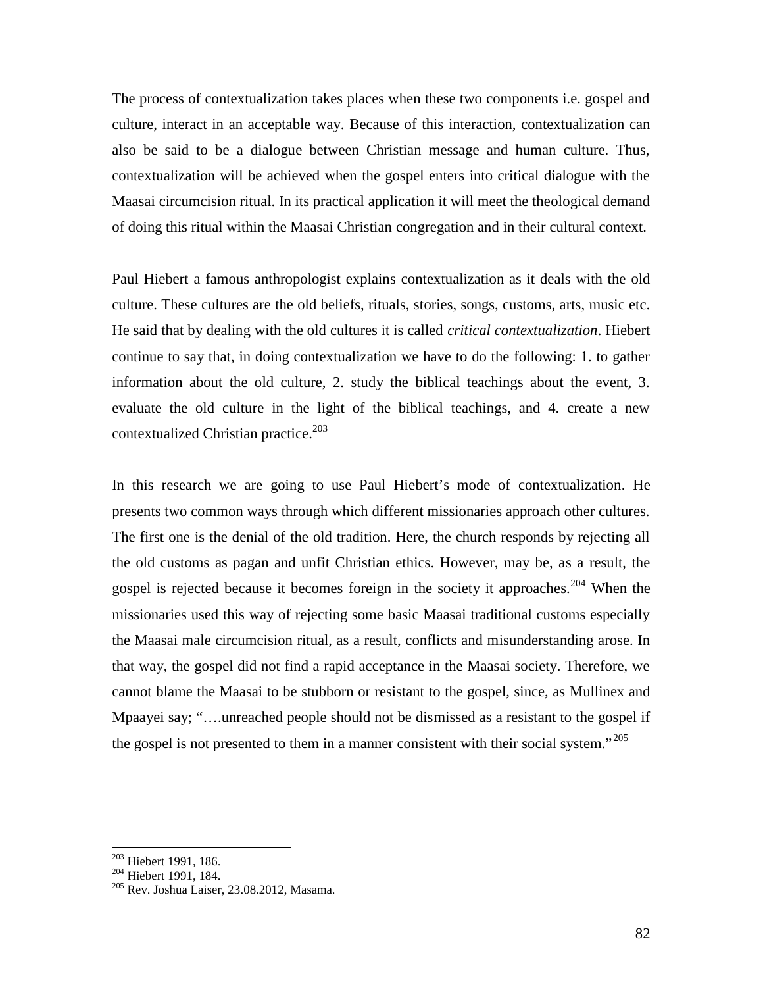The process of contextualization takes places when these two components i.e. gospel and culture, interact in an acceptable way. Because of this interaction, contextualization can also be said to be a dialogue between Christian message and human culture. Thus, contextualization will be achieved when the gospel enters into critical dialogue with the Maasai circumcision ritual. In its practical application it will meet the theological demand of doing this ritual within the Maasai Christian congregation and in their cultural context.

Paul Hiebert a famous anthropologist explains contextualization as it deals with the old culture. These cultures are the old beliefs, rituals, stories, songs, customs, arts, music etc. He said that by dealing with the old cultures it is called *critical contextualization*. Hiebert continue to say that, in doing contextualization we have to do the following: 1. to gather information about the old culture, 2. study the biblical teachings about the event, 3. evaluate the old culture in the light of the biblical teachings, and 4. create a new contextualized Christian practice. $203$ 

In this research we are going to use Paul Hiebert's mode of contextualization. He presents two common ways through which different missionaries approach other cultures. The first one is the denial of the old tradition. Here, the church responds by rejecting all the old customs as pagan and unfit Christian ethics. However, may be, as a result, the gospel is rejected because it becomes foreign in the society it approaches.<sup>204</sup> When the missionaries used this way of rejecting some basic Maasai traditional customs especially the Maasai male circumcision ritual, as a result, conflicts and misunderstanding arose. In that way, the gospel did not find a rapid acceptance in the Maasai society. Therefore, we cannot blame the Maasai to be stubborn or resistant to the gospel, since, as Mullinex and Mpaayei say; "….unreached people should not be dismissed as a resistant to the gospel if the gospel is not presented to them in a manner consistent with their social system."<sup>205</sup>

<sup>&</sup>lt;sup>203</sup> Hiebert 1991, 186.<br><sup>204</sup> Hiebert 1991, 184.<br><sup>205</sup> Rev. Joshua Laiser, 23.08.2012, Masama.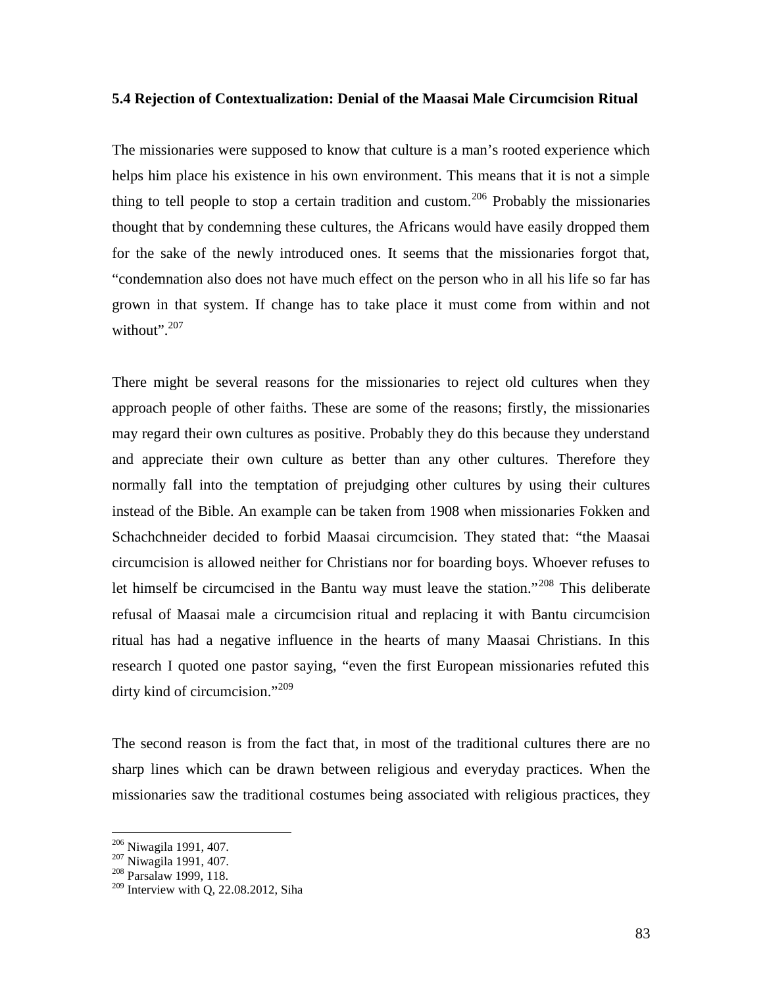#### **5.4 Rejection of Contextualization: Denial of the Maasai Male Circumcision Ritual**

The missionaries were supposed to know that culture is a man's rooted experience which helps him place his existence in his own environment. This means that it is not a simple thing to tell people to stop a certain tradition and custom.<sup>206</sup> Probably the missionaries thought that by condemning these cultures, the Africans would have easily dropped them for the sake of the newly introduced ones. It seems that the missionaries forgot that, "condemnation also does not have much effect on the person who in all his life so far has grown in that system. If change has to take place it must come from within and not without".<sup>207</sup>

There might be several reasons for the missionaries to reject old cultures when they approach people of other faiths. These are some of the reasons; firstly, the missionaries may regard their own cultures as positive. Probably they do this because they understand and appreciate their own culture as better than any other cultures. Therefore they normally fall into the temptation of prejudging other cultures by using their cultures instead of the Bible. An example can be taken from 1908 when missionaries Fokken and Schachchneider decided to forbid Maasai circumcision. They stated that: "the Maasai circumcision is allowed neither for Christians nor for boarding boys. Whoever refuses to let himself be circumcised in the Bantu way must leave the station."<sup>208</sup> This deliberate refusal of Maasai male a circumcision ritual and replacing it with Bantu circumcision ritual has had a negative influence in the hearts of many Maasai Christians. In this research I quoted one pastor saying, "even the first European missionaries refuted this dirty kind of circumcision."<sup>209</sup>

The second reason is from the fact that, in most of the traditional cultures there are no sharp lines which can be drawn between religious and everyday practices. When the missionaries saw the traditional costumes being associated with religious practices, they

<sup>&</sup>lt;sup>206</sup> Niwagila 1991, 407.<br><sup>207</sup> Niwagila 1991, 407.<br><sup>208</sup> Parsalaw 1999, 118.

 $209$  Interview with Q, 22.08.2012, Siha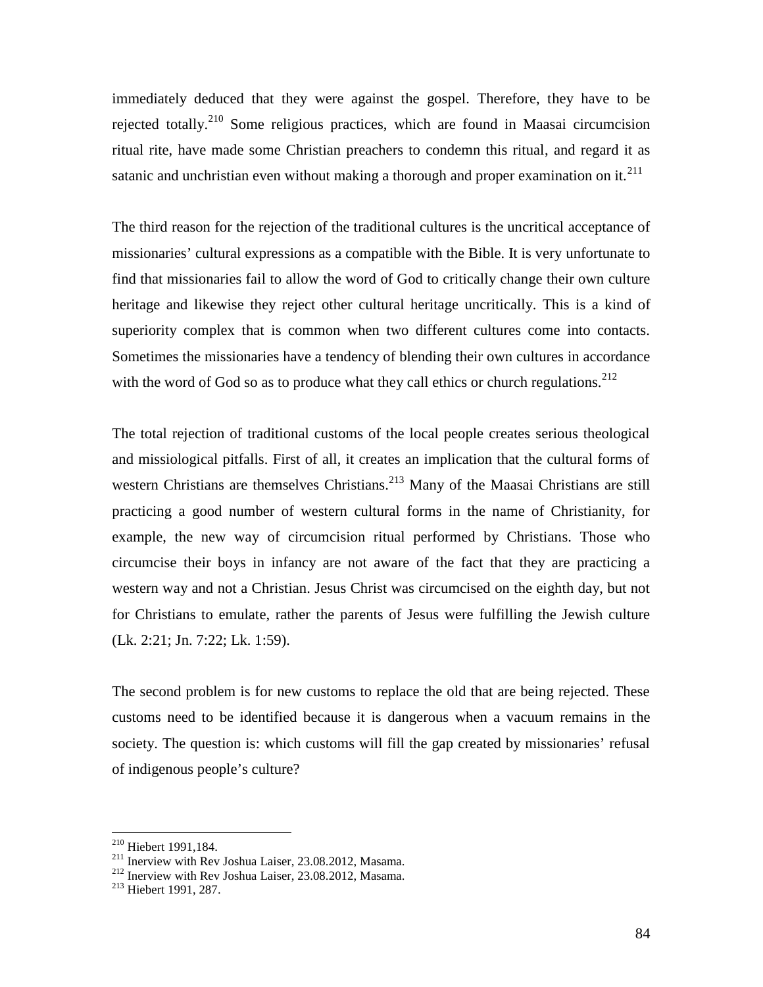immediately deduced that they were against the gospel. Therefore, they have to be rejected totally.<sup>210</sup> Some religious practices, which are found in Maasai circumcision ritual rite, have made some Christian preachers to condemn this ritual, and regard it as satanic and unchristian even without making a thorough and proper examination on it.<sup>211</sup>

The third reason for the rejection of the traditional cultures is the uncritical acceptance of missionaries' cultural expressions as a compatible with the Bible. It is very unfortunate to find that missionaries fail to allow the word of God to critically change their own culture heritage and likewise they reject other cultural heritage uncritically. This is a kind of superiority complex that is common when two different cultures come into contacts. Sometimes the missionaries have a tendency of blending their own cultures in accordance with the word of God so as to produce what they call ethics or church regulations.<sup>212</sup>

The total rejection of traditional customs of the local people creates serious theological and missiological pitfalls. First of all, it creates an implication that the cultural forms of western Christians are themselves Christians.<sup>213</sup> Many of the Maasai Christians are still practicing a good number of western cultural forms in the name of Christianity, for example, the new way of circumcision ritual performed by Christians. Those who circumcise their boys in infancy are not aware of the fact that they are practicing a western way and not a Christian. Jesus Christ was circumcised on the eighth day, but not for Christians to emulate, rather the parents of Jesus were fulfilling the Jewish culture (Lk. 2:21; Jn. 7:22; Lk. 1:59).

The second problem is for new customs to replace the old that are being rejected. These customs need to be identified because it is dangerous when a vacuum remains in the society. The question is: which customs will fill the gap created by missionaries' refusal of indigenous people's culture?

<sup>&</sup>lt;sup>210</sup> Hiebert 1991,184.<br><sup>211</sup> Inerview with Rev Joshua Laiser, 23.08.2012, Masama.<br><sup>212</sup> Inerview with Rev Joshua Laiser, 23.08.2012, Masama.<br><sup>213</sup> Hiebert 1991, 287.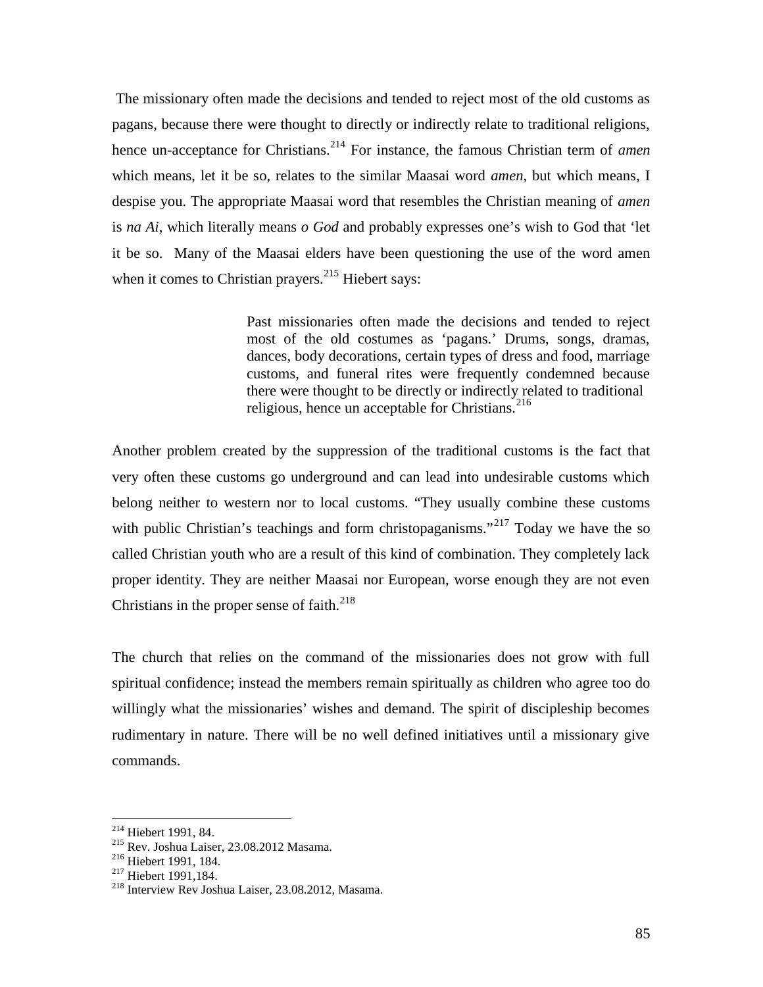The missionary often made the decisions and tended to reject most of the old customs as pagans, because there were thought to directly or indirectly relate to traditional religions, hence un-acceptance for Christians.<sup>214</sup> For instance, the famous Christian term of *amen* which means, let it be so, relates to the similar Maasai word *amen*, but which means, I despise you. The appropriate Maasai word that resembles the Christian meaning of *amen* is *na Ai*, which literally means *o God* and probably expresses one's wish to God that 'let it be so. Many of the Maasai elders have been questioning the use of the word amen when it comes to Christian prayers.<sup>215</sup> Hiebert says:

> Past missionaries often made the decisions and tended to reject most of the old costumes as 'pagans.' Drums, songs, dramas, dances, body decorations, certain types of dress and food, marriage customs, and funeral rites were frequently condemned because there were thought to be directly or indirectly related to traditional religious, hence un acceptable for Christians.<sup>216</sup>

Another problem created by the suppression of the traditional customs is the fact that very often these customs go underground and can lead into undesirable customs which belong neither to western nor to local customs. "They usually combine these customs with public Christian's teachings and form christopaganisms."<sup>217</sup> Today we have the so called Christian youth who are a result of this kind of combination. They completely lack proper identity. They are neither Maasai nor European, worse enough they are not even Christians in the proper sense of  $f$ aith.<sup>218</sup>

The church that relies on the command of the missionaries does not grow with full spiritual confidence; instead the members remain spiritually as children who agree too do willingly what the missionaries' wishes and demand. The spirit of discipleship becomes rudimentary in nature. There will be no well defined initiatives until a missionary give commands.

<sup>&</sup>lt;sup>214</sup> Hiebert 1991, 84.<br><sup>215</sup> Rev. Joshua Laiser, 23.08.2012 Masama.<br><sup>216</sup> Hiebert 1991, 184.<br><sup>217</sup> Hiebert 1991,184.<br><sup>218</sup> Interview Rev Joshua Laiser, 23.08.2012, Masama.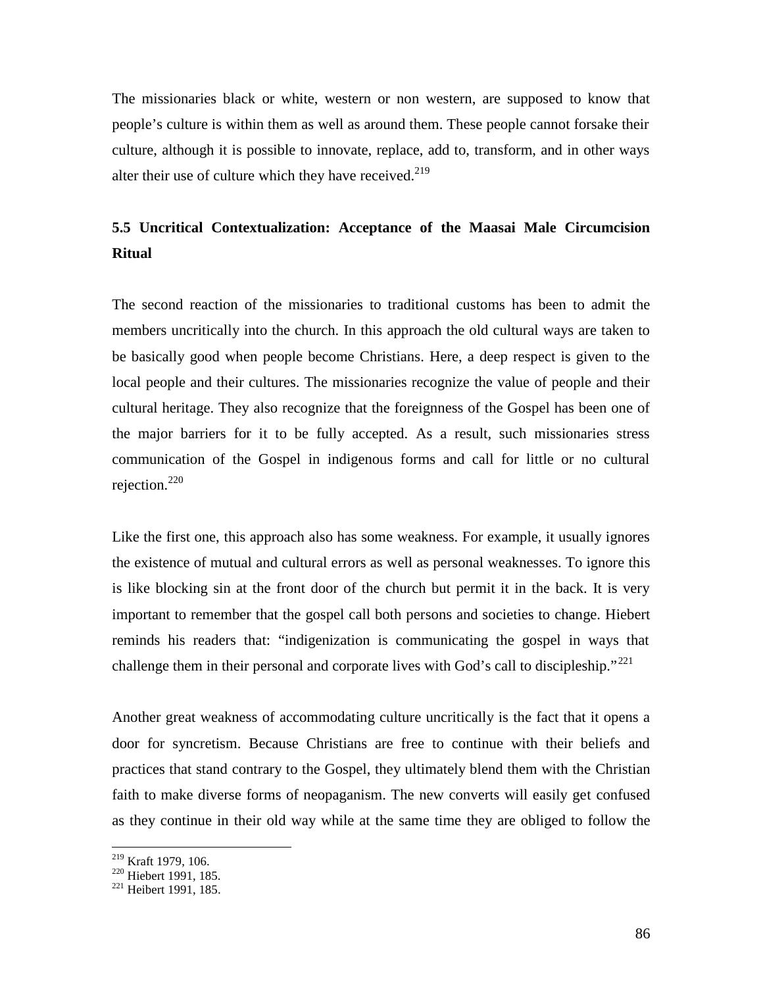The missionaries black or white, western or non western, are supposed to know that people's culture is within them as well as around them. These people cannot forsake their culture, although it is possible to innovate, replace, add to, transform, and in other ways alter their use of culture which they have received.<sup>219</sup>

# **5.5 Uncritical Contextualization: Acceptance of the Maasai Male Circumcision Ritual**

The second reaction of the missionaries to traditional customs has been to admit the members uncritically into the church. In this approach the old cultural ways are taken to be basically good when people become Christians. Here, a deep respect is given to the local people and their cultures. The missionaries recognize the value of people and their cultural heritage. They also recognize that the foreignness of the Gospel has been one of the major barriers for it to be fully accepted. As a result, such missionaries stress communication of the Gospel in indigenous forms and call for little or no cultural rejection. $220$ 

Like the first one, this approach also has some weakness. For example, it usually ignores the existence of mutual and cultural errors as well as personal weaknesses. To ignore this is like blocking sin at the front door of the church but permit it in the back. It is very important to remember that the gospel call both persons and societies to change. Hiebert reminds his readers that: "indigenization is communicating the gospel in ways that challenge them in their personal and corporate lives with God's call to discipleship."<sup>221</sup>

Another great weakness of accommodating culture uncritically is the fact that it opens a door for syncretism. Because Christians are free to continue with their beliefs and practices that stand contrary to the Gospel, they ultimately blend them with the Christian faith to make diverse forms of neopaganism. The new converts will easily get confused as they continue in their old way while at the same time they are obliged to follow the

<sup>&</sup>lt;sup>219</sup> Kraft 1979, 106.<br><sup>220</sup> Hiebert 1991, 185.<br><sup>221</sup> Heibert 1991, 185.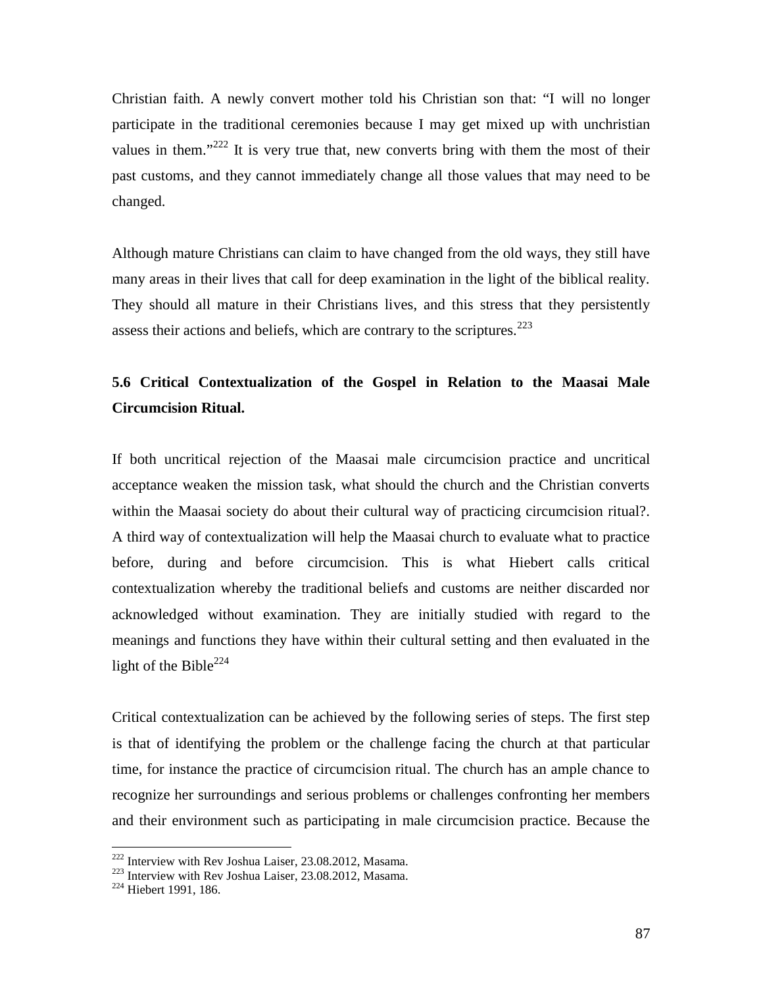Christian faith. A newly convert mother told his Christian son that: "I will no longer participate in the traditional ceremonies because I may getmixed up with unchristian values in them."<sup>222</sup> It is very true that, new converts bring with them the most of their past customs, and they cannot immediately change all those values that may need to be changed.

Although mature Christians can claim to have changed from the old ways, they still have many areas in their lives that call for deep examination in the light of the biblical reality. They should all mature in their Christians lives, and this stress that they persistently assess their actions and beliefs, which are contrary to the scriptures.<sup>223</sup>

# **5.6 Critical Contextualization of the Gospel in Relation to the Maasai Male Circumcision Ritual.**

If both uncritical rejection of the Maasai male circumcision practice and uncritical acceptance weaken the mission task, what should the church and the Christian converts within the Maasai society do about their cultural way of practicing circumcision ritual?. A third way of contextualization will help the Maasai church to evaluate what to practice before, during and before circumcision. This is what Hiebert calls critical contextualization whereby the traditional beliefs and customs are neither discarded nor acknowledged without examination. They are initially studied with regard to the meanings and functions they have within their cultural setting and then evaluated in the light of the Bible<sup>224</sup>

Critical contextualization can be achieved by the following series of steps. The first step is that of identifying the problem or the challenge facing the church at that particular time, for instance the practice of circumcision ritual. The church has an ample chance to recognize her surroundings and serious problems or challenges confronting her members and their environment such as participating in male circumcision practice. Because the

<sup>&</sup>lt;sup>222</sup> Interview with Rev Joshua Laiser, 23.08.2012, Masama.<br><sup>223</sup> Interview with Rev Joshua Laiser, 23.08.2012, Masama.<br><sup>224</sup> Hiebert 1991, 186.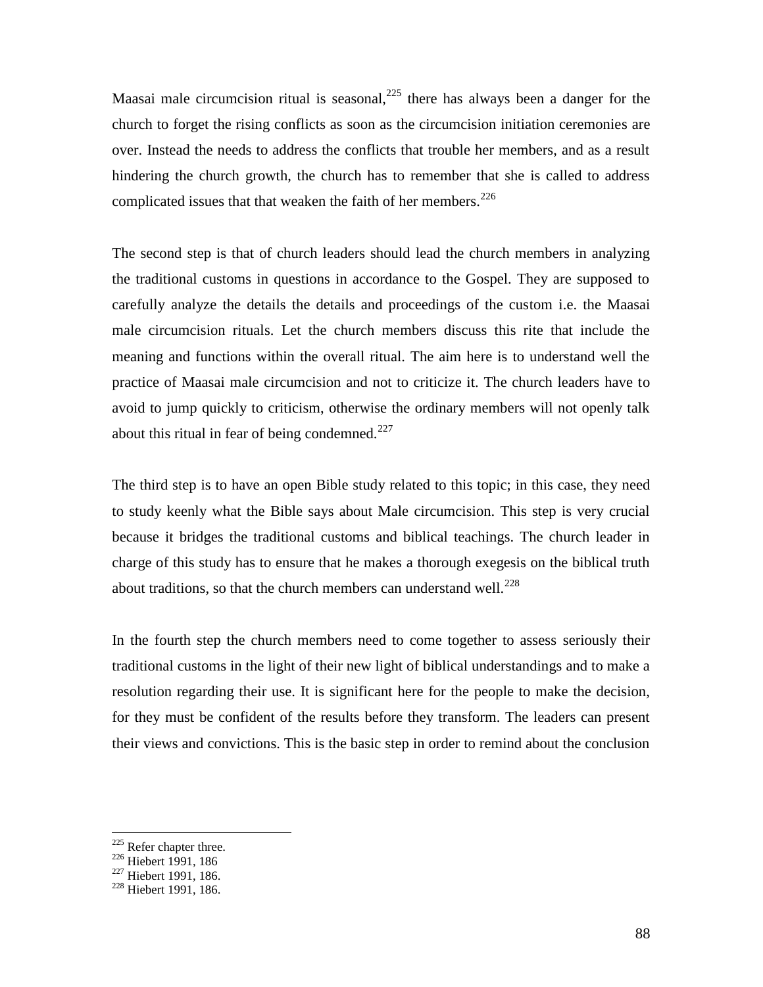Maasai male circumcision ritual is seasonal,  $225$  there has always been a danger for the church to forget the rising conflicts as soon as the circumcision initiation ceremonies are over. Instead the needs to address the conflicts that trouble her members, and as a result hindering the church growth, the church has to remember that she is called to address complicated issues that that weaken the faith of her members.<sup>226</sup>

The second step is that of church leaders should lead the church members in analyzing the traditional customs in questions in accordance to the Gospel. They are supposed to carefully analyze the details the details and proceedings of the custom i.e. the Maasai male circumcision rituals. Let the church members discuss this rite that include the meaning and functions within the overall ritual. The aim here is to understand well the practice of Maasai male circumcision and not to criticize it. The church leaders have to avoid to jump quickly to criticism, otherwise the ordinary members will not openly talk about this ritual in fear of being condemned.<sup>227</sup>

The third step is to have an open Bible study related to this topic; in this case, they need to study keenly what the Bible says about Male circumcision. This step is very crucial because it bridges the traditional customs and biblical teachings. The church leader in charge of this study has to ensure that he makes a thorough exegesis on the biblical truth about traditions, so that the church members can understand well. $^{228}$ 

In the fourth step the church members need to come together to assess seriously their traditional customs in the light of their new light of biblical understandings and to make a resolution regarding their use. It is significant here for the people to make the decision, for they must be confident of the results before they transform. The leaders can present their views and convictions. This is the basic step in order to remind about the conclusion

<sup>&</sup>lt;sup>225</sup> Refer chapter three.<br><sup>226</sup> Hiebert 1991, 186<br><sup>227</sup> Hiebert 1991, 186.

<sup>&</sup>lt;sup>228</sup> Hiebert 1991, 186.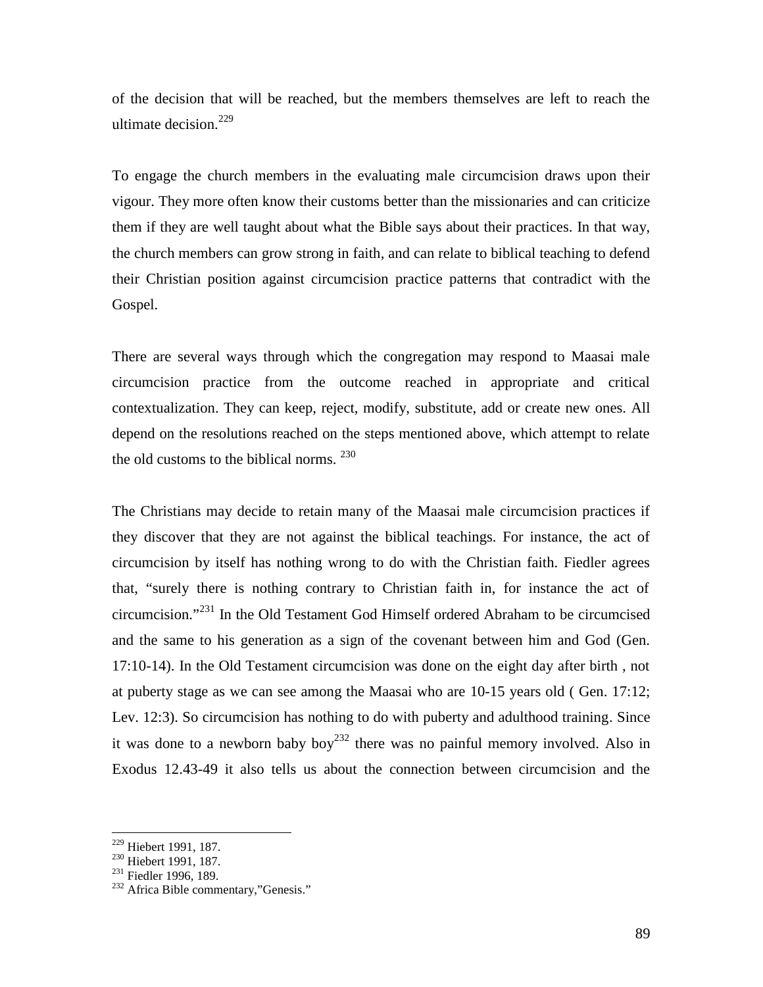of the decision that will be reached, but the members themselves are left to reach the ultimate decision.<sup>229</sup>

To engage the church members in the evaluating male circumcision draws upon their vigour. They more often know their customs better than the missionaries and can criticize them if they are well taught about what the Bible says about their practices. In that way, the church members can grow strong in faith, and can relate to biblical teaching to defend their Christian position against circumcision practice patterns that contradict with the Gospel.

There are several ways through which the congregation may respond to Maasai male circumcision practice from the outcome reached in appropriate and critical contextualization. They can keep, reject, modify, substitute, add or create new ones. All depend on the resolutions reached on the steps mentioned above, which attempt to relate the old customs to the biblical norms.  $^{230}$ 

The Christians may decide to retain many of the Maasai male circumcision practices if they discover that they are not against the biblical teachings. For instance, the act of circumcision by itself has nothing wrong to do with the Christian faith. Fiedler agrees that, "surely there is nothing contrary to Christian faith in, for instance the act of circumcision."<sup>231</sup> In the Old Testament God Himself ordered Abraham to be circumcised and the same to his generation as a sign of the covenant between him and God (Gen. 17:10-14). In the Old Testament circumcision was done on the eight day after birth , not at puberty stage as we can see among the Maasai who are 10-15 years old ( Gen. 17:12; Lev. 12:3). So circumcision has nothing to do with puberty and adulthood training. Since it was done to a newborn baby  $boy^{232}$  there was no painful memory involved. Also in Exodus 12.43-49 it also tells us about the connection between circumcision and the

<sup>&</sup>lt;sup>229</sup> Hiebert 1991, 187.<br><sup>230</sup> Hiebert 1991, 187.<br><sup>231</sup> Fiedler 1996, 189.<br><sup>232</sup> Africa Bible commentary,"Genesis."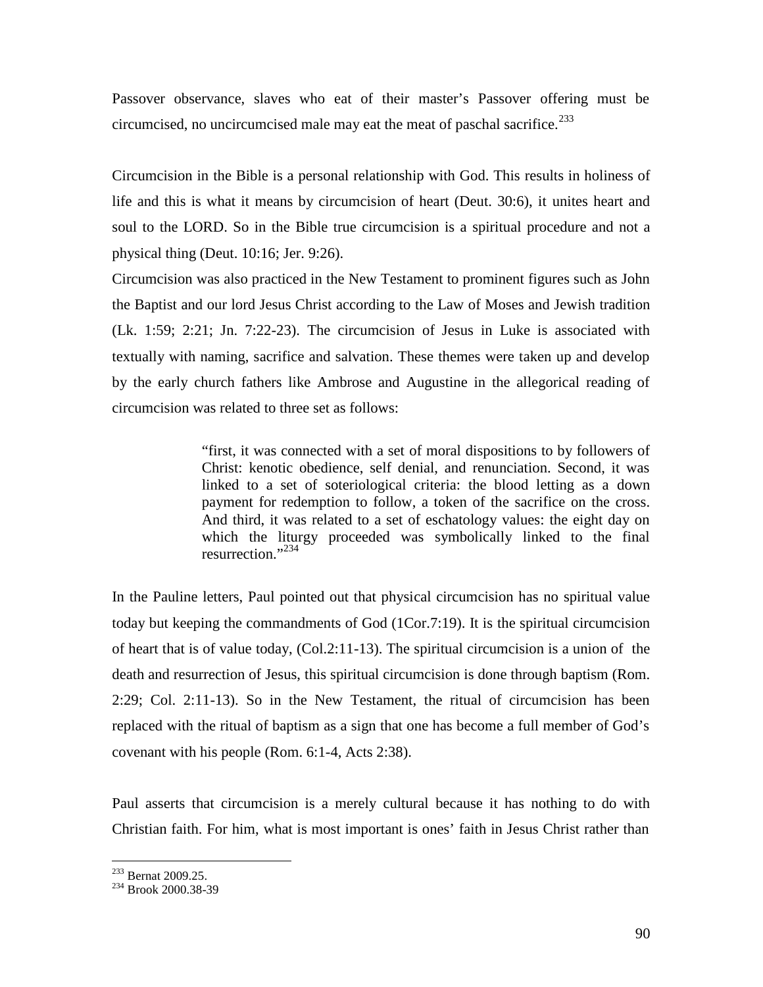Passover observance, slaves who eat of their master's Passover offering must be circumcised, no uncircumcised male may eat the meat of paschal sacrifice.<sup>233</sup>

Circumcision in the Bible is a personal relationship with God. This results in holiness of life and this is what it means by circumcision of heart (Deut. 30:6), it unites heart and soul to the LORD. So in the Bible true circumcision is a spiritual procedure and not a physical thing (Deut. 10:16; Jer. 9:26).

Circumcision was also practiced in the New Testament to prominent figures such as John the Baptist and our lord Jesus Christ according to the Law of Moses and Jewish tradition (Lk. 1:59; 2:21; Jn. 7:22-23). The circumcision of Jesus in Luke is associated with textually with naming, sacrifice and salvation. These themes were taken up and develop by the early church fathers like Ambrose and Augustine in the allegorical reading of circumcision was related to three set as follows:

> "first, it was connected with a set of moral dispositions to by followers of Christ: kenotic obedience, self denial, and renunciation. Second, it was linked to a set of soteriological criteria: the blood letting as a down payment for redemption to follow, a token of the sacrifice on the cross. And third, it was related to a set of eschatology values: the eight day on which the liturgy proceeded was symbolically linked to the final resurrection<sup>"</sup>

In the Pauline letters, Paul pointed out that physical circumcision has no spiritual value today but keeping the commandments of God (1Cor.7:19). It is the spiritual circumcision of heart that is of value today, (Col.2:11-13). The spiritual circumcision is a union of the death and resurrection of Jesus, this spiritual circumcision is done through baptism (Rom. 2:29; Col. 2:11-13). So in the New Testament, the ritual of circumcision has been replaced with the ritual of baptism as a sign that one has become a full member of God's covenant with his people (Rom. 6:1-4, Acts 2:38).

Paul asserts that circumcision is a merely cultural because it has nothing to do with Christian faith. For him, what is most important is ones' faith in Jesus Christ rather than

<sup>&</sup>lt;sup>233</sup> Bernat 2009.25.<br><sup>234</sup> Brook 2000.38-39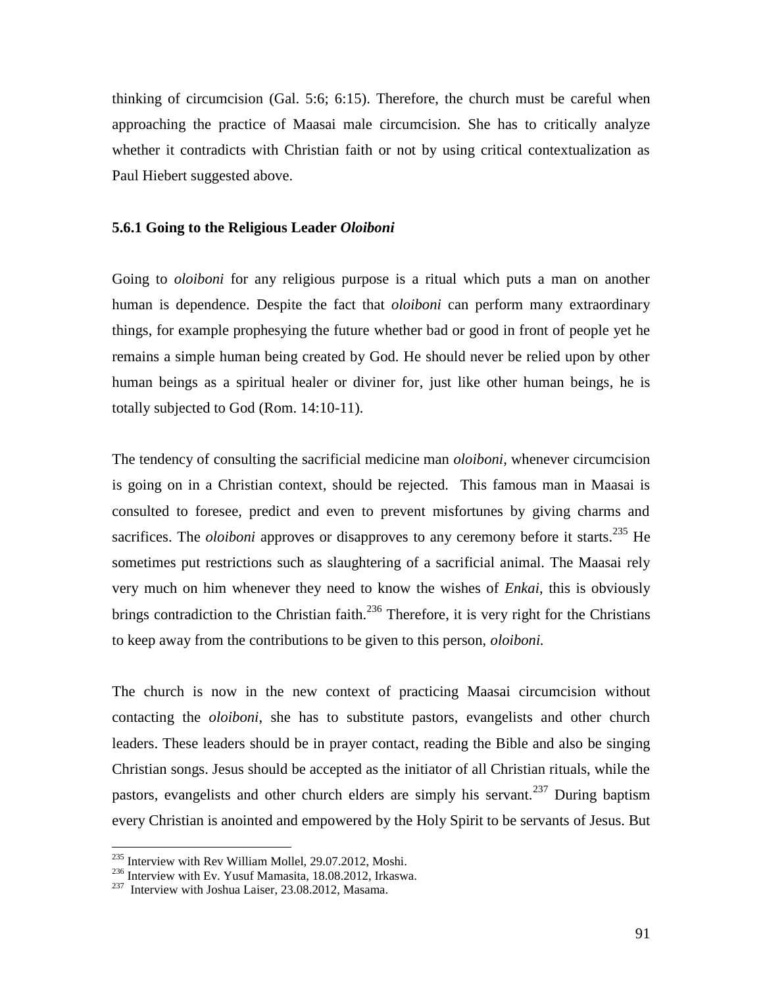thinking of circumcision (Gal. 5:6; 6:15). Therefore, the church must be careful when approaching the practice of Maasai male circumcision. She has to critically analyze whether it contradicts with Christian faith or not by using critical contextualization as Paul Hiebert suggested above.

#### **5.6.1 Going to the Religious Leader** *Oloiboni*

Going to *oloiboni* for any religious purpose is a ritual which puts a man on another human is dependence. Despite the fact that *oloiboni* can perform many extraordinary things, for example prophesying the future whether bad or good in front of people yet he remains a simple human being created by God. He should never be relied upon by other human beings as a spiritual healer or diviner for, just like other human beings, he is totally subjected to God (Rom. 14:10-11).

The tendency of consulting the sacrificial medicine man *oloiboni,* whenever circumcision is going on in a Christian context, should be rejected. This famous man in Maasai is consulted to foresee, predict and even to prevent misfortunes by giving charms and sacrifices. The *oloiboni* approves or disapproves to any ceremony before it starts.<sup>235</sup> He sometimes put restrictions such as slaughtering of a sacrificial animal. The Maasai rely very much on him whenever they need to know the wishes of *Enkai*, this is obviously brings contradiction to the Christian faith.<sup>236</sup> Therefore, it is very right for the Christians to keep away from the contributions to be given to this person, *oloiboni.*

The church is now in the new context of practicing Maasai circumcision without contacting the *oloiboni*, she has to substitute pastors, evangelists and other church leaders. These leaders should be in prayer contact, reading the Bible and also be singing Christian songs. Jesus should be accepted as the initiator of all Christian rituals, while the pastors, evangelists and other church elders are simply his servant.<sup>237</sup> During baptism every Christian is anointed and empowered by the Holy Spirit to be servants of Jesus. But

<sup>&</sup>lt;sup>235</sup> Interview with Rev William Mollel, 29.07.2012, Moshi.<br><sup>236</sup> Interview with Ev. Yusuf Mamasita, 18.08.2012, Irkaswa.<br><sup>237</sup> Interview with Joshua Laiser, 23.08.2012, Masama.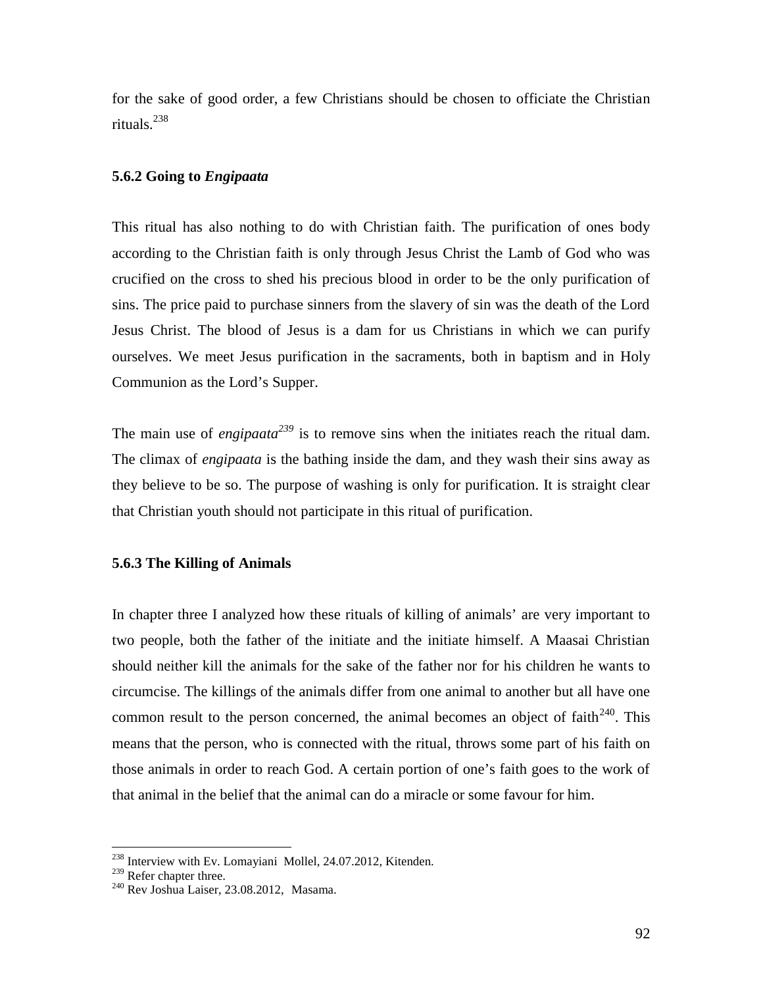for the sake of good order, a few Christians should be chosen to officiate the Christian rituals.<sup>238</sup>

### **5.6.2 Going to** *Engipaata*

This ritual has also nothing to do with Christian faith. The purification of ones body according to the Christian faith is only through Jesus Christ the Lamb of God who was crucified on the cross to shed his precious blood in order to be the only purification of sins. The price paid to purchase sinners from the slavery of sin was the death of the Lord Jesus Christ. The blood of Jesus is a dam for us Christians in which we can purify ourselves. We meet Jesus purification in the sacraments, both in baptism and in Holy Communion as the Lord's Supper.

The main use of *engipaata*<sup>239</sup> is to remove sins when the initiates reach the ritual dam. The climax of *engipaata* is the bathing inside the dam, and they wash their sins away as they believe to be so. The purpose of washing is only for purification. It is straight clear that Christian youth should not participate in this ritual of purification.

### **5.6.3 The Killing of Animals**

In chapter three I analyzed how these rituals of killing of animals' are very important to two people, both the father of the initiate and the initiate himself. A Maasai Christian should neither kill the animals for the sake of the father nor for his children he wants to circumcise. The killings of the animals differ from one animal to another but all have one common result to the person concerned, the animal becomes an object of faith $^{240}$ . This means that the person, who is connected with the ritual, throws some part of his faith on those animals in order to reach God. A certain portion of one's faith goes to the work of that animal in the belief that the animal can do a miracle or some favour for him.

<sup>&</sup>lt;sup>238</sup> Interview with Ev. Lomayiani Mollel, 24.07.2012, Kitenden.

 $^{239}$  Refer chapter three.<br><sup>240</sup> Rev Joshua Laiser, 23.08.2012, Masama.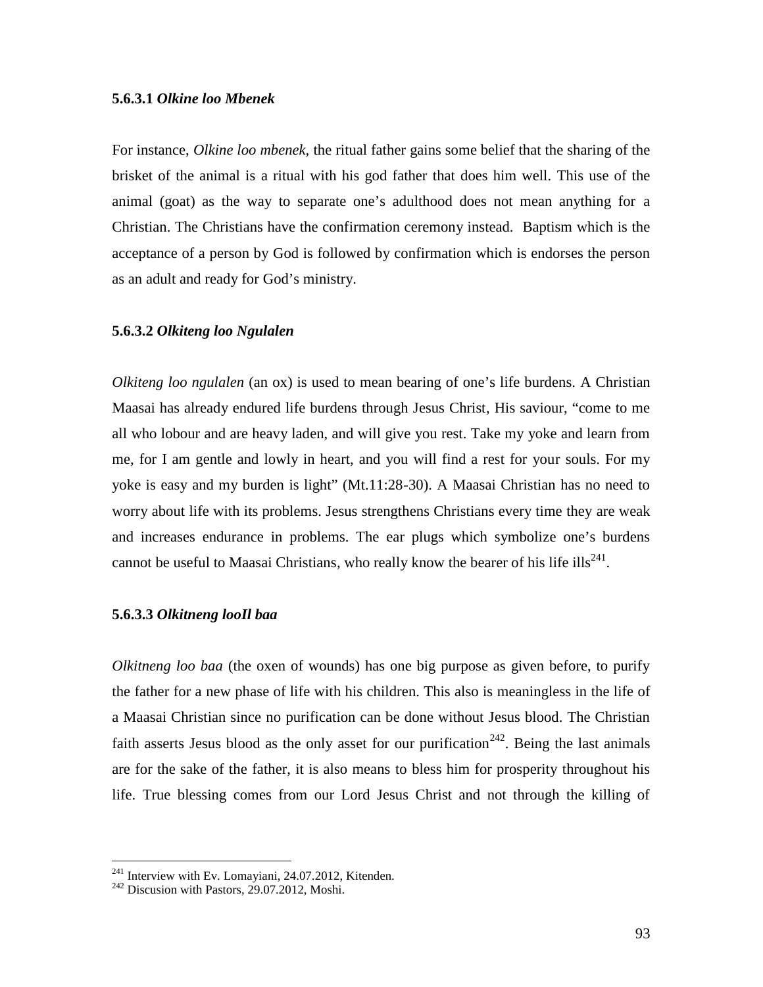#### **5.6.3.1** *Olkine loo Mbenek*

For instance, *Olkine loo mbenek,* the ritual father gains some belief that the sharing of the brisket of the animal is a ritual with his god father that does him well. This use of the animal (goat) as the way to separate one's adulthood does not mean anything for a Christian. The Christians have the confirmation ceremony instead. Baptism which is the acceptance of a person by God is followed by confirmation which is endorses the person as an adult and ready for God's ministry.

#### **5.6.3.2** *Olkiteng loo Ngulalen*

*Olkiteng loo ngulalen* (an ox) is used to mean bearing of one's life burdens. A Christian Maasai has already endured life burdens through Jesus Christ, His saviour, "come to me all who lobour and are heavy laden, and will give you rest. Take my yoke and learn from me, for I am gentle and lowly in heart, and you will find a rest for your souls. For my yoke is easy and my burden is light" (Mt.11:28-30). A Maasai Christian has no need to worry about life with its problems. Jesus strengthens Christians every time they are weak and increases endurance in problems. The ear plugs which symbolize one's burdens cannot be useful to Maasai Christians, who really know the bearer of his life ills<sup>241</sup>.

#### **5.6.3.3** *Olkitneng looIl baa*

*Olkitneng loo baa* (the oxen of wounds) has one big purpose as given before, to purify the father for a new phase of life with his children. This also is meaningless in the life of a Maasai Christian since no purification can be done without Jesus blood. The Christian faith asserts Jesus blood as the only asset for our purification<sup>242</sup>. Being the last animals are for the sake of the father, it is also means to bless him for prosperity throughout his life. True blessing comes from our Lord Jesus Christ and not through the killing of

<sup>&</sup>lt;sup>241</sup> Interview with Ev. Lomayiani, 24.07.2012, Kitenden. <sup>242</sup> Discusion with Pastors, 29.07.2012, Moshi.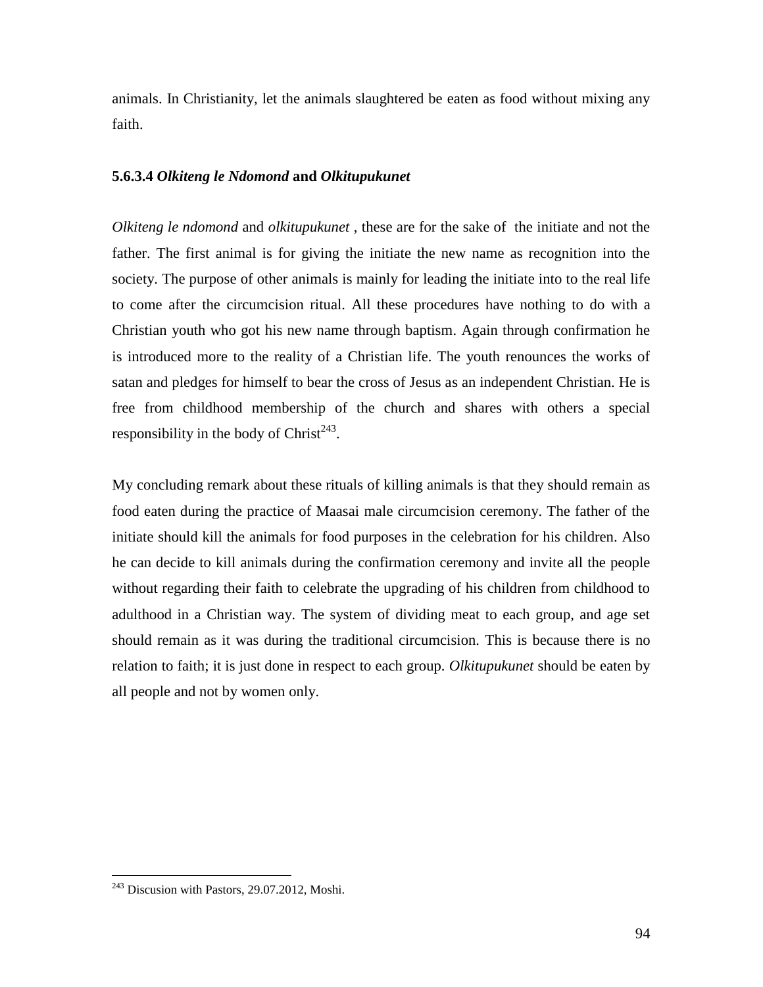animals. In Christianity, let the animals slaughtered be eaten as food without mixing any faith.

### **5.6.3.4** *Olkiteng le Ndomond* **and** *Olkitupukunet*

*Olkiteng le ndomond* and *olkitupukunet* , these are for the sake of the initiate and not the father. The first animal is for giving the initiate the new name as recognition into the society. The purpose of other animals is mainly for leading the initiate into to the real life to come after the circumcision ritual. All these procedures have nothing to do with a Christian youth who got his new name through baptism. Again through confirmation he is introduced more to the reality of a Christian life. The youth renounces the works of satan and pledges for himself to bear the cross of Jesus as an independent Christian. He is free from childhood membership of the church and shares with others a special responsibility in the body of  $Christ<sup>243</sup>$ .

My concluding remark about these rituals of killing animals is that they should remain as food eaten during the practice of Maasai male circumcision ceremony. The father of the initiate should kill the animals for food purposes in the celebration for his children. Also he can decide to kill animals during the confirmation ceremony and invite all the people without regarding their faith to celebrate the upgrading of his children from childhood to adulthood in a Christian way. The system of dividing meat to each group, and age set should remain as it was during the traditional circumcision. This is because there is no relation to faith; it is just done in respect to each group. *Olkitupukunet* should be eaten by all people and not by women only.

<sup>&</sup>lt;sup>243</sup> Discusion with Pastors, 29.07.2012, Moshi.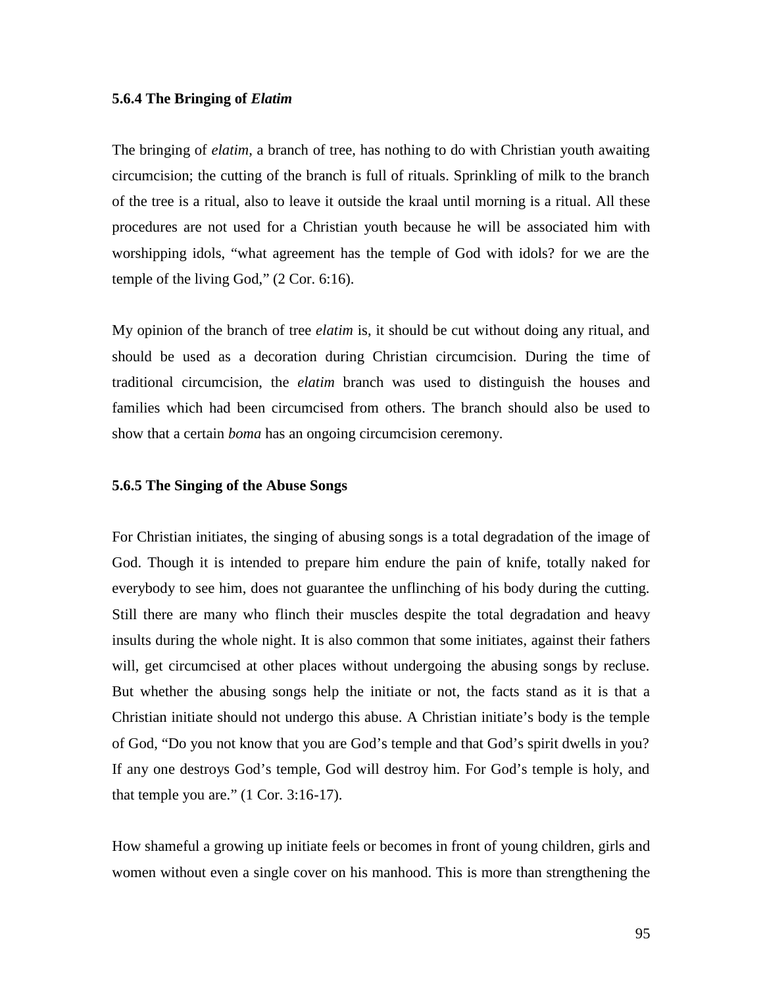#### **5.6.4 The Bringing of** *Elatim*

The bringing of *elatim,* a branch of tree, has nothing to do with Christian youth awaiting circumcision; the cutting of the branch is full of rituals. Sprinkling of milk to the branch of the tree is a ritual, also to leave it outside the kraal until morning is a ritual. All these procedures are not used for a Christian youth because he will be associated him with worshipping idols, "what agreement has the temple of God with idols? for we are the temple of the living God," (2 Cor. 6:16).

My opinion of the branch of tree *elatim* is, it should be cut without doing any ritual, and should be used as a decoration during Christian circumcision. During the time of traditional circumcision, the *elatim* branch was used to distinguish the houses and families which had been circumcised from others. The branch should also be used to show that a certain *boma* has an ongoing circumcision ceremony.

#### **5.6.5 The Singing of the Abuse Songs**

For Christian initiates, the singing of abusing songs is a total degradation of the image of God. Though it is intended to prepare him endure the pain of knife, totally naked for everybody to see him, does not guarantee the unflinching of his body during the cutting. Still there are many who flinch their muscles despite the total degradation and heavy insults during the whole night. It is also common that some initiates, against their fathers will, get circumcised at other places without undergoing the abusing songs by recluse. But whether the abusing songs help the initiate or not, the facts stand as it is that a Christian initiate should not undergo this abuse. A Christian initiate's body is the temple of God, "Do you not know that you are God's temple and that God's spirit dwells in you? If any one destroys God's temple, God will destroy him. For God's temple is holy, and that temple you are." (1 Cor. 3:16-17).

How shameful a growing up initiate feels or becomes in front of young children, girls and women without even a single cover on his manhood. This is more than strengthening the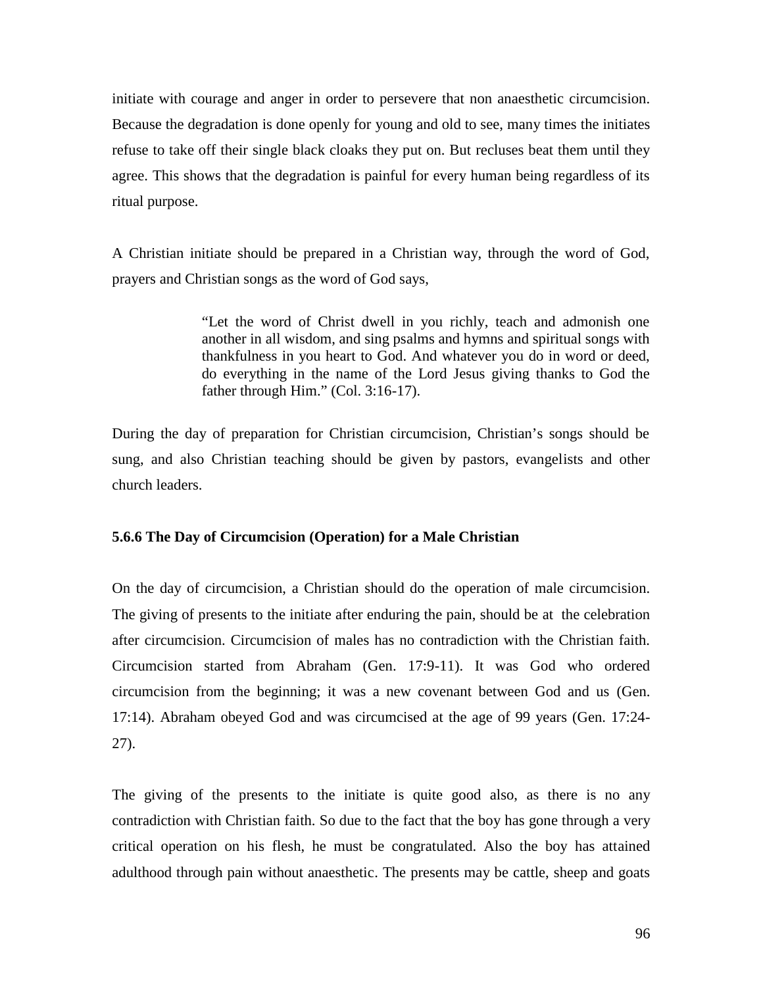initiate with courage and anger in order to persevere that non anaesthetic circumcision. Because the degradation is done openly for young and old to see, many times the initiates refuse to take off their single black cloaks they put on. But recluses beat them until they agree. This shows that the degradation is painful for every human being regardless of its ritual purpose.

A Christian initiate should be prepared in a Christian way, through the word of God, prayers and Christian songs as the word of God says,

> "Let the word of Christ dwell in you richly, teach and admonish one another in all wisdom, and sing psalms and hymns and spiritual songs with thankfulness in you heart to God. And whatever you do in word or deed, do everything in the name of the Lord Jesus giving thanks to God the father through Him." (Col. 3:16-17).

During the day of preparation for Christian circumcision, Christian's songs should be sung, and also Christian teaching should be given by pastors, evangelists and other church leaders.

#### **5.6.6 The Day of Circumcision (Operation) for a Male Christian**

On the day of circumcision, a Christian should do the operation of male circumcision. The giving of presents to the initiate after enduring the pain, should be at the celebration after circumcision. Circumcision of males has no contradiction with the Christian faith. Circumcision started from Abraham (Gen. 17:9-11). It was God who ordered circumcision from the beginning; it was a new covenant between God and us (Gen. 17:14). Abraham obeyed God and was circumcised at the age of 99 years (Gen. 17:24- 27).

The giving of the presents to the initiate is quite good also, as there is no any contradiction with Christian faith. So due to the fact that the boy has gone through a very critical operation on his flesh, he must be congratulated. Also the boy has attained adulthood through pain without anaesthetic. The presents may be cattle, sheep and goats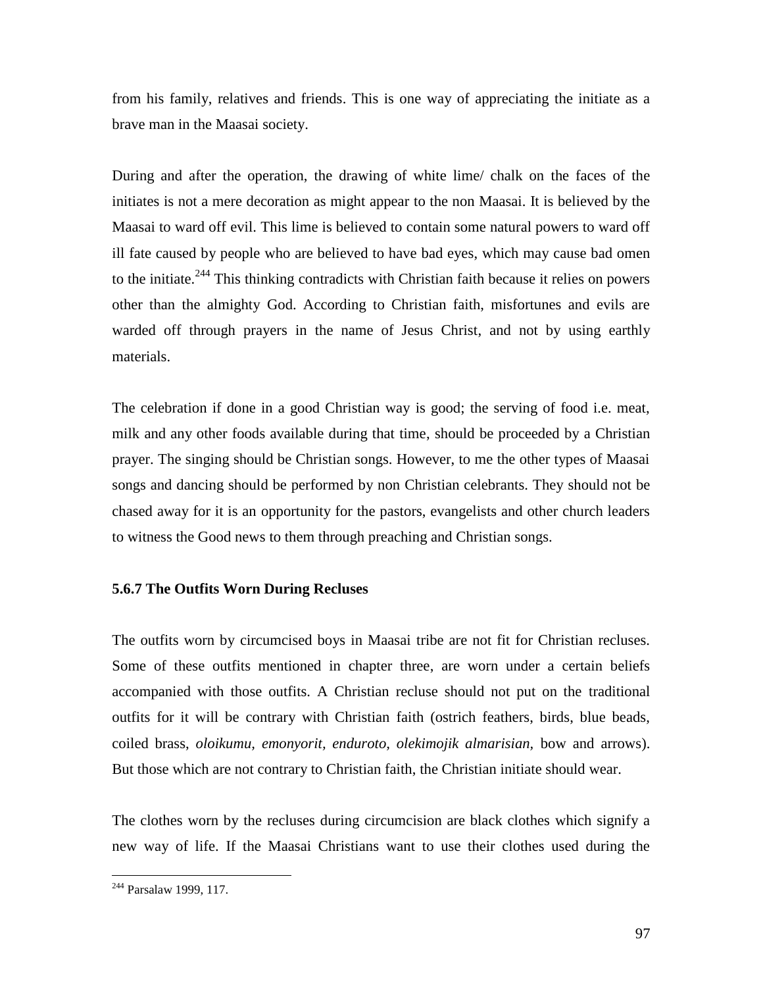from his family, relatives and friends. This is one way of appreciating the initiate as a brave man in the Maasai society.

During and after the operation, the drawing of white lime/ chalk on the faces of the initiates is not a mere decoration as might appear to the non Maasai. It is believed by the Maasai to ward off evil. This lime is believed to contain some natural powers to ward off ill fate caused by people who are believed to have bad eyes, which may cause bad omen to the initiate.<sup>244</sup> This thinking contradicts with Christian faith because it relies on powers other than the almighty God. According to Christian faith, misfortunes and evils are warded off through prayers in the name of Jesus Christ, and not by using earthly materials.

The celebration if done in a good Christian way is good; the serving of food i.e. meat, milk and any other foods available during that time, should be proceeded by a Christian prayer. The singing should be Christian songs. However, to me the other types of Maasai songs and dancing should be performed by non Christian celebrants. They should not be chased away for it is an opportunity for the pastors, evangelists and other church leaders to witness the Good news to them through preaching and Christian songs.

### **5.6.7 The Outfits Worn During Recluses**

The outfits worn by circumcised boys in Maasai tribe are not fit for Christian recluses. Some of these outfits mentioned in chapter three, are worn under a certain beliefs accompanied with those outfits. A Christian recluse should not put on the traditional outfits for it will be contrary with Christian faith (ostrich feathers, birds, blue beads, coiled brass, *oloikumu, emonyorit, enduroto, olekimojik almarisian,* bow and arrows). But those which are not contrary to Christian faith, the Christian initiate should wear.

The clothes worn by the recluses during circumcision are black clothes which signify a new way of life. If the Maasai Christians want to use their clothes used during the

<sup>244</sup> Parsalaw 1999, 117.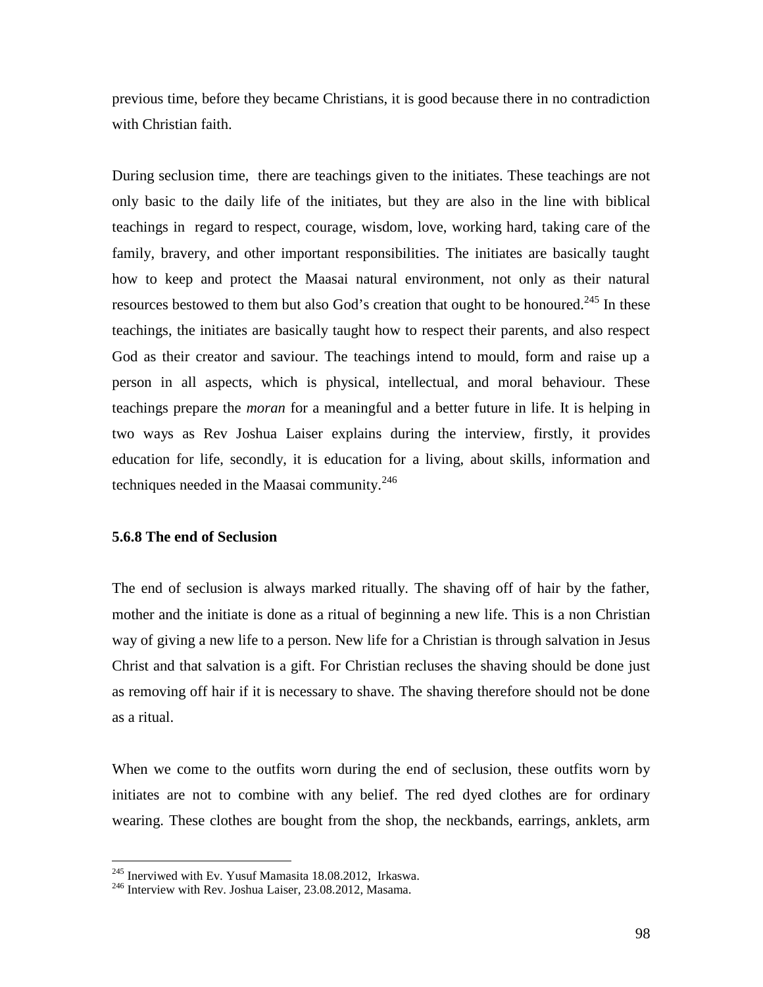previous time, before they became Christians, it is good because there in no contradiction with Christian faith.

During seclusion time, there are teachings given to the initiates. These teachings are not only basic to the daily life of the initiates, but they are also in the line with biblical teachings in regard to respect, courage, wisdom, love, working hard, taking care of the family, bravery, and other important responsibilities. The initiates are basically taught how to keep and protect the Maasai natural environment, not only as their natural resources bestowed to them but also God's creation that ought to be honoured.<sup>245</sup> In these teachings, the initiates are basically taught how to respect their parents, and also respect God as their creator and saviour. The teachings intend to mould, form and raise up a person in all aspects, which is physical, intellectual, and moral behaviour. These teachings prepare the *moran* for a meaningful and a better future in life. It is helping in two ways as Rev Joshua Laiser explains during the interview, firstly, it provides education for life, secondly, it is education for a living, about skills, information and techniques needed in the Maasai community. $^{246}$ 

### **5.6.8 The end of Seclusion**

The end of seclusion is always marked ritually. The shaving off of hair by the father, mother and the initiate is done as a ritual of beginning a new life. This is a non Christian way of giving a new life to a person. New life for a Christian is through salvation in Jesus Christ and that salvation is a gift. For Christian recluses the shaving should be done just as removing off hair if it is necessary to shave. The shaving therefore should not be done as a ritual.

When we come to the outfits worn during the end of seclusion, these outfits worn by initiates are not to combine with any belief. The red dyed clothes are for ordinary wearing. These clothes are bought from the shop, the neckbands, earrings, anklets, arm

<sup>&</sup>lt;sup>245</sup> Inerviwed with Ev. Yusuf Mamasita 18.08.2012, Irkaswa. <sup>246</sup> Interview with Rev. Joshua Laiser, 23.08.2012, Masama.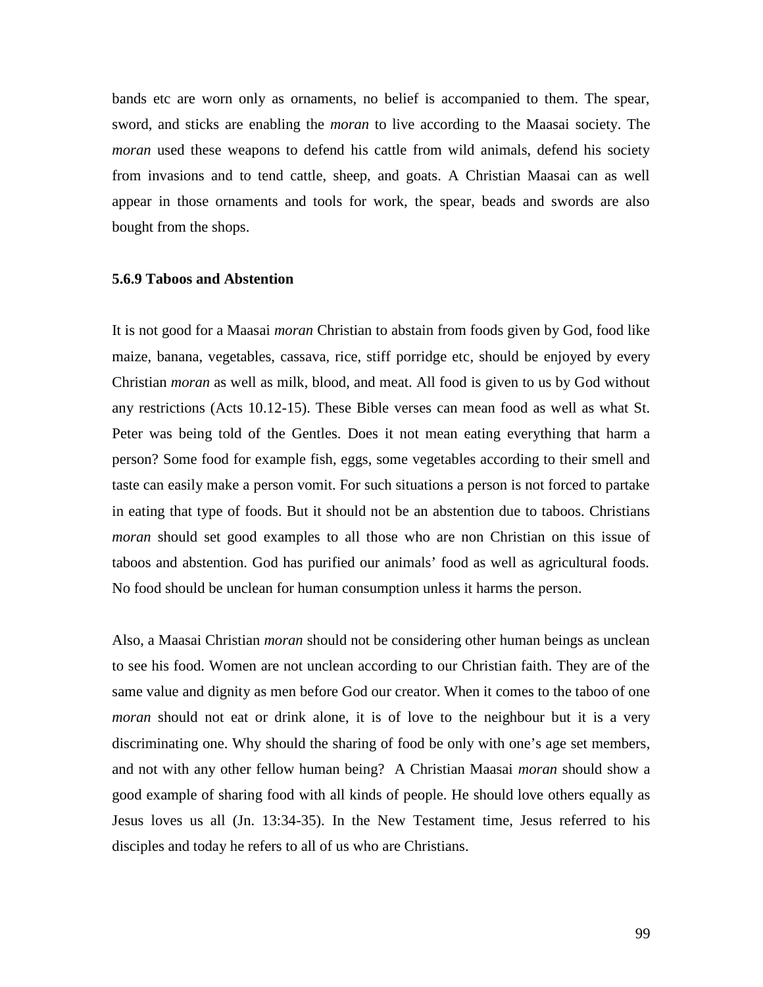bands etc are worn only as ornaments, no belief is accompanied to them. The spear, sword, and sticks are enabling the *moran* to live according to the Maasai society. The *moran* used these weapons to defend his cattle from wild animals, defend his society from invasions and to tend cattle, sheep, and goats. A Christian Maasai can as well appear in those ornaments and tools for work, the spear, beads and swords are also bought from the shops.

#### **5.6.9 Taboos and Abstention**

It is not good for a Maasai *moran* Christian to abstain from foods given by God, food like maize, banana, vegetables, cassava, rice, stiff porridge etc, should be enjoyed by every Christian *moran* as well as milk, blood, and meat. All food is given to us by God without any restrictions (Acts 10.12-15). These Bible verses can mean food as well as what St. Peter was being told of the Gentles. Does it not mean eating everything that harm a person? Some food for example fish, eggs, some vegetables according to their smell and taste can easily make a person vomit. For such situations a person is not forced to partake in eating that type of foods. But it should not be an abstention due to taboos. Christians *moran* should set good examples to all those who are non Christian on this issue of taboos and abstention. God has purified our animals' food as well as agricultural foods. No food should be unclean for human consumption unless it harms the person.

Also, a Maasai Christian *moran* should not be considering other human beings as unclean to see his food. Women are not unclean according to our Christian faith. They are of the same value and dignity as men before God our creator. When it comes to the taboo of one *moran* should not eat or drink alone, it is of love to the neighbour but it is a very discriminating one. Why should the sharing of food be only with one's age set members, and not with any other fellow human being? A Christian Maasai *moran* should show a good example of sharing food with all kinds of people. He should love others equally as Jesus loves us all (Jn. 13:34-35). In the New Testament time, Jesus referred to his disciples and today he refers to all of us who are Christians.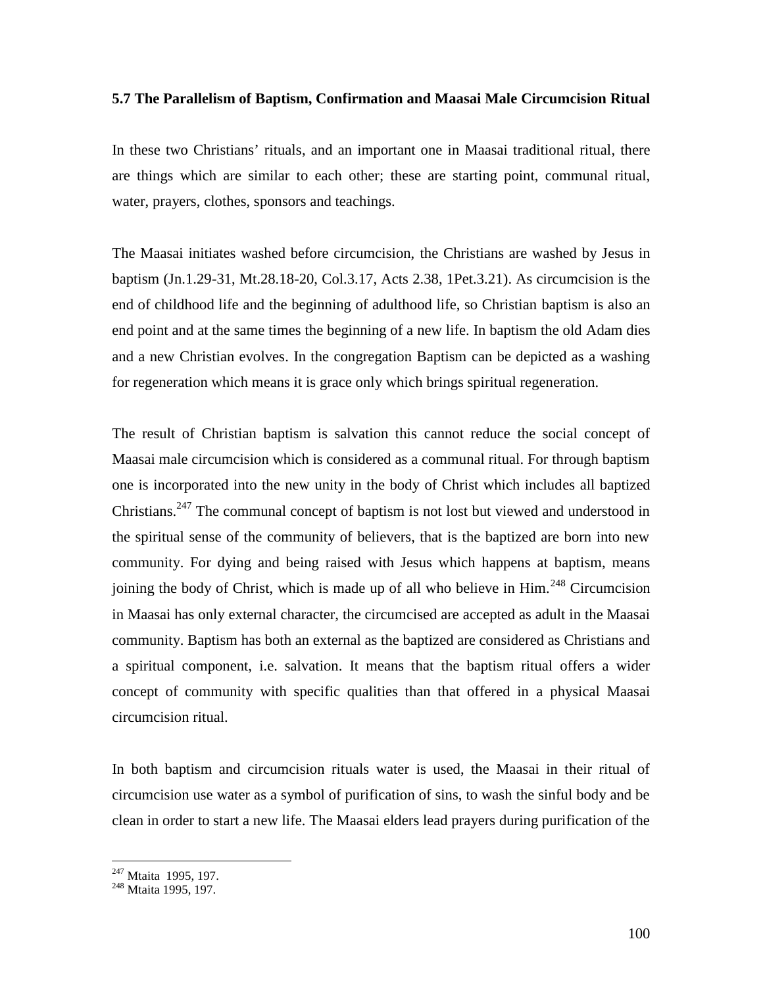#### **5.7 The Parallelism of Baptism, Confirmation and Maasai Male Circumcision Ritual**

In these two Christians' rituals, and an important one in Maasai traditional ritual, there are things which are similar to each other; these are starting point, communal ritual, water, prayers, clothes, sponsors and teachings.

The Maasai initiates washed before circumcision, the Christians are washed by Jesus in baptism (Jn.1.29-31, Mt.28.18-20, Col.3.17, Acts 2.38, 1Pet.3.21). As circumcision is the end of childhood life and the beginning of adulthood life, so Christian baptism is also an end point and at the same times the beginning of a new life. In baptism the old Adam dies and a new Christian evolves. In the congregation Baptism can be depicted as a washing for regeneration which means it is grace only which brings spiritual regeneration.

The result of Christian baptism is salvation this cannot reduce the social concept of Maasai male circumcision which is considered as a communal ritual. For through baptism one is incorporated into the new unity in the body of Christ which includes all baptized Christians.<sup>247</sup> The communal concept of baptism is not lost but viewed and understood in the spiritual sense of the community of believers, that is the baptized are born into new community. For dying and being raised with Jesus which happens at baptism, means joining the body of Christ, which is made up of all who believe in Him.<sup>248</sup> Circumcision in Maasai has only external character, the circumcised are accepted as adult in the Maasai community. Baptism has both an external as the baptized are considered as Christians and a spiritual component, i.e. salvation. It means that the baptism ritual offers a wider concept of community with specific qualities than that offered in a physical Maasai circumcision ritual.

In both baptism and circumcision rituals water is used, the Maasai in their ritual of circumcision use water as a symbol of purification of sins, to wash the sinful body and be clean in order to start a new life. The Maasai elders lead prayers during purification of the

<sup>&</sup>lt;sup>247</sup> Mtaita 1995, 197.<br><sup>248</sup> Mtaita 1995, 197.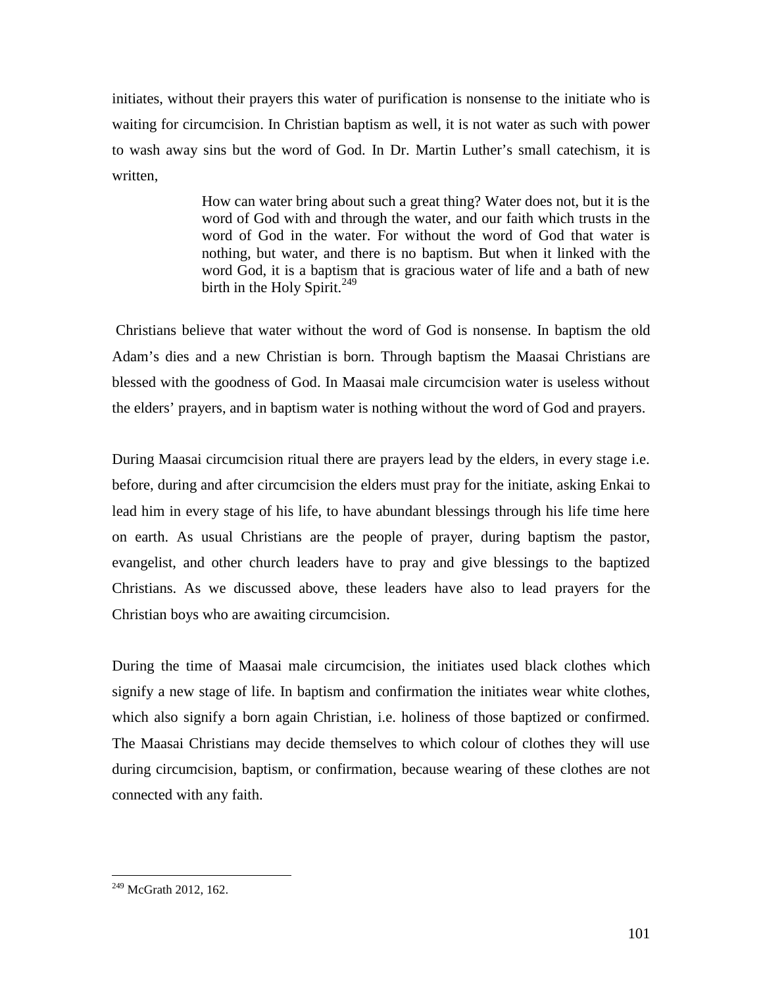initiates, without their prayers this water of purification is nonsense to the initiate who is waiting for circumcision. In Christian baptism as well, it is not water as such with power to wash away sins but the word of God. In Dr. Martin Luther's small catechism, it is written,

> How can water bring about such a great thing? Water does not, but it is the word of God with and through the water, and our faith which trusts in the word of God in the water. For without the word of God that water is nothing, but water, and there is no baptism. But when it linked with the word God, it is a baptism that is gracious water of life and a bath of new birth in the Holy Spirit.<sup>249</sup>

 Christians believe that water without the word of God is nonsense. In baptism the old Adam's dies and a new Christian is born. Through baptism the Maasai Christians are blessed with the goodness of God. In Maasai male circumcision water is useless without the elders' prayers, and in baptism water is nothing without the word of God and prayers.

During Maasai circumcision ritual there are prayers lead by the elders, in every stage i.e. before, during and after circumcision the elders must pray for the initiate, asking Enkai to lead him in every stage of his life, to have abundant blessings through his life time here on earth. As usual Christians are the people of prayer, during baptism the pastor, evangelist, and other church leaders have to pray and give blessings to the baptized Christians. As we discussed above, these leaders have also to lead prayers for the Christian boys who are awaiting circumcision.

During the time of Maasai male circumcision, the initiates used black clothes which signify a new stage of life. In baptism and confirmation the initiates wear white clothes, which also signify a born again Christian, i.e. holiness of those baptized or confirmed. The Maasai Christians may decide themselves to which colour of clothes they will use during circumcision, baptism, or confirmation, because wearing of these clothes are not connected with any faith.

<sup>&</sup>lt;sup>249</sup> McGrath 2012, 162.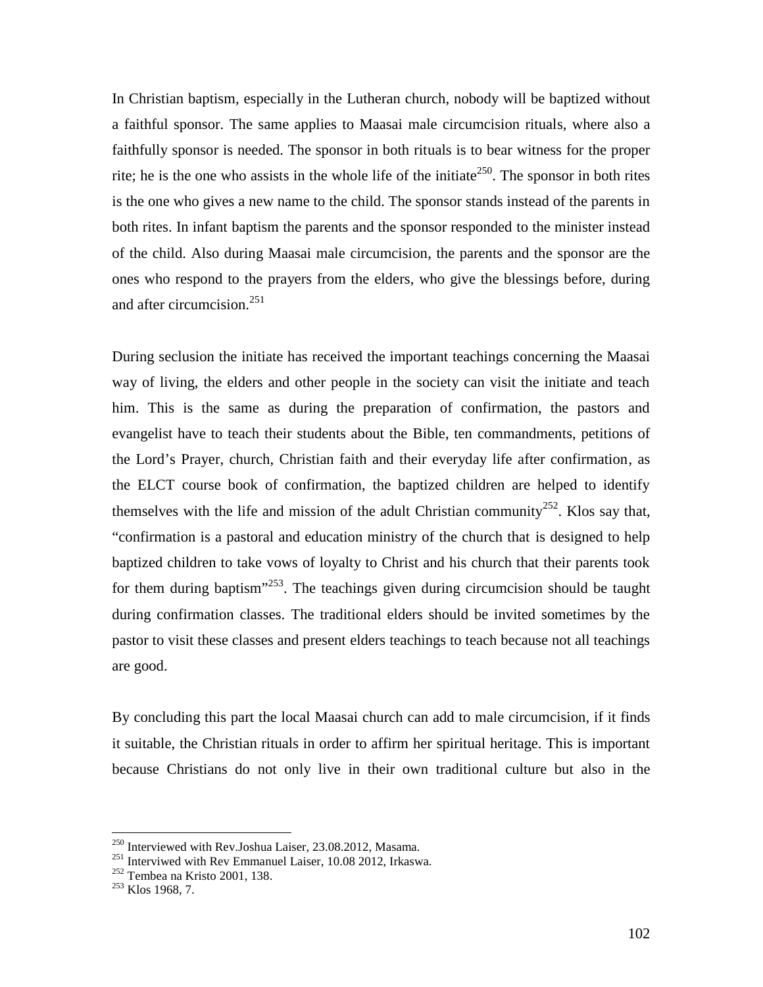In Christian baptism, especially in the Lutheran church, nobody will be baptized without a faithful sponsor. The same applies to Maasai male circumcision rituals, where also a faithfully sponsor is needed. The sponsor in both rituals is to bear witness for the proper rite; he is the one who assists in the whole life of the initiate<sup>250</sup>. The sponsor in both rites is the one who gives a new name to the child. The sponsor stands instead of the parents in both rites. In infant baptism the parents and the sponsor responded to the minister instead of the child. Also during Maasai male circumcision, the parents and the sponsor are the ones who respond to the prayers from the elders, who give the blessings before, during and after circumcision.<sup>251</sup>

During seclusion the initiate has received the important teachings concerning the Maasai way of living, the elders and other people in the society can visit the initiate and teach him. This is the same as during the preparation of confirmation, the pastors and evangelist have to teach their students about the Bible, ten commandments, petitions of the Lord's Prayer, church, Christian faith and their everyday life after confirmation, as the ELCT course book of confirmation, the baptized children are helped to identify themselves with the life and mission of the adult Christian community<sup>252</sup>. Klos say that, "confirmation is a pastoral and education ministry of the church that is designed to help baptized children to take vows of loyalty to Christ and his church that their parents took for them during baptism $^{3253}$ . The teachings given during circumcision should be taught during confirmation classes. The traditional elders should be invited sometimes by the pastor to visit these classes and present elders teachings to teach because not all teachings are good.

By concluding this part the local Maasai church can add to male circumcision, if it finds it suitable, the Christian rituals in order to affirm her spiritual heritage. This is important because Christians do not only live in their own traditional culture but also in the

<sup>&</sup>lt;sup>250</sup> Interviewed with Rev.Joshua Laiser, 23.08.2012, Masama.<br><sup>251</sup> Interviwed with Rev Emmanuel Laiser, 10.08 2012, Irkaswa.<br><sup>252</sup> Tembea na Kristo 2001, 138.<br><sup>253</sup> Klos 1968, 7.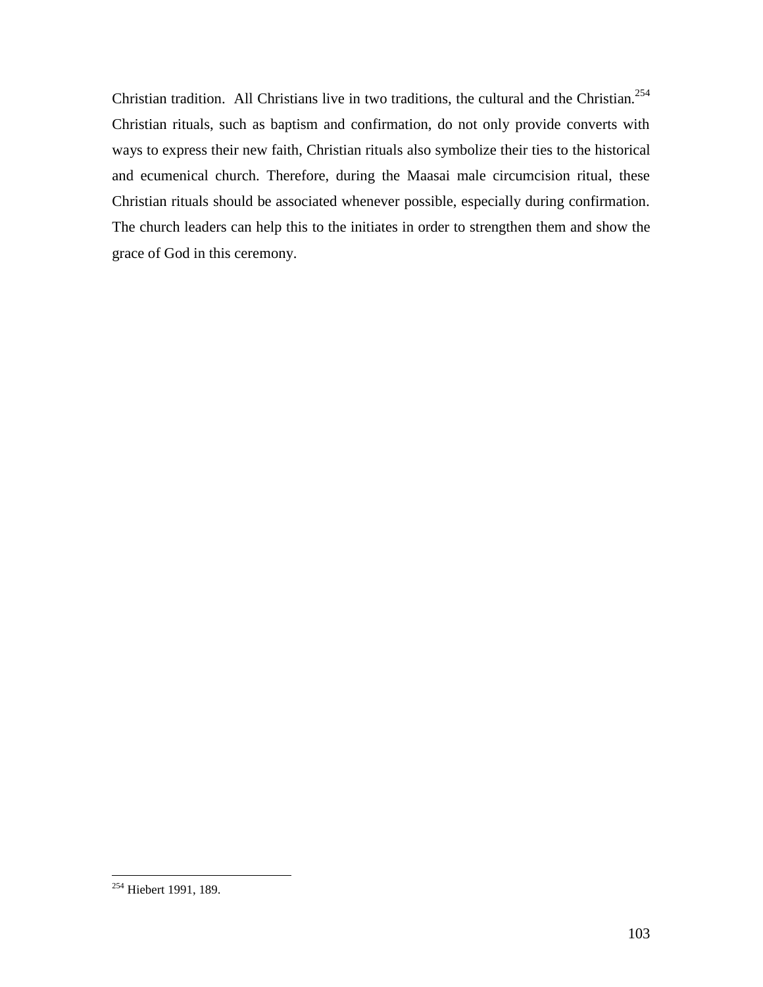Christian tradition. All Christians live in two traditions, the cultural and the Christian.<sup>254</sup> Christian rituals, such as baptism and confirmation, do not only provide converts with ways to express their new faith, Christian rituals also symbolize their ties to the historical and ecumenical church. Therefore, during the Maasai male circumcision ritual, these Christian rituals should be associated whenever possible, especially during confirmation. The church leaders can help this to the initiates in order to strengthen them and show the grace of God in this ceremony.

<sup>254</sup> Hiebert 1991, 189.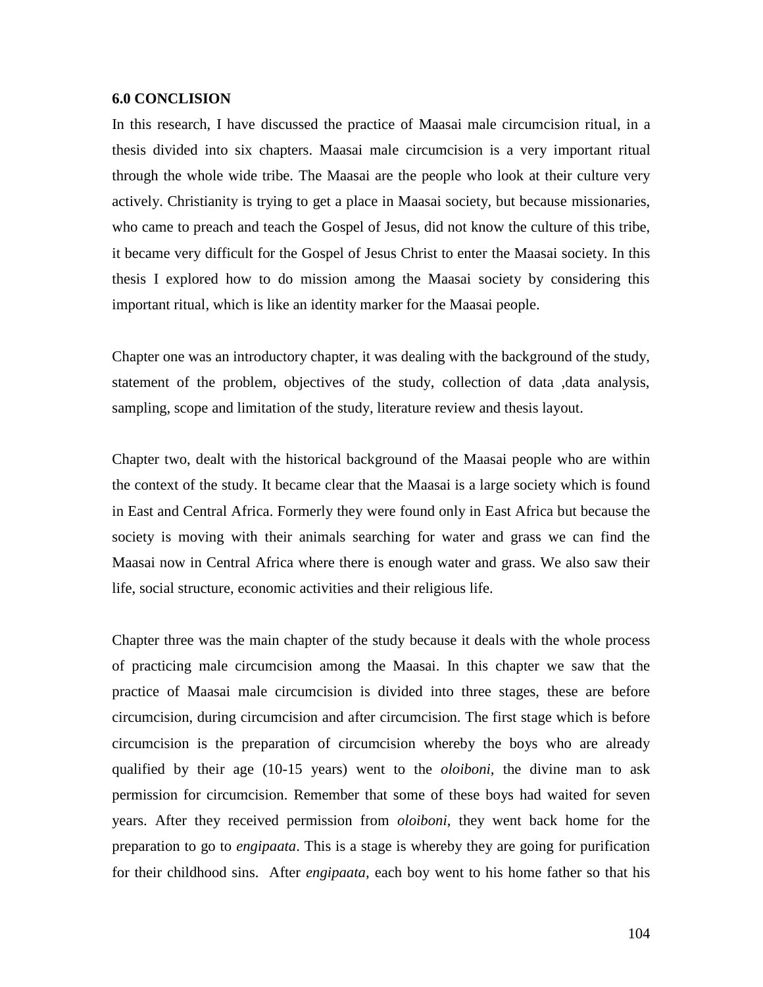#### **6.0 CONCLISION**

In this research, I have discussed the practice of Maasai male circumcision ritual, in a thesis divided into six chapters. Maasai male circumcision is a very important ritual through the whole wide tribe. The Maasai are the people who look at their culture very actively. Christianity is trying to get a place in Maasai society, but because missionaries, who came to preach and teach the Gospel of Jesus, did not know the culture of this tribe, it became very difficult for the Gospel of Jesus Christ to enter the Maasai society. In this thesis I explored how to do mission among the Maasai society by considering this important ritual, which is like an identity marker for the Maasai people.

Chapter one was an introductory chapter, it was dealing with the background of the study, statement of the problem, objectives of the study, collection of data ,data analysis, sampling, scope and limitation of the study, literature review and thesis layout.

Chapter two, dealt with the historical background of the Maasai people who are within the context of the study. It became clear that the Maasai is a large society which is found in East and Central Africa. Formerly they were found only in East Africa but because the society is moving with their animals searching for water and grass we can find the Maasai now in Central Africa where there is enough water and grass. We also saw their life, social structure, economic activities and their religious life.

Chapter three was the main chapter of the study because it deals with the whole process of practicing male circumcision among the Maasai. In this chapter we saw that the practice of Maasai male circumcision is divided into three stages, these are before circumcision, during circumcision and after circumcision. The first stage which is before circumcision is the preparation of circumcision whereby the boys who are already qualified by their age (10-15 years) went to the *oloiboni,* the divine man to ask permission for circumcision. Remember that some of these boys had waited for seven years. After they received permission from *oloiboni*, they went back home for the preparation to go to *engipaata*. This is a stage is whereby they are going for purification for their childhood sins. After *engipaata,* each boy went to his home father so that his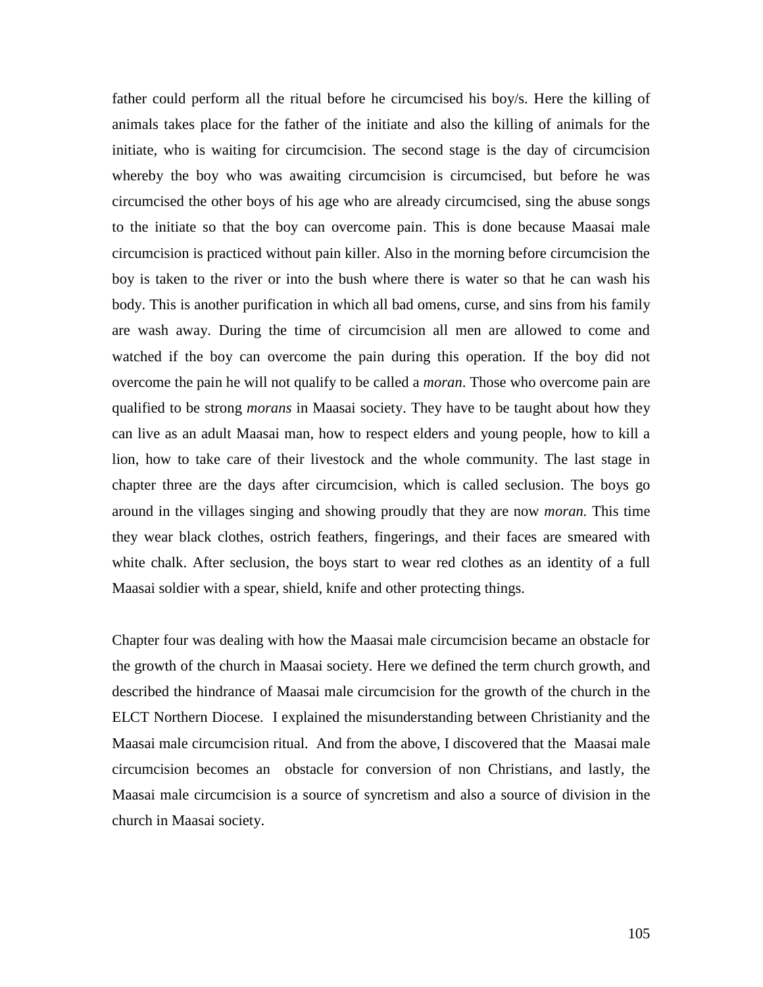father could perform all the ritual before he circumcised his boy/s. Here the killing of animals takes place for the father of the initiate and also the killing of animals for the initiate, who is waiting for circumcision. The second stage is the day of circumcision whereby the boy who was awaiting circumcision is circumcised, but before he was circumcised the other boys of his age who are already circumcised, sing the abuse songs to the initiate so that the boy can overcome pain. This is done because Maasai male circumcision is practiced without pain killer. Also in the morning before circumcision the boy is taken to the river or into the bush where there is water so that he can wash his body. This is another purification in which all bad omens, curse, and sins from his family are wash away. During the time of circumcision all men are allowed to come and watched if the boy can overcome the pain during this operation. If the boy did not overcome the pain he will not qualify to be called a *moran*. Those who overcome pain are qualified to be strong *morans* in Maasai society. They have to be taught about how they can live as an adult Maasai man, how to respect elders and young people, how to kill a lion, how to take care of their livestock and the whole community. The last stage in chapter three are the days after circumcision, which is called seclusion. The boys go around in the villages singing and showing proudly that they are now *moran.* This time they wear black clothes, ostrich feathers, fingerings, and their faces are smeared with white chalk. After seclusion, the boys start to wear red clothes as an identity of a full Maasai soldier with a spear, shield, knife and other protecting things.

Chapter four was dealing with how the Maasai male circumcision became an obstacle for the growth of the church in Maasai society. Here we defined the term church growth, and described the hindrance of Maasai male circumcision for the growth of the church in the ELCT Northern Diocese. I explained the misunderstanding between Christianity and the Maasai male circumcision ritual. And from the above, I discovered that the Maasai male circumcision becomes an obstacle for conversion of non Christians, and lastly, the Maasai male circumcision is a source of syncretism and also a source of division in the church in Maasai society.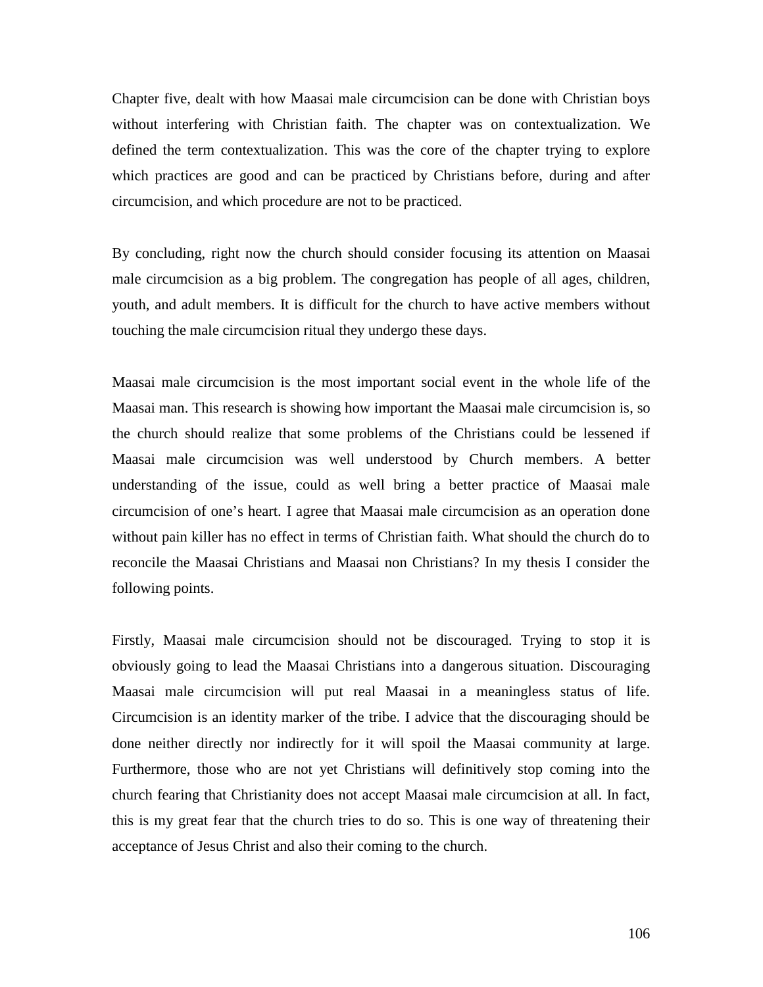Chapter five, dealt with how Maasai male circumcision can be done with Christian boys without interfering with Christian faith. The chapter was on contextualization. We defined the term contextualization. This was the core of the chapter trying to explore which practices are good and can be practiced by Christians before, during and after circumcision, and which procedure are not to be practiced.

By concluding, right now the church should consider focusing its attention on Maasai male circumcision as a big problem. The congregation has people of all ages, children, youth, and adult members. It is difficult for the church to have active members without touching the male circumcision ritual they undergo these days.

Maasai male circumcision is the most important social event in the whole life of the Maasai man. This research is showing how important the Maasai male circumcision is, so the church should realize that some problems of the Christians could be lessened if Maasai male circumcision was well understood by Church members. A better understanding of the issue, could as well bring a better practice of Maasai male circumcision of one's heart. I agree that Maasai male circumcision as an operation done without pain killer has no effect in terms of Christian faith. What should the church do to reconcile the Maasai Christians and Maasai non Christians? In my thesis I consider the following points.

Firstly, Maasai male circumcision should not be discouraged. Trying to stop it is obviously going to lead the Maasai Christians into a dangerous situation. Discouraging Maasai male circumcision will put real Maasai in a meaningless status of life. Circumcision is an identity marker of the tribe. I advice that the discouraging should be done neither directly nor indirectly for it will spoil the Maasai community at large. Furthermore, those who are not yet Christians will definitively stop coming into the church fearing that Christianity does not accept Maasai male circumcision at all. In fact, this is my great fear that the church tries to do so. This is one way of threatening their acceptance of Jesus Christ and also their coming to the church.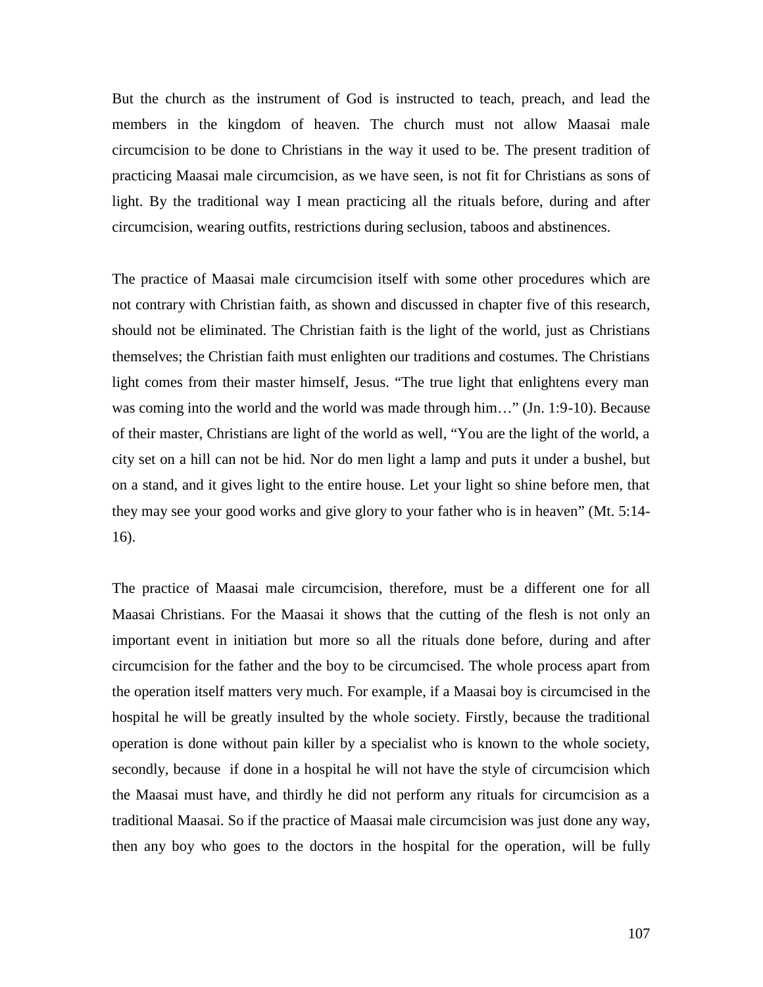But the church as the instrument of God is instructed to teach, preach, and lead the members in the kingdom of heaven. The church must not allow Maasai male circumcision to be done to Christians in the way it used to be. The present tradition of practicing Maasai male circumcision, as we have seen, is not fit for Christians as sons of light. By the traditional way I mean practicing all the rituals before, during and after circumcision, wearing outfits, restrictions during seclusion, taboos and abstinences.

The practice of Maasai male circumcision itself with some other procedures which are not contrary with Christian faith, as shown and discussed in chapter five of this research, should not be eliminated. The Christian faith is the light of the world, just as Christians themselves; the Christian faith must enlighten our traditions and costumes. The Christians light comes from their master himself, Jesus. "The true light that enlightens every man was coming into the world and the world was made through him..." (Jn. 1:9-10). Because of their master, Christians are light of the world as well, "You are the light of the world, a city set on a hill can not be hid. Nor do men light a lamp and puts it under a bushel, but on a stand, and it gives light to the entire house. Let your light so shine before men, that they may see your good works and give glory to your father who is in heaven" (Mt. 5:14- 16).

The practice of Maasai male circumcision, therefore, must be a different one for all Maasai Christians. For the Maasai it shows that the cutting of the flesh is not only an important event in initiation but more so all the rituals done before, during and after circumcision for the father and the boy to be circumcised. The whole process apart from the operation itself matters very much. For example, if a Maasai boy is circumcised in the hospital he will be greatly insulted by the whole society. Firstly, because the traditional operation is done without pain killer by a specialist who is known to the whole society, secondly, because if done in a hospital he will not have the style of circumcision which the Maasai must have, and thirdly he did not perform any rituals for circumcision as a traditional Maasai. So if the practice of Maasai male circumcision was just done any way, then any boy who goes to the doctors in the hospital for the operation, will be fully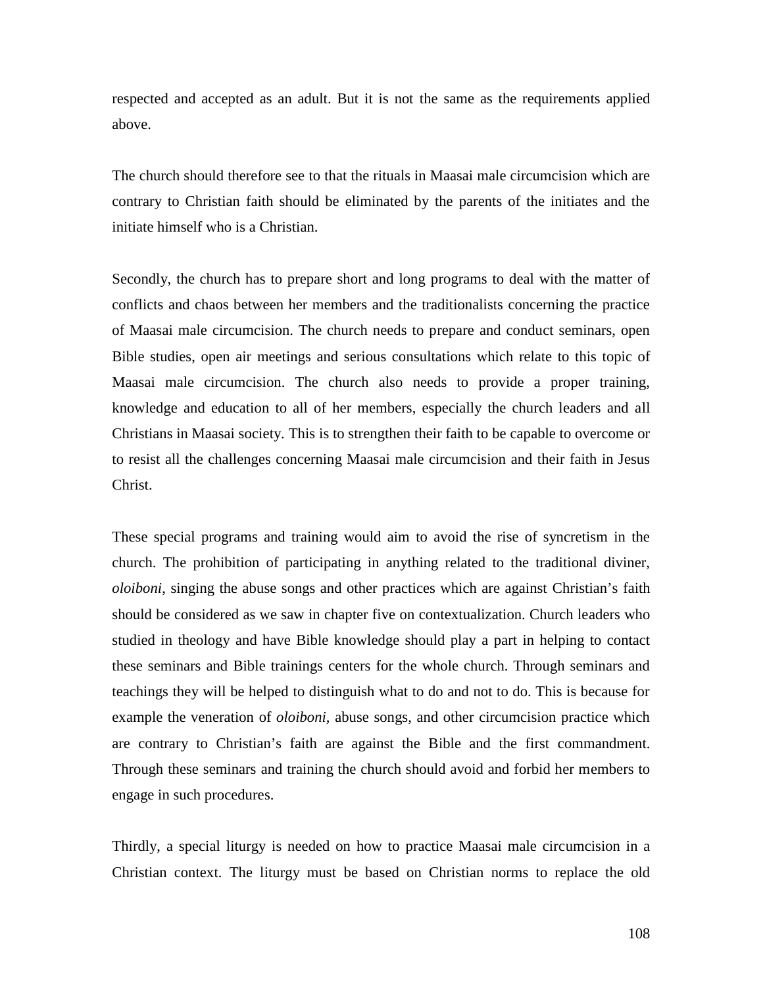respected and accepted as an adult. But it is not the same as the requirements applied above.

The church should therefore see to that the rituals in Maasai male circumcision which are contrary to Christian faith should be eliminated by the parents of the initiates and the initiate himself who is a Christian.

Secondly, the church has to prepare short and long programs to deal with the matter of conflicts and chaos between her members and the traditionalists concerning the practice of Maasai male circumcision. The church needs to prepare and conduct seminars, open Bible studies, open air meetings and serious consultations which relate to this topic of Maasai male circumcision. The church also needs to provide a proper training, knowledge and education to all of her members, especially the church leaders and all Christians in Maasai society. This is to strengthen their faith to be capable to overcome or to resist all the challenges concerning Maasai male circumcision and their faith in Jesus Christ.

These special programs and training would aim to avoid the rise of syncretism in the church. The prohibition of participating in anything related to the traditional diviner, *oloiboni*, singing the abuse songs and other practices which are against Christian's faith should be considered as we saw in chapter five on contextualization. Church leaders who studied in theology and have Bible knowledge should play a part in helping to contact these seminars and Bible trainings centers for the whole church. Through seminars and teachings they will be helped to distinguish what to do and not to do. This is because for example the veneration of *oloiboni,* abuse songs, and other circumcision practice which are contrary to Christian's faith are against the Bible and the first commandment. Through these seminars and training the church should avoid and forbid her members to engage in such procedures.

Thirdly, a special liturgy is needed on how to practice Maasai male circumcision in a Christian context. The liturgy must be based on Christian norms to replace the old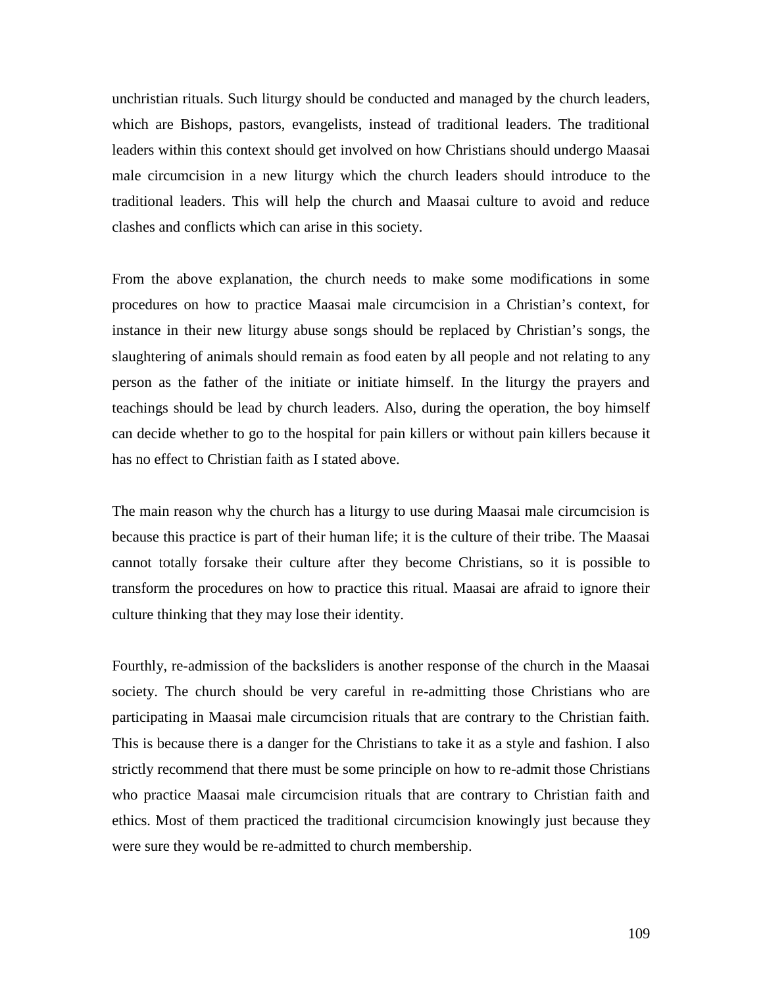unchristian rituals. Such liturgy should be conducted and managed by the church leaders, which are Bishops, pastors, evangelists, instead of traditional leaders. The traditional leaders within this context should get involved on how Christians should undergo Maasai male circumcision in a new liturgy which the church leaders should introduce to the traditional leaders. This will help the church and Maasai culture to avoid and reduce clashes and conflicts which can arise in this society.

From the above explanation, the church needs to make some modifications in some procedures on how to practice Maasai male circumcision in a Christian's context, for instance in their new liturgy abuse songs should be replaced by Christian's songs, the slaughtering of animals should remain as food eaten by all people and not relating to any person as the father of the initiate or initiate himself. In the liturgy the prayers and teachings should be lead by church leaders. Also, during the operation, the boy himself can decide whether to go to the hospital for pain killers or without pain killers because it has no effect to Christian faith as I stated above.

The main reason why the church has a liturgy to use during Maasai male circumcision is because this practice is part of their human life; it is the culture of their tribe. The Maasai cannot totally forsake their culture after they become Christians, so it is possible to transform the procedures on how to practice this ritual. Maasai are afraid to ignore their culture thinking that they may lose their identity.

Fourthly, re-admission of the backsliders is another response of the church in the Maasai society. The church should be very careful in re-admitting those Christians who are participating in Maasai male circumcision rituals that are contrary to the Christian faith. This is because there is a danger for the Christians to take it as a style and fashion. I also strictly recommend that there must be some principle on how to re-admit those Christians who practice Maasai male circumcision rituals that are contrary to Christian faith and ethics. Most of them practiced the traditional circumcision knowingly just because they were sure they would be re-admitted to church membership.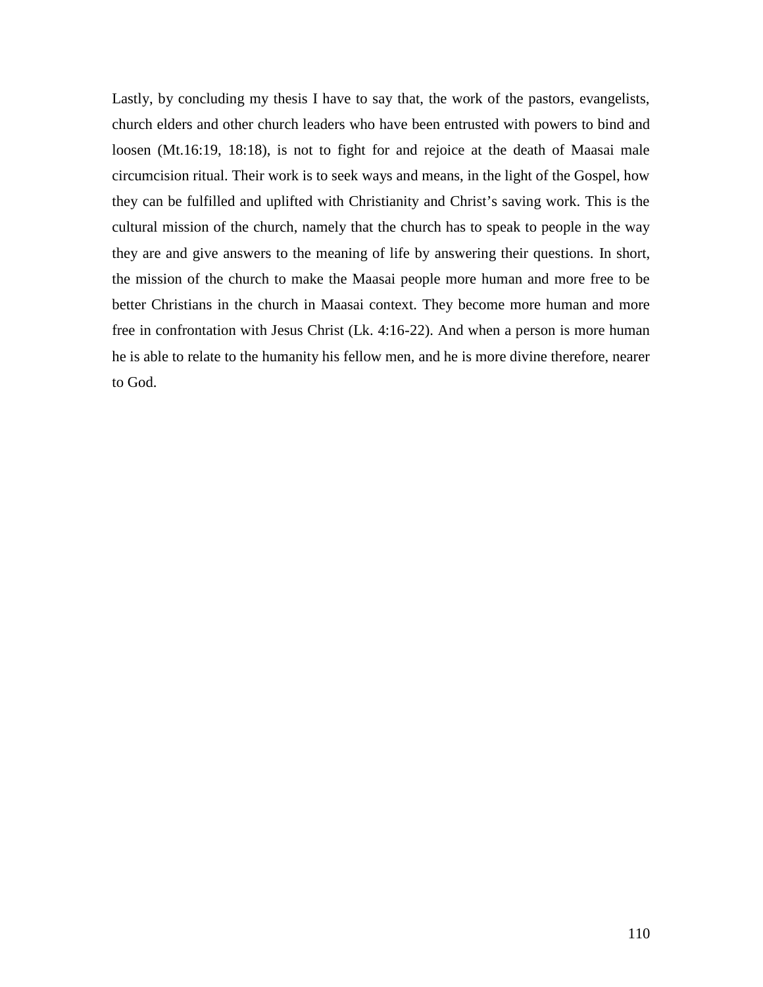Lastly, by concluding my thesis I have to say that, the work of the pastors, evangelists, church elders and other church leaders who have been entrusted with powers to bind and loosen (Mt.16:19, 18:18), is not to fight for and rejoice at the death of Maasai male circumcision ritual. Their work is to seek ways and means, in the light of the Gospel, how they can be fulfilled and uplifted with Christianity and Christ's saving work. This is the cultural mission of the church, namely that the church has to speak to people in the way they are and give answers to the meaning of life by answering their questions. In short, the mission of the church to make the Maasai people more human and more free to be better Christians in the church in Maasai context. They become more human and more free in confrontation with Jesus Christ (Lk. 4:16-22). And when a person is more human he is able to relate to the humanity his fellow men, and he is more divine therefore, nearer to God.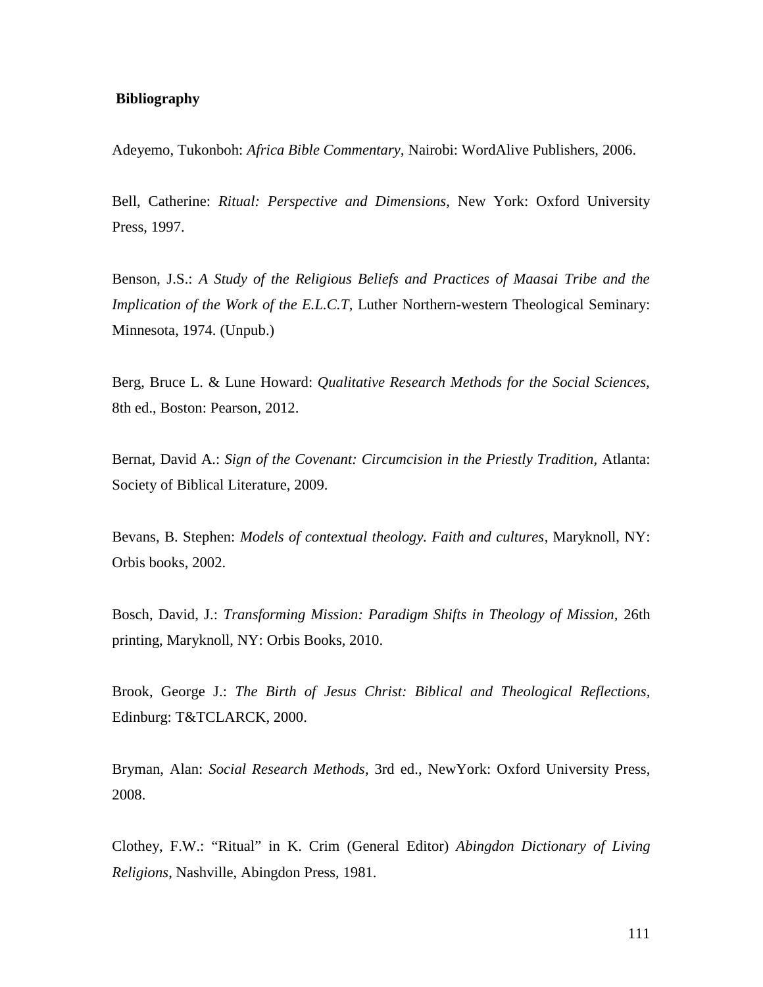#### **Bibliography**

Adeyemo, Tukonboh: *Africa Bible Commentary,* Nairobi: WordAlive Publishers, 2006.

Bell, Catherine: *Ritual: Perspective and Dimensions,* New York: Oxford University Press, 1997.

Benson, J.S.: *A Study of the Religious Beliefs and Practices of Maasai Tribe and the Implication of the Work of the E.L.C.T, Luther Northern-western Theological Seminary:* Minnesota, 1974. (Unpub.)

Berg, Bruce L. & Lune Howard: *Qualitative Research Methods for the Social Sciences,* 8th ed., Boston: Pearson, 2012.

Bernat, David A.: *Sign of the Covenant: Circumcision in the Priestly Tradition,* Atlanta: Society of Biblical Literature, 2009.

Bevans, B. Stephen: *Models of contextual theology. Faith and cultures*, Maryknoll, NY: Orbis books, 2002.

Bosch, David, J.: *Transforming Mission: Paradigm Shifts in Theology of Mission,* 26th printing, Maryknoll, NY: Orbis Books, 2010.

Brook, George J.: *The Birth of Jesus Christ: Biblical and Theological Reflections,* Edinburg: T&TCLARCK, 2000.

Bryman, Alan: *Social Research Methods*, 3rd ed., NewYork: Oxford University Press, 2008.

Clothey, F.W.: "Ritual" in K. Crim (General Editor) *Abingdon Dictionary of Living Religions*, Nashville, Abingdon Press, 1981.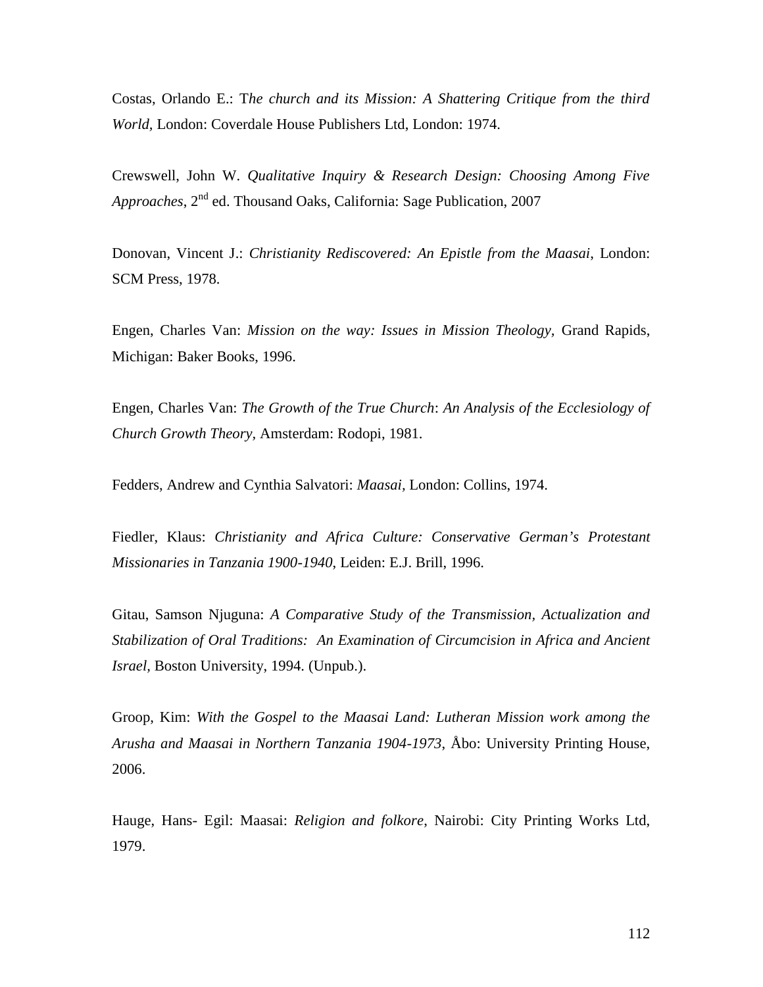Costas, Orlando E.: T*he church and its Mission: A Shattering Critique from the third World,* London: Coverdale House Publishers Ltd, London: 1974.

Crewswell, John W. *Qualitative Inquiry & Research Design: Choosing Among Five Approaches*, 2nd ed. Thousand Oaks, California: Sage Publication, 2007

Donovan, Vincent J.: *Christianity Rediscovered: An Epistle from the Maasai*, London: SCM Press, 1978.

Engen, Charles Van: *Mission on the way: Issues in Mission Theology,* Grand Rapids, Michigan: Baker Books, 1996.

Engen, Charles Van: *The Growth of the True Church*: *An Analysis of the Ecclesiology of Church Growth Theory,* Amsterdam: Rodopi, 1981.

Fedders, Andrew and Cynthia Salvatori: *Maasai,* London: Collins, 1974.

Fiedler, Klaus: *Christianity and Africa Culture: Conservative German's Protestant Missionaries in Tanzania 1900-1940*, Leiden: E.J. Brill, 1996.

Gitau, Samson Njuguna: *A Comparative Study of the Transmission, Actualization and Stabilization of Oral Traditions: An Examination of Circumcision in Africa and Ancient Israel,* Boston University, 1994. (Unpub.).

Groop, Kim: *With the Gospel to the Maasai Land: Lutheran Mission work among the Arusha and Maasai in Northern Tanzania 1904-1973*, Åbo: University Printing House, 2006.

Hauge, Hans- Egil: Maasai: *Religion and folkore*, Nairobi: City Printing Works Ltd, 1979.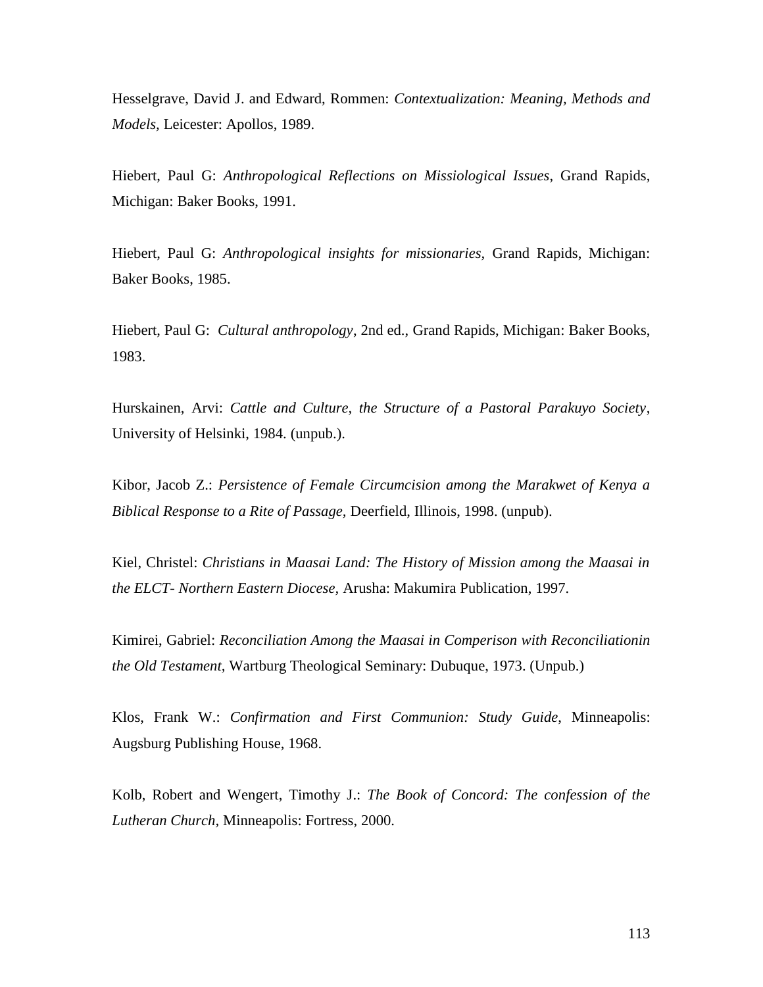Hesselgrave, David J. and Edward, Rommen: *Contextualization: Meaning, Methods and Models,* Leicester: Apollos, 1989.

Hiebert, Paul G: *Anthropological Reflections on Missiological Issues*, Grand Rapids, Michigan: Baker Books, 1991.

Hiebert, Paul G: *Anthropological insights for missionaries,* Grand Rapids, Michigan: Baker Books, 1985.

Hiebert, Paul G: *Cultural anthropology*, 2nd ed., Grand Rapids, Michigan: Baker Books, 1983.

Hurskainen, Arvi: *Cattle and Culture, the Structure of a Pastoral Parakuyo Society*, University of Helsinki, 1984. (unpub.).

Kibor, Jacob Z.: *Persistence of Female Circumcision among the Marakwet of Kenya a Biblical Response to a Rite of Passage,* Deerfield, Illinois, 1998. (unpub).

Kiel, Christel: *Christians in Maasai Land: The History of Mission among the Maasai in the ELCT- Northern Eastern Diocese,* Arusha: Makumira Publication, 1997.

Kimirei, Gabriel: *Reconciliation Among the Maasai in Comperison with Reconciliationin the Old Testament,* Wartburg Theological Seminary: Dubuque, 1973. (Unpub.)

Klos, Frank W.: *Confirmation and First Communion: Study Guide*, Minneapolis: Augsburg Publishing House, 1968.

Kolb, Robert and Wengert, Timothy J.: *The Book of Concord: The confession of the Lutheran Church,* Minneapolis: Fortress, 2000.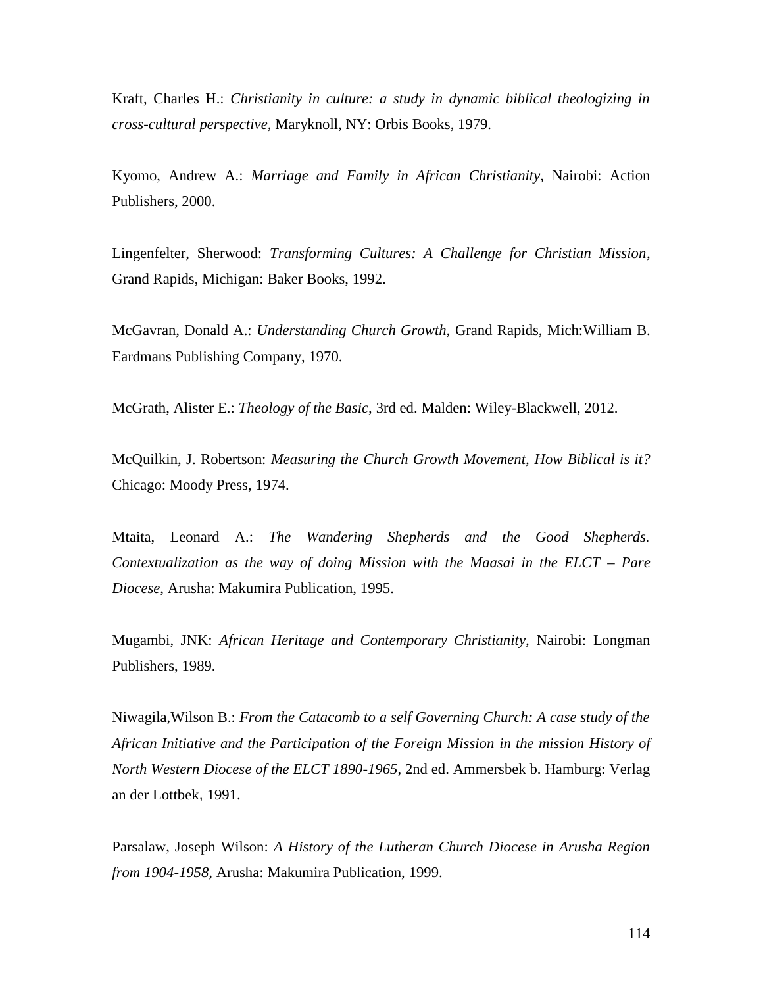Kraft, Charles H.: *Christianity in culture: a study in dynamic biblical theologizing in cross-cultural perspective,* Maryknoll, NY: Orbis Books, 1979.

Kyomo, Andrew A.: *Marriage and Family in African Christianity,* Nairobi: Action Publishers, 2000.

Lingenfelter, Sherwood: *Transforming Cultures: A Challenge for Christian Mission*, Grand Rapids, Michigan: Baker Books, 1992.

McGavran, Donald A.: *Understanding Church Growth,* Grand Rapids, Mich:William B. Eardmans Publishing Company, 1970.

McGrath, Alister E.: *Theology of the Basic,* 3rd ed. Malden: Wiley-Blackwell, 2012.

McQuilkin, J. Robertson: *Measuring the Church Growth Movement, How Biblical is it?* Chicago: Moody Press, 1974.

Mtaita, Leonard A.: *The Wandering Shepherds and the Good Shepherds. Contextualization as the way of doing Mission with the Maasai in the ELCT – Pare Diocese*, Arusha: Makumira Publication, 1995.

Mugambi, JNK: *African Heritage and Contemporary Christianity,* Nairobi: Longman Publishers, 1989.

Niwagila,Wilson B.: *From the Catacomb to a self Governing Church: A case study of the African Initiative and the Participation of the Foreign Mission in the mission History of North Western Diocese of the ELCT 1890-1965*, 2nd ed. Ammersbek b. Hamburg: Verlag an der Lottbek, 1991.

Parsalaw, Joseph Wilson: *A History of the Lutheran Church Diocese in Arusha Region from 1904-1958,* Arusha: Makumira Publication, 1999.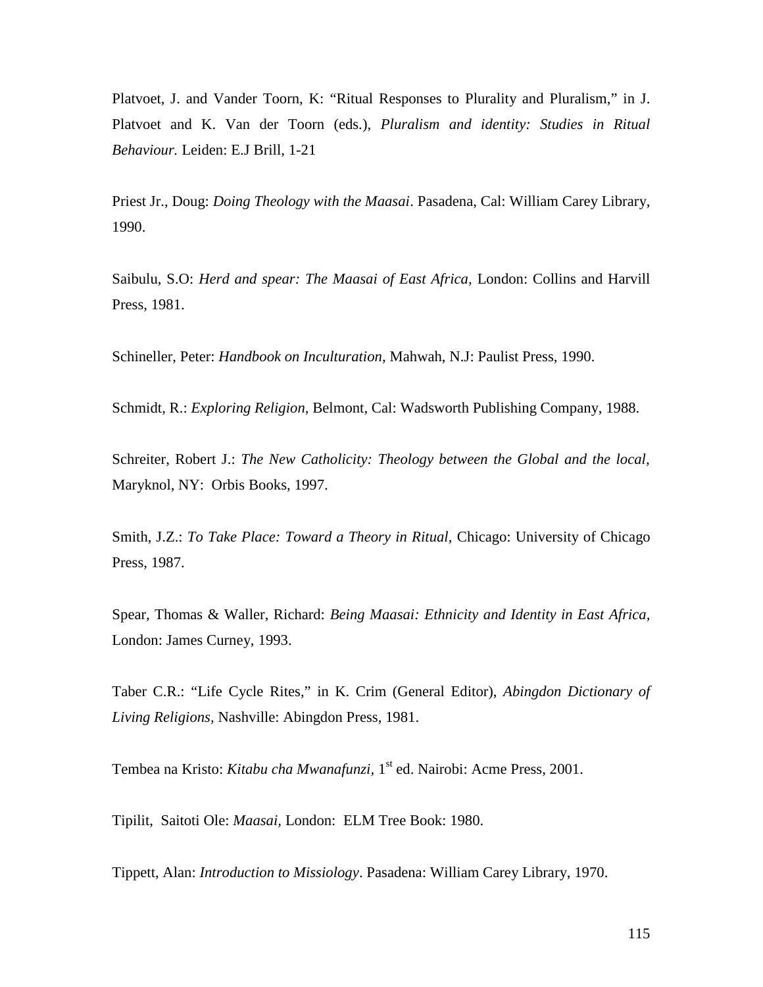Platvoet, J. and Vander Toorn, K: "Ritual Responses to Plurality and Pluralism," in J. Platvoet and K. Van der Toorn (eds.), *Pluralism and identity: Studies in Ritual Behaviour.* Leiden: E.J Brill, 1-21

Priest Jr., Doug: *Doing Theology with the Maasai*. Pasadena, Cal: William Carey Library, 1990.

Saibulu, S.O: *Herd and spear: The Maasai of East Africa,* London: Collins and Harvill Press, 1981.

Schineller, Peter: *Handbook on Inculturation,* Mahwah, N.J: Paulist Press, 1990.

Schmidt, R.: *Exploring Religion,* Belmont, Cal: Wadsworth Publishing Company, 1988.

Schreiter, Robert J.: *The New Catholicity: Theology between the Global and the local,* Maryknol, NY: Orbis Books, 1997.

Smith, J.Z.: *To Take Place: Toward a Theory in Ritual,* Chicago: University of Chicago Press, 1987.

Spear, Thomas & Waller, Richard: *Being Maasai: Ethnicity and Identity in East Africa,* London: James Curney, 1993.

Taber C.R.: "Life Cycle Rites," in K. Crim (General Editor), *Abingdon Dictionary of Living Religions,* Nashville: Abingdon Press, 1981.

Tembea na Kristo: *Kitabu cha Mwanafunzi,* 1 st ed. Nairobi: Acme Press, 2001.

Tipilit, Saitoti Ole: *Maasai,* London: ELM Tree Book: 1980.

Tippett, Alan: *Introduction to Missiology*. Pasadena: William Carey Library, 1970.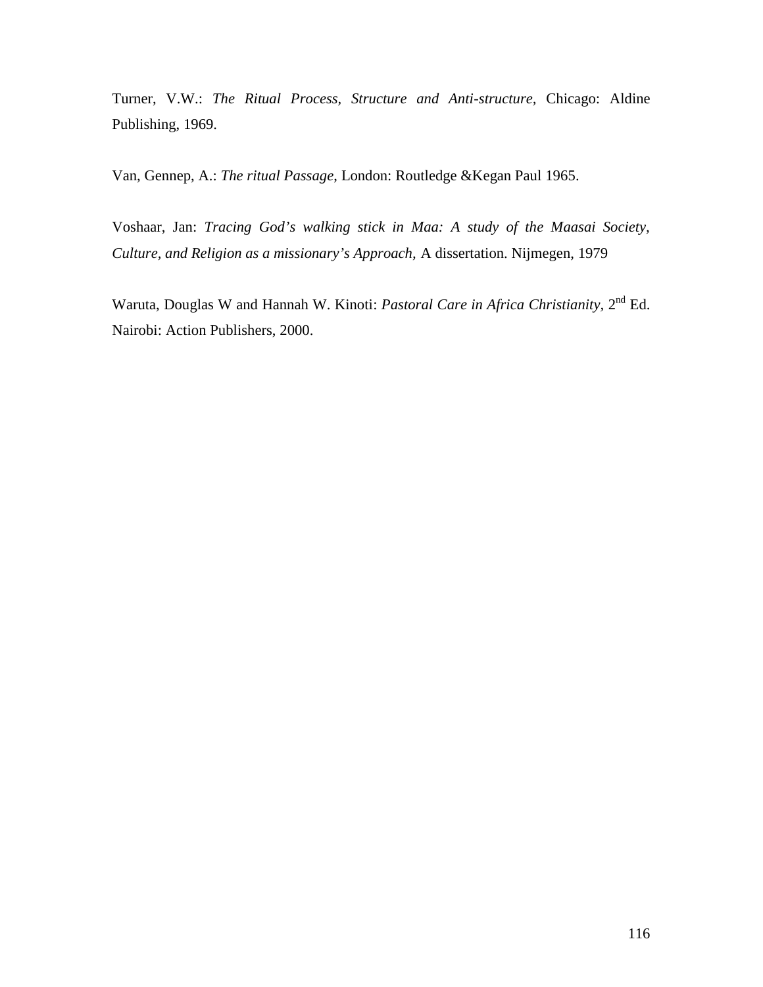Turner, V.W.: *The Ritual Process, Structure and Anti-structure,* Chicago: Aldine Publishing, 1969.

Van, Gennep, A.: *The ritual Passage*, London: Routledge &Kegan Paul 1965.

Voshaar, Jan: *Tracing God's walking stick in Maa: A study of the Maasai Society, Culture, and Religion as a missionary's Approach,* A dissertation. Nijmegen, 1979

Waruta, Douglas W and Hannah W. Kinoti: *Pastoral Care in Africa Christianity*, 2<sup>nd</sup> Ed. Nairobi: Action Publishers, 2000.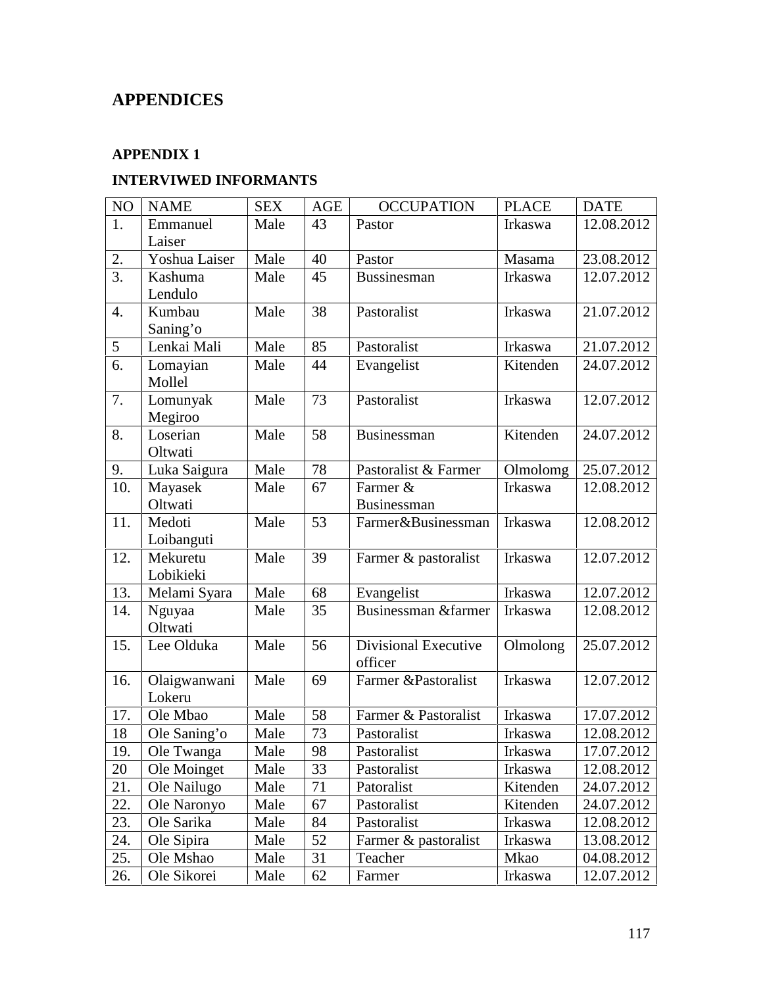# **APPENDICES**

## **APPENDIX 1**

## **INTERVIWED INFORMANTS**

| $\rm NO$ | <b>NAME</b>            | <b>SEX</b> | AGE | <b>OCCUPATION</b>               | <b>PLACE</b> | <b>DATE</b> |
|----------|------------------------|------------|-----|---------------------------------|--------------|-------------|
| 1.       | Emmanuel<br>Laiser     | Male       | 43  | Pastor                          | Irkaswa      | 12.08.2012  |
| 2.       | Yoshua Laiser          | Male       | 40  | Pastor                          | Masama       | 23.08.2012  |
| 3.       | Kashuma                | Male       | 45  | Bussinesman                     | Irkaswa      | 12.07.2012  |
|          | Lendulo                |            |     |                                 |              |             |
| 4.       | Kumbau<br>Saning'o     | Male       | 38  | Pastoralist                     | Irkaswa      | 21.07.2012  |
| 5        | Lenkai Mali            | Male       | 85  | Pastoralist                     | Irkaswa      | 21.07.2012  |
| 6.       | Lomayian<br>Mollel     | Male       | 44  | Evangelist                      | Kitenden     | 24.07.2012  |
| 7.       | Lomunyak<br>Megiroo    | Male       | 73  | Pastoralist                     | Irkaswa      | 12.07.2012  |
| 8.       | Loserian<br>Oltwati    | Male       | 58  | Businessman                     | Kitenden     | 24.07.2012  |
| 9.       | Luka Saigura           | Male       | 78  | Pastoralist & Farmer            | Olmolomg     | 25.07.2012  |
| 10.      | Mayasek<br>Oltwati     | Male       | 67  | Farmer &<br>Businessman         | Irkaswa      | 12.08.2012  |
| 11.      | Medoti<br>Loibanguti   | Male       | 53  | Farmer&Businessman              | Irkaswa      | 12.08.2012  |
| 12.      | Mekuretu<br>Lobikieki  | Male       | 39  | Farmer & pastoralist            | Irkaswa      | 12.07.2012  |
| 13.      | Melami Syara           | Male       | 68  | Evangelist                      | Irkaswa      | 12.07.2012  |
| 14.      | Nguyaa<br>Oltwati      | Male       | 35  | Businessman &farmer             | Irkaswa      | 12.08.2012  |
| 15.      | Lee Olduka             | Male       | 56  | Divisional Executive<br>officer | Olmolong     | 25.07.2012  |
| 16.      | Olaigwanwani<br>Lokeru | Male       | 69  | Farmer &Pastoralist             | Irkaswa      | 12.07.2012  |
| 17.      | Ole Mbao               | Male       | 58  | Farmer & Pastoralist            | Irkaswa      | 17.07.2012  |
| 18       | Ole Saning'o           | Male       | 73  | Pastoralist                     | Irkaswa      | 12.08.2012  |
| 19.      | Ole Twanga             | Male       | 98  | Pastoralist                     | Irkaswa      | 17.07.2012  |
| 20       | Ole Moinget            | Male       | 33  | Pastoralist                     | Irkaswa      | 12.08.2012  |
| 21.      | Ole Nailugo            | Male       | 71  | Patoralist                      | Kitenden     | 24.07.2012  |
| 22.      | Ole Naronyo            | Male       | 67  | Pastoralist                     | Kitenden     | 24.07.2012  |
| 23.      | Ole Sarika             | Male       | 84  | Pastoralist                     | Irkaswa      | 12.08.2012  |
| 24.      | Ole Sipira             | Male       | 52  | Farmer & pastoralist            | Irkaswa      | 13.08.2012  |
| 25.      | Ole Mshao              | Male       | 31  | Teacher                         | Mkao         | 04.08.2012  |
| 26.      | Ole Sikorei            | Male       | 62  | Farmer                          | Irkaswa      | 12.07.2012  |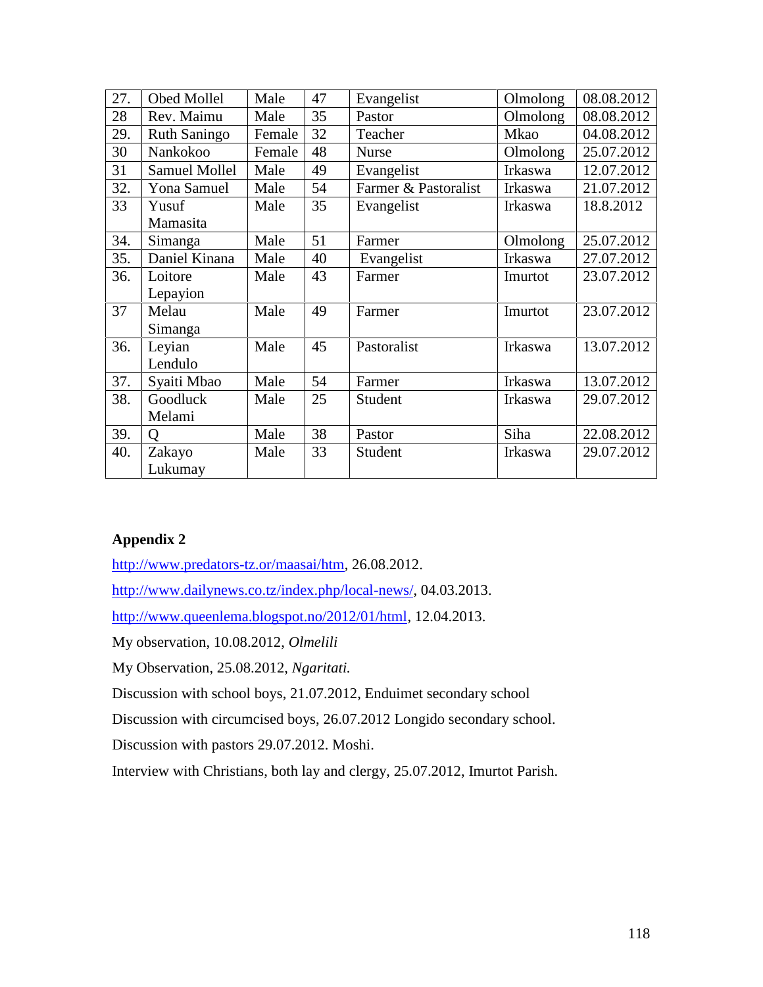| 27. | Obed Mollel          | Male   | 47 | Evangelist           | Olmolong | 08.08.2012 |
|-----|----------------------|--------|----|----------------------|----------|------------|
| 28  | Rev. Maimu           | Male   | 35 | Pastor               | Olmolong | 08.08.2012 |
| 29. | <b>Ruth Saningo</b>  | Female | 32 | Teacher              | Mkao     | 04.08.2012 |
| 30  | Nankokoo             | Female | 48 | <b>Nurse</b>         | Olmolong | 25.07.2012 |
| 31  | <b>Samuel Mollel</b> | Male   | 49 | Evangelist           | Irkaswa  | 12.07.2012 |
| 32. | Yona Samuel          | Male   | 54 | Farmer & Pastoralist | Irkaswa  | 21.07.2012 |
| 33  | Yusuf                | Male   | 35 | Evangelist           | Irkaswa  | 18.8.2012  |
|     | Mamasita             |        |    |                      |          |            |
| 34. | Simanga              | Male   | 51 | Farmer               | Olmolong | 25.07.2012 |
| 35. | Daniel Kinana        | Male   | 40 | Evangelist           | Irkaswa  | 27.07.2012 |
| 36. | Loitore              | Male   | 43 | Farmer               | Imurtot  | 23.07.2012 |
|     | Lepayion             |        |    |                      |          |            |
| 37  | Melau                | Male   | 49 | Farmer               | Imurtot  | 23.07.2012 |
|     | Simanga              |        |    |                      |          |            |
| 36. | Leyian               | Male   | 45 | Pastoralist          | Irkaswa  | 13.07.2012 |
|     | Lendulo              |        |    |                      |          |            |
| 37. | Syaiti Mbao          | Male   | 54 | Farmer               | Irkaswa  | 13.07.2012 |
| 38. | Goodluck             | Male   | 25 | Student              | Irkaswa  | 29.07.2012 |
|     | Melami               |        |    |                      |          |            |
| 39. | O                    | Male   | 38 | Pastor               | Siha     | 22.08.2012 |
| 40. | Zakayo               | Male   | 33 | Student              | Irkaswa  | 29.07.2012 |
|     | Lukumay              |        |    |                      |          |            |

http://www.predators-tz.or/maasai/htm, 26.08.2012.

http://www.dailynews.co.tz/index.php/local-news/, 04.03.2013.

http://www.queenlema.blogspot.no/2012/01/html, 12.04.2013.

My observation, 10.08.2012, *Olmelili*

My Observation, 25.08.2012, *Ngaritati.*

Discussion with school boys, 21.07.2012, Enduimet secondary school

Discussion with circumcised boys, 26.07.2012 Longido secondary school.

Discussion with pastors 29.07.2012. Moshi.

Interview with Christians, both lay and clergy, 25.07.2012, Imurtot Parish.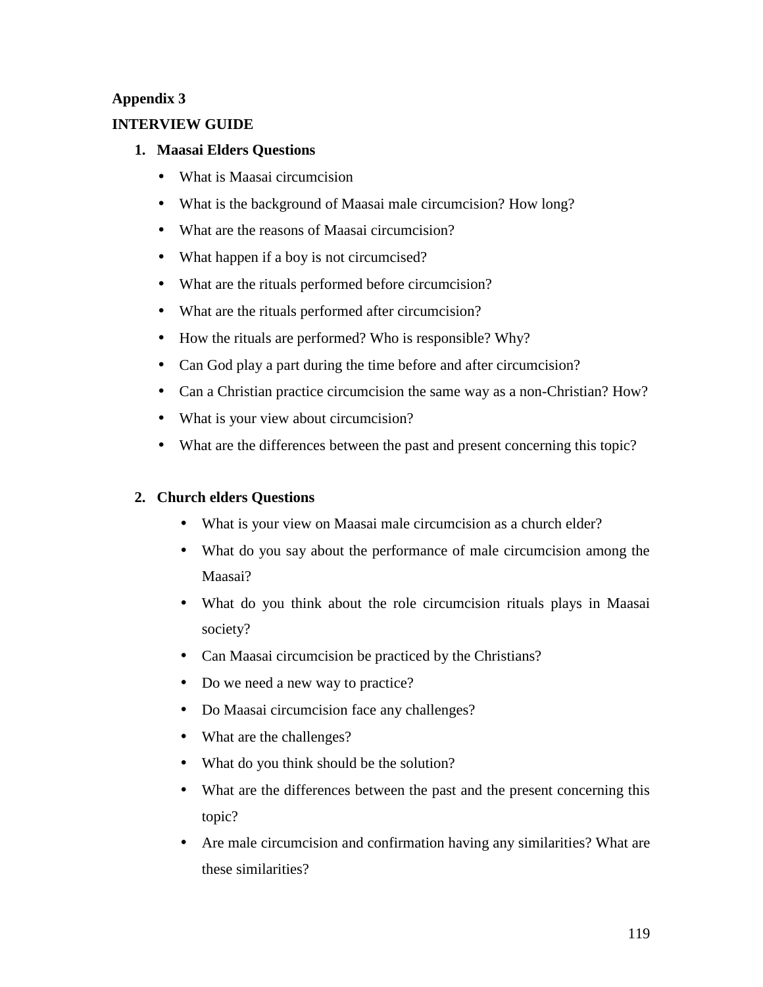#### **INTERVIEW GUIDE**

#### **1. Maasai Elders Questions**

- What is Maasai circumcision
- What is the background of Maasai male circumcision? How long?
- What are the reasons of Maasai circumcision?
- What happen if a boy is not circumcised?
- What are the rituals performed before circumcision?
- What are the rituals performed after circumcision?
- How the rituals are performed? Who is responsible? Why?
- Can God play a part during the time before and after circumcision?
- Can a Christian practice circumcision the same way as a non-Christian? How?
- What is your view about circumcision?
- What are the differences between the past and present concerning this topic?

#### **2. Church elders Questions**

- What is your view on Maasai male circumcision as a church elder?
- What do you say about the performance of male circumcision among the Maasai?
- What do you think about the role circumcision rituals plays in Maasai society?
- Can Maasai circumcision be practiced by the Christians?
- Do we need a new way to practice?
- Do Maasai circumcision face any challenges?
- What are the challenges?
- What do you think should be the solution?
- What are the differences between the past and the present concerning this topic?
- Are male circumcision and confirmation having any similarities? What are these similarities?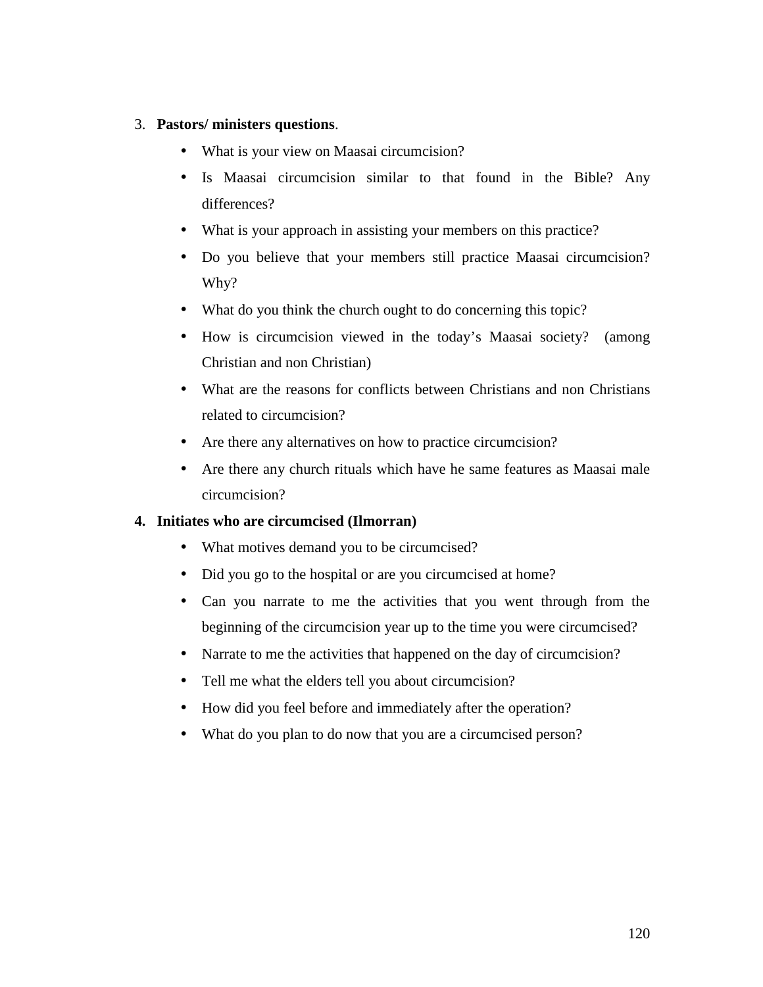#### 3. **Pastors/ ministers questions**.

- What is your view on Maasai circumcision?
- Is Maasai circumcision similar to that found in the Bible? Any differences?
- What is your approach in assisting your members on this practice?
- Do you believe that your members still practice Maasai circumcision? Why?
- What do you think the church ought to do concerning this topic?
- How is circumcision viewed in the today's Maasai society? (among Christian and non Christian)
- What are the reasons for conflicts between Christians and non Christians related to circumcision?
- Are there any alternatives on how to practice circumcision?
- Are there any church rituals which have he same features as Maasai male circumcision?

#### **4. Initiates who are circumcised (Ilmorran)**

- What motives demand you to be circumcised?
- Did you go to the hospital or are you circumcised at home?
- Can you narrate to me the activities that you went through from the beginning of the circumcision year up to the time you were circumcised?
- Narrate to me the activities that happened on the day of circumcision?
- Tell me what the elders tell you about circumcision?
- How did you feel before and immediately after the operation?
- What do you plan to do now that you are a circumcised person?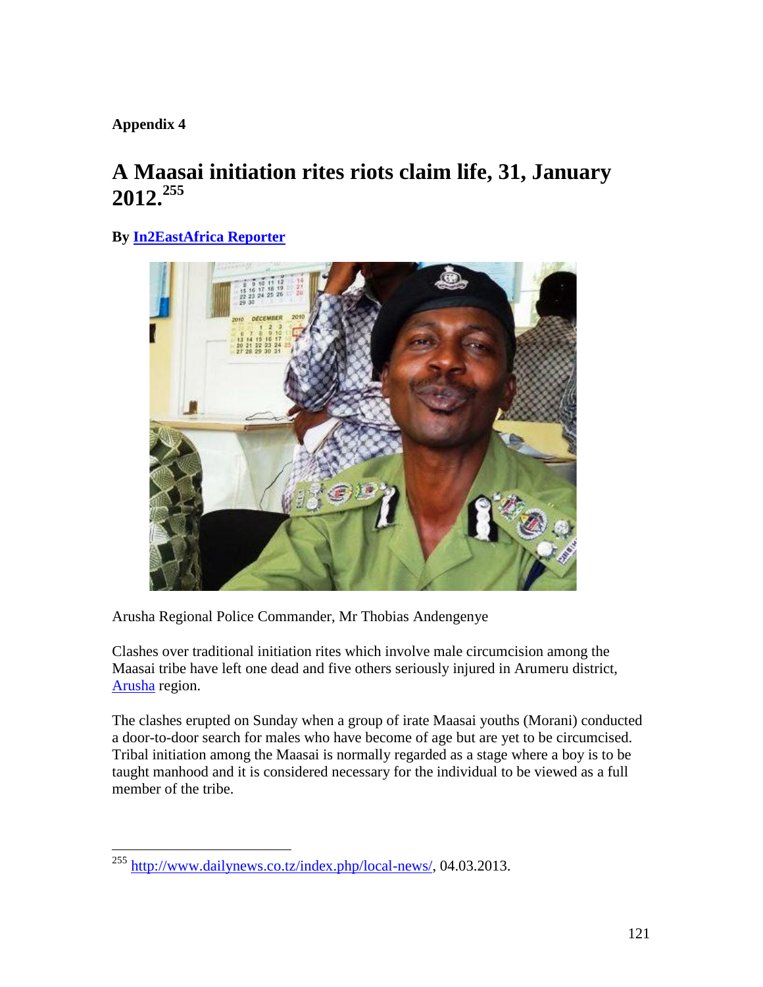# **A Maasai initiation rites riots claim life, 31, January 2012.<sup>255</sup>**

# **By In2EastAfrica Reporter**



Arusha Regional Police Commander, Mr Thobias Andengenye

Clashes over traditional initiation rites which involve male circumcision among the Maasai tribe have left one dead and five others seriously injured in Arumeru district, Arusha region.

The clashes erupted on Sunday when a group of irate Maasai youths (Morani) conducted a door-to-door search for males who have become of age but are yet to be circumcised. Tribal initiation among the Maasai is normally regarded as a stage where a boy is to be taught manhood and it is considered necessary for the individual to be viewed as a full member of the tribe.

<sup>255</sup> http://www.dailynews.co.tz/index.php/local-news/, 04.03.2013.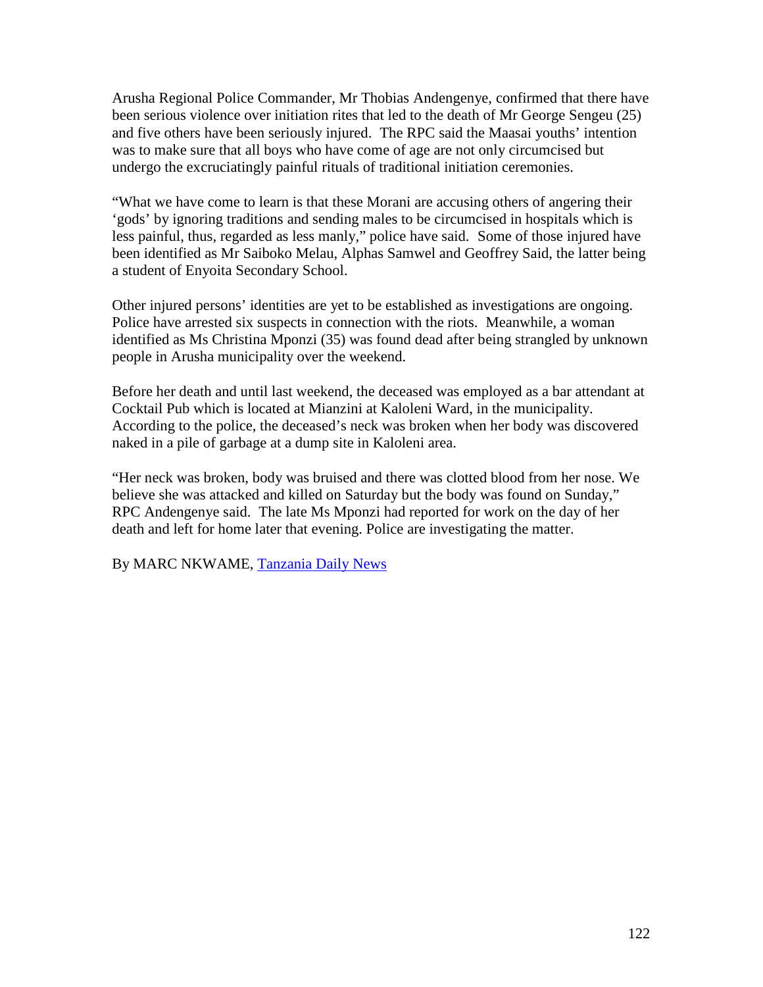Arusha Regional Police Commander, Mr Thobias Andengenye, confirmed that there have been serious violence over initiation rites that led to the death of Mr George Sengeu (25) and five others have been seriously injured. The RPC said the Maasai youths' intention was to make sure that all boys who have come of age are not only circumcised but undergo the excruciatingly painful rituals of traditional initiation ceremonies.

"What we have come to learn is that these Morani are accusing others of angering their 'gods' by ignoring traditions and sending males to be circumcised in hospitals which is less painful, thus, regarded as less manly," police have said. Some of those injured have been identified as Mr Saiboko Melau, Alphas Samwel and Geoffrey Said, the latter being a student of Enyoita Secondary School.

Other injured persons' identities are yet to be established as investigations are ongoing. Police have arrested six suspects in connection with the riots. Meanwhile, a woman identified as Ms Christina Mponzi (35) was found dead after being strangled by unknown people in Arusha municipality over the weekend.

Before her death and until last weekend, the deceased was employed as a bar attendant at Cocktail Pub which is located at Mianzini at Kaloleni Ward, in the municipality. According to the police, the deceased's neck was broken when her body was discovered naked in a pile of garbage at a dump site in Kaloleni area.

"Her neck was broken, body was bruised and there was clotted blood from her nose. We believe she was attacked and killed on Saturday but the body was found on Sunday," RPC Andengenye said. The late Ms Mponzi had reported for work on the day of her death and left for home later that evening. Police are investigating the matter.

By MARC NKWAME, Tanzania Daily News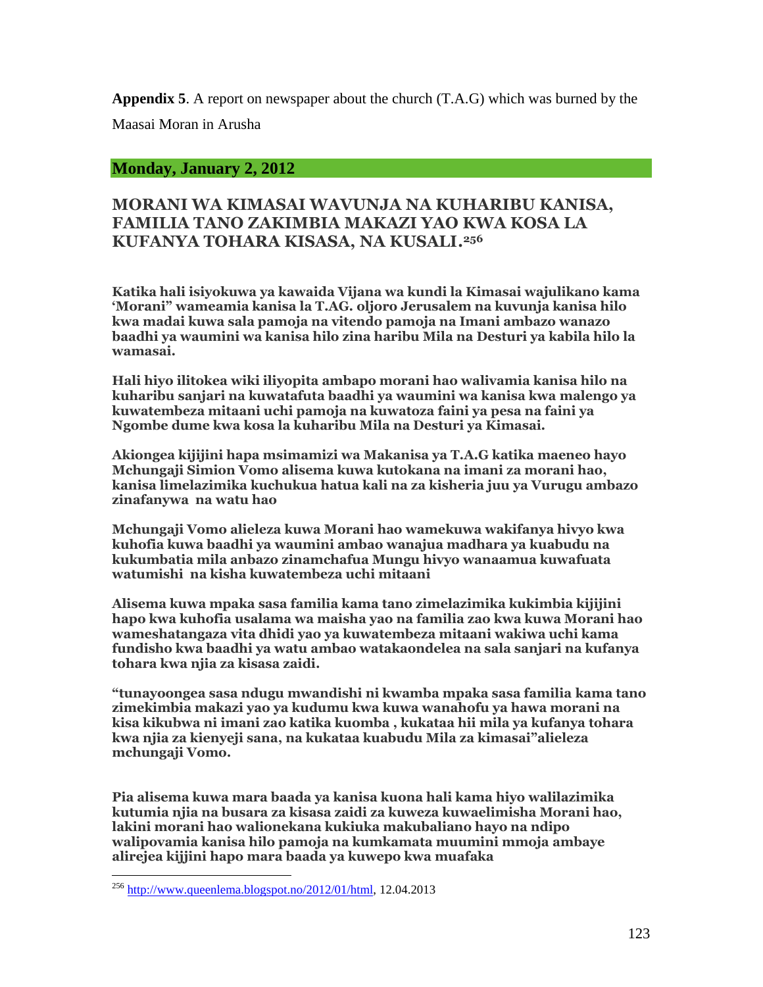**Appendix 5**. A report on newspaper about the church (T.A.G) which was burned by the

Maasai Moran in Arusha

#### **Monday, January 2, 2012**

#### **MORANI WA KIMASAI WAVUNJA NA KUHARIBU KANISA, FAMILIA TANO ZAKIMBIA MAKAZI YAO KWA KOSA LA KUFANYA TOHARA KISASA, NA KUSALI.<sup>256</sup>**

**Katika hali isiyokuwa ya kawaida Vijana wa kundi la Kimasai wajulikano kama 'Morani" wameamia kanisa la T.AG. oljoro Jerusalem na kuvunja kanisa hilo kwa madai kuwa sala pamoja na vitendo pamoja na Imani ambazo wanazo baadhi ya waumini wa kanisa hilo zina haribu Mila na Desturi ya kabila hilo la wamasai.**

**Hali hiyo ilitokea wiki iliyopita ambapo morani hao walivamia kanisa hilo na kuharibu sanjari na kuwatafuta baadhi ya waumini wa kanisa kwa malengo ya kuwatembeza mitaani uchi pamoja na kuwatoza faini ya pesa na faini ya Ngombe dume kwa kosa la kuharibu Mila na Desturi ya Kimasai.**

**Akiongea kijijini hapa msimamizi wa Makanisa ya T.A.G katika maeneo hayo Mchungaji Simion Vomo alisema kuwa kutokana na imani za morani hao, kanisa limelazimika kuchukua hatua kali na za kisheria juu ya Vurugu ambazo zinafanywa na watu hao**

**Mchungaji Vomo alieleza kuwa Morani hao wamekuwa wakifanya hivyo kwa kuhofia kuwa baadhi ya waumini ambao wanajua madhara ya kuabudu na kukumbatia mila anbazo zinamchafua Mungu hivyo wanaamua kuwafuata watumishi na kisha kuwatembeza uchi mitaani**

**Alisema kuwa mpaka sasa familia kama tano zimelazimika kukimbia kijijini hapo kwa kuhofia usalama wa maisha yao na familia zao kwa kuwa Morani hao wameshatangaza vita dhidi yao ya kuwatembeza mitaani wakiwa uchi kama fundisho kwa baadhi ya watu ambao watakaondelea na sala sanjari na kufanya tohara kwa njia za kisasa zaidi.**

**"tunayoongea sasa ndugu mwandishi ni kwamba mpaka sasa familia kama tano zimekimbia makazi yao ya kudumu kwa kuwa wanahofu ya hawa morani na kisa kikubwa ni imani zao katika kuomba , kukataa hii mila ya kufanya tohara kwa njia za kienyeji sana, na kukataa kuabudu Mila za kimasai"alieleza mchungaji Vomo.**

**Pia alisema kuwa mara baada ya kanisa kuona hali kama hiyo walilazimika kutumia njia na busara za kisasa zaidi za kuweza kuwaelimisha Morani hao, lakini morani hao walionekana kukiuka makubaliano hayo na ndipo walipovamia kanisa hilo pamoja na kumkamata muumini mmoja ambaye alirejea kijjini hapo mara baada ya kuwepo kwa muafaka**

 $^{256}$  http://www.queenlema.blogspot.no/2012/01/html, 12.04.2013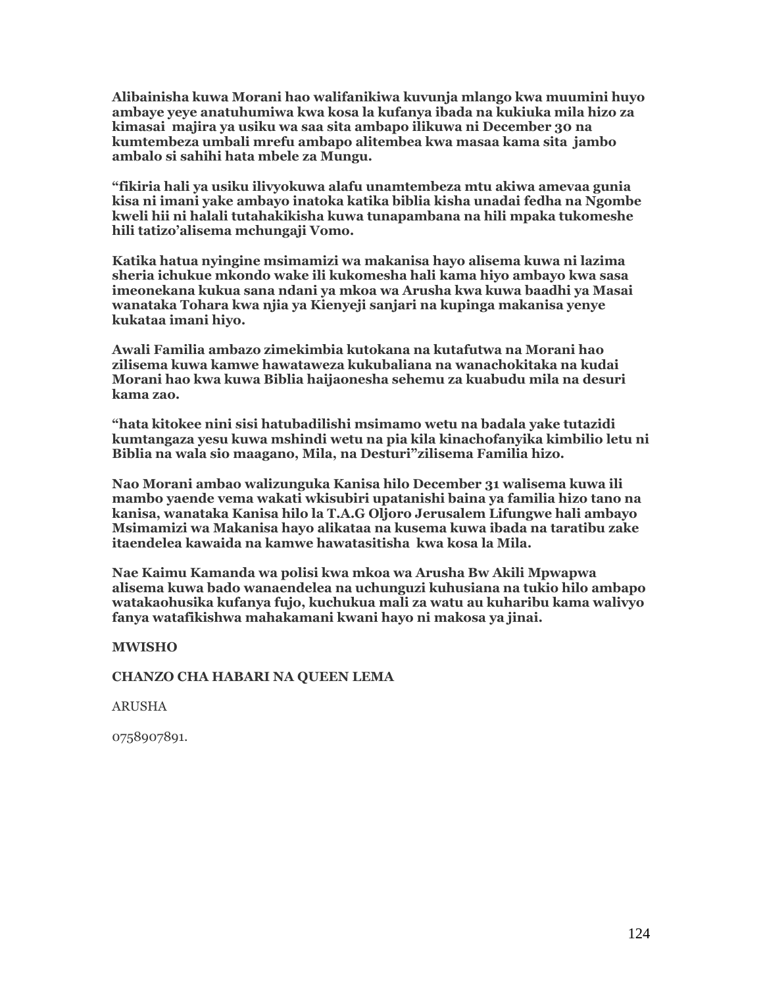**Alibainisha kuwa Morani hao walifanikiwa kuvunja mlango kwa muumini huyo ambaye yeye anatuhumiwa kwa kosa la kufanya ibada na kukiuka mila hizo za kimasai majira ya usiku wa saa sita ambapo ilikuwa ni December 30 na kumtembeza umbali mrefu ambapo alitembea kwa masaa kama sita jambo ambalo si sahihi hata mbele za Mungu.**

**"fikiria hali ya usiku ilivyokuwa alafu unamtembeza mtu akiwa amevaa gunia kisa ni imani yake ambayo inatoka katika biblia kisha unadai fedha na Ngombe kweli hii ni halali tutahakikisha kuwa tunapambana na hili mpaka tukomeshe hili tatizo'alisema mchungaji Vomo.**

**Katika hatua nyingine msimamizi wa makanisa hayo alisema kuwa ni lazima sheria ichukue mkondo wake ili kukomesha hali kama hiyo ambayo kwa sasa imeonekana kukua sana ndani ya mkoa wa Arusha kwa kuwa baadhi ya Masai wanataka Tohara kwa njia ya Kienyeji sanjari na kupinga makanisa yenye kukataa imani hiyo.**

**Awali Familia ambazo zimekimbia kutokana na kutafutwa na Morani hao zilisema kuwa kamwe hawataweza kukubaliana na wanachokitaka na kudai Morani hao kwa kuwa Biblia haijaonesha sehemu za kuabudu mila na desuri kama zao.**

**"hata kitokee nini sisi hatubadilishi msimamo wetu na badala yake tutazidi kumtangaza yesu kuwa mshindi wetu na pia kila kinachofanyika kimbilio letu ni Biblia na wala sio maagano, Mila, na Desturi"zilisema Familia hizo.**

**Nao Morani ambao walizunguka Kanisa hilo December 31 walisema kuwa ili mambo yaende vema wakati wkisubiri upatanishi baina ya familia hizo tano na kanisa, wanataka Kanisa hilo la T.A.G Oljoro Jerusalem Lifungwe hali ambayo Msimamizi wa Makanisa hayo alikataa na kusema kuwa ibada na taratibu zake itaendelea kawaida na kamwe hawatasitisha kwa kosa la Mila.**

**Nae Kaimu Kamanda wa polisi kwa mkoa wa Arusha Bw Akili Mpwapwa alisema kuwa bado wanaendelea na uchunguzi kuhusiana na tukio hilo ambapo watakaohusika kufanya fujo, kuchukua mali za watu au kuharibu kama walivyo fanya watafikishwa mahakamani kwani hayo ni makosa ya jinai.**

**MWISHO**

**CHANZO CHA HABARI NA QUEEN LEMA**

ARUSHA

0758907891.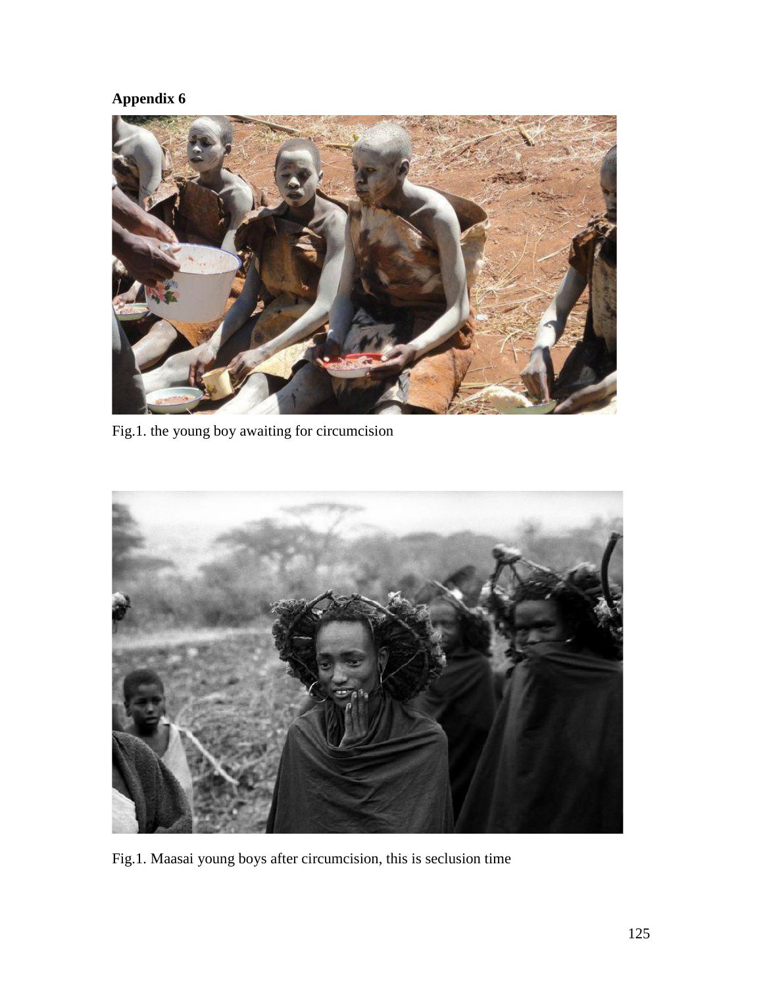

Fig.1. the young boy awaiting for circumcision



Fig.1. Maasai young boys after circumcision, this is seclusion time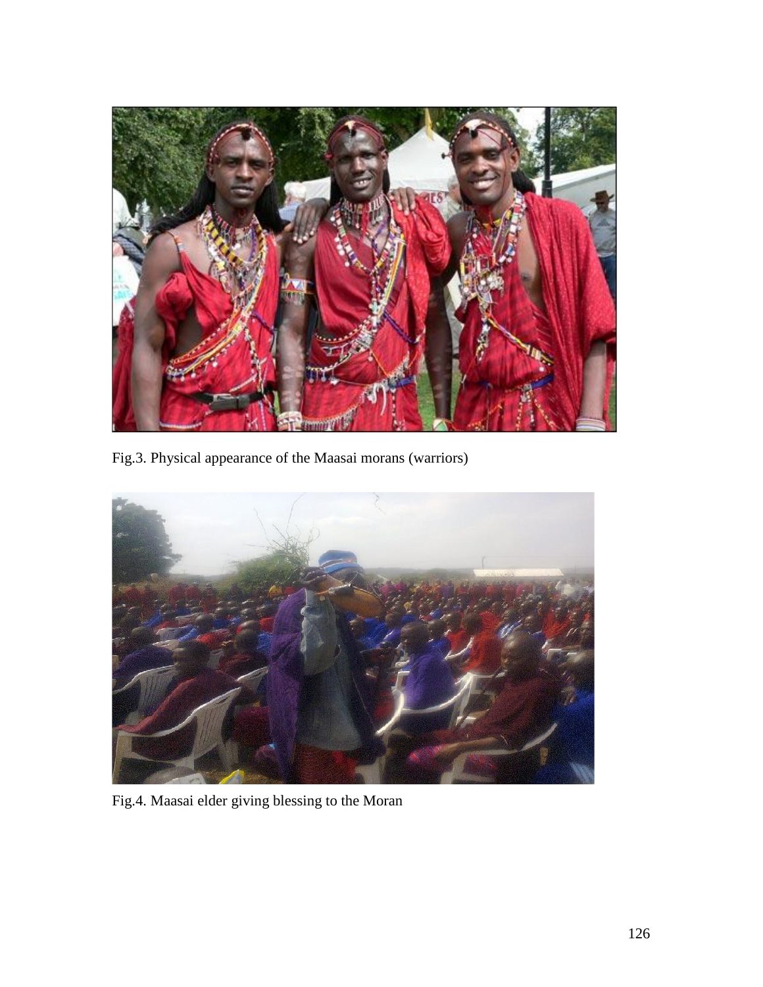

Fig.3. Physical appearance of the Maasai morans (warriors)



Fig.4. Maasai elder giving blessing to the Moran